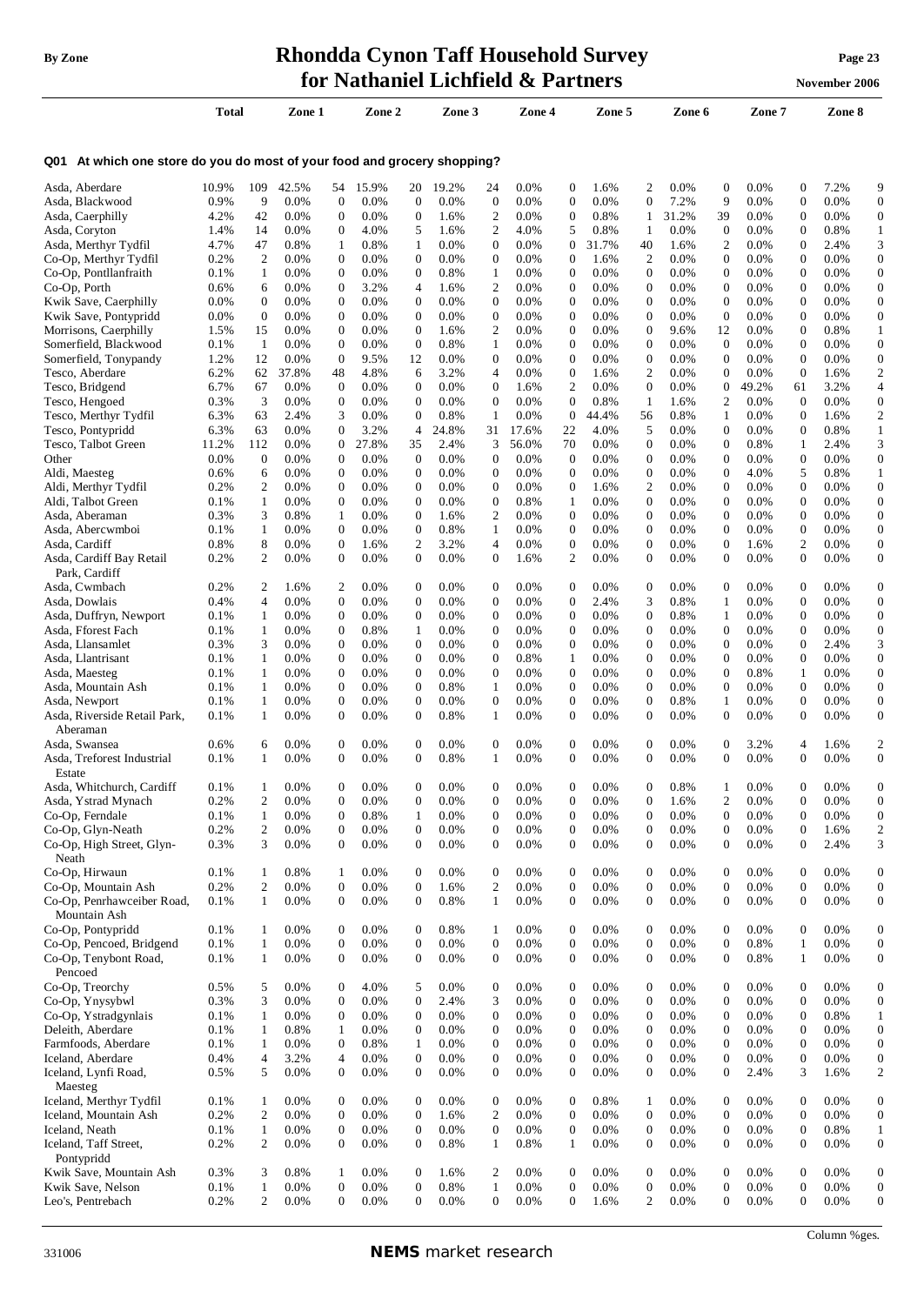#### **By Zone Rhondda Cynon Taff Household Survey Page <sup>23</sup> for Nathaniel Lichfield & Partners November** 2006

|                                                                             |               |                                |                    |                                      |               |                                  |                 |                                      | for ivalitativel lictified <b>a</b> Partners |                                      |                    |                                      |              |                                      |                 |                                  | <b>November 2006</b> |                                      |
|-----------------------------------------------------------------------------|---------------|--------------------------------|--------------------|--------------------------------------|---------------|----------------------------------|-----------------|--------------------------------------|----------------------------------------------|--------------------------------------|--------------------|--------------------------------------|--------------|--------------------------------------|-----------------|----------------------------------|----------------------|--------------------------------------|
|                                                                             | Total         |                                | Zone 1             |                                      | Zone 2        |                                  | Zone 3          |                                      | Zone 4                                       |                                      | Zone 5             |                                      | Zone 6       |                                      | Zone 7          |                                  | Zone 8               |                                      |
| At which one store do you do most of your food and grocery shopping?<br>Q01 |               |                                |                    |                                      |               |                                  |                 |                                      |                                              |                                      |                    |                                      |              |                                      |                 |                                  |                      |                                      |
| Asda, Aberdare                                                              | 10.9%         | 109                            | 42.5%              | 54                                   | 15.9%         | 20                               | 19.2%           | 24                                   | 0.0%                                         | $\mathbf{0}$                         | 1.6%               | 2                                    | 0.0%         | $\boldsymbol{0}$                     | 0.0%            | 0                                | 7.2%                 | 9                                    |
| Asda, Blackwood                                                             | 0.9%          | 9                              | 0.0%               | $\boldsymbol{0}$                     | 0.0%          | $\mathbf 0$                      | 0.0%            | $\boldsymbol{0}$                     | 0.0%                                         | $\boldsymbol{0}$                     | 0.0%               | 0                                    | 7.2%         | 9                                    | 0.0%            | 0                                | 0.0%                 | $\boldsymbol{0}$                     |
| Asda, Caerphilly                                                            | 4.2%          | 42                             | $0.0\%$            | $\boldsymbol{0}$                     | 0.0%          | 0                                | 1.6%            | $\overline{2}$                       | $0.0\%$                                      | $\boldsymbol{0}$                     | 0.8%               | 1                                    | 31.2%        | 39                                   | 0.0%            | 0                                | 0.0%                 | $\boldsymbol{0}$                     |
| Asda, Coryton                                                               | 1.4%<br>4.7%  | 14<br>47                       | 0.0%<br>0.8%       | $\boldsymbol{0}$<br>$\mathbf{1}$     | 4.0%<br>0.8%  | 5<br>1                           | 1.6%<br>0.0%    | 2<br>$\boldsymbol{0}$                | 4.0%<br>0.0%                                 | 5<br>$\boldsymbol{0}$                | 0.8%<br>31.7%      | 1<br>40                              | 0.0%<br>1.6% | $\boldsymbol{0}$<br>$\overline{2}$   | 0.0%<br>$0.0\%$ | 0<br>$\overline{0}$              | 0.8%<br>2.4%         | $\mathbf{1}$<br>3                    |
| Asda, Merthyr Tydfil<br>Co-Op, Merthyr Tydfil                               | 0.2%          | $\overline{2}$                 | $0.0\%$            | $\boldsymbol{0}$                     | 0.0%          | 0                                | $0.0\%$         | $\boldsymbol{0}$                     | 0.0%                                         | $\mathbf{0}$                         | 1.6%               | $\overline{2}$                       | 0.0%         | $\boldsymbol{0}$                     | 0.0%            | 0                                | 0.0%                 | $\boldsymbol{0}$                     |
| Co-Op, Pontllanfraith                                                       | 0.1%          | -1                             | $0.0\%$            | $\boldsymbol{0}$                     | 0.0%          | 0                                | 0.8%            | $\mathbf{1}$                         | 0.0%                                         | $\boldsymbol{0}$                     | 0.0%               | $\mathbf{0}$                         | 0.0%         | $\boldsymbol{0}$                     | $0.0\%$         | 0                                | 0.0%                 | $\mathbf{0}$                         |
| Co-Op, Porth                                                                | 0.6%          | 6                              | $0.0\%$            | $\boldsymbol{0}$                     | 3.2%          | 4                                | 1.6%            | $\mathfrak{2}$                       | $0.0\%$                                      | $\mathbf 0$                          | $0.0\%$            | $\mathbf{0}$                         | 0.0%         | $\boldsymbol{0}$                     | $0.0\%$         | 0                                | 0.0%                 | $\boldsymbol{0}$                     |
| Kwik Save, Caerphilly                                                       | $0.0\%$       | $\mathbf{0}$                   | $0.0\%$            | $\boldsymbol{0}$                     | 0.0%          | 0                                | $0.0\%$         | $\boldsymbol{0}$                     | 0.0%                                         | $\boldsymbol{0}$                     | $0.0\%$            | $\mathbf{0}$                         | 0.0%         | $\boldsymbol{0}$                     | $0.0\%$         | 0                                | 0.0%                 | $\boldsymbol{0}$                     |
| Kwik Save, Pontypridd                                                       | $0.0\%$       | $\overline{0}$                 | 0.0%               | $\boldsymbol{0}$                     | 0.0%          | 0                                | 0.0%            | $\boldsymbol{0}$                     | $0.0\%$                                      | $\theta$                             | 0.0%               | $\mathbf{0}$                         | 0.0%         | $\mathbf{0}$                         | 0.0%            | 0                                | 0.0%                 | $\boldsymbol{0}$                     |
| Morrisons, Caerphilly<br>Somerfield, Blackwood                              | 1.5%<br>0.1%  | 15<br>$\mathbf{1}$             | $0.0\%$<br>$0.0\%$ | $\boldsymbol{0}$<br>$\boldsymbol{0}$ | 0.0%<br>0.0%  | 0<br>0                           | 1.6%<br>0.8%    | $\overline{2}$<br>$\mathbf{1}$       | 0.0%<br>$0.0\%$                              | $\boldsymbol{0}$<br>$\theta$         | $0.0\%$<br>$0.0\%$ | $\mathbf{0}$<br>$\mathbf{0}$         | 9.6%<br>0.0% | 12<br>$\mathbf{0}$                   | 0.0%<br>0.0%    | 0<br>0                           | 0.8%<br>0.0%         | $\mathbf{1}$<br>$\boldsymbol{0}$     |
| Somerfield, Tonypandy                                                       | 1.2%          | 12                             | 0.0%               | $\boldsymbol{0}$                     | 9.5%          | 12                               | 0.0%            | $\boldsymbol{0}$                     | 0.0%                                         | $\overline{0}$                       | 0.0%               | $\mathbf{0}$                         | 0.0%         | $\mathbf{0}$                         | 0.0%            | $\overline{0}$                   | 0.0%                 | $\boldsymbol{0}$                     |
| Tesco, Aberdare                                                             | 6.2%          | 62                             | 37.8%              | 48                                   | 4.8%          | 6                                | 3.2%            | $\overline{4}$                       | 0.0%                                         | $\theta$                             | 1.6%               | 2                                    | 0.0%         | $\mathbf{0}$                         | 0.0%            | 0                                | 1.6%                 | $\overline{c}$                       |
| Tesco, Bridgend                                                             | 6.7%          | 67                             | $0.0\%$            | $\mathbf{0}$                         | 0.0%          | 0                                | 0.0%            | $\boldsymbol{0}$                     | 1.6%                                         | $\overline{c}$                       | 0.0%               | $\mathbf{0}$                         | 0.0%         | $\mathbf{0}$                         | 49.2%           | 61                               | 3.2%                 | $\overline{4}$                       |
| Tesco, Hengoed                                                              | 0.3%          | 3                              | $0.0\%$            | $\boldsymbol{0}$                     | 0.0%          | 0                                | 0.0%            | $\boldsymbol{0}$                     | $0.0\%$                                      | $\overline{0}$                       | 0.8%               | 1                                    | 1.6%         | 2                                    | 0.0%            | 0                                | 0.0%                 | $\boldsymbol{0}$                     |
| Tesco, Merthyr Tydfil                                                       | 6.3%          | 63                             | 2.4%               | 3                                    | 0.0%          | 0                                | 0.8%            | $\mathbf{1}$                         | 0.0%                                         | $\boldsymbol{0}$                     | 44.4%              | 56                                   | 0.8%         | 1                                    | 0.0%            | 0                                | 1.6%                 | $\overline{c}$                       |
| Tesco, Pontypridd<br>Tesco, Talbot Green                                    | 6.3%<br>11.2% | 63<br>112                      | 0.0%<br>0.0%       | $\mathbf{0}$<br>$\boldsymbol{0}$     | 3.2%<br>27.8% | 4<br>35                          | 24.8%<br>2.4%   | 31<br>3                              | 17.6%<br>56.0%                               | 22<br>70                             | 4.0%<br>0.0%       | 5<br>$\boldsymbol{0}$                | 0.0%<br>0.0% | $\boldsymbol{0}$<br>$\boldsymbol{0}$ | 0.0%<br>0.8%    | 0<br>1                           | 0.8%<br>2.4%         | 1<br>3                               |
| Other                                                                       | $0.0\%$       | $\bf{0}$                       | $0.0\%$            | $\boldsymbol{0}$                     | 0.0%          | 0                                | 0.0%            | $\mathbf{0}$                         | 0.0%                                         | $\boldsymbol{0}$                     | $0.0\%$            | $\mathbf{0}$                         | 0.0%         | $\overline{0}$                       | 0.0%            | $\mathbf{0}$                     | 0.0%                 | $\boldsymbol{0}$                     |
| Aldi, Maesteg                                                               | 0.6%          | 6                              | $0.0\%$            | $\boldsymbol{0}$                     | 0.0%          | 0                                | $0.0\%$         | $\boldsymbol{0}$                     | 0.0%                                         | $\boldsymbol{0}$                     | 0.0%               | $\boldsymbol{0}$                     | 0.0%         | $\boldsymbol{0}$                     | 4.0%            | 5                                | 0.8%                 | $\mathbf{1}$                         |
| Aldi, Merthyr Tydfil                                                        | 0.2%          | 2                              | $0.0\%$            | $\boldsymbol{0}$                     | 0.0%          | 0                                | $0.0\%$         | $\boldsymbol{0}$                     | 0.0%                                         | $\mathbf 0$                          | 1.6%               | $\overline{c}$                       | 0.0%         | $\boldsymbol{0}$                     | $0.0\%$         | $\mathbf{0}$                     | 0.0%                 | $\boldsymbol{0}$                     |
| Aldi, Talbot Green                                                          | 0.1%          | 1                              | $0.0\%$            | $\boldsymbol{0}$                     | 0.0%          | 0                                | 0.0%            | $\boldsymbol{0}$                     | 0.8%                                         | 1                                    | $0.0\%$            | 0                                    | 0.0%         | $\boldsymbol{0}$                     | $0.0\%$         | 0                                | 0.0%                 | $\boldsymbol{0}$                     |
| Asda, Aberaman                                                              | 0.3%          | 3                              | 0.8%               | $\mathbf{1}$                         | 0.0%          | 0                                | 1.6%            | $\overline{2}$                       | $0.0\%$                                      | $\boldsymbol{0}$                     | $0.0\%$            | $\mathbf{0}$                         | 0.0%         | $\mathbf{0}$                         | $0.0\%$         | 0                                | 0.0%                 | $\boldsymbol{0}$                     |
| Asda, Abercwmboi<br>Asda, Cardiff                                           | 0.1%<br>0.8%  | 1<br>8                         | $0.0\%$<br>$0.0\%$ | $\boldsymbol{0}$<br>$\boldsymbol{0}$ | 0.0%<br>1.6%  | 0<br>2                           | 0.8%<br>3.2%    | $\mathbf{1}$<br>$\overline{4}$       | 0.0%<br>0.0%                                 | $\mathbf{0}$<br>$\boldsymbol{0}$     | $0.0\%$<br>0.0%    | $\mathbf{0}$<br>$\mathbf{0}$         | 0.0%<br>0.0% | $\boldsymbol{0}$<br>$\mathbf{0}$     | $0.0\%$<br>1.6% | 0<br>2                           | 0.0%<br>0.0%         | $\boldsymbol{0}$<br>$\boldsymbol{0}$ |
| Asda, Cardiff Bay Retail                                                    | 0.2%          | $\overline{2}$                 | 0.0%               | $\mathbf{0}$                         | 0.0%          | $\overline{0}$                   | 0.0%            | $\mathbf{0}$                         | 1.6%                                         | 2                                    | 0.0%               | $\mathbf{0}$                         | 0.0%         | $\mathbf{0}$                         | 0.0%            | $\mathbf{0}$                     | 0.0%                 | $\boldsymbol{0}$                     |
| Park, Cardiff                                                               |               |                                |                    |                                      |               |                                  |                 |                                      |                                              |                                      |                    |                                      |              |                                      |                 |                                  |                      |                                      |
| Asda, Cwmbach                                                               | 0.2%          | 2                              | 1.6%               | 2                                    | 0.0%          | $\mathbf{0}$                     | $0.0\%$         | $\boldsymbol{0}$                     | 0.0%                                         | 0                                    | $0.0\%$            | 0                                    | 0.0%         | $\boldsymbol{0}$                     | 0.0%            | $\mathbf{0}$                     | 0.0%                 | $\boldsymbol{0}$                     |
| Asda, Dowlais                                                               | 0.4%          | $\overline{4}$                 | $0.0\%$            | $\boldsymbol{0}$                     | 0.0%          | 0                                | $0.0\%$         | $\boldsymbol{0}$                     | 0.0%                                         | $\boldsymbol{0}$                     | 2.4%               | 3                                    | 0.8%         | 1                                    | 0.0%            | 0                                | 0.0%                 | $\boldsymbol{0}$                     |
| Asda, Duffryn, Newport                                                      | 0.1%          | $\mathbf{1}$                   | $0.0\%$            | $\mathbf{0}$                         | 0.0%          | 0                                | $0.0\%$         | $\boldsymbol{0}$                     | 0.0%                                         | $\theta$                             | 0.0%               | $\mathbf{0}$                         | 0.8%         | 1                                    | $0.0\%$         | 0                                | 0.0%                 | $\boldsymbol{0}$                     |
| Asda, Fforest Fach                                                          | 0.1%<br>0.3%  | 1<br>3                         | $0.0\%$<br>0.0%    | $\boldsymbol{0}$<br>$\boldsymbol{0}$ | 0.8%<br>0.0%  | 1<br>$\mathbf{0}$                | $0.0\%$<br>0.0% | $\boldsymbol{0}$<br>$\boldsymbol{0}$ | 0.0%<br>0.0%                                 | $\boldsymbol{0}$                     | 0.0%               | $\boldsymbol{0}$<br>$\mathbf{0}$     | 0.0%<br>0.0% | $\boldsymbol{0}$<br>$\mathbf{0}$     | 0.0%<br>0.0%    | 0<br>0                           | 0.0%<br>2.4%         | $\boldsymbol{0}$<br>3                |
| Asda, Llansamlet<br>Asda, Llantrisant                                       | 0.1%          | $\mathbf{1}$                   | 0.0%               | $\boldsymbol{0}$                     | 0.0%          | 0                                | $0.0\%$         | $\boldsymbol{0}$                     | 0.8%                                         | $\mathbf{0}$<br>1                    | $0.0\%$<br>0.0%    | $\boldsymbol{0}$                     | 0.0%         | $\boldsymbol{0}$                     | 0.0%            | 0                                | 0.0%                 | $\boldsymbol{0}$                     |
| Asda, Maesteg                                                               | 0.1%          | $\mathbf{1}$                   | $0.0\%$            | $\boldsymbol{0}$                     | 0.0%          | $\mathbf{0}$                     | $0.0\%$         | $\boldsymbol{0}$                     | 0.0%                                         | $\boldsymbol{0}$                     | $0.0\%$            | $\mathbf{0}$                         | 0.0%         | $\overline{0}$                       | 0.8%            | 1                                | 0.0%                 | $\mathbf{0}$                         |
| Asda, Mountain Ash                                                          | 0.1%          | 1                              | $0.0\%$            | $\boldsymbol{0}$                     | 0.0%          | 0                                | 0.8%            | $\mathbf{1}$                         | 0.0%                                         | $\boldsymbol{0}$                     | 0.0%               | $\boldsymbol{0}$                     | 0.0%         | $\boldsymbol{0}$                     | 0.0%            | 0                                | 0.0%                 | $\boldsymbol{0}$                     |
| Asda, Newport                                                               | 0.1%          | $\mathbf{1}$                   | $0.0\%$            | $\boldsymbol{0}$                     | 0.0%          | $\mathbf{0}$                     | $0.0\%$         | $\boldsymbol{0}$                     | 0.0%                                         | $\boldsymbol{0}$                     | $0.0\%$            | $\mathbf{0}$                         | 0.8%         | $\mathbf{1}$                         | $0.0\%$         | $\overline{0}$                   | 0.0%                 | $\boldsymbol{0}$                     |
| Asda, Riverside Retail Park,                                                | 0.1%          | 1                              | $0.0\%$            | $\boldsymbol{0}$                     | 0.0%          | 0                                | 0.8%            | 1                                    | 0.0%                                         | $\mathbf{0}$                         | $0.0\%$            | $\theta$                             | 0.0%         | $\mathbf{0}$                         | $0.0\%$         | 0                                | 0.0%                 | $\boldsymbol{0}$                     |
| Aberaman<br>Asda, Swansea                                                   | 0.6%          | 6                              | $0.0\%$            | $\boldsymbol{0}$                     | 0.0%          | 0                                | $0.0\%$         | $\boldsymbol{0}$                     | 0.0%                                         | $\mathbf{0}$                         | 0.0%               | $\mathbf{0}$                         | 0.0%         | $\mathbf{0}$                         | 3.2%            | 4                                | 1.6%                 | $\overline{2}$                       |
| Asda, Treforest Industrial                                                  | 0.1%          | 1                              | 0.0%               | $\mathbf{0}$                         | 0.0%          | $\overline{0}$                   | 0.8%            | $\mathbf{1}$                         | 0.0%                                         | $\overline{0}$                       | 0.0%               | $\mathbf{0}$                         | 0.0%         | $\mathbf{0}$                         | 0.0%            | 0                                | 0.0%                 | $\mathbf{0}$                         |
| Estate                                                                      |               |                                |                    |                                      |               |                                  |                 |                                      |                                              |                                      |                    |                                      |              |                                      |                 |                                  |                      |                                      |
| Asda, Whitchurch, Cardiff                                                   | 0.1%          | $\mathbf{1}$                   | 0.0%               | $\boldsymbol{0}$                     | 0.0%          | $\overline{0}$                   | 0.0%            | $\boldsymbol{0}$                     | 0.0%                                         | $\overline{0}$                       | 0.0%               | $\boldsymbol{0}$                     | 0.8%         | $\mathbf{1}$                         | 0.0%            | $\overline{0}$                   | 0.0%                 | $\mathbf{0}$                         |
| Asda, Ystrad Mynach                                                         | 0.2%          | $\overline{c}$                 | 0.0%               | $\boldsymbol{0}$                     | 0.0%          | $\overline{0}$                   | 0.0%            | $\boldsymbol{0}$                     | 0.0%                                         | $\overline{0}$                       | 0.0%               | $\mathbf{0}$                         | 1.6%         | $\mathbf{2}$                         | 0.0%            | $\overline{0}$                   | 0.0%                 | $\boldsymbol{0}$                     |
| Co-Op, Ferndale                                                             | 0.1%          | $\mathbf{1}$                   | 0.0%               | $\boldsymbol{0}$                     | 0.8%          | 1                                | 0.0%            | $\boldsymbol{0}$                     | 0.0%                                         | $\boldsymbol{0}$                     | 0.0%               | $\boldsymbol{0}$                     | 0.0%         | $\boldsymbol{0}$                     | 0.0%            | $\boldsymbol{0}$                 | 0.0%                 | $\boldsymbol{0}$                     |
| Co-Op, Glyn-Neath<br>Co-Op, High Street, Glyn-                              | 0.2%<br>0.3%  | $\sqrt{2}$<br>3                | 0.0%<br>0.0%       | $\mathbf{0}$<br>$\boldsymbol{0}$     | 0.0%<br>0.0%  | $\overline{0}$<br>$\overline{0}$ | 0.0%<br>0.0%    | $\boldsymbol{0}$<br>$\boldsymbol{0}$ | 0.0%<br>0.0%                                 | $\mathbf{0}$<br>$\overline{0}$       | 0.0%<br>0.0%       | $\mathbf{0}$<br>$\boldsymbol{0}$     | 0.0%<br>0.0% | $\boldsymbol{0}$<br>$\boldsymbol{0}$ | 0.0%<br>0.0%    | $\overline{0}$<br>$\overline{0}$ | 1.6%<br>2.4%         | $\sqrt{2}$<br>3                      |
| Neath                                                                       |               |                                |                    |                                      |               |                                  |                 |                                      |                                              |                                      |                    |                                      |              |                                      |                 |                                  |                      |                                      |
| Co-Op, Hirwaun                                                              | 0.1%          | 1                              | 0.8%               | $\mathbf{1}$                         | 0.0%          | $\overline{0}$                   | 0.0%            | $\boldsymbol{0}$                     | 0.0%                                         | $\boldsymbol{0}$                     | 0.0%               | $\boldsymbol{0}$                     | 0.0%         | $\boldsymbol{0}$                     | 0.0%            | $\overline{0}$                   | 0.0%                 | $\mathbf{0}$                         |
| Co-Op, Mountain Ash                                                         | 0.2%          | $\mathfrak{2}$                 | 0.0%               | $\mathbf{0}$                         | 0.0%          | $\overline{0}$                   | 1.6%            | $\mathbf{2}$                         | 0.0%                                         | $\boldsymbol{0}$                     | 0.0%               | $\boldsymbol{0}$                     | 0.0%         | $\boldsymbol{0}$                     | 0.0%            | $\overline{0}$                   | 0.0%                 | $\boldsymbol{0}$                     |
| Co-Op, Penrhawceiber Road,                                                  | 0.1%          | 1                              | 0.0%               | $\boldsymbol{0}$                     | 0.0%          | $\overline{0}$                   | 0.8%            | $\mathbf{1}$                         | 0.0%                                         | $\mathbf{0}$                         | 0.0%               | $\boldsymbol{0}$                     | 0.0%         | $\boldsymbol{0}$                     | 0.0%            | $\mathbf{0}$                     | 0.0%                 | $\mathbf{0}$                         |
| Mountain Ash                                                                |               |                                |                    |                                      |               |                                  |                 |                                      |                                              |                                      |                    |                                      |              |                                      |                 |                                  |                      |                                      |
| Co-Op, Pontypridd<br>Co-Op, Pencoed, Bridgend                               | 0.1%<br>0.1%  | 1<br>$\mathbf{1}$              | 0.0%<br>0.0%       | $\mathbf{0}$<br>$\boldsymbol{0}$     | 0.0%<br>0.0%  | 0<br>$\boldsymbol{0}$            | 0.8%<br>0.0%    | $\mathbf{1}$<br>$\boldsymbol{0}$     | 0.0%<br>0.0%                                 | $\boldsymbol{0}$<br>$\boldsymbol{0}$ | 0.0%<br>0.0%       | $\mathbf{0}$<br>$\boldsymbol{0}$     | 0.0%<br>0.0% | $\boldsymbol{0}$<br>$\boldsymbol{0}$ | 0.0%<br>0.8%    | $\mathbf{0}$<br>$\mathbf{1}$     | 0.0%<br>0.0%         | $\mathbf{0}$<br>$\boldsymbol{0}$     |
| Co-Op, Tenybont Road,                                                       | 0.1%          | $\mathbf{1}$                   | 0.0%               | $\boldsymbol{0}$                     | 0.0%          | $\overline{0}$                   | 0.0%            | $\boldsymbol{0}$                     | 0.0%                                         | $\mathbf{0}$                         | 0.0%               | $\mathbf{0}$                         | 0.0%         | $\boldsymbol{0}$                     | 0.8%            | $\mathbf{1}$                     | 0.0%                 | $\mathbf{0}$                         |
| Pencoed                                                                     |               |                                |                    |                                      |               |                                  |                 |                                      |                                              |                                      |                    |                                      |              |                                      |                 |                                  |                      |                                      |
| Co-Op, Treorchy                                                             | 0.5%          | 5                              | 0.0%               | $\mathbf{0}$                         | 4.0%          | 5                                | 0.0%            | $\boldsymbol{0}$                     | 0.0%                                         | $\boldsymbol{0}$                     | 0.0%               | $\boldsymbol{0}$                     | 0.0%         | $\boldsymbol{0}$                     | 0.0%            | 0                                | 0.0%                 | $\mathbf{0}$                         |
| Co-Op, Ynysybwl                                                             | 0.3%          | 3                              | 0.0%               | $\boldsymbol{0}$                     | 0.0%          | $\overline{0}$                   | 2.4%            | $\mathfrak{Z}$                       | 0.0%                                         | $\boldsymbol{0}$                     | 0.0%               | $\boldsymbol{0}$                     | 0.0%         | $\mathbf{0}$                         | 0.0%            | $\overline{0}$                   | 0.0%                 | $\boldsymbol{0}$                     |
| Co-Op, Ystradgynlais                                                        | 0.1%          | 1                              | 0.0%               | $\mathbf{0}$                         | 0.0%          | $\overline{0}$                   | 0.0%            | $\boldsymbol{0}$                     | 0.0%                                         | $\mathbf{0}$                         | 0.0%               | $\mathbf{0}$                         | 0.0%         | $\mathbf{0}$                         | 0.0%            | $\mathbf{0}$                     | 0.8%                 | $\mathbf{1}$                         |
| Deleith, Aberdare                                                           | 0.1%          | $\mathbf{1}$                   | 0.8%<br>0.0%       | $\mathbf{1}$<br>$\boldsymbol{0}$     | 0.0%          | $\boldsymbol{0}$                 | 0.0%<br>0.0%    | $\boldsymbol{0}$<br>$\boldsymbol{0}$ | 0.0%                                         | $\boldsymbol{0}$<br>$\mathbf{0}$     | 0.0%<br>0.0%       | $\boldsymbol{0}$<br>$\boldsymbol{0}$ | 0.0%<br>0.0% | $\boldsymbol{0}$<br>$\boldsymbol{0}$ | 0.0%<br>0.0%    | $\boldsymbol{0}$<br>$\mathbf{0}$ | 0.0%<br>0.0%         | $\mathbf{0}$<br>$\boldsymbol{0}$     |
| Farmfoods, Aberdare<br>Iceland, Aberdare                                    | 0.1%<br>0.4%  | $\mathbf{1}$<br>$\overline{4}$ | 3.2%               | $\overline{\mathcal{L}}$             | 0.8%<br>0.0%  | 1<br>0                           | 0.0%            | $\boldsymbol{0}$                     | 0.0%<br>0.0%                                 | $\boldsymbol{0}$                     | 0.0%               | $\boldsymbol{0}$                     | 0.0%         | $\boldsymbol{0}$                     | 0.0%            | 0                                | 0.0%                 | $\boldsymbol{0}$                     |
| Iceland, Lynfi Road,                                                        | 0.5%          | 5                              | 0.0%               | $\boldsymbol{0}$                     | 0.0%          | $\overline{0}$                   | 0.0%            | $\boldsymbol{0}$                     | 0.0%                                         | $\mathbf{0}$                         | 0.0%               | $\mathbf{0}$                         | 0.0%         | $\boldsymbol{0}$                     | 2.4%            | 3                                | 1.6%                 | $\boldsymbol{2}$                     |
| Maesteg                                                                     |               |                                |                    |                                      |               |                                  |                 |                                      |                                              |                                      |                    |                                      |              |                                      |                 |                                  |                      |                                      |
| Iceland, Merthyr Tydfil                                                     | 0.1%          | $\mathbf{1}$                   | 0.0%               | $\boldsymbol{0}$                     | 0.0%          | 0                                | 0.0%            | $\boldsymbol{0}$                     | 0.0%                                         | $\boldsymbol{0}$                     | 0.8%               | 1                                    | 0.0%         | $\boldsymbol{0}$                     | 0.0%            | $\boldsymbol{0}$                 | 0.0%                 | $\boldsymbol{0}$                     |
| Iceland, Mountain Ash                                                       | 0.2%          | $\mathfrak{2}$                 | 0.0%               | $\boldsymbol{0}$                     | 0.0%          | 0                                | 1.6%            | $\mathfrak{2}$                       | 0.0%                                         | $\boldsymbol{0}$                     | 0.0%               | $\boldsymbol{0}$                     | 0.0%         | $\boldsymbol{0}$                     | 0.0%            | $\boldsymbol{0}$                 | 0.0%                 | $\boldsymbol{0}$                     |
| Iceland, Neath                                                              | 0.1%          | $\mathbf{1}$                   | 0.0%               | $\boldsymbol{0}$                     | 0.0%          | $\boldsymbol{0}$                 | 0.0%            | $\boldsymbol{0}$                     | 0.0%                                         | $\boldsymbol{0}$                     | 0.0%               | $\boldsymbol{0}$                     | 0.0%         | $\boldsymbol{0}$                     | 0.0%            | $\boldsymbol{0}$                 | 0.8%                 | $\mathbf{1}$                         |
| Iceland, Taff Street,<br>Pontypridd                                         | 0.2%          | $\overline{c}$                 | 0.0%               | $\boldsymbol{0}$                     | 0.0%          | $\overline{0}$                   | 0.8%            | $\mathbf{1}$                         | 0.8%                                         | $\mathbf{1}$                         | 0.0%               | $\mathbf{0}$                         | 0.0%         | $\mathbf{0}$                         | 0.0%            | $\overline{0}$                   | 0.0%                 | $\mathbf{0}$                         |
| Kwik Save, Mountain Ash                                                     | 0.3%          | 3                              | 0.8%               | $\mathbf{1}$                         | 0.0%          | 0                                | 1.6%            | $\mathfrak{2}$                       | 0.0%                                         | $\boldsymbol{0}$                     | 0.0%               | $\boldsymbol{0}$                     | 0.0%         | $\boldsymbol{0}$                     | 0.0%            | 0                                | 0.0%                 | $\mathbf{0}$                         |
| Kwik Save, Nelson                                                           | 0.1%          | $\mathbf{1}$                   | 0.0%               | $\boldsymbol{0}$                     | 0.0%          | 0                                | 0.8%            | $\mathbf{1}$                         | 0.0%                                         | $\boldsymbol{0}$                     | 0.0%               | $\boldsymbol{0}$                     | 0.0%         | $\boldsymbol{0}$                     | 0.0%            | $\boldsymbol{0}$                 | 0.0%                 | $\boldsymbol{0}$                     |
| Leo's, Pentrebach                                                           | 0.2%          | 2                              | 0.0%               | $\mathbf{0}$                         | 0.0%          | $\overline{0}$                   | 0.0%            | $\boldsymbol{0}$                     | 0.0%                                         | $\overline{0}$                       | 1.6%               | 2                                    | 0.0%         | $\mathbf{0}$                         | 0.0%            | $\overline{0}$                   | 0.0%                 | $\boldsymbol{0}$                     |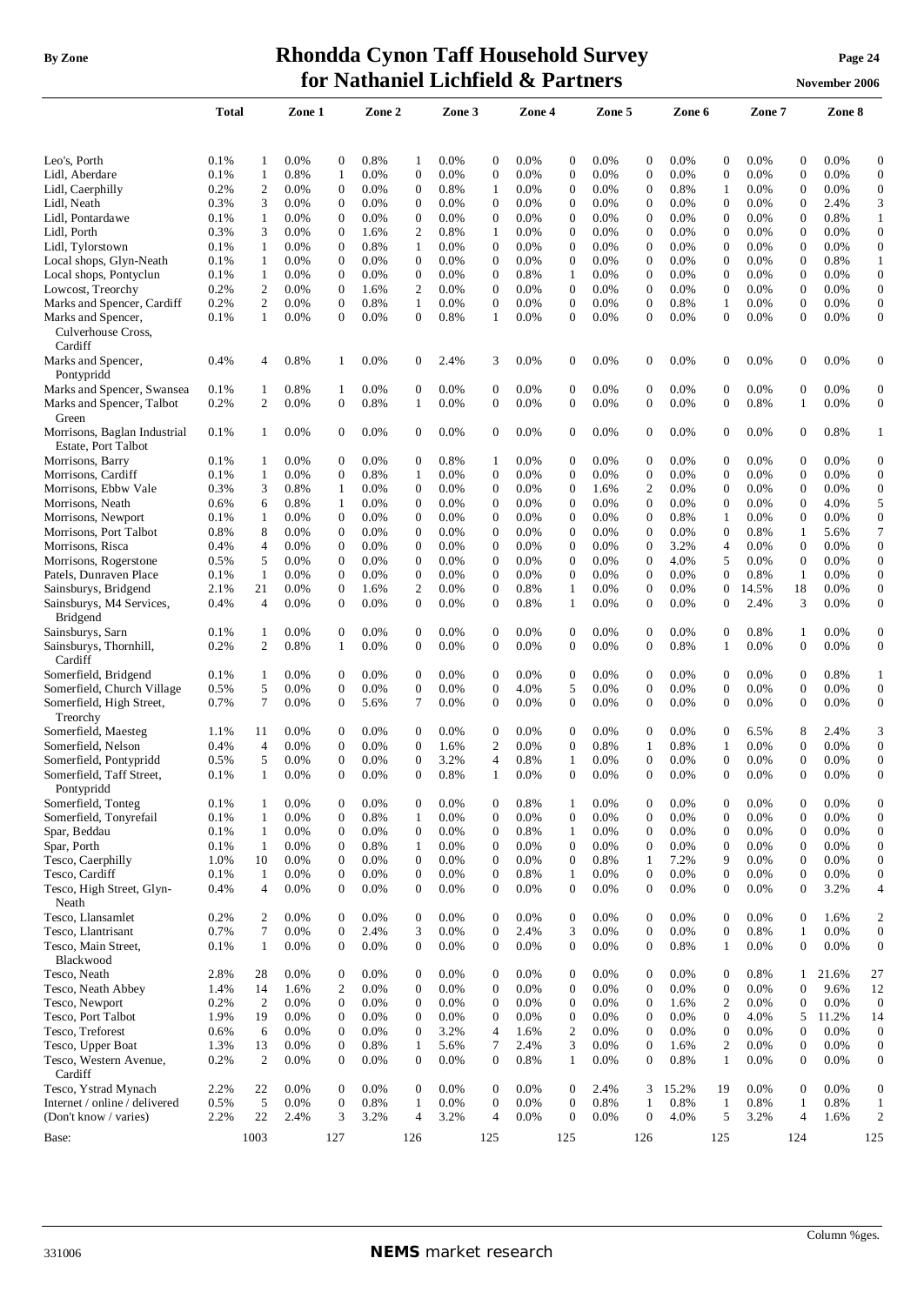## **By** Zone **Rhondda Cynon Taff Household Survey Page** 24 **for Nathaniel Lichfield & Partners November** 2006

|                                                     | Total        |                   | Zone 1          |                              | Zone 2       |                   | Zone 3          |                       | Zone 4          |                       | Zone 5       |                                  | Zone 6          |                                      | Zone 7          |                                      | Zone 8       |                                  |
|-----------------------------------------------------|--------------|-------------------|-----------------|------------------------------|--------------|-------------------|-----------------|-----------------------|-----------------|-----------------------|--------------|----------------------------------|-----------------|--------------------------------------|-----------------|--------------------------------------|--------------|----------------------------------|
|                                                     |              |                   |                 |                              |              |                   |                 |                       |                 |                       |              |                                  |                 |                                      |                 |                                      |              |                                  |
| Leo's, Porth<br>Lidl, Aberdare                      | 0.1%<br>0.1% | 1<br>$\mathbf{1}$ | $0.0\%$<br>0.8% | $\mathbf{0}$<br>$\mathbf{1}$ | 0.8%<br>0.0% | 1<br>$\mathbf{0}$ | $0.0\%$<br>0.0% | 0<br>$\boldsymbol{0}$ | $0.0\%$<br>0.0% | 0<br>$\boldsymbol{0}$ | 0.0%<br>0.0% | $\mathbf{0}$<br>$\boldsymbol{0}$ | $0.0\%$<br>0.0% | $\boldsymbol{0}$<br>$\boldsymbol{0}$ | $0.0\%$<br>0.0% | $\boldsymbol{0}$<br>$\boldsymbol{0}$ | 0.0%<br>0.0% | $\boldsymbol{0}$<br>$\mathbf{0}$ |
| Lidl, Caerphilly                                    | 0.2%         | $\overline{c}$    | $0.0\%$         | $\boldsymbol{0}$             | $0.0\%$      | $\boldsymbol{0}$  | 0.8%            | 1                     | $0.0\%$         | 0                     | $0.0\%$      | $\boldsymbol{0}$                 | 0.8%            | 1                                    | $0.0\%$         | $\boldsymbol{0}$                     | $0.0\%$      | $\boldsymbol{0}$                 |
| Lidl, Neath                                         | 0.3%         | 3                 | 0.0%            | $\mathbf{0}$                 | 0.0%         | $\boldsymbol{0}$  | $0.0\%$         | $\mathbf{0}$          | $0.0\%$         | 0                     | 0.0%         | $\mathbf{0}$                     | $0.0\%$         | $\boldsymbol{0}$                     | $0.0\%$         | $\mathbf{0}$                         | 2.4%         | 3                                |
| Lidl, Pontardawe                                    | 0.1%         | $\mathbf{1}$      | 0.0%            | $\boldsymbol{0}$             | 0.0%         | $\mathbf{0}$      | 0.0%            | $\mathbf{0}$          | 0.0%            | 0                     | 0.0%         | $\overline{0}$                   | 0.0%            | $\boldsymbol{0}$                     | 0.0%            | $\mathbf{0}$                         | 0.8%         | $\mathbf{1}$                     |
| Lidl, Porth                                         | 0.3%         | 3                 | 0.0%            | $\mathbf{0}$                 | 1.6%         | 2                 | 0.8%            | 1                     | 0.0%            | 0                     | 0.0%         | $\overline{0}$                   | 0.0%            | $\boldsymbol{0}$                     | 0.0%            | $\mathbf{0}$                         | 0.0%         | $\mathbf{0}$                     |
| Lidl, Tylorstown                                    | 0.1%         | $\mathbf{1}$      | 0.0%            | $\boldsymbol{0}$             | 0.8%         | $\mathbf{1}$      | 0.0%            | $\mathbf{0}$          | $0.0\%$         | $\boldsymbol{0}$      | 0.0%         | $\overline{0}$                   | $0.0\%$         | $\boldsymbol{0}$                     | 0.0%            | $\mathbf{0}$                         | 0.0%         | $\mathbf{0}$                     |
| Local shops, Glyn-Neath                             | 0.1%         | $\mathbf{1}$      | 0.0%            | $\mathbf{0}$                 | 0.0%         | $\overline{0}$    | 0.0%            | $\mathbf{0}$          | $0.0\%$         | 0                     | 0.0%         | $\overline{0}$                   | 0.0%            | $\boldsymbol{0}$                     | 0.0%            | $\mathbf{0}$                         | 0.8%         | $\mathbf{1}$                     |
| Local shops, Pontyclun                              | 0.1%         | 1                 | $0.0\%$         | $\boldsymbol{0}$             | 0.0%         | $\mathbf{0}$      | 0.0%            | $\boldsymbol{0}$      | 0.8%            | 1                     | $0.0\%$      | $\boldsymbol{0}$                 | $0.0\%$         | $\boldsymbol{0}$                     | 0.0%            | $\mathbf{0}$                         | $0.0\%$      | $\boldsymbol{0}$                 |
| Lowcost, Treorchy                                   | 0.2%         | 2                 | 0.0%            | $\mathbf{0}$                 | 1.6%         | 2                 | $0.0\%$         | $\mathbf{0}$          | 0.0%            | $\mathbf{0}$          | 0.0%         | $\mathbf{0}$                     | 0.0%            | $\mathbf{0}$                         | 0.0%            | 0                                    | 0.0%         | $\boldsymbol{0}$                 |
| Marks and Spencer, Cardiff                          | 0.2%         | 2                 | 0.0%            | $\boldsymbol{0}$             | 0.8%         | 1                 | 0.0%            | $\boldsymbol{0}$      | 0.0%            | $\mathbf{0}$          | 0.0%         | $\mathbf{0}$                     | 0.8%            | 1                                    | 0.0%            | $\mathbf{0}$                         | 0.0%         | $\boldsymbol{0}$                 |
| Marks and Spencer,                                  | 0.1%         | $\mathbf{1}$      | 0.0%            | $\mathbf{0}$                 | 0.0%         | $\overline{0}$    | 0.8%            | 1                     | 0.0%            | $\mathbf{0}$          | 0.0%         | $\mathbf{0}$                     | 0.0%            | $\boldsymbol{0}$                     | 0.0%            | 0                                    | 0.0%         | $\boldsymbol{0}$                 |
| Culverhouse Cross,<br>Cardiff                       |              |                   |                 |                              |              |                   |                 |                       |                 |                       |              |                                  |                 |                                      |                 |                                      |              |                                  |
| Marks and Spencer,<br>Pontypridd                    | 0.4%         | $\overline{4}$    | 0.8%            | 1                            | 0.0%         | $\boldsymbol{0}$  | 2.4%            | 3                     | 0.0%            | 0                     | 0.0%         | $\boldsymbol{0}$                 | 0.0%            | $\mathbf{0}$                         | 0.0%            | $\overline{0}$                       | 0.0%         | 0                                |
| Marks and Spencer, Swansea                          | 0.1%         | 1                 | 0.8%            | 1                            | 0.0%         | 0                 | 0.0%            | 0                     | $0.0\%$         | 0                     | 0.0%         | $\mathbf{0}$                     | $0.0\%$         | $\mathbf 0$                          | 0.0%            | 0                                    | 0.0%         | $\boldsymbol{0}$                 |
| Marks and Spencer, Talbot<br>Green                  | 0.2%         | $\overline{c}$    | $0.0\%$         | $\boldsymbol{0}$             | 0.8%         | 1                 | 0.0%            | $\mathbf{0}$          | 0.0%            | $\boldsymbol{0}$      | 0.0%         | $\mathbf{0}$                     | 0.0%            | $\boldsymbol{0}$                     | 0.8%            | 1                                    | 0.0%         | $\boldsymbol{0}$                 |
| Morrisons, Baglan Industrial<br>Estate, Port Talbot | 0.1%         | 1                 | 0.0%            | $\theta$                     | 0.0%         | $\overline{0}$    | 0.0%            | $\mathbf{0}$          | 0.0%            | 0                     | 0.0%         | $\mathbf{0}$                     | 0.0%            | $\mathbf{0}$                         | 0.0%            | 0                                    | 0.8%         | 1                                |
| Morrisons, Barry                                    | 0.1%         | 1                 | 0.0%            | $\mathbf{0}$                 | 0.0%         | 0                 | 0.8%            | 1                     | 0.0%            | 0                     | 0.0%         | $\mathbf{0}$                     | 0.0%            | $\mathbf{0}$                         | 0.0%            | $\mathbf{0}$                         | 0.0%         | $\boldsymbol{0}$                 |
| Morrisons, Cardiff                                  | 0.1%         | 1                 | 0.0%            | $\mathbf{0}$                 | 0.8%         | 1                 | 0.0%            | $\mathbf{0}$          | 0.0%            | $\mathbf{0}$          | 0.0%         | $\mathbf{0}$                     | 0.0%            | $\boldsymbol{0}$                     | 0.0%            | $\mathbf{0}$                         | 0.0%         | $\mathbf{0}$                     |
| Morrisons, Ebbw Vale                                | 0.3%         | 3                 | 0.8%            | $\mathbf{1}$                 | 0.0%         | $\boldsymbol{0}$  | 0.0%            | $\mathbf{0}$          | $0.0\%$         | 0                     | 1.6%         | 2                                | $0.0\%$         | 0                                    | 0.0%            | $\boldsymbol{0}$                     | 0.0%         | $\boldsymbol{0}$                 |
| Morrisons, Neath                                    | 0.6%         | 6                 | 0.8%            | 1                            | 0.0%         | 0                 | 0.0%            | $\mathbf{0}$          | $0.0\%$         | $\mathbf{0}$          | 0.0%         | $\mathbf{0}$                     | 0.0%            | $\overline{0}$                       | 0.0%            | 0                                    | 4.0%         | 5                                |
| Morrisons, Newport                                  | 0.1%         | 1                 | $0.0\%$         | $\mathbf{0}$                 | $0.0\%$      | $\boldsymbol{0}$  | $0.0\%$         | $\boldsymbol{0}$      | 0.0%            | 0                     | 0.0%         | $\mathbf{0}$                     | $0.8\%$         | 1                                    | $0.0\%$         | $\mathbf{0}$                         | 0.0%         | $\boldsymbol{0}$                 |
| Morrisons, Port Talbot                              | 0.8%         | 8                 | $0.0\%$         | $\boldsymbol{0}$             | $0.0\%$      | 0                 | $0.0\%$         | $\boldsymbol{0}$      | $0.0\%$         | 0                     | 0.0%         | $\mathbf{0}$                     | $0.0\%$         | $\boldsymbol{0}$                     | 0.8%            | 1                                    | 5.6%         | 7                                |
| Morrisons, Risca                                    | 0.4%         | $\overline{4}$    | 0.0%            | $\boldsymbol{0}$             | 0.0%         | $\mathbf{0}$      | 0.0%            | $\boldsymbol{0}$      | 0.0%            | $\boldsymbol{0}$      | 0.0%         | $\mathbf{0}$                     | 3.2%            | $\overline{4}$                       | 0.0%            | $\mathbf{0}$                         | 0.0%         | $\mathbf{0}$                     |
| Morrisons, Rogerstone                               | 0.5%         | 5                 | 0.0%            | $\boldsymbol{0}$             | 0.0%         | $\overline{0}$    | 0.0%            | $\mathbf{0}$          | 0.0%            | $\boldsymbol{0}$      | 0.0%         | $\boldsymbol{0}$                 | 4.0%            | 5                                    | 0.0%            | $\overline{0}$                       | 0.0%         | $\boldsymbol{0}$                 |
| Patels, Dunraven Place                              | 0.1%         | $\mathbf{1}$      | 0.0%            | $\mathbf{0}$                 | 0.0%         | $\mathbf{0}$      | 0.0%            | $\boldsymbol{0}$      | 0.0%            | $\boldsymbol{0}$      | 0.0%         | $\mathbf{0}$                     | 0.0%            | $\boldsymbol{0}$                     | 0.8%            | $\mathbf{1}$                         | 0.0%         | $\mathbf{0}$                     |
| Sainsburys, Bridgend                                | 2.1%         | 21                | $0.0\%$         | $\boldsymbol{0}$             | 1.6%         | $\overline{2}$    | $0.0\%$         | $\boldsymbol{0}$      | 0.8%            | 1                     | 0.0%         | $\boldsymbol{0}$                 | $0.0\%$         | $\boldsymbol{0}$                     | 14.5%           | 18                                   | 0.0%         | $\boldsymbol{0}$                 |
| Sainsburys, M4 Services,<br><b>Bridgend</b>         | 0.4%         | $\overline{4}$    | $0.0\%$         | $\mathbf{0}$                 | 0.0%         | 0                 | 0.0%            | $\overline{0}$        | 0.8%            | 1                     | 0.0%         | $\mathbf{0}$                     | $0.0\%$         | $\boldsymbol{0}$                     | 2.4%            | 3                                    | 0.0%         | $\boldsymbol{0}$                 |
| Sainsburys, Sarn                                    | 0.1%         | 1                 | 0.0%            | $\boldsymbol{0}$             | 0.0%         | $\overline{0}$    | 0.0%            | $\boldsymbol{0}$      | 0.0%            | 0                     | 0.0%         | $\mathbf{0}$                     | 0.0%            | $\mathbf{0}$                         | 0.8%            | 1                                    | 0.0%         | $\boldsymbol{0}$                 |
| Sainsburys, Thornhill,<br>Cardiff                   | 0.2%         | 2                 | 0.8%            | $\mathbf{1}$                 | 0.0%         | $\overline{0}$    | 0.0%            | $\mathbf{0}$          | 0.0%            | $\boldsymbol{0}$      | 0.0%         | $\overline{0}$                   | 0.8%            | $\mathbf{1}$                         | 0.0%            | 0                                    | 0.0%         | $\boldsymbol{0}$                 |
| Somerfield, Bridgend                                | 0.1%         | 1                 | 0.0%            | $\mathbf{0}$                 | 0.0%         | $\overline{0}$    | 0.0%            | $\mathbf{0}$          | $0.0\%$         | $\boldsymbol{0}$      | 0.0%         | $\mathbf{0}$                     | 0.0%            | $\mathbf{0}$                         | 0.0%            | $\mathbf{0}$                         | 0.8%         | $\mathbf{1}$                     |
| Somerfield, Church Village                          | 0.5%         | 5                 | 0.0%            | $\mathbf{0}$                 | 0.0%         | $\overline{0}$    | 0.0%            | $\mathbf{0}$          | 4.0%            | 5                     | 0.0%         | $\overline{0}$                   | 0.0%            | $\boldsymbol{0}$                     | 0.0%            | $\mathbf{0}$                         | 0.0%         | $\mathbf{0}$                     |
| Somerfield, High Street,<br>Treorchy                | 0.7%         | 7                 | $0.0\%$         | $\mathbf 0$                  | 5.6%         | 7                 | 0.0%            | $\boldsymbol{0}$      | 0.0%            | $\boldsymbol{0}$      | 0.0%         | $\theta$                         | 0.0%            | $\boldsymbol{0}$                     | 0.0%            | $\mathbf{0}$                         | 0.0%         | $\boldsymbol{0}$                 |
| Somerfield, Maesteg                                 | 1.1%         | 11                | $0.0\%$         | $\mathbf 0$                  | 0.0%         | 0                 | $0.0\%$         | 0                     | 0.0%            | 0                     | 0.0%         | $\mathbf{0}$                     | $0.0\%$         | $\mathbf 0$                          | 6.5%            | 8                                    | 2.4%         | 3                                |
| Somerfield, Nelson                                  | 0.4%         | $\overline{4}$    | $0.0\%$         | $\mathbf 0$                  | 0.0%         | 0                 | 1.6%            | 2                     | 0.0%            | $\mathbf{0}$          | 0.8%         | 1                                | $0.8\%$         | 1                                    | $0.0\%$         | 0                                    | 0.0%         | $\boldsymbol{0}$                 |
| Somerfield, Pontypridd                              | 0.5%         | 5                 | 0.0%            | $\boldsymbol{0}$             | 0.0%         | $\boldsymbol{0}$  | 3.2%            | 4                     | 0.8%            | 1                     | 0.0%         | $\boldsymbol{0}$                 | 0.0%            | $\boldsymbol{0}$                     | 0.0%            | $\mathbf{0}$                         | 0.0%         | $\boldsymbol{0}$                 |
| Somerfield, Taff Street,<br>Pontypridd              | 0.1%         | $\mathbf{1}$      | 0.0%            | $\mathbf{0}$                 | 0.0%         | $\overline{0}$    | 0.8%            | 1                     | 0.0%            | $\mathbf{0}$          | 0.0%         | $\mathbf{0}$                     | 0.0%            | $\overline{0}$                       | 0.0%            | $\overline{0}$                       | 0.0%         | $\boldsymbol{0}$                 |
| Somerfield, Tonteg                                  | 0.1%         | 1                 | 0.0%            | $\mathbf{0}$                 | 0.0%         | $\mathbf{0}$      | 0.0%            | 0                     | 0.8%            | 1                     | 0.0%         | $\boldsymbol{0}$                 | 0.0%            | $\boldsymbol{0}$                     | 0.0%            | $\boldsymbol{0}$                     | 0.0%         | $\mathbf{0}$                     |
| Somerfield, Tonyrefail                              | 0.1%         | $\mathbf{1}$      | $0.0\%$         | $\boldsymbol{0}$             | 0.8%         | 1                 | 0.0%            | $\mathbf{0}$          | 0.0%            | $\boldsymbol{0}$      | 0.0%         | $\boldsymbol{0}$                 | 0.0%            | $\boldsymbol{0}$                     | 0.0%            | $\boldsymbol{0}$                     | 0.0%         | $\mathbf{0}$                     |
| Spar, Beddau                                        | 0.1%         | $\mathbf{1}$      | 0.0%            | $\boldsymbol{0}$             | 0.0%         | $\mathbf{0}$      | 0.0%            | $\boldsymbol{0}$      | 0.8%            | $\mathbf{1}$          | 0.0%         | $\boldsymbol{0}$                 | $0.0\%$         | $\boldsymbol{0}$                     | 0.0%            | $\boldsymbol{0}$                     | 0.0%         | $\mathbf{0}$                     |
| Spar, Porth                                         | 0.1%         | $\mathbf{1}$      | 0.0%            | $\mathbf{0}$                 | 0.8%         | $\mathbf{1}$      | 0.0%            | $\boldsymbol{0}$      | 0.0%            | $\boldsymbol{0}$      | 0.0%         | $\mathbf{0}$                     | 0.0%            | $\boldsymbol{0}$                     | 0.0%            | $\mathbf{0}$                         | 0.0%         | $\mathbf{0}$                     |
| Tesco, Caerphilly                                   | 1.0%         | 10                | 0.0%            | $\boldsymbol{0}$             | 0.0%         | $\mathbf{0}$      | 0.0%            | $\mathbf{0}$          | 0.0%            | $\boldsymbol{0}$      | 0.8%         | 1                                | 7.2%            | 9                                    | 0.0%            | $\mathbf{0}$                         | 0.0%         | $\mathbf{0}$                     |
| Tesco, Cardiff                                      | 0.1%         | $\mathbf{1}$      | 0.0%            | $\boldsymbol{0}$             | 0.0%         | $\overline{0}$    | 0.0%            | $\boldsymbol{0}$      | 0.8%            | $\mathbf{1}$          | 0.0%         | $\mathbf{0}$                     | 0.0%            | $\boldsymbol{0}$                     | 0.0%            | $\mathbf{0}$                         | 0.0%         | $\boldsymbol{0}$                 |
| Tesco, High Street, Glyn-<br>Neath                  | 0.4%         | $\overline{4}$    | 0.0%            | $\mathbf{0}$                 | 0.0%         | $\overline{0}$    | 0.0%            | $\boldsymbol{0}$      | 0.0%            | $\overline{0}$        | 0.0%         | $\boldsymbol{0}$                 | 0.0%            | $\boldsymbol{0}$                     | 0.0%            | $\mathbf{0}$                         | 3.2%         | 4                                |
| Tesco, Llansamlet                                   | 0.2%         | 2                 | 0.0%            | $\mathbf{0}$                 | 0.0%         | $\mathbf{0}$      | 0.0%            | $\boldsymbol{0}$      | 0.0%            | $\boldsymbol{0}$      | 0.0%         | $\boldsymbol{0}$                 | 0.0%            | $\boldsymbol{0}$                     | 0.0%            | $\mathbf{0}$                         | 1.6%         | $\overline{c}$                   |
| Tesco, Llantrisant                                  | 0.7%         | $\tau$            | 0.0%            | $\boldsymbol{0}$             | 2.4%         | 3                 | 0.0%            | $\boldsymbol{0}$      | 2.4%            | 3                     | 0.0%         | $\boldsymbol{0}$                 | 0.0%            | $\boldsymbol{0}$                     | 0.8%            | 1                                    | 0.0%         | $\boldsymbol{0}$                 |
| Tesco, Main Street,<br>Blackwood                    | 0.1%         | $\mathbf{1}$      | 0.0%            | $\mathbf{0}$                 | 0.0%         | $\overline{0}$    | 0.0%            | $\boldsymbol{0}$      | 0.0%            | $\overline{0}$        | 0.0%         | $\boldsymbol{0}$                 | 0.8%            | 1                                    | 0.0%            | $\mathbf{0}$                         | 0.0%         | $\boldsymbol{0}$                 |
| Tesco, Neath                                        | 2.8%         | 28                | 0.0%            | $\mathbf{0}$                 | 0.0%         | 0                 | 0.0%            | $\boldsymbol{0}$      | 0.0%            | $\boldsymbol{0}$      | 0.0%         | $\boldsymbol{0}$                 | 0.0%            | $\boldsymbol{0}$                     | 0.8%            | 1                                    | 21.6%        | 27                               |
| Tesco, Neath Abbey                                  | 1.4%         | 14                | 1.6%            | $\overline{2}$               | 0.0%         | $\overline{0}$    | 0.0%            | $\boldsymbol{0}$      | 0.0%            | $\overline{0}$        | 0.0%         | $\boldsymbol{0}$                 | 0.0%            | $\boldsymbol{0}$                     | 0.0%            | $\mathbf{0}$                         | 9.6%         | 12                               |
| Tesco, Newport                                      | 0.2%         | 2                 | 0.0%            | $\boldsymbol{0}$             | 0.0%         | $\mathbf{0}$      | 0.0%            | $\boldsymbol{0}$      | 0.0%            | $\boldsymbol{0}$      | 0.0%         | $\boldsymbol{0}$                 | 1.6%            | $\overline{c}$                       | 0.0%            | $\boldsymbol{0}$                     | 0.0%         | $\boldsymbol{0}$                 |
| Tesco, Port Talbot                                  | 1.9%         | 19                | 0.0%            | $\boldsymbol{0}$             | 0.0%         | $\mathbf{0}$      | 0.0%            | $\boldsymbol{0}$      | 0.0%            | $\boldsymbol{0}$      | 0.0%         | $\boldsymbol{0}$                 | 0.0%            | $\boldsymbol{0}$                     | 4.0%            | 5                                    | 11.2%        | 14                               |
| Tesco, Treforest                                    | 0.6%         | 6                 | 0.0%            | $\boldsymbol{0}$             | 0.0%         | $\overline{0}$    | 3.2%            | $\overline{4}$        | 1.6%            | $\overline{c}$        | 0.0%         | $\boldsymbol{0}$                 | 0.0%            | $\boldsymbol{0}$                     | 0.0%            | $\mathbf{0}$                         | 0.0%         | $\mathbf{0}$                     |
| Tesco, Upper Boat                                   | 1.3%         | 13                | 0.0%            | $\mathbf{0}$                 | 0.8%         | $\mathbf{1}$      | 5.6%            | $\tau$                | 2.4%            | 3                     | 0.0%         | $\boldsymbol{0}$                 | 1.6%            | $\overline{c}$                       | 0.0%            | $\mathbf{0}$                         | 0.0%         | $\boldsymbol{0}$                 |
| Tesco, Western Avenue,<br>Cardiff                   | 0.2%         | 2                 | 0.0%            | $\mathbf{0}$                 | 0.0%         | $\overline{0}$    | 0.0%            | $\boldsymbol{0}$      | 0.8%            | 1                     | 0.0%         | $\mathbf{0}$                     | 0.8%            | $\mathbf{1}$                         | 0.0%            | $\overline{0}$                       | 0.0%         | $\boldsymbol{0}$                 |
| Tesco, Ystrad Mynach                                | 2.2%         | 22                | 0.0%            | $\mathbf{0}$                 | 0.0%         | $\overline{0}$    | 0.0%            | $\boldsymbol{0}$      | 0.0%            | $\boldsymbol{0}$      | 2.4%         | 3                                | 15.2%           | 19                                   | 0.0%            | $\mathbf{0}$                         | 0.0%         | $\boldsymbol{0}$                 |
| Internet / online / delivered                       | 0.5%         | 5                 | 0.0%            | $\boldsymbol{0}$             | 0.8%         | $\mathbf{1}$      | 0.0%            | $\boldsymbol{0}$      | 0.0%            | $\boldsymbol{0}$      | 0.8%         | $\mathbf{1}$                     | 0.8%            | $\mathbf{1}$                         | 0.8%            | $\mathbf{1}$                         | 0.8%         | $\mathbf{1}$                     |
| (Don't know / varies)                               | 2.2%         | 22                | 2.4%            | 3                            | 3.2%         | $\overline{4}$    | 3.2%            | $\overline{4}$        | 0.0%            | $\mathbf{0}$          | 0.0%         | $\overline{0}$                   | 4.0%            | 5                                    | 3.2%            | 4                                    | 1.6%         | $\overline{c}$                   |
| Base:                                               |              | 1003              |                 | 127                          |              | 126               |                 | 125                   |                 | 125                   |              | 126                              |                 | 125                                  |                 | 124                                  |              | 125                              |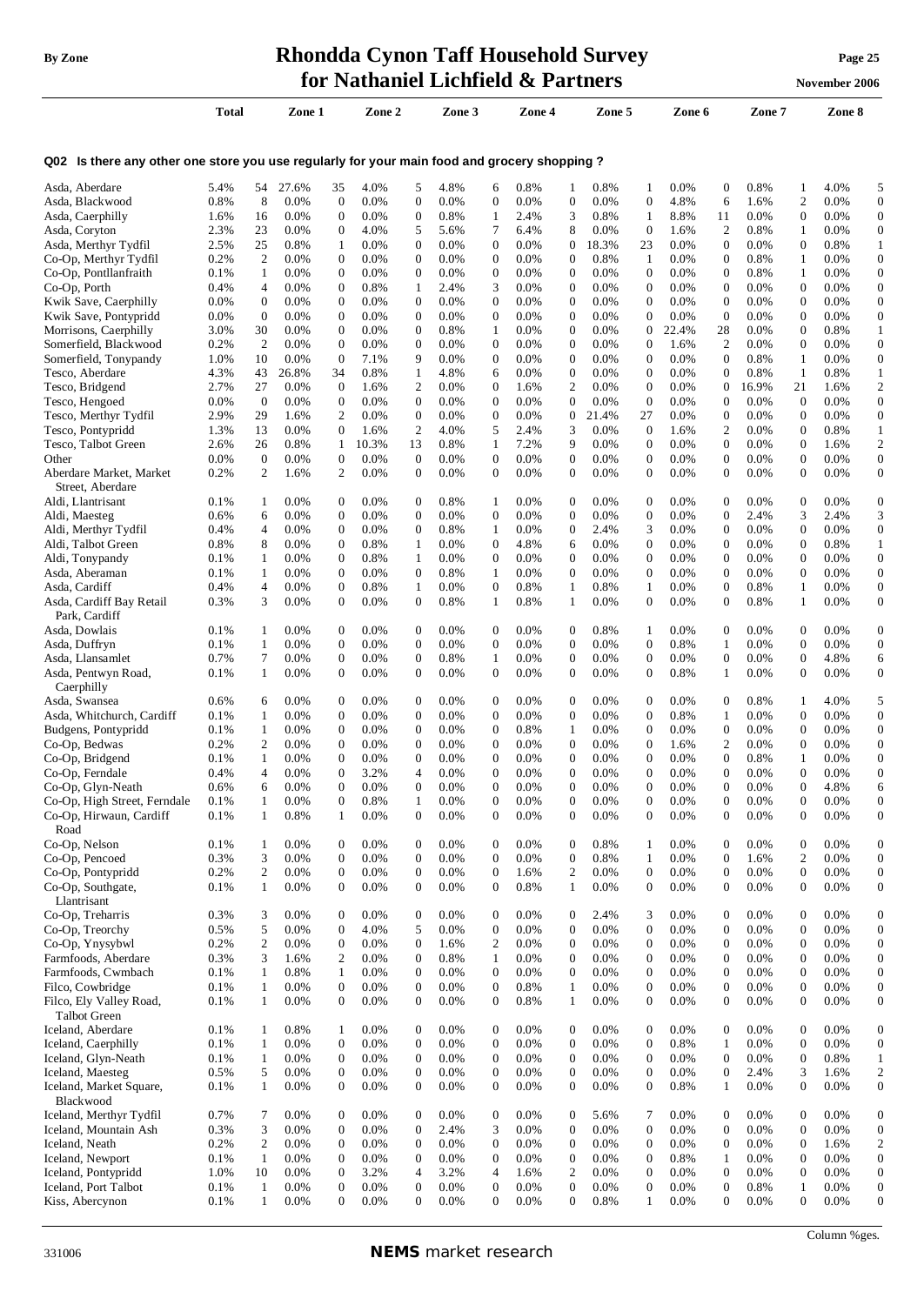# **By Zone Rhondda Cynon Taff Household Survey Page <sup>25</sup> for Nathaniel Lichfield & Partners November** 2006

|     |  | <br> |
|-----|--|------|
|     |  |      |
|     |  |      |
|     |  |      |
| - - |  |      |

|                                                                                             | Total           |                    | Zone 1             |                                  | Zone 2        |                                    | Zone 3             |                                  | Zone 4          |                                      | Zone 5        |                                      | Zone 6             |                                      | Zone 7          |                                      | Zone 8          |                                      |
|---------------------------------------------------------------------------------------------|-----------------|--------------------|--------------------|----------------------------------|---------------|------------------------------------|--------------------|----------------------------------|-----------------|--------------------------------------|---------------|--------------------------------------|--------------------|--------------------------------------|-----------------|--------------------------------------|-----------------|--------------------------------------|
|                                                                                             |                 |                    |                    |                                  |               |                                    |                    |                                  |                 |                                      |               |                                      |                    |                                      |                 |                                      |                 |                                      |
| Q02 Is there any other one store you use regularly for your main food and grocery shopping? |                 |                    |                    |                                  |               |                                    |                    |                                  |                 |                                      |               |                                      |                    |                                      |                 |                                      |                 |                                      |
| Asda, Aberdare                                                                              | 5.4%            | 54                 | 27.6%              | 35                               | 4.0%          | 5                                  | 4.8%               | 6                                | 0.8%            | 1                                    | 0.8%          | -1                                   | 0.0%               | $\boldsymbol{0}$                     | 0.8%            | 1                                    | 4.0%            | 5                                    |
| Asda, Blackwood                                                                             | 0.8%            | 8                  | 0.0%               | $\boldsymbol{0}$                 | 0.0%          | $\mathbf{0}$                       | 0.0%               | $\boldsymbol{0}$                 | 0.0%            | $\boldsymbol{0}$                     | 0.0%          | $\boldsymbol{0}$                     | 4.8%               | 6                                    | 1.6%            | 2                                    | 0.0%            | $\mathbf{0}$                         |
| Asda, Caerphilly                                                                            | 1.6%            | 16                 | $0.0\%$            | $\boldsymbol{0}$                 | 0.0%          | $\mathbf{0}$                       | 0.8%               | 1                                | 2.4%            | 3                                    | 0.8%          | $\mathbf{1}$                         | 8.8%               | 11                                   | $0.0\%$         | $\boldsymbol{0}$                     | 0.0%            | $\boldsymbol{0}$                     |
| Asda, Coryton                                                                               | 2.3%            | 23                 | $0.0\%$            | $\mathbf 0$                      | 4.0%          | 5                                  | 5.6%               | 7                                | 6.4%            | 8                                    | 0.0%          | $\mathbf{0}$                         | 1.6%               | $\overline{2}$                       | 0.8%            | 1                                    | $0.0\%$         | $\boldsymbol{0}$                     |
| Asda, Merthyr Tydfil<br>Co-Op, Merthyr Tydfil                                               | 2.5%<br>0.2%    | 25<br>2            | 0.8%<br>$0.0\%$    | 1<br>$\mathbf 0$                 | 0.0%<br>0.0%  | 0<br>0                             | $0.0\%$<br>$0.0\%$ | $\mathbf{0}$<br>0                | 0.0%<br>$0.0\%$ | $\mathbf 0$<br>$\mathbf 0$           | 18.3%<br>0.8% | 23<br>1                              | $0.0\%$<br>0.0%    | $\mathbf{0}$<br>$\boldsymbol{0}$     | 0.0%<br>0.8%    | $\boldsymbol{0}$<br>1                | 0.8%<br>$0.0\%$ | $\mathbf{1}$<br>$\boldsymbol{0}$     |
| Co-Op, Pontllanfraith                                                                       | 0.1%            | $\mathbf{1}$       | $0.0\%$            | $\boldsymbol{0}$                 | 0.0%          | 0                                  | 0.0%               | $\mathbf{0}$                     | 0.0%            | $\boldsymbol{0}$                     | 0.0%          | $\overline{0}$                       | 0.0%               | $\overline{0}$                       | 0.8%            | 1                                    | 0.0%            | $\mathbf{0}$                         |
| Co-Op, Porth                                                                                | 0.4%            | 4                  | $0.0\%$            | $\boldsymbol{0}$                 | 0.8%          | 1                                  | 2.4%               | 3                                | 0.0%            | $\mathbf 0$                          | 0.0%          | $\theta$                             | 0.0%               | $\theta$                             | 0.0%            | $\mathbf{0}$                         | 0.0%            | $\mathbf{0}$                         |
| Kwik Save, Caerphilly                                                                       | $0.0\%$         | $\overline{0}$     | $0.0\%$            | $\boldsymbol{0}$                 | 0.0%          | 0                                  | 0.0%               | $\overline{0}$                   | $0.0\%$         | $\boldsymbol{0}$                     | 0.0%          | $\theta$                             | $0.0\%$            | $\theta$                             | 0.0%            | $\mathbf{0}$                         | 0.0%            | $\boldsymbol{0}$                     |
| Kwik Save, Pontypridd                                                                       | $0.0\%$         | $\overline{0}$     | $0.0\%$            | $\mathbf{0}$                     | 0.0%          | 0                                  | $0.0\%$            | $\overline{0}$                   | $0.0\%$         | $\mathbf{0}$                         | 0.0%          | $\Omega$                             | 0.0%               | $\theta$                             | 0.0%            | $\overline{0}$                       | $0.0\%$         | $\boldsymbol{0}$                     |
| Morrisons, Caerphilly                                                                       | 3.0%            | 30                 | $0.0\%$            | $\mathbf 0$                      | 0.0%          | 0                                  | 0.8%               | 1                                | $0.0\%$         | $\boldsymbol{0}$                     | 0.0%          | $\theta$                             | 22.4%              | 28                                   | $0.0\%$         | $\boldsymbol{0}$                     | $0.8\%$         | 1                                    |
| Somerfield, Blackwood                                                                       | 0.2%            | $\overline{2}$     | $0.0\%$            | $\boldsymbol{0}$                 | 0.0%          | 0                                  | $0.0\%$            | $\overline{0}$                   | $0.0\%$         | $\mathbf 0$                          | 0.0%          | $\mathbf{0}$                         | 1.6%               | $\overline{2}$                       | $0.0\%$         | $\overline{0}$                       | $0.0\%$         | $\boldsymbol{0}$                     |
| Somerfield, Tonypandy                                                                       | 1.0%            | 10                 | $0.0\%$            | $\mathbf{0}$                     | 7.1%          | 9                                  | 0.0%               | $\boldsymbol{0}$                 | 0.0%            | $\boldsymbol{0}$                     | 0.0%          | $\theta$                             | 0.0%               | $\boldsymbol{0}$                     | 0.8%            | 1                                    | $0.0\%$         | $\boldsymbol{0}$                     |
| Tesco, Aberdare                                                                             | 4.3%            | 43                 | 26.8%              | 34                               | 0.8%          | $\mathbf{1}$                       | 4.8%               | 6                                | 0.0%            | $\boldsymbol{0}$                     | 0.0%          | $\overline{0}$                       | 0.0%               | $\overline{0}$                       | 0.8%            | 1                                    | 0.8%            | $\mathbf{1}$                         |
| Tesco, Bridgend                                                                             | 2.7%            | 27                 | $0.0\%$            | $\boldsymbol{0}$                 | 1.6%          | 2                                  | 0.0%               | $\overline{0}$                   | 1.6%            | $\overline{c}$                       | 0.0%          | $\theta$                             | 0.0%               | $\boldsymbol{0}$                     | 16.9%           | 21                                   | 1.6%            | $\overline{2}$                       |
| Tesco, Hengoed                                                                              | 0.0%            | $\mathbf{0}$       | $0.0\%$            | $\boldsymbol{0}$                 | 0.0%          | 0                                  | 0.0%               | $\mathbf{0}$                     | 0.0%            | $\boldsymbol{0}$                     | 0.0%          | $\overline{0}$                       | 0.0%               | 0                                    | 0.0%            | $\overline{0}$                       | 0.0%            | $\boldsymbol{0}$                     |
| Tesco, Merthyr Tydfil                                                                       | 2.9%            | 29                 | 1.6%               | $\overline{c}$                   | 0.0%          | $\mathbf{0}$                       | $0.0\%$            | $\boldsymbol{0}$                 | $0.0\%$         | $\mathbf 0$                          | 21.4%         | 27                                   | $0.0\%$            | $\boldsymbol{0}$                     | 0.0%            | $\boldsymbol{0}$                     | 0.0%            | $\boldsymbol{0}$                     |
| Tesco, Pontypridd                                                                           | 1.3%            | 13                 | 0.0%               | $\boldsymbol{0}$                 | 1.6%          | 2                                  | 4.0%               | 5                                | 2.4%            | 3                                    | 0.0%          | $\theta$                             | 1.6%               | $\overline{c}$                       | $0.0\%$         | $\mathbf{0}$                         | 0.8%            | $\mathbf{1}$                         |
| Tesco, Talbot Green                                                                         | 2.6%            | 26<br>$\mathbf{0}$ | 0.8%               | 1<br>$\boldsymbol{0}$            | 10.3%<br>0.0% | 13<br>$\theta$                     | 0.8%<br>0.0%       | 1<br>$\mathbf{0}$                | 7.2%<br>0.0%    | 9<br>$\boldsymbol{0}$                | 0.0%<br>0.0%  | $\overline{0}$<br>$\overline{0}$     | $0.0\%$            | $\boldsymbol{0}$<br>$\boldsymbol{0}$ | 0.0%            | $\boldsymbol{0}$<br>$\mathbf{0}$     | 1.6%<br>0.0%    | $\overline{2}$<br>$\boldsymbol{0}$   |
| Other<br>Aberdare Market, Market                                                            | $0.0\%$<br>0.2% | $\overline{2}$     | 0.0%<br>1.6%       | 2                                | 0.0%          | 0                                  | $0.0\%$            | $\boldsymbol{0}$                 | 0.0%            | $\mathbf 0$                          | 0.0%          | $\theta$                             | $0.0\%$<br>$0.0\%$ | $\mathbf{0}$                         | $0.0\%$<br>0.0% | $\mathbf{0}$                         | 0.0%            | $\boldsymbol{0}$                     |
| Street, Aberdare                                                                            |                 |                    |                    |                                  |               |                                    |                    |                                  |                 |                                      |               |                                      |                    |                                      |                 |                                      |                 |                                      |
| Aldi, Llantrisant                                                                           | 0.1%            | 1                  | 0.0%               | $\boldsymbol{0}$                 | 0.0%          | 0                                  | 0.8%               | 1                                | 0.0%            | $\mathbf{0}$                         | 0.0%          | $\theta$                             | 0.0%               | $\mathbf{0}$                         | 0.0%            | $\boldsymbol{0}$                     | 0.0%            | $\mathbf{0}$                         |
| Aldi, Maesteg                                                                               | 0.6%            | 6                  | 0.0%               | $\boldsymbol{0}$                 | 0.0%          | 0                                  | 0.0%               | $\overline{0}$                   | 0.0%            | $\boldsymbol{0}$                     | 0.0%          | $\overline{0}$                       | 0.0%               | $\overline{0}$                       | 2.4%            | 3                                    | 2.4%            | 3                                    |
| Aldi, Merthyr Tydfil                                                                        | 0.4%            | 4                  | $0.0\%$            | $\boldsymbol{0}$                 | 0.0%          | 0                                  | 0.8%               | 1                                | 0.0%            | $\theta$                             | 2.4%          | 3                                    | $0.0\%$            | $\theta$                             | 0.0%            | $\mathbf{0}$                         | 0.0%            | $\boldsymbol{0}$                     |
| Aldi, Talbot Green                                                                          | 0.8%            | 8                  | $0.0\%$            | $\boldsymbol{0}$                 | 0.8%          | 1                                  | 0.0%               | $\overline{0}$                   | 4.8%            | 6                                    | 0.0%          | $\theta$                             | $0.0\%$            | 0                                    | 0.0%            | $\boldsymbol{0}$                     | $0.8\%$         | 1                                    |
| Aldi, Tonypandy                                                                             | 0.1%            | 1                  | $0.0\%$            | $\boldsymbol{0}$                 | 0.8%          | 1                                  | $0.0\%$            | 0                                | $0.0\%$         | $\mathbf{0}$                         | 0.0%          | $\theta$                             | $0.0\%$            | $\theta$                             | $0.0\%$         | $\mathbf{0}$                         | $0.0\%$         | $\boldsymbol{0}$                     |
| Asda, Aberaman                                                                              | 0.1%            | 1                  | $0.0\%$            | $\boldsymbol{0}$                 | 0.0%          | 0                                  | 0.8%               | 1                                | 0.0%            | $\boldsymbol{0}$                     | 0.0%          | $\theta$                             | 0.0%               | $\boldsymbol{0}$                     | 0.0%            | $\boldsymbol{0}$                     | 0.0%            | $\mathbf{0}$                         |
| Asda, Cardiff                                                                               | 0.4%            | 4                  | 0.0%               | $\boldsymbol{0}$                 | 0.8%          | $\mathbf{1}$                       | 0.0%               | 0                                | 0.8%            | 1                                    | 0.8%          | 1                                    | 0.0%               | 0                                    | 0.8%            | 1                                    | 0.0%            | $\boldsymbol{0}$                     |
| Asda, Cardiff Bay Retail                                                                    | 0.3%            | 3                  | $0.0\%$            | $\boldsymbol{0}$                 | 0.0%          | 0                                  | 0.8%               | 1                                | 0.8%            | 1                                    | 0.0%          | $\overline{0}$                       | 0.0%               | $\boldsymbol{0}$                     | 0.8%            | 1                                    | $0.0\%$         | $\boldsymbol{0}$                     |
| Park, Cardiff                                                                               |                 |                    |                    |                                  |               |                                    |                    |                                  |                 |                                      |               |                                      |                    |                                      |                 |                                      |                 |                                      |
| Asda, Dowlais                                                                               | 0.1%            | 1                  | $0.0\%$            | $\boldsymbol{0}$                 | 0.0%          | 0                                  | $0.0\%$            | 0                                | 0.0%            | $\mathbf 0$                          | 0.8%          | -1                                   | 0.0%               | $\mathbf{0}$                         | $0.0\%$         | $\boldsymbol{0}$                     | 0.0%            | $\boldsymbol{0}$                     |
| Asda, Duffryn                                                                               | 0.1%            | 1                  | $0.0\%$            | $\boldsymbol{0}$                 | 0.0%          | $\mathbf{0}$                       | 0.0%               | 0                                | 0.0%            | $\boldsymbol{0}$                     | 0.0%          | $\overline{0}$                       | $0.8\%$            | $\mathbf{1}$                         | 0.0%            | $\boldsymbol{0}$                     | 0.0%            | $\boldsymbol{0}$                     |
| Asda, Llansamlet                                                                            | 0.7%            | 7                  | $0.0\%$            | $\mathbf 0$                      | 0.0%          | 0                                  | 0.8%               | 1                                | 0.0%            | $\mathbf 0$                          | 0.0%          | $\mathbf{0}$                         | $0.0\%$            | 0                                    | 0.0%            | $\boldsymbol{0}$                     | 4.8%            | 6                                    |
| Asda, Pentwyn Road,                                                                         | 0.1%            | 1                  | $0.0\%$            | $\mathbf 0$                      | 0.0%          | $\overline{0}$                     | 0.0%               | $\overline{0}$                   | 0.0%            | $\mathbf 0$                          | 0.0%          | $\theta$                             | 0.8%               | 1                                    | 0.0%            | $\mathbf{0}$                         | $0.0\%$         | $\boldsymbol{0}$                     |
| Caerphilly                                                                                  |                 |                    |                    |                                  |               |                                    |                    |                                  |                 |                                      |               |                                      |                    |                                      |                 |                                      |                 |                                      |
| Asda, Swansea                                                                               | 0.6%<br>0.1%    | 6<br>1             | $0.0\%$<br>$0.0\%$ | $\mathbf 0$<br>$\boldsymbol{0}$  | 0.0%<br>0.0%  | $\overline{0}$<br>0                | $0.0\%$<br>0.0%    | 0<br>$\overline{0}$              | $0.0\%$<br>0.0% | $\mathbf 0$<br>$\mathbf{0}$          | 0.0%<br>0.0%  | $\theta$<br>$\theta$                 | $0.0\%$<br>0.8%    | $\mathbf{0}$<br>$\mathbf{1}$         | 0.8%<br>0.0%    | 1<br>$\boldsymbol{0}$                | 4.0%<br>0.0%    | 5<br>$\mathbf{0}$                    |
| Asda, Whitchurch, Cardiff<br>Budgens, Pontypridd                                            | 0.1%            | 1                  | $0.0\%$            | $\boldsymbol{0}$                 | 0.0%          | 0                                  | 0.0%               | $\overline{0}$                   | 0.8%            | $\mathbf{1}$                         | 0.0%          | $\theta$                             | $0.0\%$            | $\overline{0}$                       | $0.0\%$         | $\mathbf{0}$                         | 0.0%            | $\boldsymbol{0}$                     |
| Co-Op, Bedwas                                                                               | 0.2%            | 2                  | 0.0%               | $\mathbf{0}$                     | 0.0%          | 0                                  | $0.0\%$            | $\overline{0}$                   | $0.0\%$         | $\boldsymbol{0}$                     | 0.0%          | $\theta$                             | 1.6%               | $\overline{c}$                       | 0.0%            | $\mathbf{0}$                         | 0.0%            | $\boldsymbol{0}$                     |
| Co-Op, Bridgend                                                                             | 0.1%            | 1                  | 0.0%               | $\boldsymbol{0}$                 | 0.0%          | 0                                  | $0.0\%$            | $\mathbf{0}$                     | $0.0\%$         | $\boldsymbol{0}$                     | 0.0%          | $\theta$                             | $0.0\%$            | $\overline{0}$                       | 0.8%            | 1                                    | $0.0\%$         | $\boldsymbol{0}$                     |
| Co-Op, Ferndale                                                                             | 0.4%            | 4                  | 0.0%               | $\mathbf{0}$                     | 3.2%          | 4                                  | $0.0\%$            | $\theta$                         | 0.0%            | $\theta$                             | $0.0\%$       | $\Omega$                             | $0.0\%$            | $\overline{0}$                       | 0.0%            | $\overline{0}$                       | $0.0\%$         | $\boldsymbol{0}$                     |
| Co-Op, Glyn-Neath                                                                           | 0.6%            | 6                  | 0.0%               | $\mathbf{0}$                     | 0.0%          | 0                                  | 0.0%               | $\overline{0}$                   | 0.0%            | $\mathbf{0}$                         | 0.0%          | $\mathbf{0}$                         | 0.0%               | $\overline{0}$                       | 0.0%            | $\mathbf{0}$                         | 4.8%            | 6                                    |
| Co-Op, High Street, Ferndale                                                                | 0.1%            |                    | 0.0%               | 0                                | 0.8%          | 1                                  | 0.0%               | $\Omega$                         | 0.0%            | 0                                    | 0.0%          | 0                                    | 0.0%               | 0                                    | 0.0%            | $\Omega$                             | 0.0%            | $\Omega$                             |
| Co-Op, Hirwaun, Cardiff                                                                     | 0.1%            | 1                  | $0.8\%$            | $\mathbf{1}$                     | 0.0%          | 0                                  | 0.0%               | 0                                | 0.0%            | $\boldsymbol{0}$                     | 0.0%          | $\boldsymbol{0}$                     | 0.0%               | $\boldsymbol{0}$                     | 0.0%            | $\boldsymbol{0}$                     | 0.0%            | $\boldsymbol{0}$                     |
| Road                                                                                        |                 |                    |                    |                                  |               |                                    |                    |                                  |                 |                                      |               |                                      |                    |                                      |                 |                                      |                 |                                      |
| Co-Op, Nelson                                                                               | 0.1%            | 1                  | 0.0%               | $\boldsymbol{0}$                 | 0.0%          | $\mathbf{0}$                       | 0.0%               | 0                                | 0.0%            | $\boldsymbol{0}$                     | 0.8%          | 1                                    | 0.0%               | $\boldsymbol{0}$                     | 0.0%            | $\boldsymbol{0}$                     | 0.0%            | $\boldsymbol{0}$                     |
| Co-Op, Pencoed                                                                              | 0.3%            | 3                  | 0.0%               | $\boldsymbol{0}$                 | 0.0%          | $\boldsymbol{0}$                   | 0.0%               | $\boldsymbol{0}$                 | 0.0%            | $\boldsymbol{0}$                     | 0.8%          | $\mathbf{1}$                         | 0.0%               | $\boldsymbol{0}$                     | 1.6%            | $\mathfrak{2}$                       | 0.0%            | $\boldsymbol{0}$                     |
| Co-Op, Pontypridd                                                                           | 0.2%            | 2                  | 0.0%               | $\boldsymbol{0}$                 | 0.0%          | $\mathbf{0}$                       | 0.0%               | $\boldsymbol{0}$                 | 1.6%            | $\overline{c}$                       | 0.0%          | $\mathbf{0}$                         | 0.0%               | $\boldsymbol{0}$                     | 0.0%            | $\boldsymbol{0}$                     | 0.0%            | $\boldsymbol{0}$                     |
| Co-Op, Southgate,                                                                           | 0.1%            | $\mathbf{1}$       | 0.0%               | $\boldsymbol{0}$                 | 0.0%          | 0                                  | 0.0%               | $\boldsymbol{0}$                 | 0.8%            | $\mathbf{1}$                         | 0.0%          | $\boldsymbol{0}$                     | 0.0%               | $\boldsymbol{0}$                     | 0.0%            | 0                                    | 0.0%            | $\boldsymbol{0}$                     |
| Llantrisant                                                                                 |                 |                    |                    |                                  |               |                                    |                    |                                  |                 |                                      |               |                                      |                    |                                      |                 |                                      |                 |                                      |
| Co-Op, Treharris                                                                            | 0.3%            | 3                  | 0.0%               | $\boldsymbol{0}$                 | 0.0%          | $\mathbf{0}$                       | 0.0%               | $\boldsymbol{0}$                 | 0.0%            | $\boldsymbol{0}$                     | 2.4%          | 3                                    | 0.0%               | $\boldsymbol{0}$                     | 0.0%            | 0                                    | 0.0%            | $\boldsymbol{0}$                     |
| Co-Op, Treorchy                                                                             | 0.5%            | 5                  | 0.0%               | $\boldsymbol{0}$                 | 4.0%          | 5                                  | 0.0%               | $\boldsymbol{0}$                 | 0.0%            | $\boldsymbol{0}$                     | 0.0%          | $\boldsymbol{0}$                     | 0.0%               | $\boldsymbol{0}$                     | 0.0%            | $\boldsymbol{0}$                     | 0.0%            | $\boldsymbol{0}$                     |
| Co-Op, Ynysybwl                                                                             | 0.2%            | $\mathbf{2}$       | 0.0%               | $\boldsymbol{0}$                 | 0.0%          | $\theta$                           | 1.6%               | $\overline{c}$                   | 0.0%            | $\boldsymbol{0}$                     | 0.0%          | $\boldsymbol{0}$                     | 0.0%               | $\boldsymbol{0}$                     | 0.0%            | $\boldsymbol{0}$                     | 0.0%            | $\boldsymbol{0}$                     |
| Farmfoods, Aberdare                                                                         | 0.3%            | 3                  | 1.6%               | $\overline{c}$                   | 0.0%          | $\mathbf{0}$                       | 0.8%<br>0.0%       | $\mathbf{1}$<br>$\boldsymbol{0}$ | 0.0%            | $\boldsymbol{0}$<br>$\boldsymbol{0}$ | 0.0%          | $\bf{0}$                             | 0.0%               | $\boldsymbol{0}$<br>$\boldsymbol{0}$ | 0.0%            | $\mathbf{0}$                         | 0.0%            | $\boldsymbol{0}$                     |
| Farmfoods, Cwmbach<br>Filco, Cowbridge                                                      | 0.1%<br>0.1%    | 1<br>1             | 0.8%<br>0.0%       | $\mathbf{1}$<br>$\boldsymbol{0}$ | 0.0%<br>0.0%  | $\boldsymbol{0}$<br>$\overline{0}$ | 0.0%               | 0                                | 0.0%<br>0.8%    | 1                                    | 0.0%<br>0.0%  | $\boldsymbol{0}$<br>$\boldsymbol{0}$ | 0.0%<br>0.0%       | $\boldsymbol{0}$                     | 0.0%<br>0.0%    | $\boldsymbol{0}$<br>$\boldsymbol{0}$ | 0.0%<br>0.0%    | $\boldsymbol{0}$<br>$\boldsymbol{0}$ |
| Filco, Ely Valley Road,                                                                     | 0.1%            | 1                  | 0.0%               | $\boldsymbol{0}$                 | 0.0%          | $\overline{0}$                     | 0.0%               | $\boldsymbol{0}$                 | 0.8%            | $\mathbf{1}$                         | 0.0%          | $\mathbf{0}$                         | 0.0%               | $\boldsymbol{0}$                     | 0.0%            | $\mathbf{0}$                         | 0.0%            | $\boldsymbol{0}$                     |
| <b>Talbot Green</b>                                                                         |                 |                    |                    |                                  |               |                                    |                    |                                  |                 |                                      |               |                                      |                    |                                      |                 |                                      |                 |                                      |
| Iceland, Aberdare                                                                           | 0.1%            | 1                  | 0.8%               | $\mathbf{1}$                     | 0.0%          | $\mathbf{0}$                       | 0.0%               | $\boldsymbol{0}$                 | 0.0%            | $\boldsymbol{0}$                     | 0.0%          | $\mathbf{0}$                         | 0.0%               | $\boldsymbol{0}$                     | 0.0%            | 0                                    | 0.0%            | $\boldsymbol{0}$                     |
| Iceland, Caerphilly                                                                         | 0.1%            | 1                  | 0.0%               | $\boldsymbol{0}$                 | 0.0%          | $\theta$                           | 0.0%               | $\boldsymbol{0}$                 | 0.0%            | $\boldsymbol{0}$                     | 0.0%          | $\mathbf{0}$                         | 0.8%               | $\mathbf{1}$                         | 0.0%            | $\boldsymbol{0}$                     | 0.0%            | $\boldsymbol{0}$                     |
| Iceland, Glyn-Neath                                                                         | 0.1%            | 1                  | 0.0%               | $\boldsymbol{0}$                 | 0.0%          | $\mathbf{0}$                       | 0.0%               | $\boldsymbol{0}$                 | 0.0%            | $\boldsymbol{0}$                     | 0.0%          | $\mathbf{0}$                         | 0.0%               | $\boldsymbol{0}$                     | 0.0%            | $\boldsymbol{0}$                     | 0.8%            | $\mathbf{1}$                         |
| Iceland, Maesteg                                                                            | 0.5%            | 5                  | 0.0%               | $\boldsymbol{0}$                 | 0.0%          | $\boldsymbol{0}$                   | 0.0%               | $\boldsymbol{0}$                 | 0.0%            | $\boldsymbol{0}$                     | 0.0%          | $\boldsymbol{0}$                     | 0.0%               | $\boldsymbol{0}$                     | 2.4%            | 3                                    | 1.6%            | $\sqrt{2}$                           |
| Iceland, Market Square,                                                                     | 0.1%            | 1                  | $0.0\%$            | $\boldsymbol{0}$                 | 0.0%          | 0                                  | 0.0%               | $\boldsymbol{0}$                 | 0.0%            | $\boldsymbol{0}$                     | 0.0%          | $\mathbf{0}$                         | 0.8%               | $\mathbf{1}$                         | 0.0%            | $\mathbf{0}$                         | 0.0%            | $\boldsymbol{0}$                     |
| Blackwood                                                                                   |                 |                    |                    |                                  |               |                                    |                    |                                  |                 |                                      |               |                                      |                    |                                      |                 |                                      |                 |                                      |
| Iceland, Merthyr Tydfil                                                                     | 0.7%            | 7                  | 0.0%               | $\boldsymbol{0}$                 | 0.0%          | $\mathbf{0}$                       | 0.0%               | $\boldsymbol{0}$                 | 0.0%            | $\boldsymbol{0}$                     | 5.6%          | 7                                    | 0.0%               | $\boldsymbol{0}$                     | 0.0%            | $\boldsymbol{0}$                     | 0.0%            | $\boldsymbol{0}$                     |
| Iceland, Mountain Ash                                                                       | 0.3%            | 3                  | 0.0%               | $\boldsymbol{0}$                 | 0.0%          | $\mathbf{0}$                       | 2.4%               | 3                                | 0.0%            | $\boldsymbol{0}$                     | 0.0%          | $\boldsymbol{0}$                     | 0.0%               | $\boldsymbol{0}$                     | 0.0%            | $\boldsymbol{0}$                     | 0.0%            | $\boldsymbol{0}$                     |
| Iceland, Neath                                                                              | 0.2%            | $\mathbf{2}$       | 0.0%               | $\boldsymbol{0}$                 | 0.0%          | $\mathbf{0}$                       | 0.0%               | $\overline{0}$                   | 0.0%            | $\mathbf{0}$                         | 0.0%          | $\boldsymbol{0}$                     | 0.0%               | $\overline{0}$                       | 0.0%            | $\mathbf{0}$                         | 1.6%            | 2                                    |
| Iceland, Newport                                                                            | 0.1%            | $\mathbf{1}$       | 0.0%               | $\boldsymbol{0}$                 | 0.0%          | $\theta$                           | 0.0%               | $\boldsymbol{0}$                 | 0.0%            | $\boldsymbol{0}$                     | 0.0%          | $\boldsymbol{0}$                     | 0.8%               | $\mathbf{1}$                         | 0.0%            | $\boldsymbol{0}$                     | 0.0%            | $\boldsymbol{0}$                     |
| Iceland, Pontypridd                                                                         | 1.0%            | 10                 | 0.0%               | $\boldsymbol{0}$                 | 3.2%          | 4                                  | 3.2%               | 4                                | 1.6%            | 2                                    | 0.0%          | $\overline{0}$                       | 0.0%               | $\boldsymbol{0}$                     | 0.0%            | $\mathbf{0}$                         | 0.0%            | $\boldsymbol{0}$                     |
| Iceland, Port Talbot                                                                        | 0.1%            | $\mathbf{1}$       | 0.0%               | $\boldsymbol{0}$                 | 0.0%          | $\boldsymbol{0}$                   | 0.0%               | $\boldsymbol{0}$                 | 0.0%            | $\boldsymbol{0}$                     | 0.0%          | $\boldsymbol{0}$                     | 0.0%               | $\boldsymbol{0}$                     | 0.8%            | $\mathbf{1}$                         | 0.0%            | $\boldsymbol{0}$                     |
| Kiss, Abercynon                                                                             | 0.1%            | 1                  | 0.0%               | $\boldsymbol{0}$                 | 0.0%          | 0                                  | 0.0%               | 0                                | 0.0%            | $\boldsymbol{0}$                     | 0.8%          | 1                                    | 0.0%               | 0                                    | 0.0%            | $\mathbf{0}$                         | 0.0%            | 0                                    |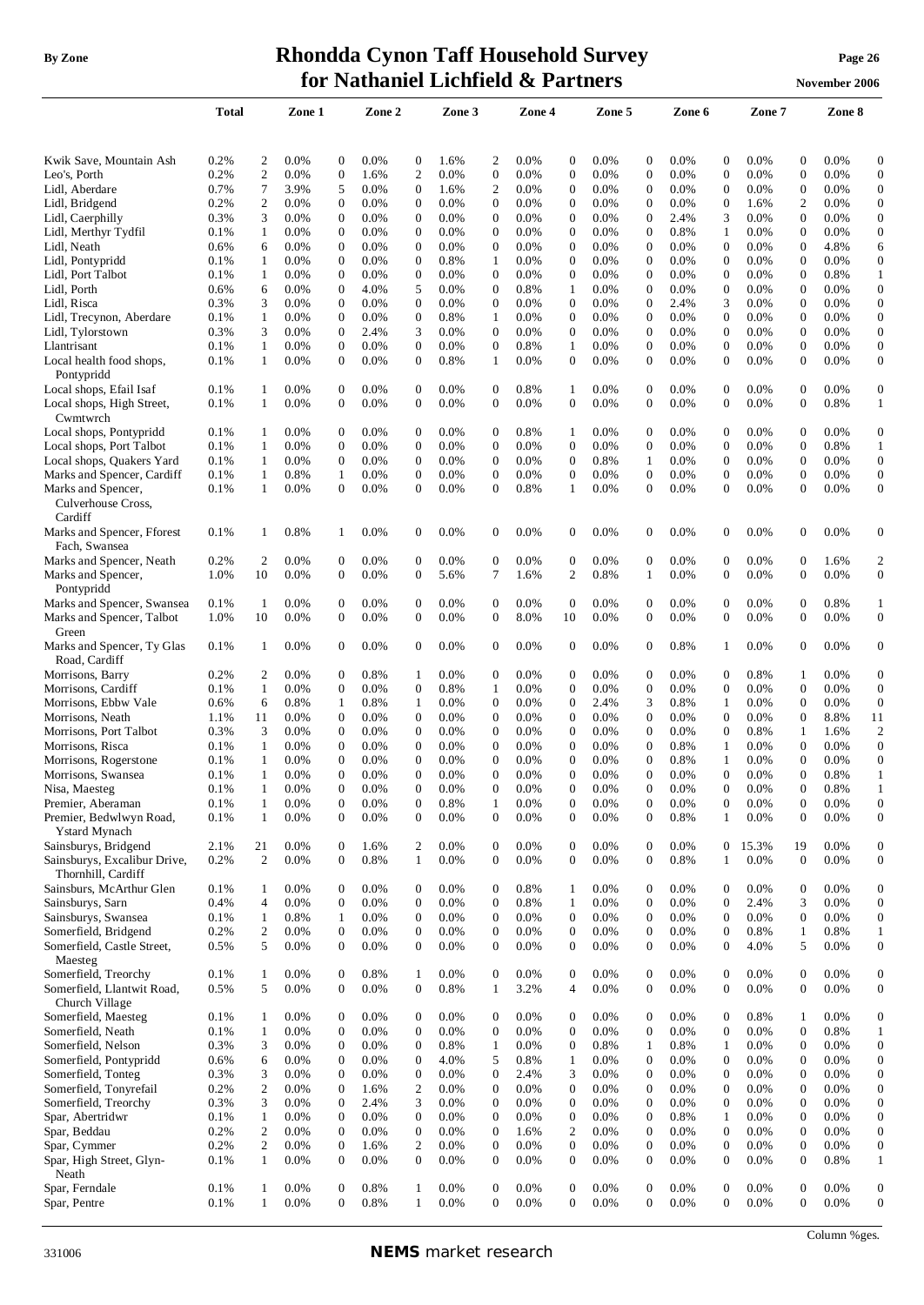## **By Zone Rhondda Cynon Taff Household Survey Page <sup>26</sup> for Nathaniel Lichfield & Partners November** 2006

|                                                                            | <b>Total</b> |                      | Zone 1       |                                      | Zone 2       |                  | Zone 3       |                                | Zone 4       |                                  | Zone 5       |                                      | Zone 6       |                                | Zone 7        |                        | Zone 8       |                                  |
|----------------------------------------------------------------------------|--------------|----------------------|--------------|--------------------------------------|--------------|------------------|--------------|--------------------------------|--------------|----------------------------------|--------------|--------------------------------------|--------------|--------------------------------|---------------|------------------------|--------------|----------------------------------|
| Kwik Save, Mountain Ash                                                    | 0.2%         | $\overline{c}$       | 0.0%         | $\boldsymbol{0}$                     | 0.0%         | $\boldsymbol{0}$ | 1.6%         | $\overline{c}$                 | 0.0%         | $\boldsymbol{0}$                 | 0.0%         | $\boldsymbol{0}$                     | 0.0%         | $\boldsymbol{0}$               | 0.0%          | $\boldsymbol{0}$       | 0.0%         | $\boldsymbol{0}$                 |
| Leo's, Porth                                                               | 0.2%         | $\overline{2}$       | $0.0\%$      | $\boldsymbol{0}$                     | 1.6%         | 2                | 0.0%         | $\boldsymbol{0}$               | 0.0%         | $\boldsymbol{0}$                 | 0.0%         | $\boldsymbol{0}$                     | 0.0%         | $\boldsymbol{0}$               | 0.0%          | $\boldsymbol{0}$       | 0.0%         | $\boldsymbol{0}$                 |
| Lidl, Aberdare                                                             | 0.7%         | $\tau$               | 3.9%         | 5                                    | 0.0%         | $\boldsymbol{0}$ | 1.6%         | $\overline{c}$                 | 0.0%         | $\boldsymbol{0}$                 | $0.0\%$      | $\boldsymbol{0}$                     | 0.0%         | 0                              | $0.0\%$       | $\boldsymbol{0}$       | $0.0\%$      | $\boldsymbol{0}$                 |
| Lidl, Bridgend                                                             | 0.2%         | 2                    | $0.0\%$      | $\boldsymbol{0}$                     | 0.0%         | 0                | $0.0\%$      | $\mathbf{0}$                   | 0.0%         | $\boldsymbol{0}$                 | $0.0\%$      | $\bf{0}$                             | 0.0%         | 0                              | 1.6%          | 2                      | 0.0%         | $\boldsymbol{0}$                 |
| Lidl, Caerphilly                                                           | 0.3%         | 3                    | 0.0%         | $\boldsymbol{0}$                     | 0.0%         | $\boldsymbol{0}$ | 0.0%         | $\mathbf{0}$                   | 0.0%         | $\mathbf{0}$                     | 0.0%         | $\boldsymbol{0}$                     | 2.4%         | 3                              | 0.0%          | $\mathbf{0}$           | 0.0%         | $\boldsymbol{0}$                 |
| Lidl, Merthyr Tydfil                                                       | 0.1%         | 1                    | 0.0%         | $\boldsymbol{0}$                     | 0.0%         | $\mathbf{0}$     | 0.0%         | $\mathbf{0}$                   | 0.0%         | $\mathbf{0}$                     | 0.0%         | $\mathbf{0}$                         | 0.8%         | 1                              | 0.0%          | $\mathbf{0}$           | 0.0%         | $\boldsymbol{0}$                 |
| Lidl, Neath                                                                | 0.6%         | 6                    | 0.0%         | $\boldsymbol{0}$                     | 0.0%         | $\boldsymbol{0}$ | 0.0%         | $\mathbf{0}$                   | 0.0%         | $\mathbf{0}$                     | 0.0%         | $\mathbf{0}$                         | 0.0%         | $\mathbf{0}$                   | 0.0%          | $\overline{0}$         | 4.8%         | 6                                |
| Lidl, Pontypridd                                                           | 0.1%         | 1                    | 0.0%         | $\boldsymbol{0}$                     | 0.0%         | $\overline{0}$   | 0.8%         | $\mathbf{1}$                   | 0.0%         | $\mathbf{0}$                     | 0.0%         | $\mathbf{0}$                         | 0.0%         | $\mathbf{0}$                   | 0.0%          | $\overline{0}$         | 0.0%         | $\boldsymbol{0}$                 |
| Lidl, Port Talbot                                                          | 0.1%         | 1                    | $0.0\%$      | $\boldsymbol{0}$                     | 0.0%         | $\boldsymbol{0}$ | $0.0\%$      | $\mathbf{0}$                   | 0.0%         | $\boldsymbol{0}$                 | $0.0\%$      | $\boldsymbol{0}$                     | 0.0%         | $\mathbf{0}$                   | 0.0%          | $\boldsymbol{0}$       | 0.8%         | 1                                |
| Lidl, Porth                                                                | 0.6%         | 6                    | 0.0%         | $\boldsymbol{0}$                     | 4.0%         | 5                | 0.0%         | $\mathbf{0}$                   | 0.8%         | 1                                | 0.0%         | $\mathbf{0}$                         | 0.0%         | $\mathbf{0}$                   | 0.0%          | $\boldsymbol{0}$       | 0.0%         | $\boldsymbol{0}$                 |
| Lidl, Risca                                                                | 0.3%         | 3                    | 0.0%         | $\boldsymbol{0}$                     | 0.0%         | 0                | $0.0\%$      | $\boldsymbol{0}$               | 0.0%         | $\boldsymbol{0}$                 | $0.0\%$      | $\boldsymbol{0}$                     | 2.4%         | 3                              | 0.0%          | $\boldsymbol{0}$       | 0.0%         | $\boldsymbol{0}$                 |
| Lidl, Trecynon, Aberdare                                                   | 0.1%         | 1                    | $0.0\%$      | $\boldsymbol{0}$                     | 0.0%         | $\boldsymbol{0}$ | 0.8%         | $\mathbf{1}$                   | 0.0%         | $\mathbf{0}$                     | $0.0\%$      | $\boldsymbol{0}$                     | 0.0%         | $\mathbf{0}$                   | 0.0%          | $\boldsymbol{0}$       | 0.0%         | $\boldsymbol{0}$                 |
| Lidl, Tylorstown                                                           | 0.3%         | 3                    | $0.0\%$      | $\boldsymbol{0}$                     | 2.4%         | 3                | 0.0%         | $\mathbf{0}$                   | 0.0%         | $\boldsymbol{0}$                 | 0.0%         | $\boldsymbol{0}$                     | 0.0%         | $\boldsymbol{0}$               | 0.0%          | $\boldsymbol{0}$       | 0.0%         | $\boldsymbol{0}$                 |
| Llantrisant                                                                | 0.1%         | $\mathbf{1}$         | 0.0%         | $\boldsymbol{0}$                     | 0.0%         | $\boldsymbol{0}$ | 0.0%         | $\mathbf{0}$                   | 0.8%         | $\mathbf{1}$                     | 0.0%         | $\boldsymbol{0}$                     | 0.0%         | $\boldsymbol{0}$               | 0.0%          | $\boldsymbol{0}$       | 0.0%         | $\boldsymbol{0}$                 |
| Local health food shops,<br>Pontypridd                                     | 0.1%         | $\mathbf{1}$         | $0.0\%$      | $\boldsymbol{0}$                     | 0.0%         | $\mathbf{0}$     | 0.8%         | $\mathbf{1}$                   | 0.0%         | $\overline{0}$                   | 0.0%         | $\mathbf{0}$                         | 0.0%         | $\boldsymbol{0}$               | 0.0%          | $\overline{0}$         | 0.0%         | $\boldsymbol{0}$                 |
| Local shops, Efail Isaf                                                    | 0.1%         | -1                   | 0.0%         | $\boldsymbol{0}$                     | $0.0\%$      | $\boldsymbol{0}$ | 0.0%         | $\boldsymbol{0}$               | 0.8%         | 1                                | 0.0%         | 0                                    | 0.0%         | 0                              | 0.0%          | $\boldsymbol{0}$       | 0.0%         | $\boldsymbol{0}$                 |
| Local shops, High Street,<br>Cwmtwrch                                      | 0.1%         | 1                    | $0.0\%$      | $\boldsymbol{0}$                     | 0.0%         | 0                | $0.0\%$      | 0                              | 0.0%         | $\overline{0}$                   | 0.0%         | $\boldsymbol{0}$                     | 0.0%         | 0                              | 0.0%          | $\boldsymbol{0}$       | 0.8%         | 1                                |
| Local shops, Pontypridd                                                    | 0.1%         | 1                    | 0.0%         | $\boldsymbol{0}$                     | 0.0%         | 0                | 0.0%         | $\mathbf{0}$                   | 0.8%         | 1                                | 0.0%         | $\boldsymbol{0}$                     | 0.0%         | $\boldsymbol{0}$               | 0.0%          | $\mathbf{0}$           | 0.0%         | $\mathbf{0}$                     |
| Local shops, Port Talbot                                                   | 0.1%         | $\mathbf{1}$         | 0.0%         | $\boldsymbol{0}$                     | 0.0%         | $\mathbf{0}$     | 0.0%         | $\mathbf{0}$                   | 0.0%         | $\mathbf{0}$                     | 0.0%         | $\mathbf{0}$                         | 0.0%         | $\mathbf{0}$                   | 0.0%          | $\overline{0}$         | 0.8%         | $\mathbf{1}$                     |
| Local shops, Quakers Yard                                                  | 0.1%         | $\mathbf{1}$         | 0.0%         | $\boldsymbol{0}$                     | 0.0%         | $\boldsymbol{0}$ | 0.0%         | $\mathbf{0}$                   | 0.0%         | $\mathbf{0}$                     | 0.8%         | 1                                    | 0.0%         | $\mathbf{0}$                   | 0.0%          | $\overline{0}$         | 0.0%         | $\mathbf{0}$                     |
| Marks and Spencer, Cardiff                                                 | 0.1%         | $\mathbf{1}$         | 0.8%         | $\mathbf{1}$                         | 0.0%         | $\mathbf{0}$     | 0.0%         | $\overline{0}$                 | 0.0%         | $\mathbf{0}$                     | 0.0%         | $\mathbf{0}$                         | 0.0%         | $\mathbf{0}$                   | 0.0%          | $\overline{0}$         | 0.0%         | $\boldsymbol{0}$                 |
| Marks and Spencer,<br>Culverhouse Cross,<br>Cardiff                        | 0.1%         | -1                   | 0.0%         | $\boldsymbol{0}$                     | 0.0%         | $\mathbf{0}$     | 0.0%         | $\boldsymbol{0}$               | 0.8%         | 1                                | 0.0%         | $\mathbf{0}$                         | 0.0%         | $\boldsymbol{0}$               | 0.0%          | $\mathbf{0}$           | 0.0%         | $\mathbf{0}$                     |
| Marks and Spencer, Fforest<br>Fach, Swansea                                | 0.1%         | 1                    | 0.8%         | 1                                    | 0.0%         | $\boldsymbol{0}$ | 0.0%         | 0                              | 0.0%         | $\boldsymbol{0}$                 | 0.0%         | $\mathbf{0}$                         | 0.0%         | 0                              | 0.0%          | $\boldsymbol{0}$       | 0.0%         | $\boldsymbol{0}$                 |
| Marks and Spencer, Neath                                                   | 0.2%         | $\overline{c}$       | 0.0%         | $\boldsymbol{0}$                     | 0.0%         | $\boldsymbol{0}$ | 0.0%         | $\boldsymbol{0}$               | 0.0%         | $\boldsymbol{0}$                 | 0.0%         | $\boldsymbol{0}$                     | 0.0%         | $\boldsymbol{0}$               | 0.0%          | $\boldsymbol{0}$       | 1.6%         | $\overline{c}$                   |
| Marks and Spencer,<br>Pontypridd                                           | 1.0%         | 10                   | 0.0%         | $\boldsymbol{0}$                     | 0.0%         | $\mathbf{0}$     | 5.6%         | 7                              | 1.6%         | $\mathfrak{2}$                   | 0.8%         | $\mathbf{1}$                         | 0.0%         | $\mathbf{0}$                   | 0.0%          | $\overline{0}$         | 0.0%         | $\mathbf{0}$                     |
| Marks and Spencer, Swansea                                                 | 0.1%         | 1                    | $0.0\%$      | $\boldsymbol{0}$                     | 0.0%         | $\boldsymbol{0}$ | $0.0\%$      | $\boldsymbol{0}$               | 0.0%         | $\boldsymbol{0}$                 | 0.0%         | 0                                    | 0.0%         | 0                              | $0.0\%$       | $\boldsymbol{0}$       | 0.8%         | 1                                |
| Marks and Spencer, Talbot<br>Green                                         | 1.0%         | 10                   | $0.0\%$      | $\boldsymbol{0}$                     | 0.0%         | $\boldsymbol{0}$ | $0.0\%$      | 0                              | 8.0%         | 10                               | 0.0%         | $\mathbf{0}$                         | 0.0%         | $\boldsymbol{0}$               | $0.0\%$       | $\boldsymbol{0}$       | 0.0%         | $\boldsymbol{0}$                 |
| Marks and Spencer, Ty Glas<br>Road, Cardiff                                | 0.1%         | -1                   | 0.0%         | $\mathbf{0}$                         | 0.0%         | $\mathbf{0}$     | 0.0%         | $\overline{0}$                 | 0.0%         | $\mathbf{0}$                     | 0.0%         | $\mathbf{0}$                         | 0.8%         | $\mathbf{1}$                   | 0.0%          | $\mathbf{0}$           | 0.0%         | $\mathbf{0}$                     |
| Morrisons, Barry                                                           | 0.2%         | 2                    | 0.0%         | $\boldsymbol{0}$                     | 0.8%         | 1                | 0.0%         | $\boldsymbol{0}$               | 0.0%         | $\mathbf{0}$                     | 0.0%         | $\boldsymbol{0}$                     | 0.0%         | $\mathbf{0}$                   | 0.8%          | 1                      | $0.0\%$      | $\mathbf{0}$                     |
| Morrisons, Cardiff                                                         | 0.1%         | $\mathbf{1}$         | 0.0%         | $\boldsymbol{0}$                     | 0.0%         | $\mathbf{0}$     | 0.8%         | $\mathbf{1}$                   | 0.0%         | $\mathbf{0}$                     | 0.0%         | $\mathbf{0}$                         | 0.0%         | $\mathbf{0}$                   | 0.0%          | $\overline{0}$         | 0.0%         | $\mathbf{0}$                     |
| Morrisons, Ebbw Vale                                                       | 0.6%         | 6                    | 0.8%         | 1                                    | 0.8%         | 1                | $0.0\%$      | $\boldsymbol{0}$               | 0.0%         | $\boldsymbol{0}$                 | 2.4%         | 3                                    | 0.8%         | 1                              | 0.0%          | $\boldsymbol{0}$       | 0.0%         | $\mathbf{0}$                     |
| Morrisons, Neath                                                           | 1.1%         | 11                   | 0.0%         | $\boldsymbol{0}$                     | 0.0%         | $\mathbf{0}$     | 0.0%         | $\mathbf{0}$                   | 0.0%         | $\mathbf{0}$                     | 0.0%         | $\mathbf{0}$                         | 0.0%         | $\mathbf{0}$                   | 0.0%          | $\boldsymbol{0}$       | 8.8%         | 11                               |
| Morrisons, Port Talbot                                                     | 0.3%         | 3                    | 0.0%         | $\boldsymbol{0}$                     | 0.0%         | 0                | 0.0%         | $\mathbf{0}$                   | 0.0%         | $\boldsymbol{0}$                 | $0.0\%$      | $\boldsymbol{0}$                     | 0.0%         | 0                              | 0.8%          | 1                      | 1.6%         | $\overline{c}$                   |
| Morrisons, Risca                                                           | 0.1%         | 1                    | 0.0%         | $\boldsymbol{0}$                     | 0.0%         | 0                | $0.0\%$      | $\mathbf{0}$                   | 0.0%         | $\boldsymbol{0}$                 | $0.0\%$      | $\boldsymbol{0}$                     | 0.8%         | 1                              | 0.0%          | $\boldsymbol{0}$       | 0.0%         | $\boldsymbol{0}$                 |
| Morrisons, Rogerstone                                                      | 0.1%         | 1                    | 0.0%         | $\boldsymbol{0}$                     | 0.0%         | $\boldsymbol{0}$ | 0.0%         | $\mathbf{0}$                   | 0.0%         | $\mathbf{0}$                     | 0.0%         | $\mathbf{0}$                         | 0.8%         | 1                              | 0.0%          | $\mathbf{0}$           | 0.0%         | $\boldsymbol{0}$                 |
| Morrisons, Swansea                                                         | 0.1%         | $\mathbf{1}$         | 0.0%         | $\mathbf{0}$                         | 0.0%         | $\overline{0}$   | 0.0%         | $\overline{0}$                 | 0.0%         | $\mathbf{0}$                     | 0.0%         | $\mathbf{0}$                         | 0.0%         | $\mathbf{0}$                   | 0.0%          | $\overline{0}$         | 0.8%         | $\mathbf{1}$                     |
| Nisa, Maesteg                                                              | 0.1%         | $\mathbf{1}$         | 0.0%         | $\theta$                             | 0.0%         | $\Omega$         | 0.0%         | $\theta$                       | 0.0%         | $\Omega$                         | 0.0%         | $\Omega$                             | 0.0%         | $\Omega$                       | 0.0%          | $\Omega$               | 0.8%         | 1                                |
| Premier, Aberaman                                                          | 0.1%         | $\mathbf{1}$         | 0.0%         | $\boldsymbol{0}$                     | 0.0%         | $\boldsymbol{0}$ | 0.8%         | $\mathbf{1}$                   | 0.0%         | $\boldsymbol{0}$                 | 0.0%         | $\boldsymbol{0}$                     | 0.0%         | $\boldsymbol{0}$               | 0.0%          | $\boldsymbol{0}$       | 0.0%         | 0                                |
| Premier, Bedwlwyn Road,<br><b>Ystard Mynach</b>                            | 0.1%         | $\mathbf{1}$         | 0.0%         | $\boldsymbol{0}$                     | 0.0%         | $\boldsymbol{0}$ | 0.0%         | $\boldsymbol{0}$               | 0.0%         | $\boldsymbol{0}$                 | 0.0%         | $\boldsymbol{0}$                     | 0.8%         | $\mathbf{1}$                   | 0.0%          | $\boldsymbol{0}$       | 0.0%         | $\boldsymbol{0}$                 |
| Sainsburys, Bridgend<br>Sainsburys, Excalibur Drive,<br>Thornhill, Cardiff | 2.1%<br>0.2% | 21<br>$\overline{c}$ | 0.0%<br>0.0% | $\boldsymbol{0}$<br>$\boldsymbol{0}$ | 1.6%<br>0.8% | 2<br>1           | 0.0%<br>0.0% | $\mathbf{0}$<br>$\overline{0}$ | 0.0%<br>0.0% | $\boldsymbol{0}$<br>$\mathbf{0}$ | 0.0%<br>0.0% | $\boldsymbol{0}$<br>$\boldsymbol{0}$ | 0.0%<br>0.8% | $\overline{0}$<br>$\mathbf{1}$ | 15.3%<br>0.0% | 19<br>$\boldsymbol{0}$ | 0.0%<br>0.0% | $\boldsymbol{0}$<br>$\mathbf{0}$ |
| Sainsburs, McArthur Glen                                                   | 0.1%         | 1                    | $0.0\%$      | $\boldsymbol{0}$                     | 0.0%         | $\mathbf{0}$     | 0.0%         | $\mathbf{0}$                   | 0.8%         | 1                                | 0.0%         | $\boldsymbol{0}$                     | 0.0%         | $\mathbf{0}$                   | 0.0%          | $\mathbf{0}$           | 0.0%         | $\mathbf{0}$                     |
| Sainsburys, Sarn                                                           | 0.4%         | $\overline{4}$       | 0.0%         | $\mathbf{0}$                         | 0.0%         | $\mathbf{0}$     | 0.0%         | $\mathbf{0}$                   | 0.8%         | $\mathbf{1}$                     | 0.0%         | $\mathbf{0}$                         | 0.0%         | $\overline{0}$                 | 2.4%          | 3                      | 0.0%         | $\mathbf{0}$                     |
| Sainsburys, Swansea                                                        | 0.1%         | $\mathbf{1}$         | 0.8%         | $\mathbf{1}$                         | 0.0%         | $\boldsymbol{0}$ | 0.0%         | $\boldsymbol{0}$               | 0.0%         | $\boldsymbol{0}$                 | 0.0%         | $\boldsymbol{0}$                     | 0.0%         | $\mathbf{0}$                   | 0.0%          | $\boldsymbol{0}$       | 0.0%         | $\overline{0}$                   |
| Somerfield, Bridgend                                                       | 0.2%         | $\overline{2}$       | 0.0%         | $\boldsymbol{0}$                     | 0.0%         | $\boldsymbol{0}$ | 0.0%         | $\boldsymbol{0}$               | 0.0%         | $\boldsymbol{0}$                 | 0.0%         | $\boldsymbol{0}$                     | 0.0%         | $\mathbf{0}$                   | 0.8%          | 1                      | 0.8%         | $\mathbf{1}$                     |
| Somerfield, Castle Street,<br>Maesteg                                      | 0.5%         | 5                    | 0.0%         | $\boldsymbol{0}$                     | 0.0%         | $\mathbf{0}$     | 0.0%         | $\boldsymbol{0}$               | 0.0%         | $\boldsymbol{0}$                 | 0.0%         | $\mathbf{0}$                         | 0.0%         | $\boldsymbol{0}$               | 4.0%          | 5                      | 0.0%         | $\boldsymbol{0}$                 |
| Somerfield, Treorchy                                                       | 0.1%         | $\mathbf{1}$         | 0.0%         | $\boldsymbol{0}$                     | 0.8%         | $\mathbf{1}$     | 0.0%         | $\mathbf{0}$                   | 0.0%         | $\boldsymbol{0}$                 | 0.0%         | $\boldsymbol{0}$                     | 0.0%         | 0                              | 0.0%          | $\boldsymbol{0}$       | 0.0%         | $\boldsymbol{0}$                 |
| Somerfield, Llantwit Road,<br>Church Village                               | 0.5%         | 5                    | 0.0%         | $\boldsymbol{0}$                     | 0.0%         | $\boldsymbol{0}$ | 0.8%         | $\mathbf{1}$                   | 3.2%         | $\overline{4}$                   | 0.0%         | $\mathbf{0}$                         | 0.0%         | $\overline{0}$                 | 0.0%          | $\boldsymbol{0}$       | 0.0%         | $\boldsymbol{0}$                 |
| Somerfield, Maesteg                                                        | 0.1%         | 1                    | 0.0%         | $\boldsymbol{0}$                     | 0.0%         | $\boldsymbol{0}$ | 0.0%         | $\mathbf{0}$                   | 0.0%         | $\boldsymbol{0}$                 | 0.0%         | $\boldsymbol{0}$                     | 0.0%         | $\boldsymbol{0}$               | 0.8%          | 1                      | 0.0%         | $\boldsymbol{0}$                 |
| Somerfield, Neath                                                          | 0.1%         | $\mathbf{1}$         | 0.0%         | $\mathbf{0}$                         | 0.0%         | $\boldsymbol{0}$ | 0.0%         | $\boldsymbol{0}$               | 0.0%         | $\boldsymbol{0}$                 | 0.0%         | $\boldsymbol{0}$                     | 0.0%         | $\boldsymbol{0}$               | 0.0%          | $\boldsymbol{0}$       | 0.8%         | 1                                |
| Somerfield, Nelson                                                         | 0.3%         | 3                    | 0.0%         | $\boldsymbol{0}$                     | 0.0%         | $\boldsymbol{0}$ | 0.8%         | $\mathbf{1}$                   | 0.0%         | $\boldsymbol{0}$                 | 0.8%         | $\mathbf{1}$                         | 0.8%         | $\mathbf{1}$                   | 0.0%          | $\mathbf{0}$           | 0.0%         | $\mathbf{0}$                     |
| Somerfield, Pontypridd                                                     | 0.6%         | 6                    | 0.0%         | $\boldsymbol{0}$                     | 0.0%         | $\boldsymbol{0}$ | 4.0%         | 5                              | 0.8%         | $\mathbf{1}$                     | 0.0%         | $\boldsymbol{0}$                     | 0.0%         | $\boldsymbol{0}$               | 0.0%          | $\boldsymbol{0}$       | 0.0%         | $\boldsymbol{0}$                 |
| Somerfield, Tonteg                                                         | 0.3%         | 3                    | 0.0%         | $\boldsymbol{0}$                     | 0.0%         | $\boldsymbol{0}$ | 0.0%         | $\theta$                       | 2.4%         | 3                                | 0.0%         | $\boldsymbol{0}$                     | 0.0%         | $\mathbf{0}$                   | 0.0%          | $\boldsymbol{0}$       | 0.0%         | $\mathbf{0}$                     |
| Somerfield, Tonyrefail                                                     | 0.2%         | $\overline{2}$       | 0.0%         | $\boldsymbol{0}$                     | 1.6%         | 2                | 0.0%         | $\theta$                       | 0.0%         | $\mathbf{0}$                     | 0.0%         | $\boldsymbol{0}$                     | 0.0%         | $\mathbf{0}$                   | 0.0%          | $\boldsymbol{0}$       | 0.0%         | $\boldsymbol{0}$                 |
| Somerfield, Treorchy                                                       | 0.3%         | 3                    | 0.0%         | $\boldsymbol{0}$                     | 2.4%         | 3                | 0.0%         | $\mathbf{0}$                   | 0.0%         | $\boldsymbol{0}$                 | 0.0%         | $\boldsymbol{0}$                     | 0.0%         | $\boldsymbol{0}$               | 0.0%          | $\boldsymbol{0}$       | 0.0%         | $\mathbf{0}$                     |
| Spar, Abertridwr                                                           | 0.1%         | $\mathbf{1}$         | 0.0%         | $\boldsymbol{0}$                     | 0.0%         | $\boldsymbol{0}$ | 0.0%         | $\mathbf{0}$                   | 0.0%         | $\mathbf{0}$                     | 0.0%         | $\mathbf{0}$                         | 0.8%         | 1                              | 0.0%          | $\overline{0}$         | 0.0%         | $\mathbf{0}$                     |
| Spar, Beddau                                                               | 0.2%         | $\sqrt{2}$           | 0.0%         | $\boldsymbol{0}$                     | 0.0%         | $\boldsymbol{0}$ | 0.0%         | $\boldsymbol{0}$               | 1.6%         | $\mathbf{2}$                     | 0.0%         | $\boldsymbol{0}$                     | 0.0%         | $\overline{0}$                 | 0.0%          | $\boldsymbol{0}$       | 0.0%         | $\mathbf{0}$                     |
| Spar, Cymmer                                                               | 0.2%         | $\overline{c}$       | 0.0%         | $\boldsymbol{0}$                     | 1.6%         | 2                | 0.0%         | $\boldsymbol{0}$               | 0.0%         | $\mathbf{0}$                     | 0.0%         | $\boldsymbol{0}$                     | 0.0%         | $\mathbf{0}$                   | 0.0%          | $\boldsymbol{0}$       | 0.0%         | $\mathbf{0}$                     |
| Spar, High Street, Glyn-<br>Neath                                          | 0.1%         | 1                    | 0.0%         | $\boldsymbol{0}$                     | 0.0%         | $\mathbf{0}$     | 0.0%         | $\mathbf{0}$                   | 0.0%         | $\overline{0}$                   | 0.0%         | $\mathbf{0}$                         | 0.0%         | $\mathbf{0}$                   | 0.0%          | $\boldsymbol{0}$       | 0.8%         | $\mathbf{1}$                     |
| Spar, Ferndale                                                             | 0.1%         | 1                    | 0.0%         | $\boldsymbol{0}$                     | 0.8%         | 1                | 0.0%         | $\overline{0}$                 | 0.0%         | $\mathbf{0}$                     | 0.0%         | $\overline{0}$                       | 0.0%         | $\overline{0}$                 | 0.0%          | $\mathbf{0}$           | 0.0%         | $\mathbf{0}$                     |

Spar, Ferndale  $0.1\%$  1 0.0% 0 0.8% 1 0.0% 0 0.0% 0 0.0% 0 0.0% 0 0.0% 0 0.0% 0 Spar, Pentre  $0.1\%$  1 0.0% 0 0.8% 1 0.0% 0 0.0% 0 0.0% 0 0.0% 0 0.0% 0 0.0% 0 0.0%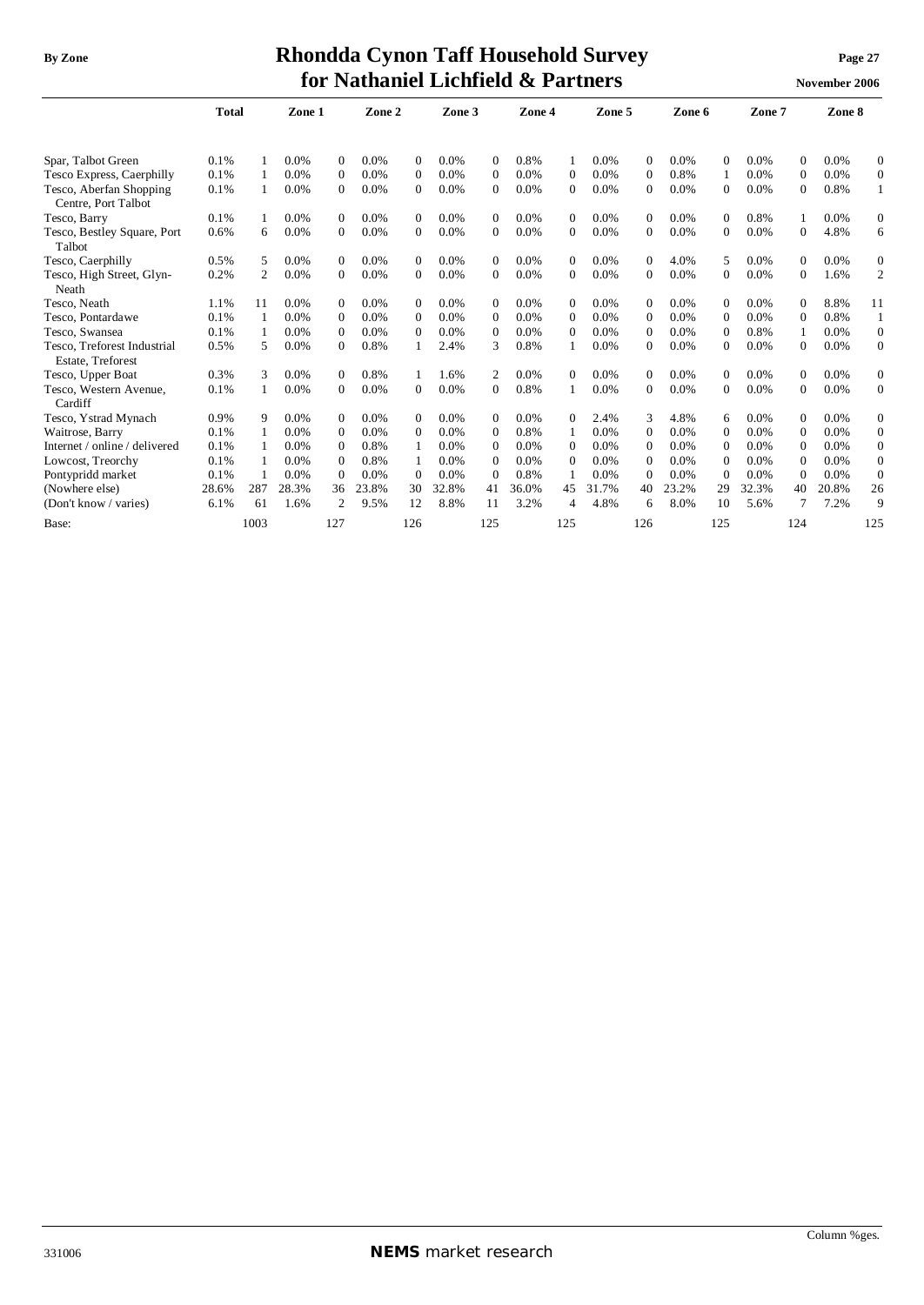## **By** Zone **Rhondda Cynon Taff Household Survey Page** 27 **for Nathaniel Lichfield & Partners November** 2006

|                                                         | <b>Total</b> |      | Zone 1 |                  | Zone 2 |              | Zone 3 |                | Zone 4 |              | Zone 5 |                | Zone 6 |              | Zone 7 |              | Zone 8 |                  |
|---------------------------------------------------------|--------------|------|--------|------------------|--------|--------------|--------|----------------|--------|--------------|--------|----------------|--------|--------------|--------|--------------|--------|------------------|
|                                                         |              |      |        |                  |        |              |        |                |        |              |        |                |        |              |        |              |        |                  |
| Spar, Talbot Green                                      | 0.1%         |      | 0.0%   | $\mathbf{0}$     | 0.0%   | $\Omega$     | 0.0%   | $\Omega$       | 0.8%   |              | 0.0%   | $\overline{0}$ | 0.0%   | $\Omega$     | 0.0%   | $\Omega$     | 0.0%   | $\boldsymbol{0}$ |
| Tesco Express, Caerphilly                               | 0.1%         |      | 0.0%   | $\mathbf{0}$     | 0.0%   | $\Omega$     | 0.0%   | $\Omega$       | 0.0%   | $\Omega$     | 0.0%   | $\Omega$       | 0.8%   | $\mathbf{1}$ | 0.0%   | $\Omega$     | 0.0%   | $\overline{0}$   |
| Tesco, Aberfan Shopping<br>Centre, Port Talbot          | 0.1%         |      | 0.0%   | $\mathbf{0}$     | 0.0%   | $\Omega$     | 0.0%   | $\Omega$       | 0.0%   | $\Omega$     | 0.0%   | $\Omega$       | 0.0%   | $\Omega$     | 0.0%   | $\Omega$     | 0.8%   | 1                |
| Tesco, Barry                                            | 0.1%         |      | 0.0%   | $\Omega$         | 0.0%   | $\Omega$     | 0.0%   | $\Omega$       | 0.0%   | $\Omega$     | 0.0%   | $\Omega$       | 0.0%   | $\Omega$     | 0.8%   | 1            | 0.0%   | 0                |
| Tesco, Bestley Square, Port<br>Talbot                   | 0.6%         | 6    | 0.0%   | $\mathbf{0}$     | 0.0%   | $\Omega$     | 0.0%   | $\overline{0}$ | 0.0%   | $\mathbf{0}$ | 0.0%   | $\overline{0}$ | 0.0%   | $\mathbf{0}$ | 0.0%   | $\mathbf{0}$ | 4.8%   | 6                |
| Tesco, Caerphilly                                       | 0.5%         | 5    | 0.0%   | $\mathbf{0}$     | 0.0%   | $\Omega$     | 0.0%   | $\overline{0}$ | 0.0%   | $\Omega$     | 0.0%   | $\mathbf{0}$   | 4.0%   | 5            | 0.0%   | $\Omega$     | 0.0%   | $\boldsymbol{0}$ |
| Tesco, High Street, Glyn-<br>Neath                      | 0.2%         | 2    | 0.0%   | $\Omega$         | 0.0%   | $\Omega$     | 0.0%   | $\Omega$       | 0.0%   | $\Omega$     | 0.0%   | $\Omega$       | 0.0%   | $\Omega$     | 0.0%   | $\Omega$     | 1.6%   | $\overline{2}$   |
| Tesco, Neath                                            | 1.1%         | 11   | 0.0%   | $\mathbf{0}$     | 0.0%   | $\Omega$     | 0.0%   | $\overline{0}$ | 0.0%   | $\mathbf{0}$ | 0.0%   | $\mathbf{0}$   | 0.0%   | $\Omega$     | 0.0%   | $\Omega$     | 8.8%   | 11               |
| Tesco, Pontardawe                                       | 0.1%         |      | 0.0%   | $\overline{0}$   | 0.0%   | $\Omega$     | 0.0%   | $\mathbf{0}$   | 0.0%   | $\Omega$     | 0.0%   | $\theta$       | 0.0%   | $\theta$     | 0.0%   | $\Omega$     | 0.8%   |                  |
| Tesco, Swansea                                          | 0.1%         |      | 0.0%   | $\boldsymbol{0}$ | 0.0%   | $\Omega$     | 0.0%   | $\mathbf{0}$   | 0.0%   | 0            | 0.0%   | $\theta$       | 0.0%   | $\mathbf{0}$ | 0.8%   | 1            | 0.0%   | $\boldsymbol{0}$ |
| Tesco, Treforest Industrial<br><b>Estate, Treforest</b> | 0.5%         | 5    | 0.0%   | $\Omega$         | 0.8%   |              | 2.4%   | 3              | 0.8%   |              | 0.0%   | $\Omega$       | 0.0%   | $\Omega$     | 0.0%   | $\Omega$     | 0.0%   | 0                |
| Tesco, Upper Boat                                       | 0.3%         | 3    | 0.0%   | $\Omega$         | 0.8%   | 1            | 1.6%   | 2              | 0.0%   | $\Omega$     | 0.0%   | $\Omega$       | 0.0%   | $\Omega$     | 0.0%   | $\Omega$     | 0.0%   | 0                |
| Tesco, Western Avenue,<br>Cardiff                       | 0.1%         |      | 0.0%   | $\Omega$         | 0.0%   | $\Omega$     | 0.0%   | $\Omega$       | 0.8%   |              | 0.0%   | $\Omega$       | 0.0%   | $\Omega$     | 0.0%   | $\Omega$     | 0.0%   | $\mathbf{0}$     |
| Tesco, Ystrad Mynach                                    | 0.9%         | 9    | 0.0%   | $\mathbf{0}$     | 0.0%   | $\Omega$     | 0.0%   | $\Omega$       | 0.0%   | $\Omega$     | 2.4%   | 3              | 4.8%   | 6            | 0.0%   | $\Omega$     | 0.0%   | $\overline{0}$   |
| Waitrose, Barry                                         | 0.1%         |      | 0.0%   | $\boldsymbol{0}$ | 0.0%   | $\Omega$     | 0.0%   | $\Omega$       | 0.8%   |              | 0.0%   | $\mathbf{0}$   | 0.0%   | $\mathbf{0}$ | 0.0%   | $\Omega$     | 0.0%   | $\boldsymbol{0}$ |
| Internet / online / delivered                           | 0.1%         |      | 0.0%   | $\Omega$         | 0.8%   | 1            | 0.0%   | $\Omega$       | 0.0%   | $\Omega$     | 0.0%   | $\Omega$       | 0.0%   | $\Omega$     | 0.0%   | $\Omega$     | 0.0%   | 0                |
| Lowcost, Treorchy                                       | 0.1%         |      | 0.0%   | $\mathbf{0}$     | 0.8%   | $\mathbf{1}$ | 0.0%   | $\mathbf{0}$   | 0.0%   | $\Omega$     | 0.0%   | $\theta$       | 0.0%   | $\theta$     | 0.0%   | $\Omega$     | 0.0%   | $\mathbf{0}$     |
| Pontypridd market                                       | 0.1%         |      | 0.0%   | $\mathbf{0}$     | 0.0%   | $\Omega$     | 0.0%   | $\Omega$       | 0.8%   |              | 0.0%   | $\Omega$       | 0.0%   | $\Omega$     | 0.0%   | $\Omega$     | 0.0%   | $\mathbf{0}$     |
| (Nowhere else)                                          | 28.6%        | 287  | 28.3%  | 36               | 23.8%  | 30           | 32.8%  | 41             | 36.0%  | 45           | 31.7%  | 40             | 23.2%  | 29           | 32.3%  | 40           | 20.8%  | 26               |
| (Don't know / varies)                                   | 6.1%         | 61   | 1.6%   | $\overline{2}$   | 9.5%   | 12           | 8.8%   | 11             | 3.2%   | 4            | 4.8%   | 6              | 8.0%   | 10           | 5.6%   | 7            | 7.2%   | 9                |
| Base:                                                   |              | 1003 |        | 127              |        | 126          |        | 125            |        | 125          |        | 126            |        | 125          |        | 124          |        | 125              |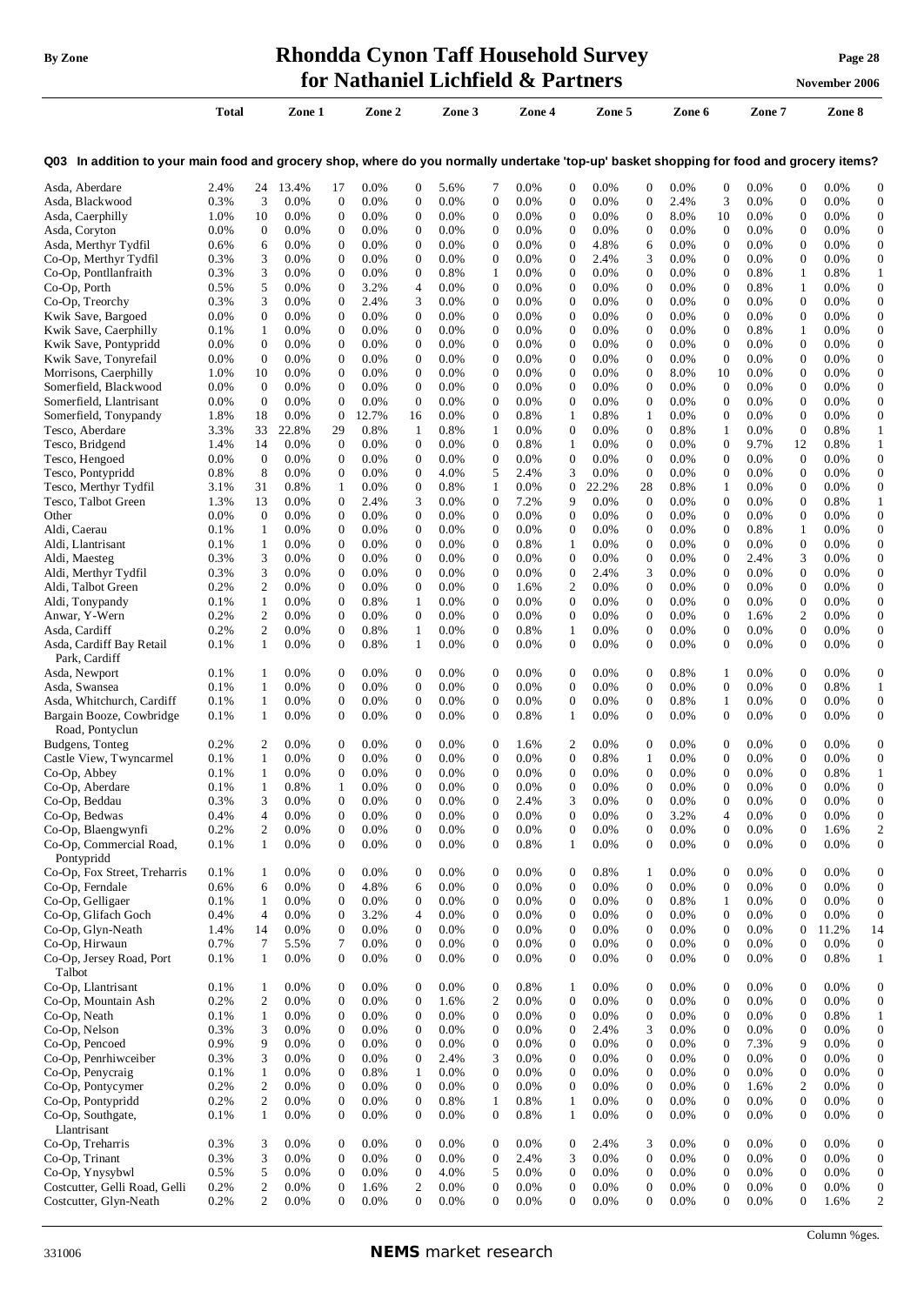#### **By Zone Rhondda Cynon Taff Household Survey Page <sup>28</sup> for Nathaniel Lichfield & Partners November** 2006

|                                                                                                                                          | Total           |                                  | Zone 1             |                                      | Zone 2       |                                  | Zone 3             |                                      | Zone 4       |                                      | Zone 5          |                                      | Zone 6             |                                      | Zone 7          |                                  | Zone 8             |                                      |
|------------------------------------------------------------------------------------------------------------------------------------------|-----------------|----------------------------------|--------------------|--------------------------------------|--------------|----------------------------------|--------------------|--------------------------------------|--------------|--------------------------------------|-----------------|--------------------------------------|--------------------|--------------------------------------|-----------------|----------------------------------|--------------------|--------------------------------------|
| Q03 In addition to your main food and grocery shop, where do you normally undertake 'top-up' basket shopping for food and grocery items? |                 |                                  |                    |                                      |              |                                  |                    |                                      |              |                                      |                 |                                      |                    |                                      |                 |                                  |                    |                                      |
| Asda, Aberdare                                                                                                                           | 2.4%            | 24                               | 13.4%              | 17                                   | 0.0%         | 0                                | 5.6%               | 7                                    | 0.0%         | 0                                    | 0.0%            | 0                                    | 0.0%               | $\mathbf{0}$                         | 0.0%            | $\mathbf{0}$                     | 0.0%               | 0                                    |
| Asda, Blackwood                                                                                                                          | 0.3%            | 3                                | 0.0%               | $\theta$                             | 0.0%         | 0                                | 0.0%               | $\boldsymbol{0}$                     | 0.0%         | $\boldsymbol{0}$                     | 0.0%            | $\mathbf{0}$                         | 2.4%               | 3                                    | 0.0%            | $\boldsymbol{0}$                 | 0.0%               | $\mathbf{0}$                         |
| Asda, Caerphilly                                                                                                                         | 1.0%            | 10                               | 0.0%               | $\boldsymbol{0}$                     | 0.0%         | 0                                | $0.0\%$            | $\boldsymbol{0}$                     | 0.0%         | 0                                    | 0.0%            | $\mathbf{0}$                         | 8.0%               | 10                                   | 0.0%            | $\boldsymbol{0}$                 | 0.0%               | $\mathbf{0}$                         |
| Asda, Coryton                                                                                                                            | 0.0%            | $\mathbf{0}$                     | $0.0\%$            | $\boldsymbol{0}$                     | 0.0%         | 0                                | $0.0\%$            | $\boldsymbol{0}$                     | 0.0%         | $\boldsymbol{0}$                     | 0.0%            | $\mathbf{0}$                         | $0.0\%$            | $\mathbf{0}$                         | 0.0%            | $\mathbf{0}$                     | 0.0%               | 0                                    |
| Asda, Merthyr Tydfil                                                                                                                     | 0.6%<br>0.3%    | 6<br>3                           | $0.0\%$<br>$0.0\%$ | $\boldsymbol{0}$<br>0                | 0.0%<br>0.0% | 0<br>0                           | $0.0\%$<br>$0.0\%$ | $\boldsymbol{0}$<br>$\mathbf 0$      | 0.0%<br>0.0% | 0<br>$\overline{0}$                  | 4.8%<br>2.4%    | 6<br>3                               | $0.0\%$<br>$0.0\%$ | $\boldsymbol{0}$<br>$\mathbf{0}$     | 0.0%<br>0.0%    | $\mathbf{0}$<br>$\boldsymbol{0}$ | $0.0\%$<br>$0.0\%$ | 0<br>0                               |
| Co-Op, Merthyr Tydfil<br>Co-Op, Pontllanfraith                                                                                           | 0.3%            | 3                                | 0.0%               | $\mathbf{0}$                         | 0.0%         | 0                                | 0.8%               | 1                                    | 0.0%         | $\overline{0}$                       | 0.0%            | $\mathbf{0}$                         | 0.0%               | $\boldsymbol{0}$                     | 0.8%            | 1                                | 0.8%               | 1                                    |
| Co-Op, Porth                                                                                                                             | 0.5%            | 5                                | $0.0\%$            | $\boldsymbol{0}$                     | 3.2%         | 4                                | $0.0\%$            | $\mathbf 0$                          | 0.0%         | 0                                    | 0.0%            | 0                                    | $0.0\%$            | $\boldsymbol{0}$                     | 0.8%            | 1                                | $0.0\%$            | 0                                    |
| Co-Op, Treorchy                                                                                                                          | 0.3%            | 3                                | 0.0%               | $\mathbf{0}$                         | 2.4%         | 3                                | 0.0%               | $\boldsymbol{0}$                     | 0.0%         | $\boldsymbol{0}$                     | $0.0\%$         | $\mathbf{0}$                         | 0.0%               | $\boldsymbol{0}$                     | 0.0%            | $\mathbf{0}$                     | 0.0%               | 0                                    |
| Kwik Save, Bargoed                                                                                                                       | $0.0\%$         | $\mathbf{0}$                     | $0.0\%$            | $\boldsymbol{0}$                     | 0.0%         | 0                                | $0.0\%$            | $\boldsymbol{0}$                     | 0.0%         | $\boldsymbol{0}$                     | 0.0%            | $\mathbf{0}$                         | 0.0%               | $\boldsymbol{0}$                     | 0.0%            | $\theta$                         | 0.0%               | 0                                    |
| Kwik Save, Caerphilly                                                                                                                    | 0.1%            | $\mathbf{1}$                     | $0.0\%$            | $\boldsymbol{0}$                     | 0.0%         | 0                                | $0.0\%$            | $\boldsymbol{0}$                     | 0.0%         | $\boldsymbol{0}$                     | $0.0\%$         | $\mathbf{0}$                         | $0.0\%$            | $\boldsymbol{0}$                     | 0.8%            | 1                                | $0.0\%$            | 0                                    |
| Kwik Save, Pontypridd                                                                                                                    | 0.0%            | $\mathbf{0}$                     | $0.0\%$            | $\boldsymbol{0}$                     | 0.0%         | 0                                | 0.0%               | $\boldsymbol{0}$                     | 0.0%         | $\boldsymbol{0}$                     | $0.0\%$         | $\boldsymbol{0}$                     | 0.0%               | $\boldsymbol{0}$                     | 0.0%            | $\mathbf{0}$                     | 0.0%               | 0                                    |
| Kwik Save, Tonyrefail                                                                                                                    | 0.0%            | $\mathbf{0}$                     | $0.0\%$            | $\boldsymbol{0}$                     | 0.0%         | 0                                | 0.0%               | $\boldsymbol{0}$                     | 0.0%         | $\boldsymbol{0}$                     | $0.0\%$         | $\mathbf{0}$                         | 0.0%               | $\boldsymbol{0}$                     | 0.0%            | $\boldsymbol{0}$                 | $0.0\%$            | 0                                    |
| Morrisons, Caerphilly                                                                                                                    | 1.0%            | 10                               | $0.0\%$            | $\mathbf{0}$                         | 0.0%         | 0                                | 0.0%               | $\boldsymbol{0}$                     | 0.0%         | $\mathbf{0}$                         | 0.0%            | $\mathbf{0}$                         | 8.0%               | 10                                   | 0.0%            | $\theta$                         | $0.0\%$            | $\mathbf{0}$                         |
| Somerfield, Blackwood<br>Somerfield, Llantrisant                                                                                         | $0.0\%$<br>0.0% | $\theta$<br>$\mathbf{0}$         | $0.0\%$<br>$0.0\%$ | $\boldsymbol{0}$<br>$\boldsymbol{0}$ | 0.0%<br>0.0% | 0<br>0                           | 0.0%<br>$0.0\%$    | $\boldsymbol{0}$<br>$\boldsymbol{0}$ | 0.0%<br>0.0% | $\boldsymbol{0}$<br>0                | 0.0%<br>0.0%    | $\mathbf{0}$<br>$\mathbf{0}$         | 0.0%<br>0.0%       | $\mathbf{0}$<br>$\boldsymbol{0}$     | 0.0%<br>0.0%    | $\mathbf{0}$<br>$\theta$         | $0.0\%$<br>$0.0\%$ | 0<br>$\mathbf{0}$                    |
| Somerfield, Tonypandy                                                                                                                    | 1.8%            | 18                               | $0.0\%$            | $\theta$                             | 12.7%        | 16                               | $0.0\%$            | $\boldsymbol{0}$                     | 0.8%         | $\mathbf{1}$                         | 0.8%            | 1                                    | $0.0\%$            | $\boldsymbol{0}$                     | 0.0%            | $\mathbf{0}$                     | 0.0%               | 0                                    |
| Tesco, Aberdare                                                                                                                          | 3.3%            | 33                               | 22.8%              | 29                                   | 0.8%         | 1                                | 0.8%               | 1                                    | 0.0%         | 0                                    | $0.0\%$         | $\mathbf{0}$                         | 0.8%               | 1                                    | 0.0%            | $\theta$                         | 0.8%               | 1                                    |
| Tesco, Bridgend                                                                                                                          | 1.4%            | 14                               | $0.0\%$            | $\overline{0}$                       | 0.0%         | 0                                | 0.0%               | $\boldsymbol{0}$                     | 0.8%         | 1                                    | $0.0\%$         | $\mathbf{0}$                         | 0.0%               | $\mathbf{0}$                         | 9.7%            | 12                               | 0.8%               | $\mathbf{1}$                         |
| Tesco, Hengoed                                                                                                                           | $0.0\%$         | $\mathbf{0}$                     | $0.0\%$            | $\overline{0}$                       | 0.0%         | 0                                | 0.0%               | $\boldsymbol{0}$                     | 0.0%         | $\boldsymbol{0}$                     | 0.0%            | $\mathbf{0}$                         | 0.0%               | $\boldsymbol{0}$                     | 0.0%            | $\theta$                         | 0.0%               | $\boldsymbol{0}$                     |
| Tesco, Pontypridd                                                                                                                        | 0.8%            | 8                                | $0.0\%$            | 0                                    | 0.0%         | 0                                | 4.0%               | 5                                    | 2.4%         | 3                                    | 0.0%            | $\overline{0}$                       | 0.0%               | $\boldsymbol{0}$                     | 0.0%            | $\mathbf{0}$                     | $0.0\%$            | 0                                    |
| Tesco, Merthyr Tydfil                                                                                                                    | 3.1%            | 31                               | 0.8%               | 1                                    | 0.0%         | 0                                | 0.8%               | 1                                    | 0.0%         | 0                                    | 22.2%           | 28                                   | 0.8%               | 1                                    | 0.0%            | $\boldsymbol{0}$                 | 0.0%               | 0                                    |
| Tesco, Talbot Green                                                                                                                      | 1.3%            | 13                               | $0.0\%$            | 0                                    | 2.4%         | 3                                | $0.0\%$            | $\mathbf 0$                          | 7.2%         | 9                                    | 0.0%            | $\mathbf{0}$                         | 0.0%               | $\boldsymbol{0}$                     | 0.0%            | $\mathbf{0}$                     | 0.8%               | 1                                    |
| Other                                                                                                                                    | 0.0%            | $\mathbf{0}$                     | 0.0%               | $\mathbf{0}$                         | 0.0%         | 0                                | 0.0%               | $\boldsymbol{0}$                     | 0.0%         | $\mathbf{0}$                         | 0.0%            | $\mathbf{0}$                         | 0.0%               | $\boldsymbol{0}$                     | 0.0%            | $\mathbf{0}$                     | 0.0%               | 0                                    |
| Aldi, Caerau<br>Aldi, Llantrisant                                                                                                        | 0.1%<br>0.1%    | 1<br>1                           | $0.0\%$<br>$0.0\%$ | $\mathbf{0}$<br>$\boldsymbol{0}$     | 0.0%<br>0.0% | 0<br>$\overline{0}$              | $0.0\%$<br>$0.0\%$ | $\boldsymbol{0}$<br>$\boldsymbol{0}$ | 0.0%<br>0.8% | $\boldsymbol{0}$<br>$\mathbf{1}$     | 0.0%<br>$0.0\%$ | $\boldsymbol{0}$<br>$\mathbf{0}$     | 0.0%<br>0.0%       | $\boldsymbol{0}$<br>$\boldsymbol{0}$ | 0.8%<br>0.0%    | 1<br>$\mathbf{0}$                | $0.0\%$<br>$0.0\%$ | 0<br>0                               |
| Aldi, Maesteg                                                                                                                            | 0.3%            | 3                                | $0.0\%$            | $\boldsymbol{0}$                     | 0.0%         | 0                                | $0.0\%$            | $\boldsymbol{0}$                     | 0.0%         | $\boldsymbol{0}$                     | $0.0\%$         | $\mathbf{0}$                         | $0.0\%$            | $\boldsymbol{0}$                     | 2.4%            | 3                                | $0.0\%$            | 0                                    |
| Aldi, Merthyr Tydfil                                                                                                                     | 0.3%            | 3                                | $0.0\%$            | $\mathbf{0}$                         | 0.0%         | 0                                | $0.0\%$            | $\boldsymbol{0}$                     | 0.0%         | $\boldsymbol{0}$                     | 2.4%            | 3                                    | $0.0\%$            | $\boldsymbol{0}$                     | 0.0%            | $\boldsymbol{0}$                 | $0.0\%$            | $\boldsymbol{0}$                     |
| Aldi, Talbot Green                                                                                                                       | 0.2%            | 2                                | $0.0\%$            | $\boldsymbol{0}$                     | 0.0%         | 0                                | $0.0\%$            | $\boldsymbol{0}$                     | 1.6%         | 2                                    | 0.0%            | $\mathbf{0}$                         | $0.0\%$            | $\boldsymbol{0}$                     | 0.0%            | $\mathbf{0}$                     | $0.0\%$            | $\mathbf{0}$                         |
| Aldi, Tonypandy                                                                                                                          | 0.1%            | 1                                | $0.0\%$            | $\boldsymbol{0}$                     | 0.8%         | 1                                | $0.0\%$            | $\boldsymbol{0}$                     | 0.0%         | $\boldsymbol{0}$                     | 0.0%            | $\mathbf{0}$                         | $0.0\%$            | $\mathbf{0}$                         | 0.0%            | $\boldsymbol{0}$                 | $0.0\%$            | 0                                    |
| Anwar, Y-Wern                                                                                                                            | 0.2%            | $\overline{c}$                   | $0.0\%$            | $\boldsymbol{0}$                     | 0.0%         | 0                                | $0.0\%$            | $\boldsymbol{0}$                     | 0.0%         | 0                                    | 0.0%            | $\mathbf{0}$                         | 0.0%               | $\boldsymbol{0}$                     | 1.6%            | 2                                | $0.0\%$            | $\mathbf{0}$                         |
| Asda, Cardiff                                                                                                                            | 0.2%            | 2                                | 0.0%               | $\boldsymbol{0}$                     | 0.8%         | 1                                | 0.0%               | $\boldsymbol{0}$                     | 0.8%         | 1                                    | 0.0%            | $\mathbf{0}$                         | $0.0\%$            | $\boldsymbol{0}$                     | 0.0%            | $\mathbf{0}$                     | 0.0%               | $\mathbf{0}$                         |
| Asda, Cardiff Bay Retail                                                                                                                 | 0.1%            | 1                                | 0.0%               | $\overline{0}$                       | 0.8%         | 1                                | $0.0\%$            | $\mathbf{0}$                         | 0.0%         | $\boldsymbol{0}$                     | $0.0\%$         | $\Omega$                             | 0.0%               | $\Omega$                             | 0.0%            | $\Omega$                         | 0.0%               | 0                                    |
| Park, Cardiff                                                                                                                            |                 |                                  |                    |                                      |              |                                  |                    |                                      |              |                                      |                 |                                      |                    |                                      |                 |                                  |                    |                                      |
| Asda, Newport<br>Asda, Swansea                                                                                                           | 0.1%<br>0.1%    | -1<br>1                          | $0.0\%$<br>$0.0\%$ | $\mathbf{0}$<br>$\boldsymbol{0}$     | 0.0%<br>0.0% | 0<br>0                           | $0.0\%$<br>0.0%    | $\boldsymbol{0}$<br>$\boldsymbol{0}$ | 0.0%<br>0.0% | 0<br>0                               | $0.0\%$<br>0.0% | $\mathbf{0}$<br>0                    | 0.8%<br>0.0%       | 1<br>$\boldsymbol{0}$                | $0.0\%$<br>0.0% | $\mathbf{0}$<br>$\boldsymbol{0}$ | 0.0%<br>0.8%       | $\boldsymbol{0}$<br>1                |
| Asda, Whitchurch, Cardiff                                                                                                                | 0.1%            | 1                                | $0.0\%$            | $\boldsymbol{0}$                     | 0.0%         | 0                                | 0.0%               | $\boldsymbol{0}$                     | 0.0%         | 0                                    | $0.0\%$         | $\mathbf{0}$                         | 0.8%               | 1                                    | 0.0%            | $\mathbf{0}$                     | $0.0\%$            | 0                                    |
| Bargain Booze, Cowbridge                                                                                                                 | 0.1%            | 1                                | $0.0\%$            | $\theta$                             | 0.0%         | 0                                | 0.0%               | $\boldsymbol{0}$                     | 0.8%         | 1                                    | 0.0%            | $\mathbf{0}$                         | 0.0%               | $\boldsymbol{0}$                     | 0.0%            | $\theta$                         | 0.0%               | 0                                    |
| Road, Pontyclun                                                                                                                          |                 |                                  |                    |                                      |              |                                  |                    |                                      |              |                                      |                 |                                      |                    |                                      |                 |                                  |                    |                                      |
| Budgens, Tonteg                                                                                                                          | 0.2%            | 2                                | 0.0%               | $\theta$                             | 0.0%         | 0                                | 0.0%               | $\mathbf 0$                          | 1.6%         | 2                                    | 0.0%            | 0                                    | 0.0%               | $\mathbf{0}$                         | 0.0%            | $\theta$                         | $0.0\%$            | 0                                    |
| Castle View, Twyncarmel                                                                                                                  | 0.1%            | $\mathbf{1}$                     | 0.0%               | $\overline{0}$                       | 0.0%         | $\overline{0}$                   | 0.0%               | $\mathbf{0}$                         | 0.0%         | $\boldsymbol{0}$                     | 0.8%            | 1                                    | 0.0%               | $\overline{0}$                       | 0.0%            | $\mathbf{0}$                     | 0.0%               | $\boldsymbol{0}$                     |
| Co-Op, Abbey                                                                                                                             | 0.1%            | 1                                | $0.0\%$            | $\boldsymbol{0}$                     | 0.0%         | 0                                | 0.0%               | $\boldsymbol{0}$                     | 0.0%         | $\boldsymbol{0}$                     | $0.0\%$         | $\mathbf{0}$                         | 0.0%               | $\boldsymbol{0}$                     | 0.0%            | $\boldsymbol{0}$                 | 0.8%               | 1                                    |
| Co-Op, Aberdare                                                                                                                          | 0.1%            | 1                                | 0.8%               | 1                                    | 0.0%         | $\overline{0}$                   | 0.0%               | $\mathbf{0}$                         | 0.0%         | 0                                    | 0.0%            | 0                                    | 0.0%               | $\boldsymbol{0}$                     | 0.0%            | 0                                | 0.0%               | $\Omega$                             |
| Co-Op, Beddau                                                                                                                            | 0.3%            | 3                                | 0.0%               | $\boldsymbol{0}$<br>$\boldsymbol{0}$ | 0.0%         | 0                                | 0.0%               | $\boldsymbol{0}$<br>$\boldsymbol{0}$ | 2.4%         | 3<br>$\boldsymbol{0}$                | 0.0%            | $\mathbf{0}$                         | 0.0%               | $\boldsymbol{0}$                     | 0.0%            | $\boldsymbol{0}$                 | 0.0%               | $\mathbf{0}$                         |
| Co-Op, Bedwas<br>Co-Op, Blaengwynfi                                                                                                      | 0.4%<br>0.2%    | $\overline{4}$<br>$\overline{c}$ | 0.0%<br>0.0%       | $\boldsymbol{0}$                     | 0.0%<br>0.0% | 0<br>$\boldsymbol{0}$            | 0.0%<br>0.0%       | $\boldsymbol{0}$                     | 0.0%<br>0.0% | 0                                    | 0.0%<br>0.0%    | $\boldsymbol{0}$<br>$\boldsymbol{0}$ | 3.2%<br>0.0%       | $\overline{4}$<br>$\boldsymbol{0}$   | 0.0%<br>0.0%    | $\mathbf{0}$<br>$\mathbf{0}$     | 0.0%<br>1.6%       | 0<br>2                               |
| Co-Op, Commercial Road,                                                                                                                  | 0.1%            | $\mathbf{1}$                     | 0.0%               | $\boldsymbol{0}$                     | 0.0%         | $\overline{0}$                   | 0.0%               | $\boldsymbol{0}$                     | 0.8%         | $\mathbf{1}$                         | 0.0%            | $\boldsymbol{0}$                     | 0.0%               | $\boldsymbol{0}$                     | 0.0%            | $\theta$                         | 0.0%               | $\boldsymbol{0}$                     |
| Pontypridd                                                                                                                               |                 |                                  |                    |                                      |              |                                  |                    |                                      |              |                                      |                 |                                      |                    |                                      |                 |                                  |                    |                                      |
| Co-Op, Fox Street, Treharris                                                                                                             | 0.1%            | 1                                | 0.0%               | $\mathbf{0}$                         | 0.0%         | 0                                | 0.0%               | $\boldsymbol{0}$                     | 0.0%         | $\boldsymbol{0}$                     | 0.8%            | 1                                    | 0.0%               | $\boldsymbol{0}$                     | 0.0%            | $\mathbf{0}$                     | 0.0%               | $\boldsymbol{0}$                     |
| Co-Op, Ferndale                                                                                                                          | 0.6%            | 6                                | 0.0%               | $\mathbf{0}$                         | 4.8%         | 6                                | 0.0%               | $\boldsymbol{0}$                     | 0.0%         | $\overline{0}$                       | 0.0%            | $\boldsymbol{0}$                     | 0.0%               | $\boldsymbol{0}$                     | 0.0%            | $\theta$                         | 0.0%               | $\boldsymbol{0}$                     |
| Co-Op, Gelligaer                                                                                                                         | 0.1%            | 1                                | 0.0%               | $\mathbf{0}$                         | 0.0%         | 0                                | 0.0%               | $\boldsymbol{0}$                     | 0.0%         | $\boldsymbol{0}$                     | 0.0%            | $\boldsymbol{0}$                     | 0.8%               | $\mathbf{1}$                         | 0.0%            | $\mathbf{0}$                     | 0.0%               | $\boldsymbol{0}$                     |
| Co-Op, Glifach Goch                                                                                                                      | 0.4%            | $\overline{4}$                   | 0.0%               | $\mathbf{0}$                         | 3.2%         | $\overline{4}$                   | 0.0%               | $\boldsymbol{0}$                     | 0.0%         | $\mathbf{0}$                         | 0.0%            | $\mathbf{0}$                         | 0.0%               | $\boldsymbol{0}$                     | 0.0%            | $\mathbf{0}$                     | 0.0%               | 0                                    |
| Co-Op, Glyn-Neath                                                                                                                        | 1.4%            | 14                               | 0.0%               | $\mathbf{0}$                         | 0.0%         | 0                                | 0.0%               | $\boldsymbol{0}$                     | 0.0%         | $\boldsymbol{0}$                     | 0.0%            | $\boldsymbol{0}$                     | 0.0%               | $\boldsymbol{0}$                     | 0.0%            | $\mathbf{0}$                     | 11.2%              | 14                                   |
| Co-Op, Hirwaun<br>Co-Op, Jersey Road, Port                                                                                               | 0.7%<br>0.1%    | 7<br>$\mathbf{1}$                | 5.5%<br>0.0%       | 7<br>$\mathbf{0}$                    | 0.0%<br>0.0% | $\overline{0}$<br>$\overline{0}$ | 0.0%<br>0.0%       | $\boldsymbol{0}$<br>$\boldsymbol{0}$ | 0.0%<br>0.0% | $\boldsymbol{0}$<br>$\boldsymbol{0}$ | 0.0%<br>0.0%    | $\boldsymbol{0}$<br>$\boldsymbol{0}$ | 0.0%<br>0.0%       | $\boldsymbol{0}$<br>$\boldsymbol{0}$ | 0.0%<br>0.0%    | $\boldsymbol{0}$<br>$\theta$     | 0.0%<br>0.8%       | $\boldsymbol{0}$<br>$\mathbf{1}$     |
| Talbot                                                                                                                                   |                 |                                  |                    |                                      |              |                                  |                    |                                      |              |                                      |                 |                                      |                    |                                      |                 |                                  |                    |                                      |
| Co-Op, Llantrisant                                                                                                                       | 0.1%            | 1                                | 0.0%               | $\boldsymbol{0}$                     | 0.0%         | 0                                | 0.0%               | $\boldsymbol{0}$                     | 0.8%         | 1                                    | 0.0%            | 0                                    | 0.0%               | $\boldsymbol{0}$                     | 0.0%            | $\mathbf{0}$                     | 0.0%               | $\boldsymbol{0}$                     |
| Co-Op, Mountain Ash                                                                                                                      | 0.2%            | $\overline{2}$                   | 0.0%               | $\boldsymbol{0}$                     | 0.0%         | $\boldsymbol{0}$                 | 1.6%               | $\mathbf{2}$                         | 0.0%         | $\boldsymbol{0}$                     | 0.0%            | $\boldsymbol{0}$                     | 0.0%               | $\boldsymbol{0}$                     | 0.0%            | $\mathbf{0}$                     | 0.0%               | $\boldsymbol{0}$                     |
| Co-Op, Neath                                                                                                                             | 0.1%            | $\mathbf{1}$                     | 0.0%               | $\boldsymbol{0}$                     | 0.0%         | 0                                | 0.0%               | $\boldsymbol{0}$                     | 0.0%         | $\boldsymbol{0}$                     | 0.0%            | 0                                    | 0.0%               | $\mathbf{0}$                         | 0.0%            | $\mathbf{0}$                     | 0.8%               | 1                                    |
| Co-Op, Nelson                                                                                                                            | 0.3%            | 3                                | 0.0%               | $\boldsymbol{0}$                     | 0.0%         | 0                                | 0.0%               | $\boldsymbol{0}$                     | 0.0%         | $\boldsymbol{0}$                     | 2.4%            | 3                                    | 0.0%               | $\boldsymbol{0}$                     | 0.0%            | $\mathbf{0}$                     | 0.0%               | $\boldsymbol{0}$                     |
| Co-Op, Pencoed                                                                                                                           | 0.9%            | 9                                | 0.0%               | $\boldsymbol{0}$                     | 0.0%         | $\boldsymbol{0}$                 | 0.0%               | $\boldsymbol{0}$                     | 0.0%         | $\boldsymbol{0}$                     | 0.0%            | 0                                    | 0.0%               | $\boldsymbol{0}$                     | 7.3%            | 9                                | 0.0%               | 0                                    |
| Co-Op, Penrhiwceiber                                                                                                                     | 0.3%            | 3                                | 0.0%               | $\boldsymbol{0}$                     | 0.0%         | $\boldsymbol{0}$                 | 2.4%               | 3                                    | 0.0%         | $\boldsymbol{0}$                     | 0.0%            | $\boldsymbol{0}$                     | 0.0%               | $\boldsymbol{0}$                     | 0.0%            | $\mathbf{0}$                     | 0.0%               | $\boldsymbol{0}$                     |
| Co-Op, Penycraig                                                                                                                         | 0.1%            | $\mathbf{1}$                     | 0.0%               | $\boldsymbol{0}$                     | 0.8%         | 1                                | 0.0%               | $\boldsymbol{0}$                     | 0.0%         | $\boldsymbol{0}$                     | 0.0%            | $\mathbf{0}$                         | 0.0%               | $\mathbf{0}$                         | 0.0%            | $\mathbf{0}$                     | 0.0%               | $\boldsymbol{0}$                     |
| Co-Op, Pontycymer                                                                                                                        | 0.2%            | $\overline{c}$                   | 0.0%               | $\boldsymbol{0}$                     | 0.0%         | $\overline{0}$                   | 0.0%               | $\boldsymbol{0}$                     | 0.0%         | $\mathbf{0}$                         | 0.0%            | $\mathbf{0}$                         | 0.0%               | $\overline{0}$                       | 1.6%            | 2                                | 0.0%               | $\overline{0}$                       |
| Co-Op, Pontypridd<br>Co-Op, Southgate,                                                                                                   | 0.2%<br>0.1%    | $\overline{2}$<br>1              | 0.0%<br>0.0%       | $\boldsymbol{0}$<br>$\mathbf{0}$     | 0.0%<br>0.0% | $\overline{0}$<br>$\overline{0}$ | 0.8%<br>0.0%       | $\mathbf{1}$<br>$\boldsymbol{0}$     | 0.8%<br>0.8% | 1<br>1                               | 0.0%<br>0.0%    | $\boldsymbol{0}$<br>$\boldsymbol{0}$ | 0.0%<br>0.0%       | $\boldsymbol{0}$<br>$\boldsymbol{0}$ | 0.0%<br>0.0%    | $\mathbf{0}$<br>$\mathbf{0}$     | 0.0%<br>0.0%       | $\boldsymbol{0}$<br>$\boldsymbol{0}$ |
| Llantrisant                                                                                                                              |                 |                                  |                    |                                      |              |                                  |                    |                                      |              |                                      |                 |                                      |                    |                                      |                 |                                  |                    |                                      |
| Co-Op, Treharris                                                                                                                         | 0.3%            | 3                                | 0.0%               | $\mathbf{0}$                         | 0.0%         | 0                                | 0.0%               | $\boldsymbol{0}$                     | 0.0%         | $\boldsymbol{0}$                     | 2.4%            | 3                                    | 0.0%               | $\boldsymbol{0}$                     | 0.0%            | $\mathbf{0}$                     | 0.0%               | $\overline{0}$                       |
| Co-Op, Trinant                                                                                                                           | 0.3%            | 3                                | 0.0%               | $\mathbf{0}$                         | 0.0%         | $\overline{0}$                   | 0.0%               | $\boldsymbol{0}$                     | 2.4%         | 3                                    | 0.0%            | $\boldsymbol{0}$                     | 0.0%               | $\boldsymbol{0}$                     | 0.0%            | $\mathbf{0}$                     | 0.0%               | 0                                    |
| Co-Op, Ynysybwl                                                                                                                          | 0.5%            | 5                                | 0.0%               | $\mathbf{0}$                         | 0.0%         | $\boldsymbol{0}$                 | 4.0%               | 5                                    | 0.0%         | $\boldsymbol{0}$                     | 0.0%            | 0                                    | 0.0%               | $\boldsymbol{0}$                     | 0.0%            | $\mathbf{0}$                     | 0.0%               | 0                                    |
| Costcutter, Gelli Road, Gelli                                                                                                            | 0.2%            | $\mathfrak{2}$                   | 0.0%               | $\mathbf{0}$                         | 1.6%         | $\overline{c}$                   | 0.0%               | $\boldsymbol{0}$                     | 0.0%         | $\boldsymbol{0}$                     | 0.0%            | $\boldsymbol{0}$                     | 0.0%               | $\boldsymbol{0}$                     | 0.0%            | $\boldsymbol{0}$                 | 0.0%               | $\boldsymbol{0}$                     |
| Costcutter, Glyn-Neath                                                                                                                   | 0.2%            | $\overline{2}$                   | 0.0%               | $\boldsymbol{0}$                     | 0.0%         | $\overline{0}$                   | 0.0%               | $\boldsymbol{0}$                     | 0.0%         | $\boldsymbol{0}$                     | 0.0%            | 0                                    | 0.0%               | $\boldsymbol{0}$                     | 0.0%            | $\theta$                         | 1.6%               | $\overline{c}$                       |

Column %ges.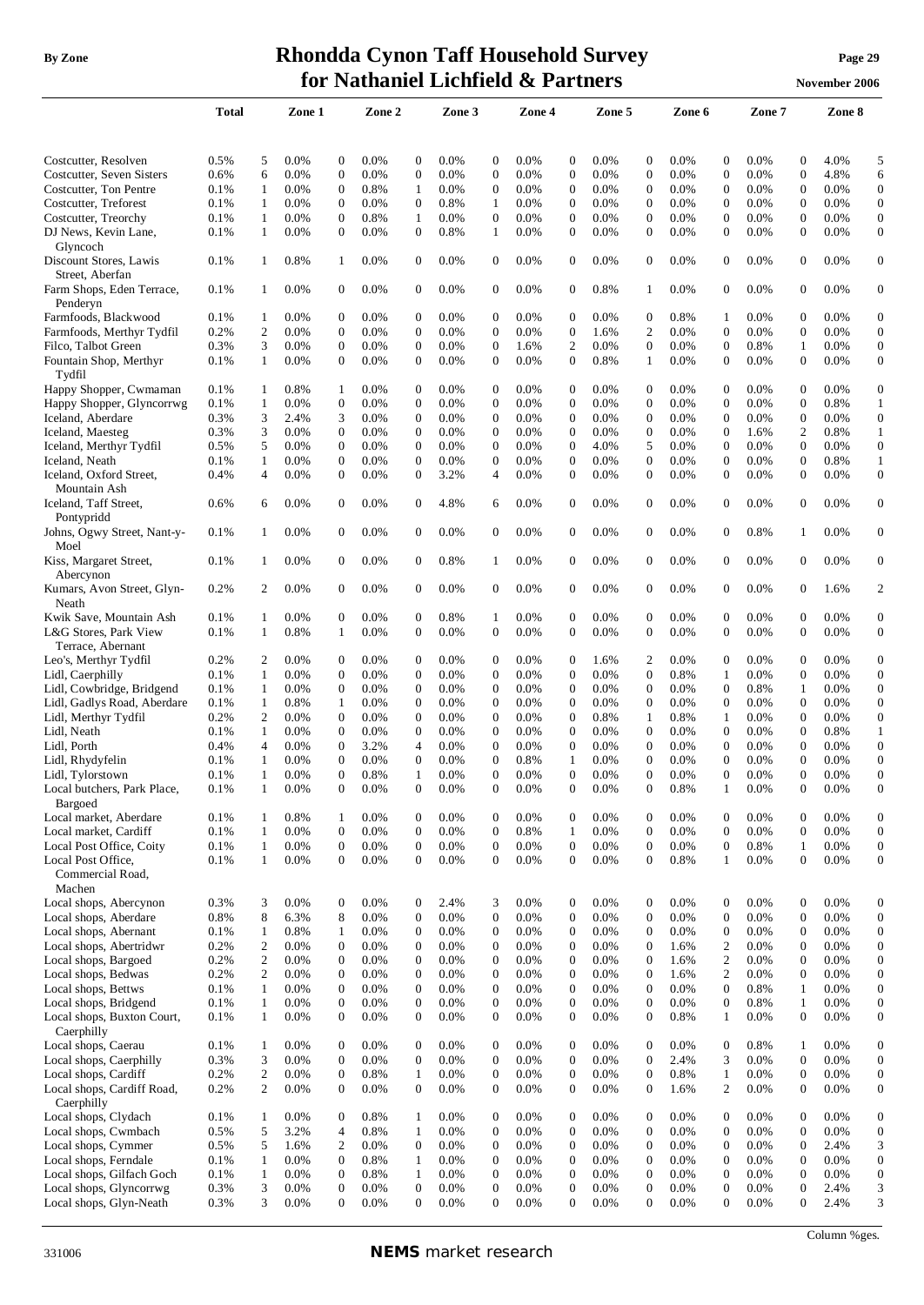## **By** Zone **Rhondda Cynon Taff Household Survey Page** 29 **for Nathaniel Lichfield & Partners November** 2006

|                                                  | Total |                  | Zone 1  |                  | Zone 2  |                  | Zone 3  |                  | Zone 4  |                  | Zone 5  |                  | Zone 6 |                  | Zone 7  |                  | Zone 8  |                  |
|--------------------------------------------------|-------|------------------|---------|------------------|---------|------------------|---------|------------------|---------|------------------|---------|------------------|--------|------------------|---------|------------------|---------|------------------|
| Costcutter, Resolven                             | 0.5%  | 5                | $0.0\%$ | 0                | $0.0\%$ | 0                | $0.0\%$ | $\mathbf{0}$     | 0.0%    | 0                | 0.0%    | $\boldsymbol{0}$ | 0.0%   | 0                | 0.0%    | $\boldsymbol{0}$ | 4.0%    | 5                |
| Costcutter, Seven Sisters                        | 0.6%  | 6                | 0.0%    | $\mathbf{0}$     | 0.0%    | $\boldsymbol{0}$ | 0.0%    | $\mathbf{0}$     | 0.0%    | $\overline{0}$   | 0.0%    | $\overline{0}$   | 0.0%   | $\mathbf{0}$     | 0.0%    | $\mathbf{0}$     | 4.8%    | 6                |
| Costcutter, Ton Pentre                           | 0.1%  | 1                | 0.0%    | $\boldsymbol{0}$ | 0.8%    | 1                | 0.0%    | $\mathbf 0$      | 0.0%    | $\mathbf{0}$     | 0.0%    | $\boldsymbol{0}$ | 0.0%   | $\boldsymbol{0}$ | 0.0%    | $\boldsymbol{0}$ | $0.0\%$ | $\boldsymbol{0}$ |
| Costcutter, Treforest                            | 0.1%  | 1                | 0.0%    | $\boldsymbol{0}$ | 0.0%    | $\mathbf{0}$     | 0.8%    | $\mathbf{1}$     | 0.0%    | $\boldsymbol{0}$ | 0.0%    | $\boldsymbol{0}$ | 0.0%   | $\boldsymbol{0}$ | 0.0%    | $\mathbf{0}$     | 0.0%    | $\mathbf{0}$     |
| Costcutter, Treorchy                             | 0.1%  | 1                | 0.0%    | $\boldsymbol{0}$ | 0.8%    | $\mathbf{1}$     | 0.0%    | $\boldsymbol{0}$ | 0.0%    | $\mathbf{0}$     | 0.0%    | $\boldsymbol{0}$ | 0.0%   | $\boldsymbol{0}$ | 0.0%    | $\mathbf{0}$     | 0.0%    | $\mathbf{0}$     |
| DJ News, Kevin Lane,                             | 0.1%  | $\mathbf{1}$     | 0.0%    | $\boldsymbol{0}$ | 0.0%    | $\mathbf{0}$     | 0.8%    | $\mathbf{1}$     | 0.0%    | $\mathbf{0}$     | 0.0%    | $\mathbf{0}$     | 0.0%   | $\boldsymbol{0}$ | 0.0%    | $\theta$         | 0.0%    | $\mathbf{0}$     |
| Glyncoch                                         |       |                  |         |                  |         |                  |         |                  |         |                  |         |                  |        |                  |         |                  |         |                  |
| Discount Stores, Lawis<br>Street, Aberfan        | 0.1%  | 1                | 0.8%    | 1                | 0.0%    | $\theta$         | 0.0%    | $\boldsymbol{0}$ | 0.0%    | $\overline{0}$   | 0.0%    | $\boldsymbol{0}$ | 0.0%   | $\boldsymbol{0}$ | 0.0%    | $\theta$         | 0.0%    | $\boldsymbol{0}$ |
| Farm Shops, Eden Terrace,<br>Penderyn            | 0.1%  | 1                | 0.0%    | $\mathbf{0}$     | 0.0%    | $\mathbf{0}$     | 0.0%    | $\mathbf{0}$     | 0.0%    | $\overline{0}$   | 0.8%    | 1                | 0.0%   | $\mathbf{0}$     | 0.0%    | $\mathbf{0}$     | 0.0%    | $\mathbf{0}$     |
| Farmfoods, Blackwood                             | 0.1%  | 1                | 0.0%    | $\boldsymbol{0}$ | $0.0\%$ | 0                | 0.0%    | $\theta$         | 0.0%    | $\mathbf{0}$     | 0.0%    | $\mathbf 0$      | 0.8%   | 1                | 0.0%    | $\mathbf{0}$     | 0.0%    | $\boldsymbol{0}$ |
| Farmfoods, Merthyr Tydfil                        | 0.2%  | $\overline{c}$   | 0.0%    | $\overline{0}$   | 0.0%    | $\theta$         | 0.0%    | $\mathbf{0}$     | 0.0%    | $\mathbf{0}$     | 1.6%    | 2                | 0.0%   | $\mathbf{0}$     | 0.0%    | $\mathbf{0}$     | 0.0%    | $\mathbf{0}$     |
| Filco, Talbot Green                              | 0.3%  | 3                | 0.0%    | $\boldsymbol{0}$ | 0.0%    | $\theta$         | 0.0%    | $\mathbf{0}$     | 1.6%    | $\overline{c}$   | 0.0%    | $\boldsymbol{0}$ | 0.0%   | $\mathbf{0}$     | 0.8%    | 1                | 0.0%    | $\boldsymbol{0}$ |
| Fountain Shop, Merthyr<br>Tydfil                 | 0.1%  | 1                | 0.0%    | $\mathbf{0}$     | 0.0%    | $\mathbf{0}$     | 0.0%    | $\mathbf{0}$     | 0.0%    | $\Omega$         | 0.8%    | 1                | 0.0%   | $\mathbf{0}$     | 0.0%    | $\mathbf{0}$     | 0.0%    | $\mathbf{0}$     |
| Happy Shopper, Cwmaman                           | 0.1%  | 1                | 0.8%    | 1                | $0.0\%$ | $\boldsymbol{0}$ | 0.0%    | $\mathbf{0}$     | 0.0%    | $\boldsymbol{0}$ | 0.0%    | $\mathbf{0}$     | 0.0%   | $\boldsymbol{0}$ | 0.0%    | $\mathbf{0}$     | 0.0%    | $\boldsymbol{0}$ |
| Happy Shopper, Glyncorrwg                        | 0.1%  | 1                | 0.0%    | $\boldsymbol{0}$ | 0.0%    | $\boldsymbol{0}$ | 0.0%    | $\mathbf{0}$     | 0.0%    | $\mathbf{0}$     | 0.0%    | $\boldsymbol{0}$ | 0.0%   | $\boldsymbol{0}$ | 0.0%    | $\boldsymbol{0}$ | 0.8%    | 1                |
| Iceland, Aberdare                                | 0.3%  | 3                | 2.4%    | 3                | 0.0%    | $\mathbf{0}$     | 0.0%    | $\mathbf{0}$     | 0.0%    | $\boldsymbol{0}$ | 0.0%    | $\overline{0}$   | 0.0%   | $\boldsymbol{0}$ | 0.0%    | $\mathbf{0}$     | 0.0%    | $\boldsymbol{0}$ |
| Iceland, Maesteg                                 | 0.3%  | 3                | 0.0%    | $\boldsymbol{0}$ | 0.0%    | $\boldsymbol{0}$ | 0.0%    | $\mathbf{0}$     | 0.0%    | $\mathbf{0}$     | 0.0%    | $\boldsymbol{0}$ | 0.0%   | $\boldsymbol{0}$ | 1.6%    | 2                | 0.8%    | $\mathbf{1}$     |
| Iceland, Merthyr Tydfil                          | 0.5%  | 5                | 0.0%    | $\boldsymbol{0}$ | 0.0%    | $\mathbf{0}$     | 0.0%    | $\mathbf{0}$     | 0.0%    | $\boldsymbol{0}$ | 4.0%    | 5                | 0.0%   | $\boldsymbol{0}$ | 0.0%    | $\mathbf{0}$     | 0.0%    | $\boldsymbol{0}$ |
| Iceland, Neath                                   | 0.1%  | 1                | 0.0%    | $\boldsymbol{0}$ | 0.0%    | $\boldsymbol{0}$ | 0.0%    | $\boldsymbol{0}$ | 0.0%    | $\boldsymbol{0}$ | 0.0%    | $\boldsymbol{0}$ | 0.0%   | $\boldsymbol{0}$ | 0.0%    | $\boldsymbol{0}$ | 0.8%    | $\mathbf{1}$     |
| Iceland, Oxford Street,<br>Mountain Ash          | 0.4%  | 4                | 0.0%    | $\boldsymbol{0}$ | 0.0%    | $\mathbf{0}$     | 3.2%    | $\overline{4}$   | 0.0%    | $\mathbf{0}$     | 0.0%    | $\mathbf{0}$     | 0.0%   | $\boldsymbol{0}$ | 0.0%    | $\mathbf{0}$     | 0.0%    | $\mathbf{0}$     |
| Iceland, Taff Street,<br>Pontypridd              | 0.6%  | 6                | 0.0%    | $\mathbf{0}$     | $0.0\%$ | $\mathbf{0}$     | 4.8%    | 6                | $0.0\%$ | $\overline{0}$   | 0.0%    | $\mathbf{0}$     | 0.0%   | $\mathbf{0}$     | 0.0%    | $\mathbf{0}$     | 0.0%    | $\mathbf{0}$     |
| Johns, Ogwy Street, Nant-y-<br>Moel              | 0.1%  | 1                | 0.0%    | 0                | $0.0\%$ | $\mathbf{0}$     | 0.0%    | $\mathbf{0}$     | 0.0%    | $\overline{0}$   | 0.0%    | $\mathbf{0}$     | 0.0%   | 0                | 0.8%    | 1                | 0.0%    | $\boldsymbol{0}$ |
| Kiss, Margaret Street,<br>Abercynon              | 0.1%  | 1                | 0.0%    | $\mathbf{0}$     | 0.0%    | $\mathbf{0}$     | 0.8%    | 1                | 0.0%    | $\overline{0}$   | 0.0%    | $\boldsymbol{0}$ | 0.0%   | $\mathbf{0}$     | 0.0%    | $\mathbf{0}$     | 0.0%    | $\boldsymbol{0}$ |
| Kumars, Avon Street, Glyn-<br>Neath              | 0.2%  | 2                | $0.0\%$ | 0                | $0.0\%$ | $\mathbf{0}$     | $0.0\%$ | $\mathbf{0}$     | 0.0%    | $\overline{0}$   | $0.0\%$ | 0                | 0.0%   | 0                | $0.0\%$ | $\mathbf{0}$     | 1.6%    | $\boldsymbol{2}$ |
| Kwik Save, Mountain Ash                          | 0.1%  | 1                | 0.0%    | $\boldsymbol{0}$ | $0.0\%$ | 0                | 0.8%    | 1                | 0.0%    | 0                | 0.0%    | $\mathbf{0}$     | 0.0%   | $\boldsymbol{0}$ | 0.0%    | $\mathbf{0}$     | 0.0%    | $\boldsymbol{0}$ |
| L&G Stores, Park View<br>Terrace, Abernant       | 0.1%  | $\mathbf{1}$     | 0.8%    | 1                | 0.0%    | $\mathbf{0}$     | 0.0%    | $\mathbf{0}$     | 0.0%    | 0                | 0.0%    | $\mathbf{0}$     | 0.0%   | $\boldsymbol{0}$ | 0.0%    | $\mathbf{0}$     | 0.0%    | $\boldsymbol{0}$ |
| Leo's, Merthyr Tydfil                            | 0.2%  | 2                | 0.0%    | $\boldsymbol{0}$ | 0.0%    | 0                | 0.0%    | $\mathbf{0}$     | 0.0%    | $\mathbf{0}$     | 1.6%    | 2                | 0.0%   | $\boldsymbol{0}$ | 0.0%    | $\mathbf{0}$     | 0.0%    | $\boldsymbol{0}$ |
| Lidl, Caerphilly                                 | 0.1%  | 1                | 0.0%    | $\boldsymbol{0}$ | 0.0%    | $\boldsymbol{0}$ | 0.0%    | $\mathbf{0}$     | 0.0%    | $\mathbf{0}$     | 0.0%    | $\boldsymbol{0}$ | 0.8%   | $\mathbf{1}$     | 0.0%    | $\boldsymbol{0}$ | 0.0%    | $\mathbf{0}$     |
| Lidl, Cowbridge, Bridgend                        | 0.1%  | 1                | 0.0%    | $\boldsymbol{0}$ | $0.0\%$ | $\boldsymbol{0}$ | 0.0%    | $\mathbf{0}$     | 0.0%    | $\boldsymbol{0}$ | $0.0\%$ | $\mathbf{0}$     | 0.0%   | $\boldsymbol{0}$ | 0.8%    | 1                | 0.0%    | $\mathbf{0}$     |
| Lidl, Gadlys Road, Aberdare                      | 0.1%  | 1                | 0.8%    | 1                | 0.0%    | $\boldsymbol{0}$ | $0.0\%$ | $\boldsymbol{0}$ | 0.0%    | $\boldsymbol{0}$ | 0.0%    | $\mathbf{0}$     | 0.0%   | $\boldsymbol{0}$ | 0.0%    | $\boldsymbol{0}$ | 0.0%    | $\mathbf{0}$     |
| Lidl, Merthyr Tydfil                             | 0.2%  | 2                | 0.0%    | $\overline{0}$   | $0.0\%$ | $\mathbf{0}$     | 0.0%    | $\theta$         | 0.0%    | $\mathbf{0}$     | 0.8%    | 1                | 0.8%   | $\mathbf{1}$     | 0.0%    | $\mathbf{0}$     | 0.0%    | $\boldsymbol{0}$ |
| Lidl, Neath                                      | 0.1%  | 1                | $0.0\%$ | $\boldsymbol{0}$ | $0.0\%$ | 0                | $0.0\%$ | $\theta$         | 0.0%    | $\mathbf{0}$     | $0.0\%$ | $\mathbf{0}$     | 0.0%   | $\boldsymbol{0}$ | 0.0%    | 0                | 0.8%    | $\mathbf{1}$     |
| Lidl, Porth                                      | 0.4%  | 4                | $0.0\%$ | $\boldsymbol{0}$ | 3.2%    | 4                | $0.0\%$ | $\theta$         | 0.0%    | $\boldsymbol{0}$ | $0.0\%$ | $\theta$         | 0.0%   | $\boldsymbol{0}$ | 0.0%    | 0                | 0.0%    | $\mathbf{0}$     |
| Lidl, Rhydyfelin                                 | 0.1%  | 1                | 0.0%    | $\mathbf{0}$     | 0.0%    | $\overline{0}$   | 0.0%    | $\mathbf{0}$     | 0.8%    | 1                | 0.0%    | $\mathbf{0}$     | 0.0%   | $\mathbf{0}$     | 0.0%    | $\mathbf{0}$     | 0.0%    | $\boldsymbol{0}$ |
| Lidl, Tylorstown                                 | 0.1%  | 1                | 0.0%    | $\overline{0}$   | 0.8%    | 1                | 0.0%    | $\mathbf{0}$     | 0.0%    | $\theta$         | 0.0%    | $\Omega$         | 0.0%   | $\overline{0}$   | 0.0%    | $\Omega$         | 0.0%    | $\mathbf{0}$     |
| Local butchers, Park Place,<br>Bargoed           | 0.1%  | 1                | 0.0%    | $\boldsymbol{0}$ | 0.0%    | $\boldsymbol{0}$ | 0.0%    | $\boldsymbol{0}$ | 0.0%    | $\boldsymbol{0}$ | 0.0%    | $\boldsymbol{0}$ | 0.8%   | 1                | 0.0%    | $\boldsymbol{0}$ | 0.0%    | $\boldsymbol{0}$ |
| Local market, Aberdare                           | 0.1%  | 1                | 0.8%    | $\mathbf{1}$     | 0.0%    | $\boldsymbol{0}$ | 0.0%    | $\mathbf{0}$     | 0.0%    | $\overline{0}$   | 0.0%    | $\boldsymbol{0}$ | 0.0%   | $\boldsymbol{0}$ | 0.0%    | $\overline{0}$   | 0.0%    | $\boldsymbol{0}$ |
| Local market, Cardiff                            | 0.1%  | $\mathbf{1}$     | 0.0%    | $\boldsymbol{0}$ | 0.0%    | $\boldsymbol{0}$ | 0.0%    | $\boldsymbol{0}$ | 0.8%    | $\mathbf{1}$     | 0.0%    | $\boldsymbol{0}$ | 0.0%   | $\boldsymbol{0}$ | 0.0%    | $\boldsymbol{0}$ | 0.0%    | $\mathbf{0}$     |
| Local Post Office, Coity                         | 0.1%  | $\mathbf{1}$     | 0.0%    | $\boldsymbol{0}$ | 0.0%    | $\boldsymbol{0}$ | 0.0%    | $\boldsymbol{0}$ | 0.0%    | $\overline{0}$   | 0.0%    | $\mathbf{0}$     | 0.0%   | $\boldsymbol{0}$ | 0.8%    | $\mathbf{1}$     | 0.0%    | $\boldsymbol{0}$ |
| Local Post Office,<br>Commercial Road,<br>Machen | 0.1%  | $\mathbf{1}$     | 0.0%    | $\boldsymbol{0}$ | 0.0%    | $\mathbf{0}$     | 0.0%    | $\boldsymbol{0}$ | 0.0%    | $\overline{0}$   | 0.0%    | $\boldsymbol{0}$ | 0.8%   | $\mathbf{1}$     | 0.0%    | $\mathbf{0}$     | 0.0%    | $\boldsymbol{0}$ |
| Local shops, Abercynon                           | 0.3%  | 3                | 0.0%    | $\boldsymbol{0}$ | 0.0%    | $\boldsymbol{0}$ | 2.4%    | 3                | 0.0%    | $\boldsymbol{0}$ | 0.0%    | $\boldsymbol{0}$ | 0.0%   | $\boldsymbol{0}$ | 0.0%    | $\boldsymbol{0}$ | 0.0%    | $\boldsymbol{0}$ |
| Local shops, Aberdare                            | 0.8%  | 8                | 6.3%    | 8                | 0.0%    | $\boldsymbol{0}$ | 0.0%    | $\mathbf{0}$     | 0.0%    | $\boldsymbol{0}$ | 0.0%    | $\boldsymbol{0}$ | 0.0%   | $\boldsymbol{0}$ | 0.0%    | $\boldsymbol{0}$ | 0.0%    | $\boldsymbol{0}$ |
| Local shops, Abernant                            | 0.1%  | $\mathbf{1}$     | 0.8%    | $\mathbf{1}$     | 0.0%    | $\boldsymbol{0}$ | 0.0%    | $\mathbf{0}$     | 0.0%    | $\boldsymbol{0}$ | 0.0%    | $\boldsymbol{0}$ | 0.0%   | $\boldsymbol{0}$ | 0.0%    | $\boldsymbol{0}$ | 0.0%    | $\mathbf{0}$     |
| Local shops, Abertridwr                          | 0.2%  | $\mathfrak{2}$   | 0.0%    | $\boldsymbol{0}$ | 0.0%    | $\boldsymbol{0}$ | 0.0%    | $\theta$         | 0.0%    | $\mathbf{0}$     | 0.0%    | $\boldsymbol{0}$ | 1.6%   | $\mathfrak{2}$   | 0.0%    | $\boldsymbol{0}$ | 0.0%    | $\boldsymbol{0}$ |
| Local shops, Bargoed                             | 0.2%  | $\overline{c}$   | 0.0%    | $\boldsymbol{0}$ | 0.0%    | $\boldsymbol{0}$ | 0.0%    | $\boldsymbol{0}$ | 0.0%    | $\boldsymbol{0}$ | 0.0%    | $\boldsymbol{0}$ | 1.6%   | $\mathbf{2}$     | 0.0%    | $\boldsymbol{0}$ | 0.0%    | $\boldsymbol{0}$ |
| Local shops, Bedwas                              | 0.2%  | $\overline{c}$   | 0.0%    | $\overline{0}$   | 0.0%    | $\mathbf{0}$     | 0.0%    | $\theta$         | 0.0%    | $\boldsymbol{0}$ | 0.0%    | $\boldsymbol{0}$ | 1.6%   | $\mathfrak{2}$   | 0.0%    | $\mathbf{0}$     | 0.0%    | $\boldsymbol{0}$ |
| Local shops, Bettws                              | 0.1%  | 1                | 0.0%    | $\mathbf{0}$     | 0.0%    | $\mathbf{0}$     | 0.0%    | $\overline{0}$   | 0.0%    | $\mathbf{0}$     | 0.0%    | $\overline{0}$   | 0.0%   | $\overline{0}$   | 0.8%    | $\mathbf{1}$     | 0.0%    | $\mathbf{0}$     |
| Local shops, Bridgend                            | 0.1%  | $\mathbf{1}$     | 0.0%    | $\mathbf{0}$     | 0.0%    | $\mathbf{0}$     | 0.0%    | $\theta$         | 0.0%    | $\mathbf{0}$     | 0.0%    | $\overline{0}$   | 0.0%   | $\boldsymbol{0}$ | 0.8%    | $\mathbf{1}$     | 0.0%    | $\mathbf{0}$     |
| Local shops, Buxton Court,                       | 0.1%  | $\mathbf{1}$     | 0.0%    | $\boldsymbol{0}$ | 0.0%    | $\mathbf{0}$     | 0.0%    | $\boldsymbol{0}$ | 0.0%    | $\mathbf{0}$     | 0.0%    | $\boldsymbol{0}$ | 0.8%   | $\mathbf{1}$     | 0.0%    | $\mathbf{0}$     | 0.0%    | $\mathbf{0}$     |
| Caerphilly<br>Local shops, Caerau                | 0.1%  | 1                | 0.0%    | $\boldsymbol{0}$ | 0.0%    | $\boldsymbol{0}$ | 0.0%    | $\boldsymbol{0}$ | 0.0%    | $\boldsymbol{0}$ | 0.0%    | $\boldsymbol{0}$ | 0.0%   | $\boldsymbol{0}$ | 0.8%    | 1                | 0.0%    | $\mathbf{0}$     |
| Local shops, Caerphilly                          | 0.3%  | 3                | 0.0%    | $\boldsymbol{0}$ | 0.0%    | $\mathbf{0}$     | 0.0%    | $\boldsymbol{0}$ | 0.0%    | $\mathbf{0}$     | 0.0%    | $\boldsymbol{0}$ | 2.4%   | 3                | 0.0%    | $\overline{0}$   | 0.0%    | $\mathbf{0}$     |
| Local shops, Cardiff                             | 0.2%  | $\boldsymbol{2}$ | 0.0%    | $\boldsymbol{0}$ | 0.8%    | $\mathbf{1}$     | 0.0%    | $\mathbf{0}$     | 0.0%    | $\boldsymbol{0}$ | 0.0%    | $\boldsymbol{0}$ | 0.8%   | $\mathbf{1}$     | 0.0%    | $\boldsymbol{0}$ | 0.0%    | $\mathbf{0}$     |
| Local shops, Cardiff Road,                       | 0.2%  | 2                | 0.0%    | $\boldsymbol{0}$ | 0.0%    | $\mathbf{0}$     | 0.0%    | $\boldsymbol{0}$ | 0.0%    | $\mathbf{0}$     | 0.0%    | $\boldsymbol{0}$ | 1.6%   | $\overline{c}$   | 0.0%    | $\mathbf{0}$     | 0.0%    | $\boldsymbol{0}$ |
| Caerphilly<br>Local shops, Clydach               | 0.1%  | 1                | 0.0%    | $\boldsymbol{0}$ | 0.8%    | $\mathbf{1}$     | 0.0%    | $\boldsymbol{0}$ | 0.0%    | 0                | 0.0%    | $\boldsymbol{0}$ | 0.0%   | $\boldsymbol{0}$ | 0.0%    | $\boldsymbol{0}$ | 0.0%    | $\boldsymbol{0}$ |
| Local shops, Cwmbach                             | 0.5%  | 5                | 3.2%    | $\overline{4}$   | 0.8%    | $\mathbf{1}$     | $0.0\%$ | $\mathbf{0}$     | 0.0%    | $\boldsymbol{0}$ | 0.0%    | $\boldsymbol{0}$ | 0.0%   | $\boldsymbol{0}$ | 0.0%    | $\boldsymbol{0}$ | 0.0%    | $\boldsymbol{0}$ |
| Local shops, Cymmer                              | 0.5%  | 5                | 1.6%    | $\mathfrak{2}$   | 0.0%    | $\boldsymbol{0}$ | 0.0%    | $\mathbf{0}$     | 0.0%    | $\boldsymbol{0}$ | 0.0%    | $\boldsymbol{0}$ | 0.0%   | $\boldsymbol{0}$ | 0.0%    | $\boldsymbol{0}$ | 2.4%    | 3                |
| Local shops, Ferndale                            | 0.1%  | 1                | 0.0%    | $\boldsymbol{0}$ | 0.8%    | $\mathbf{1}$     | 0.0%    | $\mathbf{0}$     | 0.0%    | $\boldsymbol{0}$ | 0.0%    | $\boldsymbol{0}$ | 0.0%   | $\boldsymbol{0}$ | 0.0%    | $\boldsymbol{0}$ | 0.0%    | $\mathbf{0}$     |
| Local shops, Gilfach Goch                        | 0.1%  | $\mathbf{1}$     | 0.0%    | $\boldsymbol{0}$ | 0.8%    | $\mathbf{1}$     | 0.0%    | $\boldsymbol{0}$ | 0.0%    | $\boldsymbol{0}$ | 0.0%    | $\boldsymbol{0}$ | 0.0%   | $\boldsymbol{0}$ | 0.0%    | $\boldsymbol{0}$ | 0.0%    | $\boldsymbol{0}$ |
| Local shops, Glyncorrwg                          | 0.3%  | 3                | 0.0%    | $\boldsymbol{0}$ | 0.0%    | $\boldsymbol{0}$ | 0.0%    | $\mathbf{0}$     | 0.0%    | $\boldsymbol{0}$ | 0.0%    | $\boldsymbol{0}$ | 0.0%   | $\boldsymbol{0}$ | 0.0%    | $\boldsymbol{0}$ | 2.4%    | 3                |
| Local shops, Glyn-Neath                          | 0.3%  | 3                | 0.0%    | $\overline{0}$   | 0.0%    | $\mathbf{0}$     | 0.0%    | $\mathbf{0}$     | 0.0%    | $\overline{0}$   | 0.0%    | $\mathbf{0}$     | 0.0%   | $\overline{0}$   | 0.0%    | $\Omega$         | 2.4%    | 3                |

Column %ges.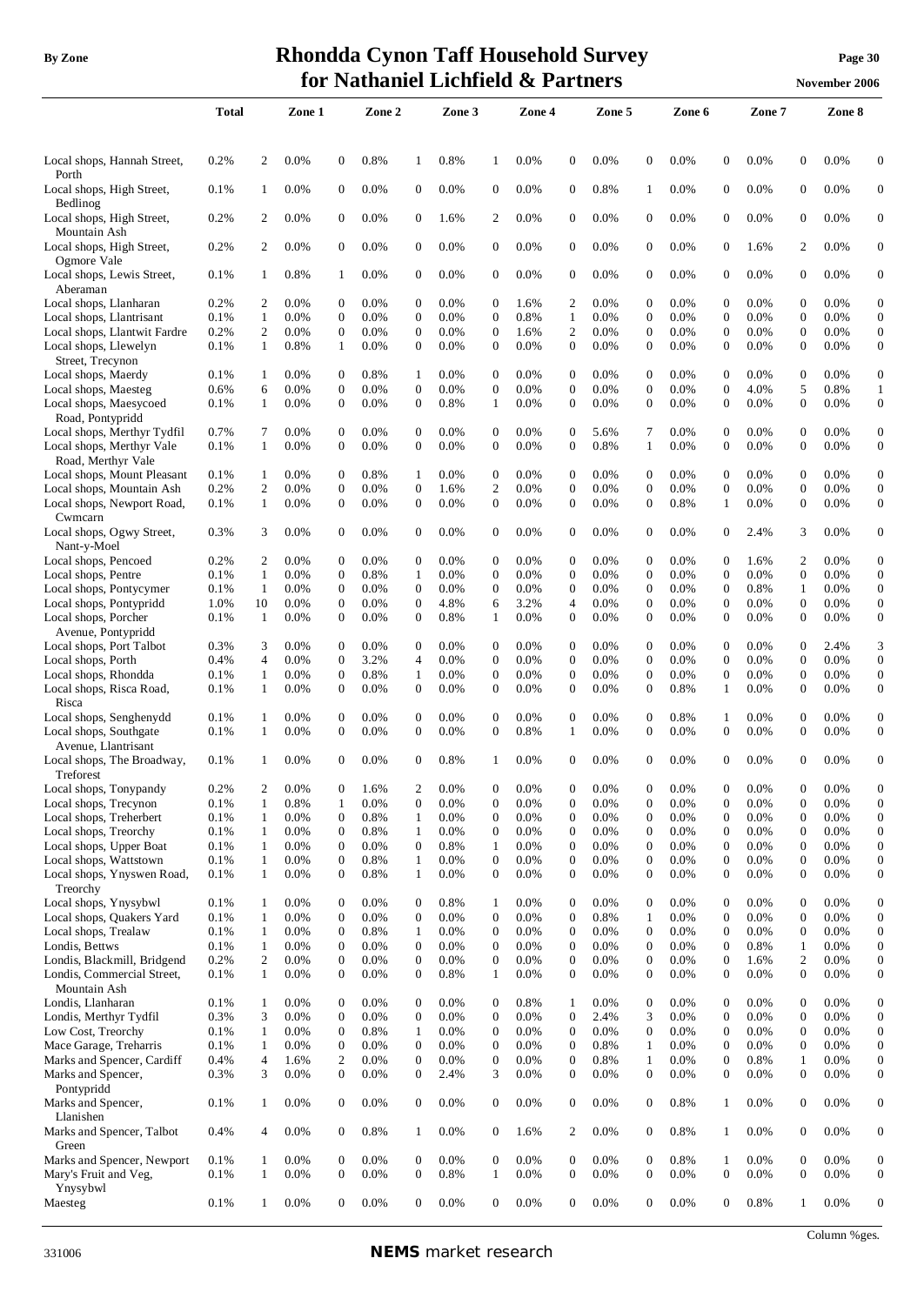## **By** Zone **Rhondda Cynon Taff Household Survey Page** 30 **for Nathaniel Lichfield & Partners November** 2006

|                                                          | <b>Total</b> |                     | Zone 1       |                                | Zone 2       |                                | Zone 3       |                                  | Zone 4       |                                  | Zone 5       |                                      | Zone 6       |                              | Zone 7       |                                | Zone 8       |                                      |
|----------------------------------------------------------|--------------|---------------------|--------------|--------------------------------|--------------|--------------------------------|--------------|----------------------------------|--------------|----------------------------------|--------------|--------------------------------------|--------------|------------------------------|--------------|--------------------------------|--------------|--------------------------------------|
|                                                          |              |                     |              |                                |              |                                |              |                                  |              |                                  |              |                                      |              |                              |              |                                |              |                                      |
| Local shops, Hannah Street,                              | 0.2%         | 2                   | 0.0%         | $\overline{0}$                 | 0.8%         | 1                              | 0.8%         | $\mathbf{1}$                     | 0.0%         | $\mathbf{0}$                     | 0.0%         | $\boldsymbol{0}$                     | 0.0%         | $\overline{0}$               | 0.0%         | $\mathbf{0}$                   | 0.0%         | $\theta$                             |
| Porth<br>Local shops, High Street,                       | 0.1%         | 1                   | 0.0%         | $\overline{0}$                 | 0.0%         | $\theta$                       | 0.0%         | $\overline{0}$                   | 0.0%         | $\mathbf{0}$                     | 0.8%         | 1                                    | 0.0%         | $\overline{0}$               | 0.0%         | $\theta$                       | 0.0%         | $\overline{0}$                       |
| Bedlinog                                                 |              |                     |              |                                |              |                                |              |                                  |              |                                  |              |                                      |              |                              |              |                                |              |                                      |
| Local shops, High Street,                                | 0.2%         | 2                   | 0.0%         | $\overline{0}$                 | 0.0%         | $\theta$                       | 1.6%         | 2                                | 0.0%         | $\mathbf{0}$                     | 0.0%         | $\boldsymbol{0}$                     | 0.0%         | $\overline{0}$               | 0.0%         | $\mathbf{0}$                   | 0.0%         | $\mathbf{0}$                         |
| Mountain Ash<br>Local shops, High Street,                | 0.2%         | 2                   | 0.0%         | $\overline{0}$                 | 0.0%         | $\theta$                       | 0.0%         | $\overline{0}$                   | 0.0%         | $\mathbf{0}$                     | 0.0%         | $\mathbf{0}$                         | 0.0%         | $\overline{0}$               | 1.6%         | $\overline{c}$                 | 0.0%         | $\overline{0}$                       |
| Ogmore Vale                                              |              |                     |              |                                |              |                                |              |                                  |              |                                  |              |                                      |              |                              |              |                                |              |                                      |
| Local shops, Lewis Street,<br>Aberaman                   | 0.1%         | 1                   | 0.8%         | -1                             | 0.0%         | $\theta$                       | 0.0%         | 0                                | 0.0%         | $\boldsymbol{0}$                 | 0.0%         | $\boldsymbol{0}$                     | 0.0%         | 0                            | 0.0%         | $\mathbf{0}$                   | 0.0%         | $\boldsymbol{0}$                     |
| Local shops, Llanharan                                   | 0.2%         | 2                   | 0.0%         | $\mathbf 0$                    | 0.0%         | $\mathbf{0}$                   | 0.0%         | $\mathbf{0}$                     | 1.6%         | 2                                | 0.0%         | $\mathbf{0}$                         | 0.0%         | $\mathbf{0}$                 | 0.0%         | $\mathbf{0}$                   | 0.0%         | $\overline{0}$                       |
| Local shops, Llantrisant                                 | 0.1%         | $\mathbf{1}$        | 0.0%         | $\boldsymbol{0}$               | 0.0%         | $\boldsymbol{0}$               | 0.0%         | $\boldsymbol{0}$                 | 0.8%         | $\mathbf{1}$                     | 0.0%         | $\boldsymbol{0}$                     | 0.0%         | $\mathbf{0}$                 | 0.0%         | $\boldsymbol{0}$               | 0.0%         | $\boldsymbol{0}$                     |
| Local shops, Llantwit Fardre                             | 0.2%         | $\mathfrak{2}$      | 0.0%         | $\theta$                       | 0.0%         | $\mathbf{0}$                   | 0.0%         | $\boldsymbol{0}$                 | 1.6%         | $\mathfrak{2}$                   | 0.0%         | $\boldsymbol{0}$                     | 0.0%         | $\mathbf{0}$                 | 0.0%         | $\mathbf{0}$                   | 0.0%         | $\overline{0}$                       |
| Local shops, Llewelyn                                    | 0.1%         | $\mathbf{1}$        | 0.8%         | $\mathbf{1}$                   | 0.0%         | $\mathbf{0}$                   | 0.0%         | 0                                | 0.0%         | $\mathbf{0}$                     | 0.0%         | $\boldsymbol{0}$                     | 0.0%         | $\boldsymbol{0}$             | 0.0%         | $\mathbf{0}$                   | 0.0%         | $\boldsymbol{0}$                     |
| Street, Trecynon<br>Local shops, Maerdy                  | 0.1%         | 1                   | 0.0%         | $\theta$                       | 0.8%         | 1                              | 0.0%         | $\mathbf{0}$                     | 0.0%         | $\mathbf{0}$                     | 0.0%         | $\boldsymbol{0}$                     | 0.0%         | $\mathbf{0}$                 | 0.0%         | $\overline{0}$                 | 0.0%         | $\overline{0}$                       |
| Local shops, Maesteg                                     | 0.6%         | 6                   | 0.0%         | $\mathbf{0}$                   | 0.0%         | $\overline{0}$                 | 0.0%         | $\overline{0}$                   | 0.0%         | $\mathbf{0}$                     | 0.0%         | $\mathbf{0}$                         | 0.0%         | $\mathbf{0}$                 | 4.0%         | 5                              | 0.8%         | $\mathbf{1}$                         |
| Local shops, Maesycoed                                   | 0.1%         | $\mathbf{1}$        | 0.0%         | $\mathbf{0}$                   | 0.0%         | $\theta$                       | 0.8%         | 1                                | 0.0%         | $\mathbf{0}$                     | 0.0%         | $\mathbf{0}$                         | 0.0%         | $\mathbf{0}$                 | 0.0%         | $\Omega$                       | 0.0%         | $\overline{0}$                       |
| Road, Pontypridd                                         |              |                     |              |                                |              |                                |              |                                  |              |                                  |              |                                      |              |                              |              |                                |              |                                      |
| Local shops, Merthyr Tydfil                              | 0.7%         | 7                   | 0.0%         | $\overline{0}$                 | 0.0%         | $\theta$                       | 0.0%         | $\overline{0}$                   | 0.0%         | $\mathbf{0}$                     | 5.6%         | 7                                    | 0.0%         | $\mathbf{0}$                 | 0.0%         | $\mathbf{0}$                   | 0.0%         | $\overline{0}$                       |
| Local shops, Merthyr Vale                                | 0.1%         | 1                   | 0.0%         | $\overline{0}$                 | 0.0%         | $\mathbf{0}$                   | 0.0%         | 0                                | 0.0%         | $\mathbf{0}$                     | 0.8%         | $\mathbf{1}$                         | 0.0%         | $\mathbf{0}$                 | 0.0%         | $\mathbf{0}$                   | 0.0%         | $\boldsymbol{0}$                     |
| Road, Merthyr Vale                                       |              |                     | 0.0%         | $\theta$                       | 0.8%         |                                |              | $\overline{0}$                   | 0.0%         | $\mathbf{0}$                     | 0.0%         |                                      | 0.0%         | $\mathbf{0}$                 | 0.0%         | $\mathbf{0}$                   | 0.0%         | $\overline{0}$                       |
| Local shops, Mount Pleasant<br>Local shops, Mountain Ash | 0.1%<br>0.2% | 1<br>$\mathfrak{2}$ | 0.0%         | $\mathbf{0}$                   | 0.0%         | 1<br>$\theta$                  | 0.0%<br>1.6% | 2                                | 0.0%         | $\boldsymbol{0}$                 | 0.0%         | $\boldsymbol{0}$<br>$\boldsymbol{0}$ | 0.0%         | $\boldsymbol{0}$             | 0.0%         | $\boldsymbol{0}$               | 0.0%         | $\overline{0}$                       |
| Local shops, Newport Road,                               | 0.1%         | $\mathbf{1}$        | 0.0%         | $\boldsymbol{0}$               | 0.0%         | $\theta$                       | 0.0%         | $\overline{0}$                   | 0.0%         | $\mathbf{0}$                     | 0.0%         | $\boldsymbol{0}$                     | 0.8%         | $\mathbf{1}$                 | 0.0%         | $\mathbf{0}$                   | 0.0%         | $\boldsymbol{0}$                     |
| Cwmcarn                                                  |              |                     |              |                                |              |                                |              |                                  |              |                                  |              |                                      |              |                              |              |                                |              |                                      |
| Local shops, Ogwy Street,                                | 0.3%         | 3                   | 0.0%         | $\mathbf{0}$                   | 0.0%         | $\theta$                       | 0.0%         | 0                                | 0.0%         | $\mathbf{0}$                     | 0.0%         | $\mathbf{0}$                         | 0.0%         | 0                            | 2.4%         | 3                              | 0.0%         | $\boldsymbol{0}$                     |
| Nant-y-Moel                                              |              |                     |              |                                |              |                                |              |                                  |              |                                  |              |                                      |              |                              |              |                                |              |                                      |
| Local shops, Pencoed                                     | 0.2%         | 2                   | 0.0%         | $\theta$                       | 0.0%         | $\theta$                       | 0.0%         | 0                                | 0.0%         | $\mathbf{0}$                     | 0.0%         | $\mathbf{0}$                         | 0.0%         | $\mathbf{0}$                 | 1.6%         | $\overline{c}$                 | 0.0%         | $\overline{0}$                       |
| Local shops, Pentre                                      | 0.1%         | 1                   | 0.0%         | $\theta$                       | 0.8%         | $\mathbf{1}$                   | 0.0%         | $\mathbf{0}$                     | 0.0%         | $\mathbf{0}$                     | 0.0%         | $\mathbf{0}$                         | 0.0%         | $\mathbf{0}$                 | 0.0%         | $\overline{0}$                 | 0.0%         | $\mathbf{0}$                         |
| Local shops, Pontycymer<br>Local shops, Pontypridd       | 0.1%<br>1.0% | 1<br>10             | 0.0%<br>0.0% | $\theta$<br>$\theta$           | 0.0%<br>0.0% | $\Omega$<br>$\mathbf{0}$       | 0.0%<br>4.8% | $\mathbf{0}$<br>6                | 0.0%<br>3.2% | $\mathbf{0}$<br>4                | 0.0%<br>0.0% | $\mathbf{0}$<br>$\mathbf{0}$         | 0.0%<br>0.0% | $\mathbf{0}$<br>$\mathbf{0}$ | 0.8%<br>0.0% | 1<br>$\mathbf{0}$              | 0.0%<br>0.0% | $\overline{0}$<br>$\overline{0}$     |
| Local shops, Porcher                                     | 0.1%         | 1                   | 0.0%         | $\theta$                       | 0.0%         | $\theta$                       | 0.8%         | $\mathbf{1}$                     | 0.0%         | $\mathbf{0}$                     | 0.0%         | $\mathbf{0}$                         | 0.0%         | $\mathbf{0}$                 | 0.0%         | $\theta$                       | 0.0%         | $\overline{0}$                       |
| Avenue, Pontypridd                                       |              |                     |              |                                |              |                                |              |                                  |              |                                  |              |                                      |              |                              |              |                                |              |                                      |
| Local shops, Port Talbot                                 | 0.3%         | 3                   | 0.0%         | $\theta$                       | 0.0%         | $\mathbf{0}$                   | 0.0%         | $\mathbf{0}$                     | 0.0%         | $\mathbf{0}$                     | 0.0%         | $\mathbf{0}$                         | 0.0%         | $\mathbf{0}$                 | 0.0%         | $\mathbf{0}$                   | 2.4%         | 3                                    |
| Local shops, Porth                                       | 0.4%         | $\overline{4}$      | 0.0%         | $\theta$                       | 3.2%         | 4                              | 0.0%         | $\mathbf{0}$                     | 0.0%         | $\mathbf{0}$                     | 0.0%         | $\boldsymbol{0}$                     | 0.0%         | $\mathbf{0}$                 | 0.0%         | $\mathbf{0}$                   | 0.0%         | $\mathbf{0}$                         |
| Local shops, Rhondda                                     | 0.1%         | 1                   | 0.0%         | $\mathbf{0}$                   | 0.8%         | 1                              | 0.0%         | $\boldsymbol{0}$                 | 0.0%         | $\boldsymbol{0}$                 | 0.0%         | $\boldsymbol{0}$                     | 0.0%         | $\boldsymbol{0}$             | 0.0%         | $\mathbf{0}$                   | 0.0%         | $\mathbf{0}$                         |
| Local shops, Risca Road,                                 | 0.1%         | $\mathbf{1}$        | 0.0%         | $\overline{0}$                 | 0.0%         | $\mathbf{0}$                   | 0.0%         | $\overline{0}$                   | 0.0%         | $\mathbf{0}$                     | 0.0%         | $\mathbf{0}$                         | 0.8%         | $\mathbf{1}$                 | 0.0%         | $\mathbf{0}$                   | 0.0%         | $\boldsymbol{0}$                     |
| Risca                                                    |              |                     |              |                                |              |                                |              |                                  |              |                                  |              |                                      |              |                              |              |                                |              |                                      |
| Local shops, Senghenydd<br>Local shops, Southgate        | 0.1%         | 1<br>1              | 0.0%<br>0.0% | $\mathbf{0}$<br>$\overline{0}$ | 0.0%<br>0.0% | $\mathbf{0}$<br>$\theta$       | 0.0%         | 0<br>0                           | 0.0%<br>0.8% | 0<br>$\mathbf{1}$                | 0.0%<br>0.0% | $\mathbf{0}$<br>$\mathbf{0}$         | 0.8%<br>0.0% | 1<br>$\mathbf{0}$            | 0.0%<br>0.0% | $\mathbf{0}$<br>$\theta$       | 0.0%<br>0.0% | $\boldsymbol{0}$<br>$\boldsymbol{0}$ |
| Avenue, Llantrisant                                      | 0.1%         |                     |              |                                |              |                                | $0.0\%$      |                                  |              |                                  |              |                                      |              |                              |              |                                |              |                                      |
| Local shops, The Broadway,                               | 0.1%         | 1                   | 0.0%         | $\Omega$                       | 0.0%         | $\Omega$                       | 0.8%         | $\mathbf{1}$                     | 0.0%         | $\Omega$                         | 0.0%         | $\mathbf{0}$                         | 0.0%         | $\Omega$                     | 0.0%         | $\Omega$                       | 0.0%         | $\overline{0}$                       |
| Treforest                                                |              |                     |              |                                |              |                                |              |                                  |              |                                  |              |                                      |              |                              |              |                                |              |                                      |
| Local shops, Tonypandy                                   | 0.2%         | 2                   | 0.0%         | $\mathbf{0}$                   | 1.6%         | 2                              | 0.0%         | 0                                | 0.0%         | $\boldsymbol{0}$                 | 0.0%         | $\boldsymbol{0}$                     | 0.0%         | 0                            | 0.0%         | $\mathbf{0}$                   | 0.0%         | $\mathbf{0}$                         |
| Local shops, Trecynon                                    | 0.1%         | $\mathbf{1}$        | 0.8%         | $\mathbf{1}$                   | 0.0%         | $\mathbf{0}$                   | 0.0%         | $\overline{0}$                   | 0.0%         | $\boldsymbol{0}$                 | 0.0%         | $\boldsymbol{0}$                     | 0.0%         | $\mathbf{0}$                 | 0.0%         | $\mathbf{0}$                   | 0.0%         | $\theta$                             |
| Local shops, Treherbert                                  | 0.1%         | $\mathbf{1}$        | 0.0%         | $\mathbf{0}$                   | 0.8%         | $\mathbf{1}$                   | 0.0%         | $\overline{0}$                   | 0.0%         | $\mathbf{0}$                     | 0.0%         | $\boldsymbol{0}$                     | 0.0%         | $\mathbf{0}$                 | 0.0%         | $\overline{0}$                 | 0.0%         | $\theta$                             |
| Local shops, Treorchy<br>Local shops, Upper Boat         | 0.1%         | $\mathbf{1}$        | 0.0%         | $\theta$<br>$\theta$           | 0.8%         | $\mathbf{1}$<br>$\overline{0}$ | 0.0%         | $\boldsymbol{0}$                 | 0.0%         | $\boldsymbol{0}$<br>$\mathbf{0}$ | 0.0%         | $\boldsymbol{0}$<br>$\boldsymbol{0}$ | 0.0%         | $\mathbf{0}$<br>$\mathbf{0}$ | 0.0%<br>0.0% | $\mathbf{0}$<br>$\overline{0}$ | 0.0%         | $\overline{0}$<br>$\overline{0}$     |
| Local shops, Wattstown                                   | 0.1%<br>0.1% | 1<br>$\mathbf{1}$   | 0.0%<br>0.0% | $\mathbf{0}$                   | 0.0%<br>0.8% | $\mathbf{1}$                   | 0.8%<br>0.0% | $\mathbf{1}$<br>$\boldsymbol{0}$ | 0.0%<br>0.0% | $\boldsymbol{0}$                 | 0.0%<br>0.0% | $\mathbf{0}$                         | 0.0%<br>0.0% | $\mathbf{0}$                 | 0.0%         | $\boldsymbol{0}$               | 0.0%<br>0.0% | $\overline{0}$                       |
| Local shops, Ynyswen Road,                               | 0.1%         | 1                   | 0.0%         | $\boldsymbol{0}$               | 0.8%         | 1                              | 0.0%         | 0                                | 0.0%         | $\mathbf{0}$                     | 0.0%         | $\boldsymbol{0}$                     | 0.0%         | $\mathbf{0}$                 | 0.0%         | $\mathbf{0}$                   | 0.0%         | $\boldsymbol{0}$                     |
| Treorchy                                                 |              |                     |              |                                |              |                                |              |                                  |              |                                  |              |                                      |              |                              |              |                                |              |                                      |
| Local shops, Ynysybwl                                    | 0.1%         | $\mathbf{1}$        | 0.0%         | $\mathbf{0}$                   | 0.0%         | $\mathbf{0}$                   | 0.8%         | $\mathbf{1}$                     | 0.0%         | $\boldsymbol{0}$                 | 0.0%         | $\boldsymbol{0}$                     | 0.0%         | $\boldsymbol{0}$             | 0.0%         | $\mathbf{0}$                   | 0.0%         | $\overline{0}$                       |
| Local shops, Quakers Yard                                | 0.1%         | 1                   | 0.0%         | $\boldsymbol{0}$               | 0.0%         | $\boldsymbol{0}$               | 0.0%         | $\boldsymbol{0}$                 | 0.0%         | $\boldsymbol{0}$                 | 0.8%         | $\mathbf{1}$                         | 0.0%         | $\boldsymbol{0}$             | 0.0%         | $\boldsymbol{0}$               | 0.0%         | $\overline{0}$                       |
| Local shops, Trealaw                                     | 0.1%         | $\mathbf{1}$        | 0.0%         | $\boldsymbol{0}$               | 0.8%         | $\mathbf{1}$                   | 0.0%         | $\mathbf{0}$                     | 0.0%         | $\mathbf{0}$                     | 0.0%         | $\boldsymbol{0}$                     | 0.0%         | $\mathbf{0}$                 | 0.0%         | $\boldsymbol{0}$               | 0.0%         | $\overline{0}$                       |
| Londis, Bettws                                           | 0.1%         | 1                   | 0.0%         | $\mathbf{0}$                   | 0.0%         | $\mathbf{0}$                   | 0.0%         | $\boldsymbol{0}$                 | 0.0%         | $\boldsymbol{0}$                 | 0.0%         | $\boldsymbol{0}$                     | 0.0%         | $\mathbf{0}$                 | 0.8%         | $\mathbf{1}$                   | 0.0%         | $\overline{0}$                       |
| Londis, Blackmill, Bridgend                              | 0.2%         | $\boldsymbol{2}$    | 0.0%         | $\boldsymbol{0}$               | 0.0%         | $\mathbf{0}$                   | $0.0\%$      | $\boldsymbol{0}$                 | 0.0%         | $\boldsymbol{0}$                 | 0.0%         | $\boldsymbol{0}$                     | 0.0%         | $\boldsymbol{0}$             | 1.6%         | $\mathfrak{2}$                 | 0.0%         | $\boldsymbol{0}$                     |
| Londis, Commercial Street,<br>Mountain Ash               | 0.1%         | $\mathbf{1}$        | 0.0%         | $\theta$                       | 0.0%         | $\theta$                       | 0.8%         | $\mathbf{1}$                     | 0.0%         | $\overline{0}$                   | 0.0%         | $\boldsymbol{0}$                     | 0.0%         | $\mathbf{0}$                 | 0.0%         | $\mathbf{0}$                   | 0.0%         | $\boldsymbol{0}$                     |
| Londis, Llanharan                                        | 0.1%         | 1                   | 0.0%         | $\mathbf{0}$                   | 0.0%         | $\theta$                       | 0.0%         | 0                                | 0.8%         | 1                                | 0.0%         | $\boldsymbol{0}$                     | 0.0%         | $\mathbf{0}$                 | 0.0%         | $\overline{0}$                 | 0.0%         | $\overline{0}$                       |
| Londis, Merthyr Tydfil                                   | 0.3%         | 3                   | 0.0%         | $\mathbf{0}$                   | 0.0%         | $\mathbf{0}$                   | 0.0%         | $\boldsymbol{0}$                 | 0.0%         | $\boldsymbol{0}$                 | 2.4%         | 3                                    | 0.0%         | $\mathbf{0}$                 | 0.0%         | $\theta$                       | 0.0%         | $\overline{0}$                       |
| Low Cost, Treorchy                                       | 0.1%         | 1                   | 0.0%         | $\theta$                       | 0.8%         | $\mathbf{1}$                   | 0.0%         | $\overline{0}$                   | 0.0%         | $\mathbf{0}$                     | 0.0%         | $\boldsymbol{0}$                     | 0.0%         | $\mathbf{0}$                 | 0.0%         | $\overline{0}$                 | 0.0%         | $\overline{0}$                       |
| Mace Garage, Treharris                                   | 0.1%         | $\mathbf{1}$        | 0.0%         | $\boldsymbol{0}$               | 0.0%         | $\boldsymbol{0}$               | 0.0%         | $\boldsymbol{0}$                 | 0.0%         | $\boldsymbol{0}$                 | 0.8%         | 1                                    | 0.0%         | $\mathbf{0}$                 | 0.0%         | $\boldsymbol{0}$               | 0.0%         | $\overline{0}$                       |
| Marks and Spencer, Cardiff                               | 0.4%         | $\overline{4}$      | 1.6%         | 2                              | 0.0%         | $\overline{0}$                 | 0.0%         | $\boldsymbol{0}$                 | 0.0%         | $\boldsymbol{0}$                 | 0.8%         | 1                                    | 0.0%         | $\mathbf{0}$                 | 0.8%         | 1                              | 0.0%         | $\overline{0}$                       |
| Marks and Spencer,                                       | 0.3%         | 3                   | 0.0%         | $\boldsymbol{0}$               | 0.0%         | $\mathbf{0}$                   | 2.4%         | 3                                | 0.0%         | $\boldsymbol{0}$                 | 0.0%         | $\mathbf{0}$                         | 0.0%         | $\boldsymbol{0}$             | 0.0%         | $\mathbf{0}$                   | 0.0%         | $\boldsymbol{0}$                     |
| Pontypridd                                               |              |                     |              |                                |              |                                |              |                                  |              |                                  |              |                                      |              |                              |              |                                |              |                                      |
| Marks and Spencer,                                       | 0.1%         | 1                   | 0.0%         | $\boldsymbol{0}$               | 0.0%         | $\mathbf{0}$                   | 0.0%         | 0                                | 0.0%         | $\boldsymbol{0}$                 | 0.0%         | $\boldsymbol{0}$                     | 0.8%         | 1                            | 0.0%         | $\theta$                       | 0.0%         | $\mathbf{0}$                         |
| Llanishen                                                |              |                     | 0.0%         | $\overline{0}$                 | 0.8%         |                                |              |                                  |              |                                  |              |                                      | 0.8%         |                              |              | $\theta$                       | 0.0%         | $\boldsymbol{0}$                     |
| Marks and Spencer, Talbot<br>Green                       | 0.4%         | 4                   |              |                                |              | 1                              | 0.0%         | 0                                | 1.6%         | 2                                | 0.0%         | $\boldsymbol{0}$                     |              | 1                            | 0.0%         |                                |              |                                      |
| Marks and Spencer, Newport                               | 0.1%         | 1                   | 0.0%         | $\boldsymbol{0}$               | 0.0%         | $\mathbf{0}$                   | 0.0%         | $\boldsymbol{0}$                 | 0.0%         | $\boldsymbol{0}$                 | 0.0%         | $\boldsymbol{0}$                     | 0.8%         | 1                            | 0.0%         | $\mathbf{0}$                   | 0.0%         | $\boldsymbol{0}$                     |
| Mary's Fruit and Veg,                                    | 0.1%         | $\mathbf{1}$        | 0.0%         | $\mathbf{0}$                   | 0.0%         | $\boldsymbol{0}$               | 0.8%         | 1                                | 0.0%         | $\boldsymbol{0}$                 | 0.0%         | $\mathbf{0}$                         | 0.0%         | $\mathbf{0}$                 | 0.0%         | $\mathbf{0}$                   | 0.0%         | $\boldsymbol{0}$                     |
| Ynysybwl                                                 |              |                     |              |                                |              |                                |              |                                  |              |                                  |              |                                      |              |                              |              |                                |              |                                      |
| Maesteg                                                  | 0.1%         | $\mathbf{1}$        | 0.0%         | $\overline{0}$                 | 0.0%         | $\theta$                       | 0.0%         | $\overline{0}$                   | 0.0%         | $\mathbf{0}$                     | 0.0%         | $\boldsymbol{0}$                     | 0.0%         | $\overline{0}$               | 0.8%         | 1                              | 0.0%         | $\boldsymbol{0}$                     |
|                                                          |              |                     |              |                                |              |                                |              |                                  |              |                                  |              |                                      |              |                              |              |                                |              |                                      |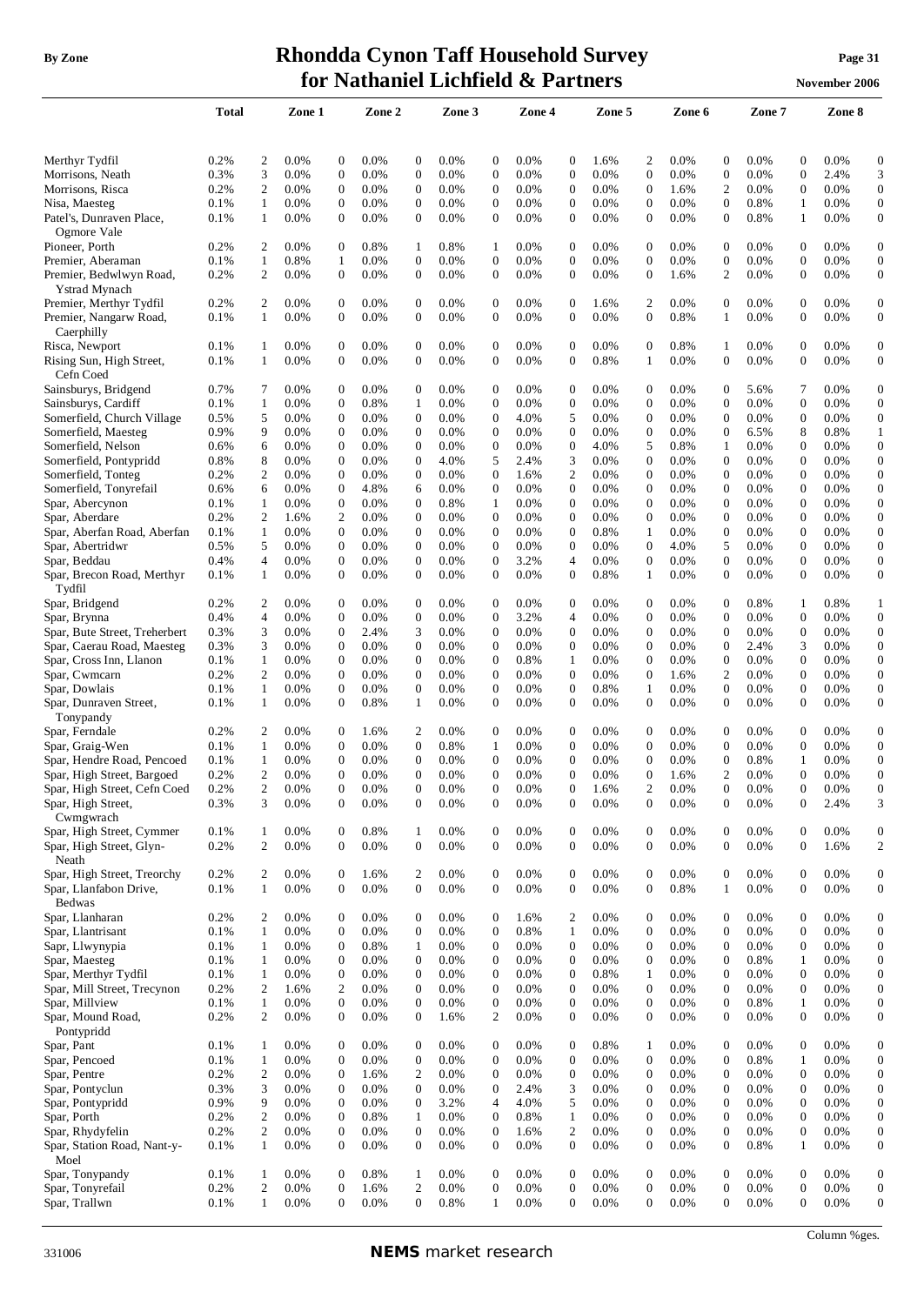## **By** Zone **Rhondda Cynon Taff Household Survey Page** 31 **for Nathaniel Lichfield & Partners November** 2006

|                                               | <b>Total</b> |                       | Zone 1             |                                      | Zone 2       |                       | Zone 3          |                                      | Zone 4       |                                  | Zone 5          |                                      | Zone 6          |                                      | Zone 7             |                                    | Zone 8       |                                      |
|-----------------------------------------------|--------------|-----------------------|--------------------|--------------------------------------|--------------|-----------------------|-----------------|--------------------------------------|--------------|----------------------------------|-----------------|--------------------------------------|-----------------|--------------------------------------|--------------------|------------------------------------|--------------|--------------------------------------|
|                                               |              |                       |                    |                                      |              |                       |                 |                                      |              |                                  |                 |                                      |                 |                                      |                    |                                    |              |                                      |
| Merthyr Tydfil                                | 0.2%         | $\overline{c}$        | 0.0%               | $\boldsymbol{0}$                     | 0.0%         | 0                     | 0.0%            | $\boldsymbol{0}$                     | 0.0%         | $\boldsymbol{0}$                 | 1.6%            | 2                                    | 0.0%            | $\boldsymbol{0}$                     | 0.0%               | $\boldsymbol{0}$                   | 0.0%         | $\boldsymbol{0}$                     |
| Morrisons, Neath                              | 0.3%         | 3                     | 0.0%               | $\mathbf{0}$                         | 0.0%         | 0                     | 0.0%            | $\boldsymbol{0}$                     | 0.0%         | $\boldsymbol{0}$                 | 0.0%            | $\mathbf{0}$                         | 0.0%            | $\boldsymbol{0}$                     | 0.0%               | $\boldsymbol{0}$                   | 2.4%         | 3                                    |
| Morrisons, Risca                              | 0.2%         | 2                     | 0.0%               | $\mathbf{0}$                         | 0.0%         | 0                     | 0.0%            | $\overline{0}$                       | 0.0%         | $\mathbf{0}$                     | 0.0%            | $\mathbf{0}$                         | 1.6%            | $\overline{c}$                       | 0.0%               | $\overline{0}$                     | 0.0%         | $\boldsymbol{0}$                     |
| Nisa, Maesteg                                 | 0.1%         | 1                     | 0.0%               | $\boldsymbol{0}$                     | 0.0%         | 0                     | 0.0%            | $\boldsymbol{0}$                     | 0.0%         | $\boldsymbol{0}$                 | 0.0%            | 0                                    | 0.0%            | 0                                    | 0.8%               | 1                                  | 0.0%         | $\boldsymbol{0}$                     |
| Patel's, Dunraven Place,                      | 0.1%         | 1                     | $0.0\%$            | $\mathbf{0}$                         | 0.0%         | 0                     | 0.0%            | $\boldsymbol{0}$                     | 0.0%         | $\mathbf{0}$                     | 0.0%            | $\mathbf{0}$                         | 0.0%            | 0                                    | 0.8%               | 1                                  | 0.0%         | $\boldsymbol{0}$                     |
| Ogmore Vale                                   |              |                       |                    |                                      |              |                       |                 |                                      |              |                                  |                 |                                      |                 |                                      |                    |                                    |              |                                      |
| Pioneer, Porth                                | 0.2%         | 2                     | 0.0%               | $\boldsymbol{0}$                     | 0.8%         | 1                     | 0.8%            | 1                                    | 0.0%         | 0                                | 0.0%            | $\mathbf{0}$                         | 0.0%            | $\boldsymbol{0}$                     | 0.0%               | 0                                  | 0.0%         | $\boldsymbol{0}$                     |
| Premier, Aberaman                             | 0.1%         | 1                     | 0.8%               | $\mathbf{1}$                         | 0.0%         | 0                     | 0.0%            | $\boldsymbol{0}$                     | 0.0%         | $\boldsymbol{0}$                 | 0.0%            | $\boldsymbol{0}$                     | 0.0%            | $\boldsymbol{0}$                     | 0.0%               | $\boldsymbol{0}$                   | 0.0%         | $\boldsymbol{0}$                     |
| Premier, Bedwlwyn Road,                       | 0.2%         | $\overline{c}$        | 0.0%               | $\boldsymbol{0}$                     | 0.0%         | $\overline{0}$        | 0.0%            | $\boldsymbol{0}$                     | 0.0%         | $\boldsymbol{0}$                 | 0.0%            | $\mathbf{0}$                         | 1.6%            | $\overline{c}$                       | 0.0%               | $\overline{0}$                     | 0.0%         | $\boldsymbol{0}$                     |
| Ystrad Mynach<br>Premier, Merthyr Tydfil      | 0.2%         | 2                     | $0.0\%$            | $\mathbf{0}$                         | 0.0%         | $\mathbf{0}$          | $0.0\%$         | $\boldsymbol{0}$                     | 0.0%         | $\mathbf{0}$                     | 1.6%            | 2                                    | 0.0%            | $\mathbf{0}$                         | $0.0\%$            | 0                                  | 0.0%         | $\boldsymbol{0}$                     |
| Premier, Nangarw Road,                        | 0.1%         | -1                    | $0.0\%$            | $\mathbf{0}$                         | 0.0%         | 0                     | 0.0%            | $\boldsymbol{0}$                     | 0.0%         | $\mathbf{0}$                     | 0.0%            | $\mathbf{0}$                         | 0.8%            | 1                                    | $0.0\%$            | 0                                  | 0.0%         | $\mathbf{0}$                         |
| Caerphilly                                    |              |                       |                    |                                      |              |                       |                 |                                      |              |                                  |                 |                                      |                 |                                      |                    |                                    |              |                                      |
| Risca, Newport                                | 0.1%         | 1                     | $0.0\%$            | $\mathbf{0}$                         | 0.0%         | 0                     | $0.0\%$         | $\boldsymbol{0}$                     | 0.0%         | 0                                | 0.0%            | $\mathbf{0}$                         | 0.8%            | 1                                    | $0.0\%$            | 0                                  | 0.0%         | $\boldsymbol{0}$                     |
| Rising Sun, High Street,                      | 0.1%         | $\mathbf{1}$          | $0.0\%$            | $\mathbf{0}$                         | 0.0%         | 0                     | 0.0%            | $\mathbf{0}$                         | 0.0%         | $\mathbf{0}$                     | 0.8%            | 1                                    | 0.0%            | $\mathbf{0}$                         | 0.0%               | 0                                  | 0.0%         | $\boldsymbol{0}$                     |
| Cefn Coed                                     |              |                       |                    |                                      |              |                       |                 |                                      |              |                                  |                 |                                      |                 |                                      |                    |                                    |              |                                      |
| Sainsburys, Bridgend                          | 0.7%         | 7                     | $0.0\%$            | $\theta$                             | 0.0%         | 0                     | 0.0%            | $\mathbf{0}$                         | 0.0%         | 0                                | $0.0\%$         | $\mathbf{0}$                         | 0.0%            | $\overline{0}$                       | 5.6%               | 7                                  | 0.0%         | $\boldsymbol{0}$                     |
| Sainsburys, Cardiff                           | 0.1%         | $\mathbf{1}$          | 0.0%               | $\mathbf{0}$                         | 0.8%         | 1                     | 0.0%            | $\mathbf{0}$                         | 0.0%         | $\mathbf{0}$                     | 0.0%            | $\mathbf{0}$                         | 0.0%            | $\overline{0}$                       | 0.0%               | $\overline{0}$                     | 0.0%         | $\mathbf{0}$                         |
| Somerfield, Church Village                    | 0.5%         | 5                     | $0.0\%$            | 0                                    | 0.0%         | 0                     | 0.0%            | $\boldsymbol{0}$                     | 4.0%         | 5                                | $0.0\%$         | $\boldsymbol{0}$                     | 0.0%            | $\boldsymbol{0}$                     | 0.0%               | 0                                  | 0.0%         | $\boldsymbol{0}$                     |
| Somerfield, Maesteg                           | 0.9%         | 9                     | 0.0%               | $\overline{0}$                       | 0.0%         | 0                     | 0.0%            | $\boldsymbol{0}$                     | 0.0%         | $\mathbf{0}$                     | $0.0\%$         | $\mathbf{0}$                         | 0.0%            | 0                                    | 6.5%               | 8                                  | 0.8%         | 1                                    |
| Somerfield, Nelson                            | 0.6%         | 6                     | $0.0\%$            | $\mathbf{0}$                         | 0.0%         | 0                     | 0.0%            | $\boldsymbol{0}$                     | 0.0%         | $\boldsymbol{0}$                 | 4.0%            | 5                                    | 0.8%            | 1                                    | $0.0\%$            | 0                                  | 0.0%         | $\boldsymbol{0}$                     |
| Somerfield, Pontypridd                        | 0.8%         | 8                     | 0.0%               | $\mathbf{0}$                         | 0.0%         | 0                     | 4.0%            | 5                                    | 2.4%         | 3                                | $0.0\%$         | $\mathbf{0}$                         | 0.0%            | $\boldsymbol{0}$                     | 0.0%               | 0                                  | 0.0%         | $\boldsymbol{0}$                     |
| Somerfield, Tonteg                            | 0.2%         | 2                     | $0.0\%$            | $\mathbf{0}$                         | 0.0%         | 0                     | 0.0%            | $\boldsymbol{0}$                     | 1.6%         | 2                                | 0.0%            | $\boldsymbol{0}$                     | 0.0%            | $\boldsymbol{0}$                     | 0.0%               | 0                                  | 0.0%         | $\boldsymbol{0}$                     |
| Somerfield, Tonyrefail                        | 0.6%         | 6                     | $0.0\%$            | $\mathbf{0}$                         | 4.8%         | 6                     | 0.0%            | $\boldsymbol{0}$                     | 0.0%         | $\boldsymbol{0}$                 | $0.0\%$         | $\mathbf{0}$                         | 0.0%            | $\overline{0}$                       | $0.0\%$            | $\overline{0}$                     | 0.0%         | $\boldsymbol{0}$                     |
| Spar, Abercynon                               | 0.1%         | 1                     | $0.0\%$            | $\mathbf{0}$                         | 0.0%         | 0                     | 0.8%            | $\mathbf{1}$                         | 0.0%         | $\boldsymbol{0}$                 | $0.0\%$         | $\mathbf{0}$                         | $0.0\%$         | $\boldsymbol{0}$                     | $0.0\%$            | 0                                  | 0.0%         | $\boldsymbol{0}$                     |
| Spar, Aberdare<br>Spar, Aberfan Road, Aberfan | 0.2%<br>0.1% | 2<br>1                | 1.6%<br>$0.0\%$    | 2<br>$\mathbf{0}$                    | 0.0%<br>0.0% | 0<br>0                | $0.0\%$<br>0.0% | $\boldsymbol{0}$<br>$\boldsymbol{0}$ | 0.0%<br>0.0% | $\boldsymbol{0}$<br>0            | $0.0\%$<br>0.8% | 0<br>1                               | 0.0%<br>0.0%    | $\boldsymbol{0}$<br>$\boldsymbol{0}$ | $0.0\%$<br>$0.0\%$ | 0<br>0                             | 0.0%<br>0.0% | $\boldsymbol{0}$<br>$\boldsymbol{0}$ |
| Spar, Abertridwr                              | 0.5%         | 5                     | $0.0\%$            | $\boldsymbol{0}$                     | 0.0%         | 0                     | 0.0%            | $\mathbf{0}$                         | 0.0%         | $\boldsymbol{0}$                 | $0.0\%$         | $\mathbf{0}$                         | 4.0%            | 5                                    | $0.0\%$            | 0                                  | 0.0%         | $\boldsymbol{0}$                     |
| Spar, Beddau                                  | 0.4%         | $\overline{4}$        | $0.0\%$            | $\boldsymbol{0}$                     | 0.0%         | 0                     | $0.0\%$         | $\boldsymbol{0}$                     | 3.2%         | 4                                | $0.0\%$         | $\mathbf{0}$                         | 0.0%            | $\boldsymbol{0}$                     | $0.0\%$            | 0                                  | 0.0%         | $\boldsymbol{0}$                     |
| Spar, Brecon Road, Merthyr                    | 0.1%         | 1                     | $0.0\%$            | $\boldsymbol{0}$                     | 0.0%         | 0                     | 0.0%            | $\mathbf{0}$                         | 0.0%         | $\boldsymbol{0}$                 | 0.8%            | 1                                    | 0.0%            | 0                                    | 0.0%               | 0                                  | 0.0%         | $\boldsymbol{0}$                     |
| Tydfil                                        |              |                       |                    |                                      |              |                       |                 |                                      |              |                                  |                 |                                      |                 |                                      |                    |                                    |              |                                      |
| Spar, Bridgend                                | 0.2%         | 2                     | 0.0%               | $\overline{0}$                       | 0.0%         | 0                     | 0.0%            | $\mathbf{0}$                         | 0.0%         | 0                                | 0.0%            | $\mathbf{0}$                         | 0.0%            | $\overline{0}$                       | 0.8%               | 1                                  | 0.8%         | 1                                    |
| Spar, Brynna                                  | 0.4%         | $\overline{4}$        | 0.0%               | $\mathbf{0}$                         | 0.0%         | 0                     | 0.0%            | $\mathbf{0}$                         | 3.2%         | 4                                | 0.0%            | $\mathbf{0}$                         | 0.0%            | $\overline{0}$                       | 0.0%               | $\overline{0}$                     | 0.0%         | $\boldsymbol{0}$                     |
| Spar, Bute Street, Treherbert                 | 0.3%         | 3                     | $0.0\%$            | $\boldsymbol{0}$                     | 2.4%         | 3                     | 0.0%            | $\boldsymbol{0}$                     | 0.0%         | $\boldsymbol{0}$                 | $0.0\%$         | 0                                    | $0.0\%$         | $\boldsymbol{0}$                     | $0.0\%$            | 0                                  | 0.0%         | $\boldsymbol{0}$                     |
| Spar, Caerau Road, Maesteg                    | 0.3%         | 3                     | $0.0\%$            | $\mathbf{0}$                         | 0.0%         | 0                     | 0.0%            | $\boldsymbol{0}$                     | 0.0%         | $\mathbf{0}$                     | $0.0\%$         | $\mathbf{0}$                         | 0.0%            | $\mathbf{0}$                         | 2.4%               | 3                                  | 0.0%         | $\boldsymbol{0}$                     |
| Spar, Cross Inn, Llanon                       | 0.1%         | 1                     | $0.0\%$            | $\mathbf{0}$                         | 0.0%         | 0                     | 0.0%            | $\boldsymbol{0}$                     | 0.8%         | 1                                | $0.0\%$         | $\mathbf{0}$                         | 0.0%            | $\boldsymbol{0}$                     | $0.0\%$            | 0                                  | 0.0%         | $\boldsymbol{0}$                     |
| Spar, Cwmcarn                                 | 0.2%         | $\overline{c}$        | 0.0%               | $\mathbf{0}$                         | 0.0%         | 0                     | 0.0%            | $\boldsymbol{0}$                     | 0.0%         | $\boldsymbol{0}$                 | $0.0\%$         | $\mathbf{0}$                         | 1.6%            | $\overline{c}$                       | 0.0%               | 0                                  | 0.0%         | $\boldsymbol{0}$                     |
| Spar, Dowlais                                 | 0.1%         | 1                     | 0.0%               | $\mathbf{0}$                         | 0.0%         | 0                     | 0.0%            | $\boldsymbol{0}$                     | 0.0%         | $\boldsymbol{0}$                 | 0.8%            | 1                                    | 0.0%            | $\boldsymbol{0}$                     | 0.0%               | $\boldsymbol{0}$                   | 0.0%         | $\boldsymbol{0}$                     |
| Spar, Dunraven Street,                        | 0.1%         | 1                     | $0.0\%$            | $\boldsymbol{0}$                     | 0.8%         | 1                     | 0.0%            | $\boldsymbol{0}$                     | 0.0%         | $\boldsymbol{0}$                 | 0.0%            | $\mathbf{0}$                         | 0.0%            | $\overline{0}$                       | 0.0%               | $\theta$                           | 0.0%         | $\boldsymbol{0}$                     |
| Tonypandy                                     |              |                       |                    |                                      |              |                       |                 |                                      |              |                                  |                 |                                      |                 |                                      |                    |                                    |              |                                      |
| Spar, Ferndale                                | 0.2%         | 2                     | $0.0\%$            | $\mathbf 0$                          | 1.6%         | 2                     | 0.0%            | $\mathbf 0$                          | 0.0%         | 0                                | $0.0\%$         | 0                                    | 0.0%            | $\mathbf{0}$<br>$\boldsymbol{0}$     | $0.0\%$            | 0                                  | 0.0%         | $\boldsymbol{0}$<br>$\boldsymbol{0}$ |
| Spar, Graig-Wen<br>Spar, Hendre Road, Pencoed | 0.1%<br>0.1% | 1<br>1                | $0.0\%$<br>$0.0\%$ | $\mathbf 0$<br>$\overline{0}$        | 0.0%<br>0.0% | 0<br>0                | 0.8%<br>0.0%    | 1<br>$\mathbf{0}$                    | 0.0%<br>0.0% | 0<br>$\boldsymbol{0}$            | $0.0\%$<br>0.0% | 0<br>0                               | 0.0%<br>$0.0\%$ | 0                                    | $0.0\%$<br>0.8%    | 0<br>1                             | 0.0%<br>0.0% | $\boldsymbol{0}$                     |
| Spar, High Street, Bargoed                    | 0.2%         | $\overline{c}$        | 0.0%               | $\overline{0}$                       | 0.0%         | 0                     | 0.0%            | $\mathbf{0}$                         | 0.0%         | $\overline{0}$                   | 0.0%            | $\Omega$                             | 1.6%            | $\overline{c}$                       | 0.0%               | $\overline{0}$                     | 0.0%         | $\mathbf{0}$                         |
| Spar, High Street, Cefn Coed                  | 0.2%         | 2                     | 0.0%               | 0                                    | 0.0%         |                       | 0.0%            | $\boldsymbol{0}$                     | 0.0%         | 0                                | 1.6%            |                                      | 0.0%            | 0                                    | 0.0%               |                                    | 0.0%         | $\mathbf{0}$                         |
| Spar, High Street,                            | 0.3%         | 3                     | 0.0%               | $\overline{0}$                       | 0.0%         | $\overline{0}$        | 0.0%            | $\boldsymbol{0}$                     | 0.0%         | $\mathbf{0}$                     | 0.0%            | $\overline{0}$                       | 0.0%            | $\overline{0}$                       | 0.0%               | $\overline{0}$                     | 2.4%         | 3                                    |
| Cwmgwrach                                     |              |                       |                    |                                      |              |                       |                 |                                      |              |                                  |                 |                                      |                 |                                      |                    |                                    |              |                                      |
| Spar, High Street, Cymmer                     | 0.1%         | 1                     | 0.0%               | $\boldsymbol{0}$                     | 0.8%         | $\mathbf{1}$          | 0.0%            | $\boldsymbol{0}$                     | 0.0%         | 0                                | 0.0%            | 0                                    | 0.0%            | $\boldsymbol{0}$                     | 0.0%               | $\overline{0}$                     | 0.0%         | $\boldsymbol{0}$                     |
| Spar, High Street, Glyn-                      | 0.2%         | $\mathfrak{2}$        | 0.0%               | $\boldsymbol{0}$                     | 0.0%         | $\overline{0}$        | 0.0%            | $\boldsymbol{0}$                     | 0.0%         | $\boldsymbol{0}$                 | 0.0%            | $\boldsymbol{0}$                     | 0.0%            | $\boldsymbol{0}$                     | 0.0%               | $\overline{0}$                     | 1.6%         | $\sqrt{2}$                           |
| Neath                                         |              |                       |                    |                                      |              |                       |                 |                                      |              |                                  |                 |                                      |                 |                                      |                    |                                    |              |                                      |
| Spar, High Street, Treorchy                   | 0.2%         | 2                     | 0.0%               | $\mathbf{0}$                         | 1.6%         | 2                     | 0.0%            | $\boldsymbol{0}$                     | 0.0%         | $\boldsymbol{0}$                 | 0.0%            | $\boldsymbol{0}$                     | 0.0%            | $\boldsymbol{0}$                     | 0.0%               | $\boldsymbol{0}$                   | 0.0%         | $\mathbf{0}$                         |
| Spar, Llanfabon Drive,                        | 0.1%         | $\mathbf{1}$          | 0.0%               | $\mathbf{0}$                         | 0.0%         | $\overline{0}$        | 0.0%            | $\boldsymbol{0}$                     | 0.0%         | $\boldsymbol{0}$                 | 0.0%            | $\boldsymbol{0}$                     | 0.8%            | $\mathbf{1}$                         | 0.0%               | $\overline{0}$                     | 0.0%         | $\boldsymbol{0}$                     |
| <b>Bedwas</b>                                 |              |                       |                    |                                      |              |                       |                 |                                      |              |                                  |                 |                                      |                 |                                      |                    |                                    |              |                                      |
| Spar, Llanharan                               | 0.2%         | $\overline{c}$        | 0.0%               | $\boldsymbol{0}$                     | 0.0%         | $\overline{0}$        | 0.0%            | $\boldsymbol{0}$                     | 1.6%         | 2                                | 0.0%            | $\boldsymbol{0}$                     | 0.0%            | $\boldsymbol{0}$                     | 0.0%               | $\overline{0}$                     | 0.0%         | $\boldsymbol{0}$                     |
| Spar, Llantrisant                             | 0.1%         | $\mathbf{1}$          | 0.0%               | $\boldsymbol{0}$<br>$\boldsymbol{0}$ | 0.0%<br>0.8% | $\boldsymbol{0}$<br>1 | 0.0%<br>0.0%    | $\boldsymbol{0}$<br>$\boldsymbol{0}$ | 0.8%<br>0.0% | $\mathbf{1}$<br>$\boldsymbol{0}$ | 0.0%<br>0.0%    | $\boldsymbol{0}$<br>$\boldsymbol{0}$ | 0.0%<br>0.0%    | $\boldsymbol{0}$<br>$\boldsymbol{0}$ | 0.0%<br>0.0%       | $\boldsymbol{0}$<br>$\overline{0}$ | 0.0%<br>0.0% | $\boldsymbol{0}$<br>$\boldsymbol{0}$ |
| Sapr, Llwynypia<br>Spar, Maesteg              | 0.1%<br>0.1% | 1<br>1                | $0.0\%$<br>0.0%    | $\mathbf{0}$                         | 0.0%         | 0                     | 0.0%            | $\boldsymbol{0}$                     | 0.0%         | $\boldsymbol{0}$                 | 0.0%            | $\mathbf 0$                          | 0.0%            | $\boldsymbol{0}$                     | 0.8%               | 1                                  | 0.0%         | $\boldsymbol{0}$                     |
| Spar, Merthyr Tydfil                          | 0.1%         | $\mathbf{1}$          | 0.0%               | $\boldsymbol{0}$                     | 0.0%         | 0                     | 0.0%            | $\boldsymbol{0}$                     | 0.0%         | $\boldsymbol{0}$                 | 0.8%            | $\mathbf{1}$                         | 0.0%            | $\boldsymbol{0}$                     | 0.0%               | $\boldsymbol{0}$                   | 0.0%         | $\boldsymbol{0}$                     |
| Spar, Mill Street, Trecynon                   | 0.2%         | $\overline{c}$        | 1.6%               | $\overline{c}$                       | 0.0%         | 0                     | 0.0%            | $\boldsymbol{0}$                     | 0.0%         | $\mathbf{0}$                     | 0.0%            | $\mathbf{0}$                         | 0.0%            | $\mathbf{0}$                         | 0.0%               | $\overline{0}$                     | 0.0%         | $\boldsymbol{0}$                     |
| Spar, Millview                                | 0.1%         | $\mathbf{1}$          | 0.0%               | $\boldsymbol{0}$                     | 0.0%         | 0                     | 0.0%            | $\boldsymbol{0}$                     | 0.0%         | $\boldsymbol{0}$                 | 0.0%            | $\mathbf{0}$                         | 0.0%            | 0                                    | 0.8%               | $\mathbf{1}$                       | 0.0%         | $\boldsymbol{0}$                     |
| Spar, Mound Road,                             | 0.2%         | $\overline{c}$        | 0.0%               | $\boldsymbol{0}$                     | 0.0%         | 0                     | 1.6%            | $\mathfrak{2}$                       | 0.0%         | 0                                | 0.0%            | $\mathbf{0}$                         | 0.0%            | $\boldsymbol{0}$                     | 0.0%               | $\overline{0}$                     | 0.0%         | $\boldsymbol{0}$                     |
| Pontypridd                                    |              |                       |                    |                                      |              |                       |                 |                                      |              |                                  |                 |                                      |                 |                                      |                    |                                    |              |                                      |
| Spar, Pant                                    | 0.1%         | -1                    | 0.0%               | $\boldsymbol{0}$                     | 0.0%         | $\overline{0}$        | 0.0%            | $\boldsymbol{0}$                     | 0.0%         | $\boldsymbol{0}$                 | 0.8%            | 1                                    | 0.0%            | $\boldsymbol{0}$                     | 0.0%               | $\overline{0}$                     | 0.0%         | $\boldsymbol{0}$                     |
| Spar, Pencoed                                 | 0.1%         | 1                     | 0.0%               | $\mathbf{0}$                         | 0.0%         | 0                     | 0.0%            | $\boldsymbol{0}$                     | 0.0%         | $\boldsymbol{0}$                 | 0.0%            | $\boldsymbol{0}$                     | 0.0%            | $\boldsymbol{0}$                     | 0.8%               | 1                                  | 0.0%         | $\boldsymbol{0}$                     |
| Spar, Pentre                                  | 0.2%         | $\overline{c}$        | 0.0%               | $\overline{0}$                       | 1.6%         | 2                     | 0.0%            | $\boldsymbol{0}$                     | 0.0%         | $\boldsymbol{0}$                 | 0.0%            | $\mathbf{0}$                         | 0.0%            | $\boldsymbol{0}$                     | 0.0%               | $\overline{0}$                     | 0.0%         | $\boldsymbol{0}$                     |
| Spar, Pontyclun                               | 0.3%         | 3                     | 0.0%               | $\mathbf{0}$                         | 0.0%         | 0                     | 0.0%            | $\boldsymbol{0}$                     | 2.4%         | 3                                | 0.0%            | 0                                    | 0.0%            | $\boldsymbol{0}$                     | 0.0%               | $\boldsymbol{0}$                   | 0.0%         | $\boldsymbol{0}$                     |
| Spar, Pontypridd                              | 0.9%         | 9                     | 0.0%               | $\boldsymbol{0}$                     | 0.0%         | 0                     | 3.2%            | $\overline{4}$                       | 4.0%         | 5                                | 0.0%            | $\mathbf{0}$                         | 0.0%            | $\boldsymbol{0}$                     | 0.0%               | 0                                  | 0.0%         | $\boldsymbol{0}$                     |
| Spar, Porth                                   | 0.2%         | $\overline{c}$        | 0.0%               | $\mathbf{0}$                         | 0.8%         | 1                     | 0.0%            | $\boldsymbol{0}$                     | 0.8%         | $\mathbf{1}$                     | 0.0%            | $\boldsymbol{0}$                     | 0.0%            | $\boldsymbol{0}$                     | 0.0%               | $\boldsymbol{0}$                   | 0.0%         | $\boldsymbol{0}$                     |
| Spar, Rhydyfelin                              | 0.2%         | $\mathfrak{2}$        | 0.0%               | $\boldsymbol{0}$                     | 0.0%         | $\mathbf{0}$          | 0.0%            | $\boldsymbol{0}$                     | 1.6%         | $\overline{c}$                   | 0.0%            | $\boldsymbol{0}$                     | 0.0%            | $\boldsymbol{0}$                     | 0.0%               | $\overline{0}$                     | 0.0%         | $\boldsymbol{0}$                     |
| Spar, Station Road, Nant-y-                   | 0.1%         | 1                     | 0.0%               | $\mathbf{0}$                         | 0.0%         | 0                     | 0.0%            | $\boldsymbol{0}$                     | 0.0%         | $\boldsymbol{0}$                 | 0.0%            | $\mathbf{0}$                         | 0.0%            | $\boldsymbol{0}$                     | 0.8%               | 1                                  | 0.0%         | $\boldsymbol{0}$                     |
| Moel                                          |              |                       |                    |                                      |              |                       |                 |                                      |              |                                  |                 |                                      |                 |                                      |                    |                                    |              |                                      |
| Spar, Tonypandy<br>Spar, Tonyrefail           | 0.1%         | 1                     | 0.0%               | $\mathbf{0}$                         | 0.8%         | 1                     | 0.0%            | $\boldsymbol{0}$<br>$\boldsymbol{0}$ | 0.0%         | $\boldsymbol{0}$                 | 0.0%<br>0.0%    | $\mathbf{0}$                         | 0.0%            | $\boldsymbol{0}$<br>$\boldsymbol{0}$ | 0.0%               | $\boldsymbol{0}$                   | 0.0%         | $\boldsymbol{0}$                     |
| Spar, Trallwn                                 | 0.2%<br>0.1% | $\boldsymbol{2}$<br>1 | 0.0%<br>0.0%       | $\boldsymbol{0}$<br>$\overline{0}$   | 1.6%<br>0.0% | 2<br>$\overline{0}$   | 0.0%<br>0.8%    | 1                                    | 0.0%<br>0.0% | $\boldsymbol{0}$<br>$\mathbf{0}$ | 0.0%            | $\boldsymbol{0}$<br>$\mathbf{0}$     | 0.0%<br>0.0%    | $\overline{0}$                       | 0.0%<br>0.0%       | $\boldsymbol{0}$<br>$\overline{0}$ | 0.0%<br>0.0% | $\boldsymbol{0}$<br>$\boldsymbol{0}$ |
|                                               |              |                       |                    |                                      |              |                       |                 |                                      |              |                                  |                 |                                      |                 |                                      |                    |                                    |              |                                      |

Column %ges.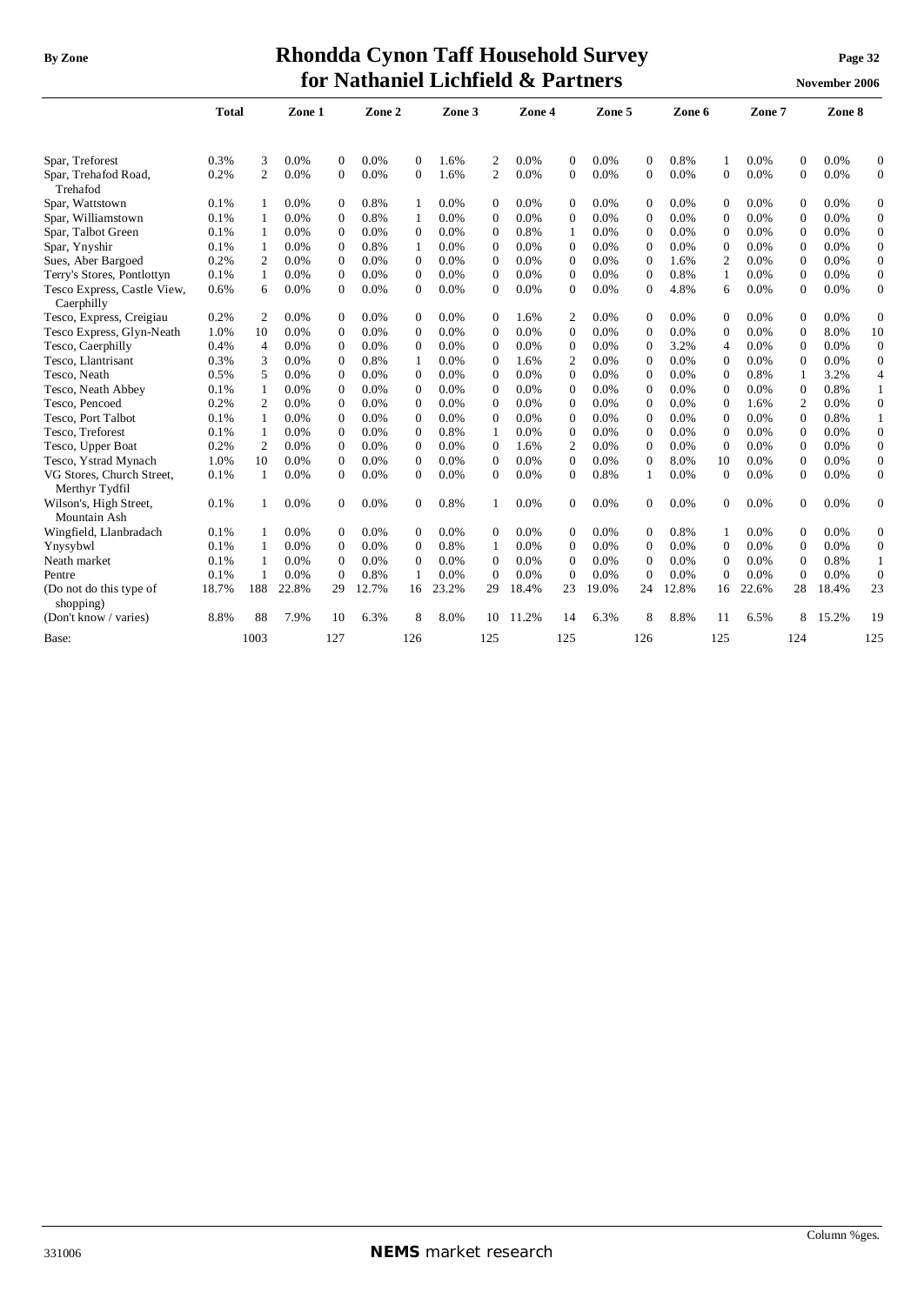# **By** Zone **Rhondda Cynon Taff Household Survey Page** 32

| <b>By Zone</b>                   |              |   |         |          |         |          |        |             | Rhondda Cynon Taff Household Survey |          |         |          |          |          |         |          | Page 32       |          |
|----------------------------------|--------------|---|---------|----------|---------|----------|--------|-------------|-------------------------------------|----------|---------|----------|----------|----------|---------|----------|---------------|----------|
|                                  |              |   |         |          |         |          |        |             | for Nathaniel Lichfield & Partners  |          |         |          |          |          |         |          | November 2006 |          |
|                                  | <b>Total</b> |   | Zone 1  |          | Zone 2  |          | Zone 3 |             | Zone 4                              |          | Zone 5  |          | Zone 6   |          | Zone 7  |          | Zone 8        |          |
| Spar, Treforest                  | 0.3%         | 3 | $0.0\%$ | 0        | $0.0\%$ | 0        | 1.6%   | $2^{\circ}$ | $0.0\%$                             | $\Omega$ | $0.0\%$ | $\Omega$ | 0.8%     |          | $0.0\%$ | $\Omega$ | $0.0\%$       | $\Omega$ |
| Spar, Trehafod Road,<br>Trehafod | 0.2%         |   | $0.0\%$ | 0        | $0.0\%$ | $\Omega$ | 1.6%   |             | $0.0\%$                             | $\theta$ | $0.0\%$ | 0        | $0.0\%$  | 0        | $0.0\%$ | $\Omega$ | $0.0\%$       | $\Omega$ |
| Spar, Wattstown                  | $0.1\%$      |   | $0.0\%$ | $\Omega$ | 0.8%    |          | 0.0%   | 0           | $0.0\%$                             | $\Omega$ | $0.0\%$ | $\Omega$ | $0.0\%$  | 0        | $0.0\%$ | $\Omega$ | $0.0\%$       | $\Omega$ |
| Spar, Williamstown               | $0.1\%$      |   | 0.0%    | 0        | 0.8%    |          | 0.0%   | 0           | $0.0\%$                             | $\Omega$ | $0.0\%$ | 0        | $0.0\%$  | 0        | $0.0\%$ | $\Omega$ | $0.0\%$       | $\Omega$ |
| $\alpha$ mu $\alpha$             | 0.101        |   | 0.001   | $\Omega$ | 0.001   | $\Omega$ | 0.001  | $\sim$      | 0.001                               |          | 0.001   | $\sim$   | $\Omega$ | $\Omega$ | 0.02    | $\sim$   | 0.001         | $\sim$   |

| эраг, гтеготем                            | U.J 70 | J              | 0.070 |              | V.V 70 |                | 1.U70 |                | V.V 70 | $\mathbf{u}$     | 0.070 |                | V.O 70 |                | V.V 70  |                | 0.070 |                  |
|-------------------------------------------|--------|----------------|-------|--------------|--------|----------------|-------|----------------|--------|------------------|-------|----------------|--------|----------------|---------|----------------|-------|------------------|
| Spar, Trehafod Road,<br>Trehafod          | 0.2%   | $\overline{c}$ | 0.0%  | $\mathbf{0}$ | 0.0%   | $\Omega$       | 1.6%  | 2              | 0.0%   | $\boldsymbol{0}$ | 0.0%  | $\mathbf{0}$   | 0.0%   | 0              | 0.0%    | $\overline{0}$ | 0.0%  | $\overline{0}$   |
| Spar, Wattstown                           | 0.1%   |                | 0.0%  | $\Omega$     | 0.8%   |                | 0.0%  | $\mathbf{0}$   | 0.0%   | $\Omega$         | 0.0%  | $\mathbf{0}$   | 0.0%   | $\Omega$       | 0.0%    | $\Omega$       | 0.0%  | $\mathbf{0}$     |
| Spar, Williamstown                        | 0.1%   |                | 0.0%  | $\Omega$     | 0.8%   | 1              | 0.0%  | $\Omega$       | 0.0%   | $\Omega$         | 0.0%  | $\Omega$       | 0.0%   | $\Omega$       | 0.0%    | $\theta$       | 0.0%  | $\boldsymbol{0}$ |
| Spar, Talbot Green                        | 0.1%   |                | 0.0%  | $\Omega$     | 0.0%   | $\Omega$       | 0.0%  | $\Omega$       | 0.8%   | 1                | 0.0%  | $\Omega$       | 0.0%   | $\Omega$       | 0.0%    | $\theta$       | 0.0%  | $\boldsymbol{0}$ |
| Spar, Ynyshir                             | 0.1%   |                | 0.0%  | $\mathbf{0}$ | 0.8%   | 1              | 0.0%  | $\mathbf{0}$   | 0.0%   | $\mathbf{0}$     | 0.0%  | $\mathbf{0}$   | 0.0%   | $\theta$       | 0.0%    | $\overline{0}$ | 0.0%  | $\mathbf{0}$     |
| Sues, Aber Bargoed                        | 0.2%   | 2              | 0.0%  | $\mathbf{0}$ | 0.0%   | $\Omega$       | 0.0%  | $\mathbf{0}$   | 0.0%   | $\mathbf{0}$     | 0.0%  | $\overline{0}$ | 1.6%   | 2              | 0.0%    | $\Omega$       | 0.0%  | $\overline{0}$   |
| Terry's Stores, Pontlottyn                | 0.1%   | 1              | 0.0%  | $\Omega$     | 0.0%   | $\Omega$       | 0.0%  | $\Omega$       | 0.0%   | $\Omega$         | 0.0%  | $\Omega$       | 0.8%   | 1              | 0.0%    | $\Omega$       | 0.0%  | $\overline{0}$   |
| Tesco Express, Castle View,<br>Caerphilly | 0.6%   | 6              | 0.0%  | $\Omega$     | 0.0%   | 0              | 0.0%  | $\mathbf{0}$   | 0.0%   | $\Omega$         | 0.0%  | $\Omega$       | 4.8%   | 6              | 0.0%    | $\Omega$       | 0.0%  | $\overline{0}$   |
| Tesco, Express, Creigiau                  | 0.2%   | $\overline{c}$ | 0.0%  | $\Omega$     | 0.0%   | 0              | 0.0%  | $\Omega$       | 1.6%   | 2                | 0.0%  | $\Omega$       | 0.0%   | $\Omega$       | 0.0%    | $\Omega$       | 0.0%  | $\mathbf{0}$     |
| Tesco Express, Glyn-Neath                 | 1.0%   | 10             | 0.0%  | $\Omega$     | 0.0%   | $\Omega$       | 0.0%  | $\Omega$       | 0.0%   | $\Omega$         | 0.0%  | $\Omega$       | 0.0%   | $\Omega$       | 0.0%    | $\theta$       | 8.0%  | 10               |
| Tesco, Caerphilly                         | 0.4%   | $\overline{4}$ | 0.0%  | $\mathbf{0}$ | 0.0%   | $\Omega$       | 0.0%  | $\mathbf{0}$   | 0.0%   | $\Omega$         | 0.0%  | $\mathbf{0}$   | 3.2%   | $\overline{4}$ | 0.0%    | $\theta$       | 0.0%  | $\mathbf{0}$     |
| Tesco, Llantrisant                        | 0.3%   | 3              | 0.0%  | $\mathbf{0}$ | 0.8%   | 1              | 0.0%  | $\mathbf{0}$   | 1.6%   | $\overline{c}$   | 0.0%  | $\mathbf{0}$   | 0.0%   | $\mathbf{0}$   | 0.0%    | $\Omega$       | 0.0%  | $\mathbf{0}$     |
| Tesco, Neath                              | 0.5%   | 5              | 0.0%  | $\Omega$     | 0.0%   | $\Omega$       | 0.0%  | $\Omega$       | 0.0%   | $\Omega$         | 0.0%  | $\mathbf{0}$   | 0.0%   | $\Omega$       | 0.8%    |                | 3.2%  | $\overline{4}$   |
| Tesco, Neath Abbey                        | 0.1%   | $\mathbf{1}$   | 0.0%  | $\mathbf{0}$ | 0.0%   | $\Omega$       | 0.0%  | $\Omega$       | 0.0%   | $\Omega$         | 0.0%  | $\Omega$       | 0.0%   | $\Omega$       | 0.0%    | $\Omega$       | 0.8%  | $\mathbf{1}$     |
| Tesco, Pencoed                            | 0.2%   | 2              | 0.0%  | $\mathbf{0}$ | 0.0%   | $\Omega$       | 0.0%  | $\mathbf{0}$   | 0.0%   | $\mathbf{0}$     | 0.0%  | $\mathbf{0}$   | 0.0%   | $\theta$       | 1.6%    | $\overline{2}$ | 0.0%  | $\mathbf{0}$     |
| Tesco, Port Talbot                        | 0.1%   | -1             | 0.0%  | $\mathbf{0}$ | 0.0%   | $\Omega$       | 0.0%  | $\mathbf{0}$   | 0.0%   | $\Omega$         | 0.0%  | $\theta$       | 0.0%   | $\Omega$       | 0.0%    | $\theta$       | 0.8%  | $\mathbf{1}$     |
| Tesco, Treforest                          | 0.1%   |                | 0.0%  | $\mathbf{0}$ | 0.0%   | $\Omega$       | 0.8%  |                | 0.0%   | $\mathbf{0}$     | 0.0%  | $\mathbf{0}$   | 0.0%   | $\Omega$       | 0.0%    | $\Omega$       | 0.0%  | $\overline{0}$   |
| Tesco, Upper Boat                         | 0.2%   | $\overline{c}$ | 0.0%  | $\Omega$     | 0.0%   | $\Omega$       | 0.0%  | $\Omega$       | 1.6%   | $\overline{c}$   | 0.0%  | $\Omega$       | 0.0%   | $\Omega$       | 0.0%    | $\theta$       | 0.0%  | $\mathbf{0}$     |
| Tesco, Ystrad Mynach                      | 1.0%   | 10             | 0.0%  | $\mathbf{0}$ | 0.0%   | $\Omega$       | 0.0%  | $\Omega$       | 0.0%   | $\Omega$         | 0.0%  | $\Omega$       | 8.0%   | 10             | 0.0%    | $\Omega$       | 0.0%  | $\overline{0}$   |
| VG Stores, Church Street,                 | 0.1%   | 1              | 0.0%  | $\mathbf{0}$ | 0.0%   | $\Omega$       | 0.0%  | $\overline{0}$ | 0.0%   | $\Omega$         | 0.8%  |                | 0.0%   | $\Omega$       | 0.0%    | $\theta$       | 0.0%  | $\overline{0}$   |
| Merthyr Tydfil                            |        |                |       |              |        |                |       |                |        |                  |       |                |        |                |         |                |       |                  |
| Wilson's, High Street,                    | 0.1%   |                | 0.0%  | $\mathbf{0}$ | 0.0%   | $\overline{0}$ | 0.8%  | 1              | 0.0%   | $\overline{0}$   | 0.0%  | $\mathbf{0}$   | 0.0%   | $\overline{0}$ | 0.0%    | $\overline{0}$ | 0.0%  | $\overline{0}$   |
| Mountain Ash                              |        |                |       |              |        |                |       |                |        |                  |       |                |        |                |         |                |       |                  |
| Wingfield, Llanbradach                    | 0.1%   |                | 0.0%  | $\mathbf{0}$ | 0.0%   | $\Omega$       | 0.0%  | $\mathbf{0}$   | 0.0%   | $\mathbf{0}$     | 0.0%  | $\mathbf{0}$   | 0.8%   | 1              | $0.0\%$ | $\overline{0}$ | 0.0%  | $\boldsymbol{0}$ |
| Ynysybwl                                  | 0.1%   |                | 0.0%  | $\mathbf{0}$ | 0.0%   | $\Omega$       | 0.8%  | 1              | 0.0%   | $\Omega$         | 0.0%  | $\Omega$       | 0.0%   | $\Omega$       | 0.0%    | $\Omega$       | 0.0%  | $\mathbf{0}$     |
| Neath market                              | 0.1%   |                | 0.0%  | $\mathbf{0}$ | 0.0%   | $\Omega$       | 0.0%  | $\mathbf{0}$   | 0.0%   | $\Omega$         | 0.0%  | $\Omega$       | 0.0%   | $\Omega$       | 0.0%    | $\Omega$       | 0.8%  | $\mathbf{1}$     |
| Pentre                                    | 0.1%   |                | 0.0%  | $\mathbf{0}$ | 0.8%   | $\mathbf{1}$   | 0.0%  | $\mathbf{0}$   | 0.0%   | $\Omega$         | 0.0%  | $\Omega$       | 0.0%   | $\Omega$       | 0.0%    | $\Omega$       | 0.0%  | $\overline{0}$   |
| (Do not do this type of<br>shopping)      | 18.7%  | 188            | 22.8% | 29           | 12.7%  | 16             | 23.2% | 29             | 18.4%  | 23               | 19.0% | 24             | 12.8%  | 16             | 22.6%   | 28             | 18.4% | 23               |
| (Don't know / varies)                     | 8.8%   | 88             | 7.9%  | 10           | 6.3%   | 8              | 8.0%  | 10             | 11.2%  | 14               | 6.3%  | 8              | 8.8%   | 11             | 6.5%    | 8              | 15.2% | 19               |
| Base:                                     |        | 1003           |       | 127          |        | 126            |       | 125            |        | 125              |       | 126            |        | 125            |         | 124            |       | 125              |
|                                           |        |                |       |              |        |                |       |                |        |                  |       |                |        |                |         |                |       |                  |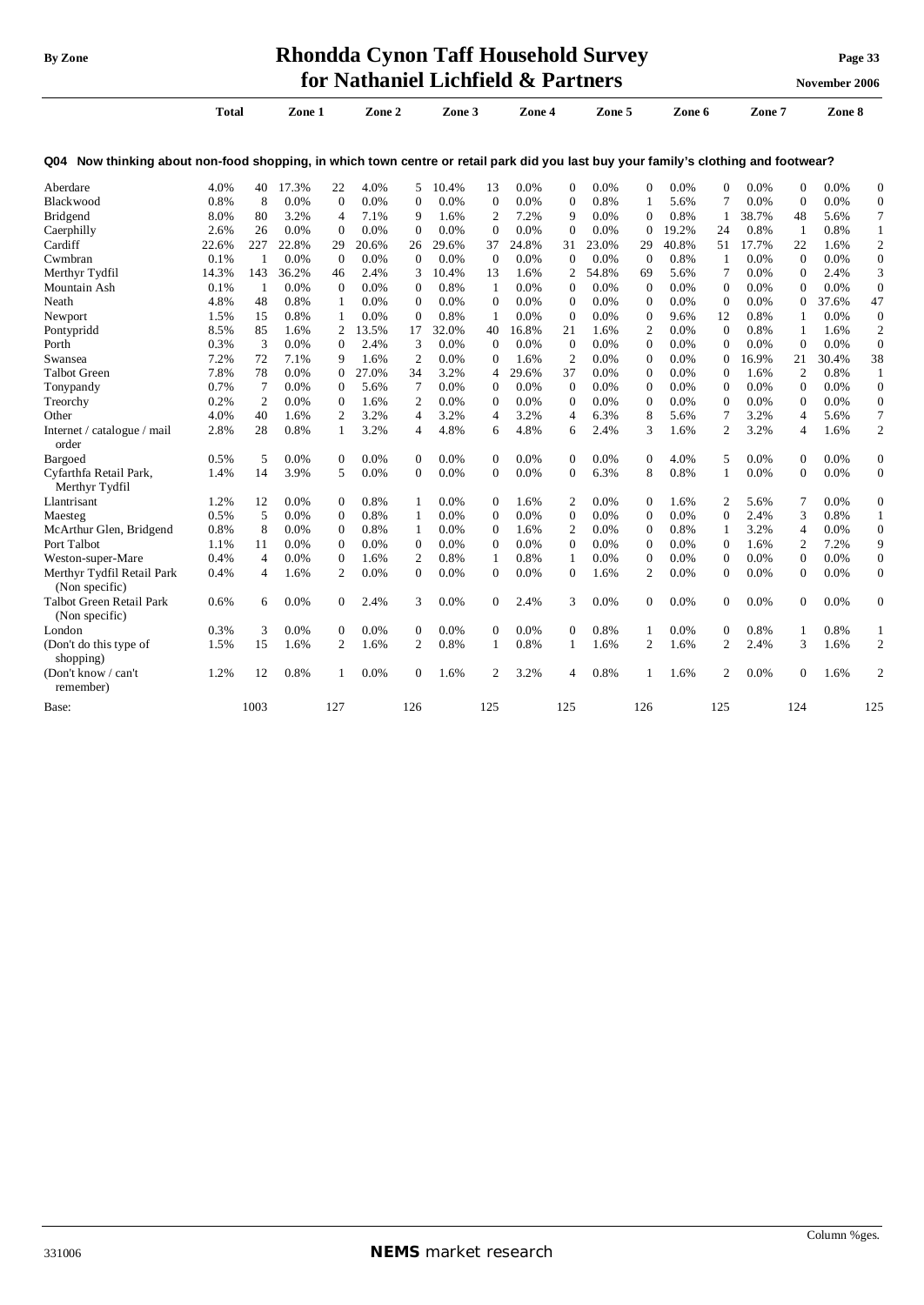## **By Zone Rhondda Cynon Taff Household Survey Page <sup>33</sup> for Nathaniel Lichfield & Partners November** 2006

|                                                                                                                                          | Total |                | Zone 1  |                  | Zone 2  |                | Zone 3  |                | Zone 4 |                | Zone 5 |              | Zone 6  |                  | Zone 7  |                | Zone 8  |                  |
|------------------------------------------------------------------------------------------------------------------------------------------|-------|----------------|---------|------------------|---------|----------------|---------|----------------|--------|----------------|--------|--------------|---------|------------------|---------|----------------|---------|------------------|
| Now thinking about non-food shopping, in which town centre or retail park did you last buy your family's clothing and footwear?<br>Q04 I |       |                |         |                  |         |                |         |                |        |                |        |              |         |                  |         |                |         |                  |
| Aberdare                                                                                                                                 | 4.0%  | 40             | 17.3%   | 22               | 4.0%    | 5              | 10.4%   | 13             | 0.0%   | $\Omega$       | 0.0%   | $\Omega$     | 0.0%    | $\mathbf{0}$     | $0.0\%$ | $\mathbf{0}$   | 0.0%    | $\mathbf{0}$     |
| Blackwood                                                                                                                                | 0.8%  | 8              | 0.0%    | $\mathbf{0}$     | 0.0%    | $\mathbf{0}$   | 0.0%    | $\mathbf{0}$   | 0.0%   | $\mathbf{0}$   | 0.8%   | $\mathbf{1}$ | 5.6%    | 7                | 0.0%    | $\theta$       | 0.0%    | $\mathbf{0}$     |
| Bridgend                                                                                                                                 | 8.0%  | 80             | 3.2%    | $\overline{4}$   | 7.1%    | 9              | 1.6%    | $\overline{2}$ | 7.2%   | 9              | 0.0%   | $\mathbf{0}$ | 0.8%    | 1                | 38.7%   | 48             | 5.6%    | 7                |
| Caerphilly                                                                                                                               | 2.6%  | 26             | 0.0%    | $\mathbf{0}$     | 0.0%    | $\Omega$       | 0.0%    | $\mathbf{0}$   | 0.0%   | $\mathbf{0}$   | 0.0%   | $\theta$     | 19.2%   | 24               | 0.8%    | -1             | 0.8%    | $\mathbf{1}$     |
| Cardiff                                                                                                                                  | 22.6% | 227            | 22.8%   | 29               | 20.6%   | 26             | 29.6%   | 37             | 24.8%  | 31             | 23.0%  | 29           | 40.8%   | 51               | 17.7%   | 22             | 1.6%    | $\mathfrak{2}$   |
| Cwmbran                                                                                                                                  | 0.1%  | $\mathbf{1}$   | 0.0%    | $\mathbf{0}$     | 0.0%    | $\theta$       | $0.0\%$ | $\mathbf{0}$   | 0.0%   | $\mathbf{0}$   | 0.0%   | $\theta$     | 0.8%    | 1                | 0.0%    | $\theta$       | 0.0%    | $\boldsymbol{0}$ |
| Merthyr Tydfil                                                                                                                           | 14.3% | 143            | 36.2%   | 46               | 2.4%    | 3              | 10.4%   | 13             | 1.6%   | 2              | 54.8%  | 69           | 5.6%    | $\tau$           | 0.0%    | $\mathbf{0}$   | 2.4%    | 3                |
| Mountain Ash                                                                                                                             | 0.1%  | -1             | 0.0%    | $\Omega$         | 0.0%    | $\Omega$       | 0.8%    | 1              | 0.0%   | $\Omega$       | 0.0%   | $\Omega$     | 0.0%    | $\Omega$         | 0.0%    | $\Omega$       | 0.0%    | $\mathbf{0}$     |
| Neath                                                                                                                                    | 4.8%  | 48             | 0.8%    | 1                | 0.0%    | $\theta$       | 0.0%    | $\Omega$       | 0.0%   | $\mathbf{0}$   | 0.0%   | $\theta$     | 0.0%    | $\mathbf{0}$     | 0.0%    | $\mathbf{0}$   | 37.6%   | 47               |
| Newport                                                                                                                                  | 1.5%  | 15             | 0.8%    | $\mathbf{1}$     | 0.0%    | $\Omega$       | 0.8%    | 1              | 0.0%   | $\theta$       | 0.0%   | $\mathbf{0}$ | 9.6%    | 12               | 0.8%    | -1             | 0.0%    | $\mathbf{0}$     |
| Pontypridd                                                                                                                               | 8.5%  | 85             | 1.6%    | 2                | 13.5%   | 17             | 32.0%   | 40             | 16.8%  | 21             | 1.6%   | 2            | 0.0%    | $\mathbf{0}$     | 0.8%    | 1              | 1.6%    | $\mathbf{2}$     |
| Porth                                                                                                                                    | 0.3%  | 3              | 0.0%    | $\mathbf{0}$     | 2.4%    | 3              | 0.0%    | $\mathbf{0}$   | 0.0%   | $\mathbf{0}$   | 0.0%   | $\mathbf{0}$ | 0.0%    | $\mathbf{0}$     | 0.0%    | $\mathbf{0}$   | 0.0%    | $\overline{0}$   |
| Swansea                                                                                                                                  | 7.2%  | 72             | 7.1%    | 9                | 1.6%    | $\overline{c}$ | 0.0%    | $\mathbf{0}$   | 1.6%   | $\overline{2}$ | 0.0%   | $\mathbf{0}$ | 0.0%    | $\mathbf{0}$     | 16.9%   | 21             | 30.4%   | 38               |
| Talbot Green                                                                                                                             | 7.8%  | 78             | 0.0%    | $\mathbf{0}$     | 27.0%   | 34             | 3.2%    | 4              | 29.6%  | 37             | 0.0%   | $\mathbf{0}$ | 0.0%    | $\mathbf{0}$     | 1.6%    | $\overline{c}$ | 0.8%    | 1                |
| Tonypandy                                                                                                                                | 0.7%  | 7              | $0.0\%$ | $\mathbf{0}$     | 5.6%    | 7              | 0.0%    | $\Omega$       | 0.0%   | $\mathbf{0}$   | 0.0%   | $\Omega$     | 0.0%    | $\mathbf{0}$     | 0.0%    | $\Omega$       | 0.0%    | $\mathbf{0}$     |
| Treorchy                                                                                                                                 | 0.2%  | $\overline{2}$ | 0.0%    | $\boldsymbol{0}$ | 1.6%    | 2              | $0.0\%$ | $\mathbf{0}$   | 0.0%   | $\mathbf{0}$   | 0.0%   | $\mathbf{0}$ | 0.0%    | $\boldsymbol{0}$ | 0.0%    | $\mathbf{0}$   | 0.0%    | $\mathbf{0}$     |
| Other                                                                                                                                    | 4.0%  | 40             | 1.6%    | $\overline{2}$   | 3.2%    | $\overline{4}$ | 3.2%    | $\overline{4}$ | 3.2%   | 4              | 6.3%   | 8            | 5.6%    | 7                | 3.2%    | 4              | 5.6%    | $\overline{7}$   |
| Internet / catalogue / mail<br>order                                                                                                     | 2.8%  | 28             | 0.8%    | 1                | 3.2%    | $\overline{4}$ | 4.8%    | 6              | 4.8%   | 6              | 2.4%   | 3            | 1.6%    | $\overline{2}$   | 3.2%    | 4              | 1.6%    | $\overline{c}$   |
| Bargoed                                                                                                                                  | 0.5%  | 5              | 0.0%    | $\boldsymbol{0}$ | 0.0%    | $\theta$       | 0.0%    | $\overline{0}$ | 0.0%   | $\mathbf{0}$   | 0.0%   | $\mathbf{0}$ | 4.0%    | 5                | 0.0%    | $\mathbf{0}$   | 0.0%    | $\boldsymbol{0}$ |
| Cyfarthfa Retail Park,<br>Merthyr Tydfil                                                                                                 | 1.4%  | 14             | 3.9%    | 5                | 0.0%    | $\theta$       | 0.0%    | $\mathbf{0}$   | 0.0%   | $\mathbf{0}$   | 6.3%   | 8            | 0.8%    | 1                | 0.0%    | $\mathbf{0}$   | 0.0%    | $\boldsymbol{0}$ |
| Llantrisant                                                                                                                              | 1.2%  | 12             | $0.0\%$ | $\boldsymbol{0}$ | 0.8%    | 1              | $0.0\%$ | $\overline{0}$ | 1.6%   | 2              | 0.0%   | $\mathbf{0}$ | 1.6%    | 2                | 5.6%    | 7              | 0.0%    | $\overline{0}$   |
| Maesteg                                                                                                                                  | 0.5%  | 5              | 0.0%    | $\overline{0}$   | 0.8%    | 1              | 0.0%    | $\Omega$       | 0.0%   | $\theta$       | 0.0%   | $\mathbf{0}$ | 0.0%    | $\Omega$         | 2.4%    | 3              | 0.8%    | $\mathbf{1}$     |
| McArthur Glen, Bridgend                                                                                                                  | 0.8%  | 8              | 0.0%    | $\mathbf{0}$     | 0.8%    | 1              | $0.0\%$ | $\Omega$       | 1.6%   | $\overline{c}$ | 0.0%   | $\mathbf{0}$ | 0.8%    | 1                | 3.2%    | 4              | 0.0%    | $\overline{0}$   |
| Port Talbot                                                                                                                              | 1.1%  | 11             | 0.0%    | $\mathbf{0}$     | $0.0\%$ | $\theta$       | $0.0\%$ | $\Omega$       | 0.0%   | $\theta$       | 0.0%   | $\mathbf{0}$ | 0.0%    | $\Omega$         | 1.6%    | $\overline{c}$ | 7.2%    | 9                |
| Weston-super-Mare                                                                                                                        | 0.4%  | $\overline{4}$ | 0.0%    | $\overline{0}$   | 1.6%    | 2              | 0.8%    | 1              | 0.8%   | 1              | 0.0%   | $\mathbf{0}$ | 0.0%    | $\mathbf{0}$     | 0.0%    | $\overline{0}$ | 0.0%    | $\overline{0}$   |
| Merthyr Tydfil Retail Park<br>(Non specific)                                                                                             | 0.4%  | 4              | 1.6%    | $\mathfrak{2}$   | 0.0%    | $\mathbf{0}$   | 0.0%    | $\mathbf{0}$   | 0.0%   | $\mathbf{0}$   | 1.6%   | 2            | 0.0%    | $\mathbf{0}$     | 0.0%    | $\mathbf{0}$   | 0.0%    | $\boldsymbol{0}$ |
| Talbot Green Retail Park<br>(Non specific)                                                                                               | 0.6%  | 6              | $0.0\%$ | $\mathbf{0}$     | 2.4%    | 3              | $0.0\%$ | $\overline{0}$ | 2.4%   | 3              | 0.0%   | $\mathbf{0}$ | $0.0\%$ | $\mathbf{0}$     | $0.0\%$ | $\Omega$       | $0.0\%$ | $\mathbf{0}$     |
| London                                                                                                                                   | 0.3%  | 3              | 0.0%    | $\mathbf{0}$     | $0.0\%$ | $\theta$       | 0.0%    | $\overline{0}$ | 0.0%   | $\mathbf{0}$   | 0.8%   | 1            | 0.0%    | $\mathbf{0}$     | 0.8%    | 1              | 0.8%    | 1                |
| (Don't do this type of<br>shopping)                                                                                                      | 1.5%  | 15             | 1.6%    | 2                | 1.6%    | $\overline{c}$ | 0.8%    | 1              | 0.8%   | 1              | 1.6%   | 2            | 1.6%    | 2                | 2.4%    | 3              | 1.6%    | $\mathbf{2}$     |
| (Don't know / can't<br>remember)                                                                                                         | 1.2%  | 12             | 0.8%    | $\mathbf{1}$     | 0.0%    | $\Omega$       | 1.6%    | $\overline{c}$ | 3.2%   | 4              | 0.8%   |              | 1.6%    | 2                | 0.0%    | $\Omega$       | 1.6%    | $\overline{c}$   |
| Base:                                                                                                                                    |       | 1003           |         | 127              |         | 126            |         | 125            |        | 125            |        | 126          |         | 125              |         | 124            |         | 125              |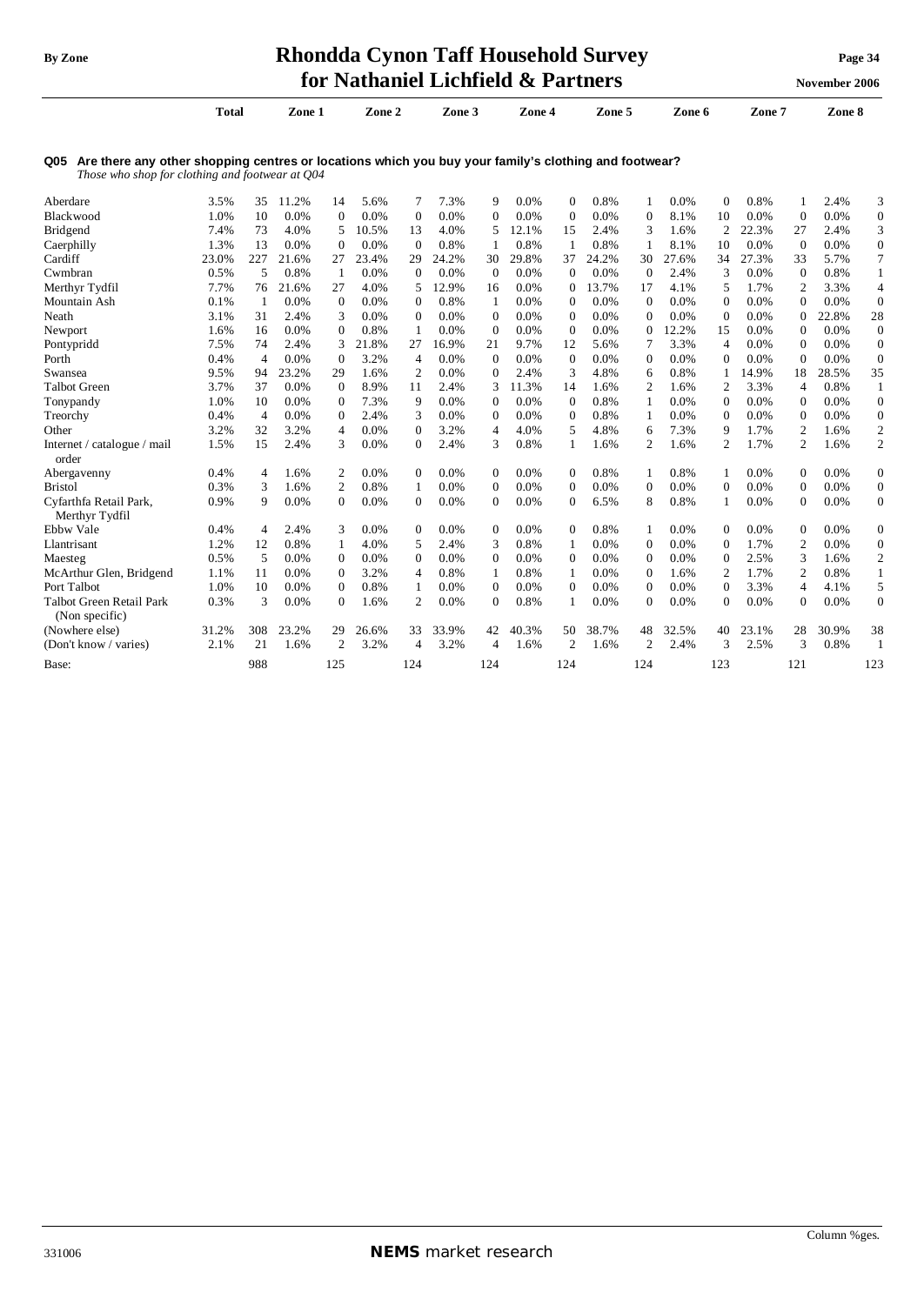## **By** Zone **Rhondda Cynon Taff Household Survey Page** 34 **for Nathaniel Lichfield & Partners November** 2006

|                                                                                                                                                             |              |                |         |                |         |                  | <b>Regionality Littleticial Components</b> |                |        |                | a di Girls |                  |         |                |         |                | <b>NOVERIDET 2000</b> |                  |
|-------------------------------------------------------------------------------------------------------------------------------------------------------------|--------------|----------------|---------|----------------|---------|------------------|--------------------------------------------|----------------|--------|----------------|------------|------------------|---------|----------------|---------|----------------|-----------------------|------------------|
|                                                                                                                                                             | <b>Total</b> |                | Zone 1  |                | Zone 2  |                  | Zone 3                                     |                | Zone 4 |                | Zone 5     |                  | Zone 6  |                | Zone 7  |                | Zone 8                |                  |
| Q05 Are there any other shopping centres or locations which you buy your family's clothing and footwear?<br>Those who shop for clothing and footwear at Q04 |              |                |         |                |         |                  |                                            |                |        |                |            |                  |         |                |         |                |                       |                  |
| Aberdare                                                                                                                                                    | 3.5%         | 35             | 11.2%   | 14             | 5.6%    | 7                | 7.3%                                       | 9              | 0.0%   | $\mathbf{0}$   | 0.8%       |                  | 0.0%    | $\theta$       | 0.8%    | 1              | 2.4%                  | 3                |
| Blackwood                                                                                                                                                   | 1.0%         | 10             | 0.0%    | $\Omega$       | 0.0%    | $\Omega$         | 0.0%                                       | $\Omega$       | 0.0%   | $\theta$       | 0.0%       | $\mathbf{0}$     | 8.1%    | 10             | 0.0%    | $\Omega$       | 0.0%                  | $\mathbf{0}$     |
| <b>Bridgend</b>                                                                                                                                             | 7.4%         | 73             | 4.0%    | 5              | 10.5%   | 13               | 4.0%                                       | 5              | 12.1%  | 15             | 2.4%       | 3                | 1.6%    | $\overline{c}$ | 22.3%   | 27             | 2.4%                  | 3                |
| Caerphilly                                                                                                                                                  | 1.3%         | 13             | 0.0%    | $\Omega$       | $0.0\%$ | $\Omega$         | 0.8%                                       | $\mathbf{1}$   | 0.8%   | -1             | 0.8%       |                  | 8.1%    | 10             | 0.0%    | $\Omega$       | 0.0%                  | $\boldsymbol{0}$ |
| Cardiff                                                                                                                                                     | 23.0%        | 227            | 21.6%   | 27             | 23.4%   | 29               | 24.2%                                      | 30             | 29.8%  | 37             | 24.2%      | 30               | 27.6%   | 34             | 27.3%   | 33             | 5.7%                  | 7                |
| Cwmbran                                                                                                                                                     | 0.5%         | 5              | 0.8%    | -1             | 0.0%    | $\theta$         | $0.0\%$                                    | $\mathbf{0}$   | 0.0%   | $\mathbf{0}$   | 0.0%       | $\mathbf{0}$     | 2.4%    | 3              | 0.0%    | $\theta$       | 0.8%                  | $\mathbf{1}$     |
| Merthyr Tydfil                                                                                                                                              | 7.7%         | 76             | 21.6%   | 27             | 4.0%    | 5                | 12.9%                                      | 16             | 0.0%   | $\mathbf{0}$   | 13.7%      | 17               | 4.1%    | 5              | 1.7%    | 2              | 3.3%                  | 4                |
| Mountain Ash                                                                                                                                                | 0.1%         | -1             | 0.0%    | $\mathbf{0}$   | 0.0%    | $\Omega$         | 0.8%                                       | $\mathbf{1}$   | 0.0%   | $\Omega$       | 0.0%       | $\mathbf{0}$     | 0.0%    | $\theta$       | 0.0%    | $\theta$       | 0.0%                  | $\mathbf{0}$     |
| Neath                                                                                                                                                       | 3.1%         | 31             | 2.4%    | 3              | 0.0%    | $\mathbf{0}$     | 0.0%                                       | $\mathbf{0}$   | 0.0%   | $\mathbf{0}$   | 0.0%       | $\mathbf{0}$     | 0.0%    | $\theta$       | 0.0%    | $\mathbf{0}$   | 22.8%                 | 28               |
| Newport                                                                                                                                                     | 1.6%         | 16             | $0.0\%$ | $\Omega$       | 0.8%    | 1                | $0.0\%$                                    | $\Omega$       | 0.0%   | $\theta$       | $0.0\%$    | $\mathbf{0}$     | 12.2%   | 15             | $0.0\%$ | $\Omega$       | 0.0%                  | $\theta$         |
| Pontypridd                                                                                                                                                  | 7.5%         | 74             | 2.4%    | 3              | 21.8%   | 27               | 16.9%                                      | 21             | 9.7%   | 12             | 5.6%       | 7                | 3.3%    | $\overline{4}$ | 0.0%    | $\mathbf{0}$   | 0.0%                  | $\mathbf{0}$     |
| Porth                                                                                                                                                       | 0.4%         | $\overline{4}$ | 0.0%    | $\overline{0}$ | 3.2%    | $\overline{4}$   | 0.0%                                       | $\Omega$       | 0.0%   | $\mathbf{0}$   | 0.0%       | $\mathbf{0}$     | 0.0%    | $\theta$       | 0.0%    | $\Omega$       | 0.0%                  | $\overline{0}$   |
| Swansea                                                                                                                                                     | 9.5%         | 94             | 23.2%   | 29             | 1.6%    | $\overline{2}$   | 0.0%                                       | $\Omega$       | 2.4%   | 3              | 4.8%       | 6                | 0.8%    | 1              | 14.9%   | 18             | 28.5%                 | 35               |
| Talbot Green                                                                                                                                                | 3.7%         | 37             | 0.0%    | $\Omega$       | 8.9%    | 11               | 2.4%                                       | 3              | 11.3%  | 14             | 1.6%       | 2                | 1.6%    | 2              | 3.3%    | $\overline{4}$ | 0.8%                  | 1                |
| Tonypandy                                                                                                                                                   | 1.0%         | 10             | 0.0%    | $\mathbf{0}$   | 7.3%    | 9                | 0.0%                                       | $\overline{0}$ | 0.0%   | $\theta$       | 0.8%       |                  | 0.0%    | $\Omega$       | 0.0%    | $\overline{0}$ | 0.0%                  | $\overline{0}$   |
| Treorchy                                                                                                                                                    | 0.4%         | $\overline{4}$ | 0.0%    | $\mathbf{0}$   | 2.4%    | 3                | 0.0%                                       | $\mathbf{0}$   | 0.0%   | $\theta$       | 0.8%       | 1                | 0.0%    | $\Omega$       | 0.0%    | $\overline{0}$ | 0.0%                  | $\overline{0}$   |
| Other                                                                                                                                                       | 3.2%         | 32             | 3.2%    | $\overline{4}$ | 0.0%    | $\boldsymbol{0}$ | 3.2%                                       | 4              | 4.0%   | 5              | 4.8%       | 6                | 7.3%    | 9              | 1.7%    | 2              | 1.6%                  | $\mathbf{2}$     |
| Internet / catalogue / mail<br>order                                                                                                                        | 1.5%         | 15             | 2.4%    | 3              | 0.0%    | $\Omega$         | 2.4%                                       | 3              | 0.8%   | 1              | 1.6%       | 2                | 1.6%    | $\overline{c}$ | 1.7%    | $\overline{c}$ | 1.6%                  | $\mathbf{2}$     |
| Abergavenny                                                                                                                                                 | 0.4%         | $\overline{4}$ | 1.6%    | 2              | $0.0\%$ | $\Omega$         | 0.0%                                       | $\Omega$       | 0.0%   | $\Omega$       | 0.8%       | -1               | 0.8%    | 1              | 0.0%    | $\Omega$       | 0.0%                  | $\overline{0}$   |
| <b>Bristol</b>                                                                                                                                              | 0.3%         | 3              | 1.6%    | $\overline{2}$ | 0.8%    | 1                | 0.0%                                       | $\mathbf{0}$   | 0.0%   | $\Omega$       | 0.0%       | $\mathbf{0}$     | 0.0%    | $\Omega$       | 0.0%    | $\overline{0}$ | 0.0%                  | $\mathbf{0}$     |
| Cyfarthfa Retail Park,<br>Merthyr Tydfil                                                                                                                    | 0.9%         | 9              | 0.0%    | $\Omega$       | 0.0%    | $\Omega$         | 0.0%                                       | $\Omega$       | 0.0%   | $\Omega$       | 6.5%       | 8                | 0.8%    | -1             | 0.0%    | $\Omega$       | 0.0%                  | $\mathbf{0}$     |
| <b>Ebbw Vale</b>                                                                                                                                            | 0.4%         | 4              | 2.4%    | 3              | 0.0%    | $\theta$         | 0.0%                                       | $\mathbf{0}$   | 0.0%   | $\mathbf{0}$   | 0.8%       | 1                | 0.0%    | $\Omega$       | 0.0%    | $\overline{0}$ | 0.0%                  | $\overline{0}$   |
| Llantrisant                                                                                                                                                 | 1.2%         | 12             | 0.8%    | $\mathbf{1}$   | 4.0%    | 5                | 2.4%                                       | 3              | 0.8%   | 1              | 0.0%       | $\boldsymbol{0}$ | 0.0%    | $\theta$       | 1.7%    | 2              | 0.0%                  | $\boldsymbol{0}$ |
| Maesteg                                                                                                                                                     | 0.5%         | 5              | $0.0\%$ | $\Omega$       | $0.0\%$ | $\Omega$         | $0.0\%$                                    | $\mathbf{0}$   | 0.0%   | $\theta$       | $0.0\%$    | $\mathbf{0}$     | $0.0\%$ | $\Omega$       | 2.5%    | 3              | 1.6%                  | $\mathbf{2}$     |
| McArthur Glen, Bridgend                                                                                                                                     | 1.1%         | 11             | 0.0%    | $\mathbf{0}$   | 3.2%    | 4                | 0.8%                                       | 1              | 0.8%   | 1              | 0.0%       | $\mathbf{0}$     | 1.6%    | $\overline{2}$ | 1.7%    | 2              | 0.8%                  | $\mathbf{1}$     |
| Port Talbot                                                                                                                                                 | 1.0%         | 10             | 0.0%    | $\mathbf{0}$   | 0.8%    | 1                | 0.0%                                       | $\mathbf{0}$   | 0.0%   | $\mathbf{0}$   | 0.0%       | $\mathbf{0}$     | 0.0%    | $\theta$       | 3.3%    | 4              | 4.1%                  | 5                |
| Talbot Green Retail Park<br>(Non specific)                                                                                                                  | 0.3%         | 3              | 0.0%    | $\mathbf{0}$   | 1.6%    | 2                | 0.0%                                       | $\mathbf{0}$   | 0.8%   | 1              | 0.0%       | $\mathbf{0}$     | 0.0%    | $\mathbf{0}$   | 0.0%    | $\theta$       | 0.0%                  | $\mathbf{0}$     |
| (Nowhere else)                                                                                                                                              | 31.2%        | 308            | 23.2%   | 29             | 26.6%   | 33               | 33.9%                                      | 42             | 40.3%  | 50             | 38.7%      | 48               | 32.5%   | 40             | 23.1%   | 28             | 30.9%                 | 38               |
| (Don't know / varies)                                                                                                                                       | 2.1%         | 21             | 1.6%    | $\overline{2}$ | 3.2%    | 4                | 3.2%                                       | 4              | 1.6%   | $\overline{2}$ | 1.6%       | $\overline{c}$   | 2.4%    | 3              | 2.5%    | 3              | 0.8%                  |                  |
| Base:                                                                                                                                                       |              | 988            |         | 125            |         | 124              |                                            | 124            |        | 124            |            | 124              |         | 123            |         | 121            |                       | 123              |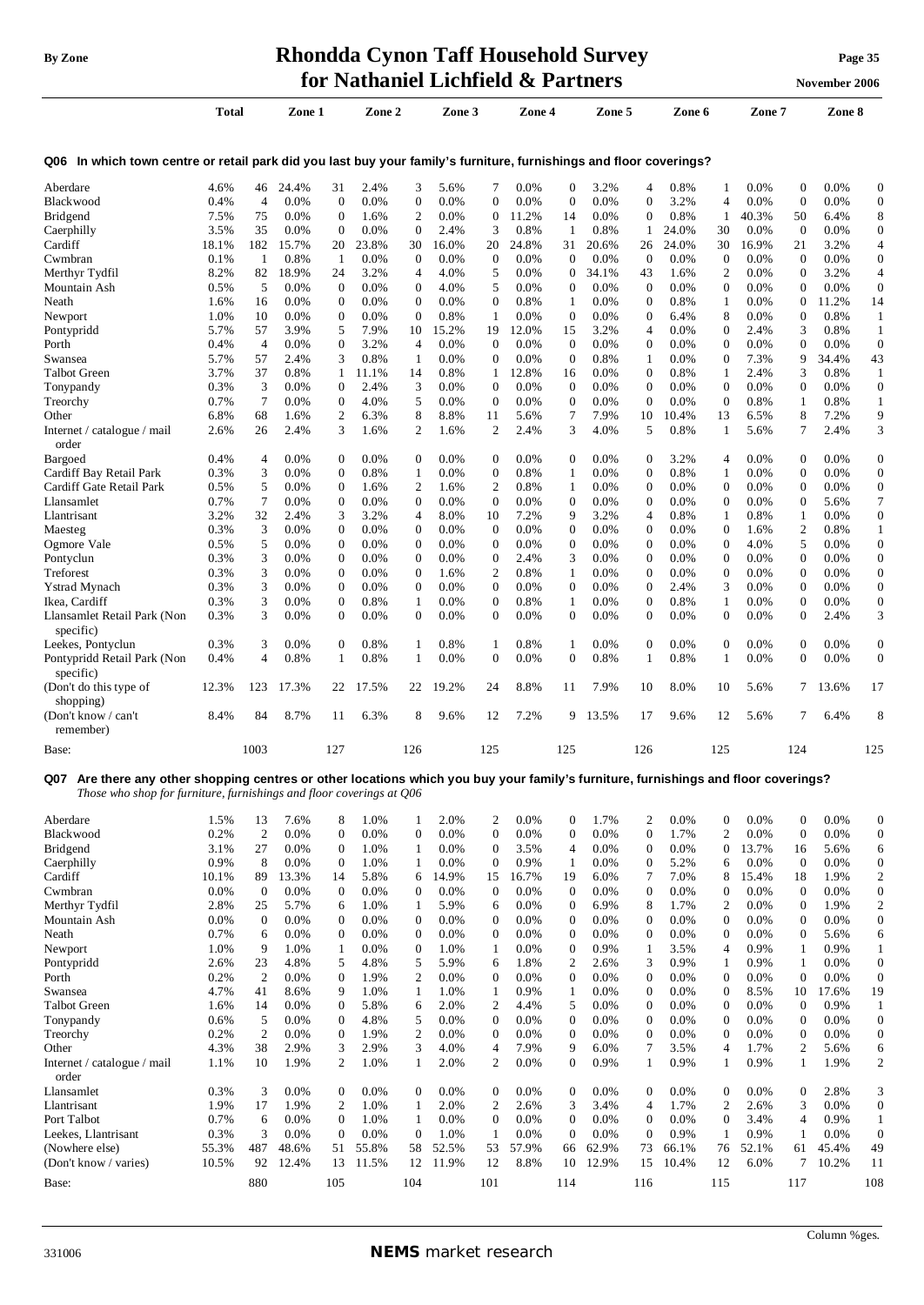# **By Zone Rhondda Cynon Taff Household Survey Page <sup>35</sup> for Nathaniel Lichfield & Partners November** 2006

**Total Zone 1 Zone 2 Zone 3 Zone 4 Zone 5 Zone 6 Zone 7 Zone 8** 

|  | November 2006 |
|--|---------------|

| Q06 In which town centre or retail park did you last buy your family's furniture, furnishings and floor coverings? |  |  |
|--------------------------------------------------------------------------------------------------------------------|--|--|

| Aberdare                                                                                                                               | 4.6%         | 46                  | 24.4%           | 31                | 2.4%         | 3                | 5.6%         | 7                 | 0.0%          | $\mathbf{0}$       | 3.2%              | $\overline{4}$                   | 0.8%              | 1                        | 0.0%         | 0                | 0.0%         | $\boldsymbol{0}$                 |
|----------------------------------------------------------------------------------------------------------------------------------------|--------------|---------------------|-----------------|-------------------|--------------|------------------|--------------|-------------------|---------------|--------------------|-------------------|----------------------------------|-------------------|--------------------------|--------------|------------------|--------------|----------------------------------|
| Blackwood                                                                                                                              | 0.4%         | $\overline{4}$      | $0.0\%$         | $\boldsymbol{0}$  | 0.0%         | $\boldsymbol{0}$ | 0.0%         | $\mathbf{0}$      | 0.0%          | $\boldsymbol{0}$   | 0.0%              | $\overline{0}$                   | 3.2%              | 4                        | 0.0%         | $\mathbf{0}$     | 0.0%         | $\boldsymbol{0}$                 |
| <b>Bridgend</b>                                                                                                                        | 7.5%         | 75                  | $0.0\%$         | $\boldsymbol{0}$  | 1.6%         | $\mathfrak{2}$   | 0.0%         | $\mathbf{0}$      | 11.2%         | 14                 | 0.0%              | $\theta$                         | 0.8%              | 1                        | 40.3%        | 50               | 6.4%         | 8                                |
| Caerphilly                                                                                                                             | 3.5%         | 35                  | $0.0\%$         | $\boldsymbol{0}$  | 0.0%         | $\mathbf{0}$     | 2.4%         | 3                 | 0.8%          | 1                  | 0.8%              | 1                                | 24.0%             | 30                       | 0.0%         | $\mathbf{0}$     | 0.0%         | $\boldsymbol{0}$                 |
| Cardiff                                                                                                                                | 18.1%        | 182                 | 15.7%           | 20                | 23.8%        | 30               | 16.0%        | 20                | 24.8%         | 31                 | 20.6%             | 26                               | 24.0%             | 30                       | 16.9%        | 21               | 3.2%         | 4                                |
| Cwmbran                                                                                                                                | 0.1%         | -1                  | 0.8%            | -1                | 0.0%         | $\theta$         | 0.0%         | $\boldsymbol{0}$  | 0.0%          | $\mathbf 0$        | 0.0%              | $\mathbf{0}$                     | 0.0%              | $\mathbf{0}$             | 0.0%         | $\overline{0}$   | 0.0%         | $\boldsymbol{0}$                 |
| Merthyr Tydfil                                                                                                                         | 8.2%         | 82                  | 18.9%           | 24                | 3.2%         | 4                | 4.0%         | 5                 | 0.0%          | $\boldsymbol{0}$   | 34.1%             | 43                               | 1.6%              | $\overline{2}$           | 0.0%         | $\overline{0}$   | 3.2%         | $\overline{4}$                   |
| Mountain Ash                                                                                                                           | 0.5%         | 5                   | $0.0\%$         | $\boldsymbol{0}$  | 0.0%         | $\boldsymbol{0}$ | 4.0%         | 5                 | 0.0%          | $\mathbf 0$        | 0.0%              | $\mathbf{0}$                     | $0.0\%$           | $\mathbf{0}$             | 0.0%         | 0                | 0.0%         | $\boldsymbol{0}$                 |
| Neath                                                                                                                                  | 1.6%         | 16                  | $0.0\%$         | $\boldsymbol{0}$  | 0.0%         | $\mathbf{0}$     | $0.0\%$      | $\boldsymbol{0}$  | 0.8%          | 1                  | $0.0\%$           | $\theta$                         | $0.8\%$           | 1                        | 0.0%         | 0                | 11.2%        | 14                               |
| Newport                                                                                                                                | 1.0%         | 10                  | $0.0\%$         | $\boldsymbol{0}$  | 0.0%         | $\mathbf{0}$     | 0.8%         | $\mathbf{1}$      | $0.0\%$       | $\boldsymbol{0}$   | 0.0%              | $\overline{0}$                   | 6.4%              | 8                        | 0.0%         | 0                | 0.8%         | $\mathbf{1}$                     |
| Pontypridd                                                                                                                             | 5.7%         | 57                  | 3.9%            | 5                 | 7.9%         | 10               | 15.2%        | 19                | 12.0%         | 15                 | 3.2%              | $\overline{4}$                   | $0.0\%$           | $\boldsymbol{0}$         | 2.4%         | 3                | 0.8%         | $\mathbf{1}$                     |
| Porth                                                                                                                                  | 0.4%         | $\overline{4}$      | $0.0\%$         | $\boldsymbol{0}$  | 3.2%         | $\overline{4}$   | $0.0\%$      | $\mathbf{0}$      | $0.0\%$       | $\mathbf{0}$       | 0.0%              | $\overline{0}$                   | 0.0%              | $\mathbf{0}$             | 0.0%         | 0                | 0.0%         | $\boldsymbol{0}$                 |
| Swansea                                                                                                                                | 5.7%         | 57                  | 2.4%            | 3                 | 0.8%         | $\mathbf{1}$     | 0.0%         | $\mathbf{0}$      | 0.0%          | $\boldsymbol{0}$   | 0.8%              | $\mathbf{1}$                     | $0.0\%$           | $\boldsymbol{0}$         | 7.3%         | 9                | 34.4%        | 43                               |
| <b>Talbot Green</b>                                                                                                                    | 3.7%         | 37                  | 0.8%            | 1<br>$\mathbf{0}$ | 11.1%        | 14               | 0.8%         | 1<br>$\mathbf{0}$ | 12.8%         | 16<br>$\mathbf{0}$ | 0.0%<br>0.0%      | $\overline{0}$<br>$\overline{0}$ | 0.8%              | 1<br>$\overline{0}$      | 2.4%         | 3                | 0.8%         | $\mathbf{1}$<br>$\boldsymbol{0}$ |
| Tonypandy<br>Treorchy                                                                                                                  | 0.3%<br>0.7% | 3<br>$\overline{7}$ | $0.0\%$<br>0.0% | $\mathbf{0}$      | 2.4%<br>4.0% | 3<br>5           | 0.0%<br>0.0% | $\mathbf{0}$      | 0.0%<br>0.0%  | $\mathbf{0}$       | 0.0%              | $\theta$                         | 0.0%<br>0.0%      | $\overline{0}$           | 0.0%<br>0.8% | 0<br>1           | 0.0%<br>0.8% | $\mathbf{1}$                     |
| Other                                                                                                                                  | 6.8%         | 68                  | 1.6%            | $\boldsymbol{2}$  | 6.3%         | 8                | 8.8%         | 11                | 5.6%          | 7                  | 7.9%              | 10                               | 10.4%             | 13                       | 6.5%         | 8                | 7.2%         | 9                                |
| Internet / catalogue / mail                                                                                                            | 2.6%         | 26                  | 2.4%            | 3                 | 1.6%         | 2                | 1.6%         | 2                 | 2.4%          | 3                  | 4.0%              | 5                                | 0.8%              | 1                        | 5.6%         | 7                | 2.4%         | 3                                |
| order                                                                                                                                  |              |                     |                 |                   |              |                  |              |                   |               |                    |                   |                                  |                   |                          |              |                  |              |                                  |
| Bargoed                                                                                                                                | 0.4%         | 4                   | 0.0%            | $\boldsymbol{0}$  | 0.0%         | 0                | 0.0%         | $\boldsymbol{0}$  | 0.0%          | $\mathbf{0}$       | 0.0%              | $\theta$                         | 3.2%              | 4                        | 0.0%         | 0                | 0.0%         | $\boldsymbol{0}$                 |
| Cardiff Bay Retail Park                                                                                                                | 0.3%         | 3                   | 0.0%            | $\boldsymbol{0}$  | 0.8%         | 1                | 0.0%         | $\boldsymbol{0}$  | 0.8%          | 1                  | 0.0%              | $\overline{0}$                   | 0.8%              | 1                        | 0.0%         | 0                | 0.0%         | $\boldsymbol{0}$                 |
| Cardiff Gate Retail Park                                                                                                               | 0.5%         | 5                   | 0.0%            | $\boldsymbol{0}$  | 1.6%         | 2                | 1.6%         | 2                 | 0.8%          | 1                  | 0.0%              | $\overline{0}$                   | 0.0%              | $\mathbf{0}$             | 0.0%         | 0                | 0.0%         | $\boldsymbol{0}$                 |
| Llansamlet                                                                                                                             | 0.7%         | 7                   | $0.0\%$         | $\boldsymbol{0}$  | 0.0%         | $\boldsymbol{0}$ | 0.0%         | $\boldsymbol{0}$  | 0.0%          | $\boldsymbol{0}$   | 0.0%              | $\mathbf{0}$                     | $0.0\%$           | $\mathbf{0}$             | 0.0%         | 0                | 5.6%         | 7                                |
| Llantrisant                                                                                                                            | 3.2%         | 32                  | 2.4%            | 3                 | 3.2%         | 4                | 8.0%         | 10                | 7.2%          | 9                  | 3.2%              | $\overline{4}$                   | $0.8\%$           | $\mathbf{1}$             | 0.8%         | 1                | 0.0%         | $\boldsymbol{0}$                 |
| Maesteg                                                                                                                                | 0.3%         | 3                   | $0.0\%$         | $\mathbf{0}$      | 0.0%         | $\boldsymbol{0}$ | 0.0%         | $\boldsymbol{0}$  | $0.0\%$       | $\boldsymbol{0}$   | $0.0\%$           | $\bf{0}$                         | $0.0\%$           | $\boldsymbol{0}$         | 1.6%         | 2                | 0.8%         | $\mathbf{1}$                     |
| Ogmore Vale                                                                                                                            | 0.5%         | 5                   | $0.0\%$         | $\boldsymbol{0}$  | 0.0%         | $\mathbf{0}$     | $0.0\%$      | $\mathbf{0}$      | $0.0\%$       | $\boldsymbol{0}$   | 0.0%              | $\overline{0}$                   | $0.0\%$           | $\mathbf{0}$             | 4.0%         | 5                | 0.0%         | $\mathbf{0}$                     |
| Pontyclun                                                                                                                              | 0.3%         | 3                   | $0.0\%$         | $\boldsymbol{0}$  | 0.0%         | $\mathbf{0}$     | $0.0\%$      | $\boldsymbol{0}$  | 2.4%          | 3                  | 0.0%              | $\theta$                         | 0.0%              | $\mathbf{0}$             | $0.0\%$      | 0                | 0.0%         | $\mathbf{0}$                     |
| Treforest                                                                                                                              | 0.3%         | 3                   | 0.0%            | $\boldsymbol{0}$  | 0.0%         | $\mathbf{0}$     | 1.6%         | $\boldsymbol{2}$  | 0.8%          | $\mathbf{1}$       | 0.0%              | $\theta$                         | $0.0\%$           | $\boldsymbol{0}$         | 0.0%         | 0                | 0.0%         | $\boldsymbol{0}$                 |
| <b>Ystrad Mynach</b>                                                                                                                   | 0.3%         | 3                   | 0.0%            | $\mathbf{0}$      | 0.0%         | $\Omega$         | 0.0%         | $\overline{0}$    | 0.0%          | $\mathbf{0}$       | 0.0%              | $\Omega$                         | 2.4%              | 3                        | 0.0%         | $\theta$         | 0.0%         | $\mathbf{0}$                     |
| Ikea, Cardiff                                                                                                                          | 0.3%         | 3                   | 0.0%            | $\boldsymbol{0}$  | 0.8%         | 1                | 0.0%         | $\mathbf{0}$      | 0.8%          | $\mathbf{1}$       | 0.0%              | $\overline{0}$                   | 0.8%              | $\mathbf{1}$             | 0.0%         | $\overline{0}$   | 0.0%         | $\boldsymbol{0}$                 |
| Llansamlet Retail Park (Non                                                                                                            | 0.3%         | 3                   | 0.0%            | $\mathbf{0}$      | 0.0%         | $\Omega$         | 0.0%         | $\mathbf{0}$      | 0.0%          | $\mathbf{0}$       | 0.0%              | $\Omega$                         | 0.0%              | $\overline{0}$           | 0.0%         | $\Omega$         | 2.4%         | 3                                |
| specific)                                                                                                                              |              |                     |                 |                   |              |                  |              |                   |               |                    |                   |                                  |                   |                          |              |                  |              |                                  |
| Leekes, Pontyclun                                                                                                                      | 0.3%         | 3                   | 0.0%            | $\boldsymbol{0}$  | 0.8%         | 1                | 0.8%         | 1                 | 0.8%          | 1                  | 0.0%              | $\overline{0}$                   | 0.0%              | $\mathbf{0}$             | 0.0%         | $\overline{0}$   | 0.0%         | $\boldsymbol{0}$                 |
| Pontypridd Retail Park (Non                                                                                                            | 0.4%         | 4                   | 0.8%            | 1                 | 0.8%         | 1                | 0.0%         | $\boldsymbol{0}$  | 0.0%          | $\boldsymbol{0}$   | 0.8%              | 1                                | 0.8%              | 1                        | 0.0%         | 0                | 0.0%         | $\boldsymbol{0}$                 |
| specific)                                                                                                                              |              |                     |                 |                   |              |                  |              |                   |               |                    |                   |                                  |                   |                          |              |                  |              |                                  |
| (Don't do this type of                                                                                                                 | 12.3%        | 123                 | 17.3%           | 22                | 17.5%        | 22               | 19.2%        | 24                | 8.8%          | 11                 | 7.9%              | 10                               | 8.0%              | 10                       | 5.6%         | 7                | 13.6%        | 17                               |
| shopping)                                                                                                                              |              |                     |                 |                   |              |                  |              |                   |               |                    |                   |                                  |                   |                          |              |                  |              |                                  |
| (Don't know / can't                                                                                                                    | 8.4%         | 84                  | 8.7%            | 11                | 6.3%         | 8                | 9.6%         | 12                | 7.2%          | 9                  | 13.5%             | 17                               | 9.6%              | 12                       | 5.6%         | 7                | 6.4%         | 8                                |
| remember)                                                                                                                              |              |                     |                 |                   |              |                  |              |                   |               |                    |                   |                                  |                   |                          |              |                  |              |                                  |
| Base:                                                                                                                                  |              | 1003                |                 | 127               |              | 126              |              | 125               |               | 125                |                   | 126                              |                   | 125                      |              | 124              |              | 125                              |
|                                                                                                                                        |              |                     |                 |                   |              |                  |              |                   |               |                    |                   |                                  |                   |                          |              |                  |              |                                  |
| Are there any other shopping centres or other locations which you buy your family's furniture, furnishings and floor coverings?<br>Q07 |              |                     |                 |                   |              |                  |              |                   |               |                    |                   |                                  |                   |                          |              |                  |              |                                  |
| Those who shop for furniture, furnishings and floor coverings at Q06                                                                   |              |                     |                 |                   |              |                  |              |                   |               |                    |                   |                                  |                   |                          |              |                  |              |                                  |
| Aberdare                                                                                                                               | 1.5%         | 13                  | 7.6%            | 8                 | 1.0%         | 1                | 2.0%         | 2                 | 0.0%          | $\mathbf 0$        | 1.7%              | $\overline{2}$                   | 0.0%              | $\mathbf{0}$             | 0.0%         | $\overline{0}$   | 0.0%         | $\boldsymbol{0}$                 |
| Blackwood                                                                                                                              | 0.2%         | $\overline{2}$      | 0.0%            | $\boldsymbol{0}$  | 0.0%         | $\mathbf{0}$     | 0.0%         | $\overline{0}$    | 0.0%          | $\boldsymbol{0}$   | 0.0%              | $\overline{0}$                   | 1.7%              | $\overline{c}$           | 0.0%         | $\mathbf{0}$     | 0.0%         | $\boldsymbol{0}$                 |
| <b>Bridgend</b>                                                                                                                        | 3.1%         | 27                  | 0.0%            | $\mathbf{0}$      | 1.0%         | 1                | $0.0\%$      | $\mathbf{0}$      | 3.5%          | 4                  | 0.0%              | $\Omega$                         | 0.0%              | $\boldsymbol{0}$         | 13.7%        | 16               | 5.6%         | 6                                |
| Caerphilly                                                                                                                             | 0.9%         | 8                   | $0.0\%$         | $\mathbf{0}$      | 1.0%         | 1                | 0.0%         | $\mathbf{0}$      | 0.9%          | 1                  | 0.0%              | $\Omega$                         | 5.2%              | 6                        | 0.0%         | $\Omega$         | 0.0%         | $\boldsymbol{0}$                 |
| Cardiff                                                                                                                                | 10.1%        | 89                  | 13.3%           | 14                | 5.8%         | 6                | 14.9%        | 15                | 16.7%         | 19                 | 6.0%              | 7                                | 7.0%              | 8                        | 15.4%        | 18               | 1.9%         | 2                                |
| Cwmbran                                                                                                                                | 0.0%         | $\boldsymbol{0}$    | 0.0%            | $\boldsymbol{0}$  | 0.0%         | $\boldsymbol{0}$ | 0.0%         | $\boldsymbol{0}$  | 0.0%          | $\boldsymbol{0}$   | 0.0%              | $\boldsymbol{0}$                 | 0.0%              | $\boldsymbol{0}$         | 0.0%         | $\boldsymbol{0}$ | 0.0%         | $\boldsymbol{0}$                 |
| Merthyr Tydfil                                                                                                                         | 2.8%         | 25                  | 5.7%            | 6                 | 1.0%         | $\mathbf{1}$     | 5.9%         | 6                 | 0.0%          | $\boldsymbol{0}$   | 6.9%              | 8                                | 1.7%              | $\mathfrak{2}$           | 0.0%         | $\overline{0}$   | 1.9%         | 2                                |
| Mountain Ash                                                                                                                           | 0.0%         | $\boldsymbol{0}$    | 0.0%            | $\boldsymbol{0}$  | 0.0%         | $\boldsymbol{0}$ | 0.0%         | $\boldsymbol{0}$  | 0.0%          | $\boldsymbol{0}$   | 0.0%              | $\mathbf{0}$                     | 0.0%              | $\boldsymbol{0}$         | 0.0%         | $\mathbf{0}$     | 0.0%         | $\boldsymbol{0}$                 |
| Neath                                                                                                                                  | 0.7%         | 6                   | 0.0%            | $\boldsymbol{0}$  | 0.0%         | $\boldsymbol{0}$ | 0.0%         | $\boldsymbol{0}$  | 0.0%          | $\boldsymbol{0}$   | 0.0%              | $\mathbf{0}$                     | 0.0%              | $\boldsymbol{0}$         | 0.0%         | $\overline{0}$   | 5.6%         | 6                                |
| Newport                                                                                                                                | 1.0%         | 9                   | 1.0%            | $\mathbf{1}$      | 0.0%         | $\mathbf{0}$     | 1.0%         | $\mathbf{1}$      | 0.0%          | $\boldsymbol{0}$   | 0.9%              | $\mathbf{1}$                     | 3.5%              | 4                        | 0.9%         | 1                | 0.9%         | 1                                |
| Pontypridd                                                                                                                             | 2.6%         | 23                  | 4.8%            | 5                 | 4.8%         | 5                | 5.9%         | 6                 | 1.8%          | $\mathfrak{2}$     | 2.6%              | 3                                | 0.9%              | $\mathbf{1}$             | 0.9%         | 1                | 0.0%         | $\boldsymbol{0}$                 |
| Porth                                                                                                                                  | 0.2%         | $\overline{2}$      | 0.0%            | $\boldsymbol{0}$  | 1.9%         | 2                | 0.0%         | $\boldsymbol{0}$  | 0.0%          | $\boldsymbol{0}$   | 0.0%              | $\mathbf{0}$                     | 0.0%              | $\boldsymbol{0}$         | 0.0%         | $\overline{0}$   | 0.0%         | $\boldsymbol{0}$                 |
| Swansea                                                                                                                                | 4.7%         | 41                  | 8.6%            | 9                 | 1.0%         | $\mathbf{1}$     | 1.0%         | $\mathbf{1}$      | 0.9%          | $\mathbf{1}$       | 0.0%              | $\mathbf{0}$                     | 0.0%              | $\boldsymbol{0}$         | 8.5%         | 10               | 17.6%        | 19                               |
| Talbot Green                                                                                                                           | 1.6%         | 14                  | 0.0%            | $\boldsymbol{0}$  | 5.8%         | 6                | 2.0%         | 2                 | 4.4%          | 5                  | 0.0%              | $\bf{0}$                         | 0.0%              | $\mathbf{0}$             | 0.0%         | 0                | 0.9%         | $\mathbf{1}$                     |
| Tonypandy                                                                                                                              | 0.6%         | 5                   | 0.0%            | $\boldsymbol{0}$  | 4.8%         | 5                | 0.0%         | $\boldsymbol{0}$  | 0.0%          | $\boldsymbol{0}$   | 0.0%              | $\mathbf{0}$                     | 0.0%              | $\boldsymbol{0}$         | 0.0%         | 0                | 0.0%         | $\boldsymbol{0}$                 |
| Treorchy                                                                                                                               | 0.2%         | $\overline{c}$      | 0.0%            | $\boldsymbol{0}$  | 1.9%         | $\mathfrak{2}$   | 0.0%         | $\boldsymbol{0}$  | 0.0%          | $\boldsymbol{0}$   | 0.0%              | $\mathbf{0}$                     | 0.0%              | $\mathbf{0}$             | 0.0%         | $\overline{0}$   | 0.0%         | $\boldsymbol{0}$                 |
| Other                                                                                                                                  | 4.3%         | 38                  | 2.9%            | 3                 | 2.9%         | 3                | 4.0%         | 4                 | 7.9%          | 9                  | 6.0%              | 7                                | 3.5%              | $\overline{\mathcal{L}}$ | 1.7%         | $\overline{c}$   | 5.6%         | 6                                |
| Internet / catalogue / mail                                                                                                            |              | 10                  | 1.9%            | $\mathfrak{2}$    | 1.0%         | 1                | 2.0%         | $\boldsymbol{2}$  | 0.0%          | $\boldsymbol{0}$   | 0.9%              | $\mathbf{1}$                     | 0.9%              | 1                        | 0.9%         | 1                | 1.9%         | $\boldsymbol{2}$                 |
| order                                                                                                                                  | 1.1%         |                     |                 |                   |              |                  |              |                   |               |                    |                   |                                  |                   |                          |              |                  |              |                                  |
|                                                                                                                                        |              |                     |                 |                   |              |                  |              |                   |               |                    |                   |                                  |                   |                          |              |                  |              |                                  |
| Llansamlet                                                                                                                             | 0.3%         | 3                   | 0.0%            | $\boldsymbol{0}$  | 0.0%         | $\boldsymbol{0}$ | 0.0%         | $\boldsymbol{0}$  | 0.0%          | $\boldsymbol{0}$   | 0.0%              | $\mathbf{0}$                     | 0.0%              | $\boldsymbol{0}$         | 0.0%         | $\boldsymbol{0}$ | 2.8%         | 3                                |
| Llantrisant                                                                                                                            | 1.9%         | 17                  | 1.9%            | $\overline{c}$    | 1.0%         | $\mathbf{1}$     | 2.0%         | $\boldsymbol{2}$  | 2.6%          | 3                  | 3.4%              | $\overline{4}$                   | 1.7%              | $\overline{c}$           | 2.6%         | 3                | 0.0%         | $\boldsymbol{0}$                 |
| Port Talbot                                                                                                                            | 0.7%         | 6                   | 0.0%            | $\boldsymbol{0}$  | 1.0%         | $\mathbf{1}$     | 0.0%         | $\boldsymbol{0}$  | 0.0%          | $\boldsymbol{0}$   | 0.0%              | $\mathbf{0}$                     | 0.0%              | $\boldsymbol{0}$         | 3.4%         | 4                | 0.9%         | $\mathbf{1}$                     |
| Leekes, Llantrisant                                                                                                                    | 0.3%         | 3                   | 0.0%            | $\boldsymbol{0}$  | 0.0%         | $\mathbf{0}$     | 1.0%         | $\mathbf{1}$      | 0.0%          | $\boldsymbol{0}$   | 0.0%              | $\mathbf{0}$                     | 0.9%              | $\mathbf{1}$             | 0.9%         | 1                | 0.0%         | $\boldsymbol{0}$                 |
| (Nowhere else)<br>(Don't know / varies)                                                                                                | 55.3%        | 487                 | 48.6%           | 51                | 55.8%        | 58               | 52.5%        | 53<br>12          | 57.9%<br>8.8% | 66                 | 62.9%<br>10 12.9% | 73                               | 66.1%<br>15 10.4% | 76                       | 52.1%        | 61<br>$\tau$     | 45.4%        | 49                               |

Base: 880 105 104 101 114 116 115 117 108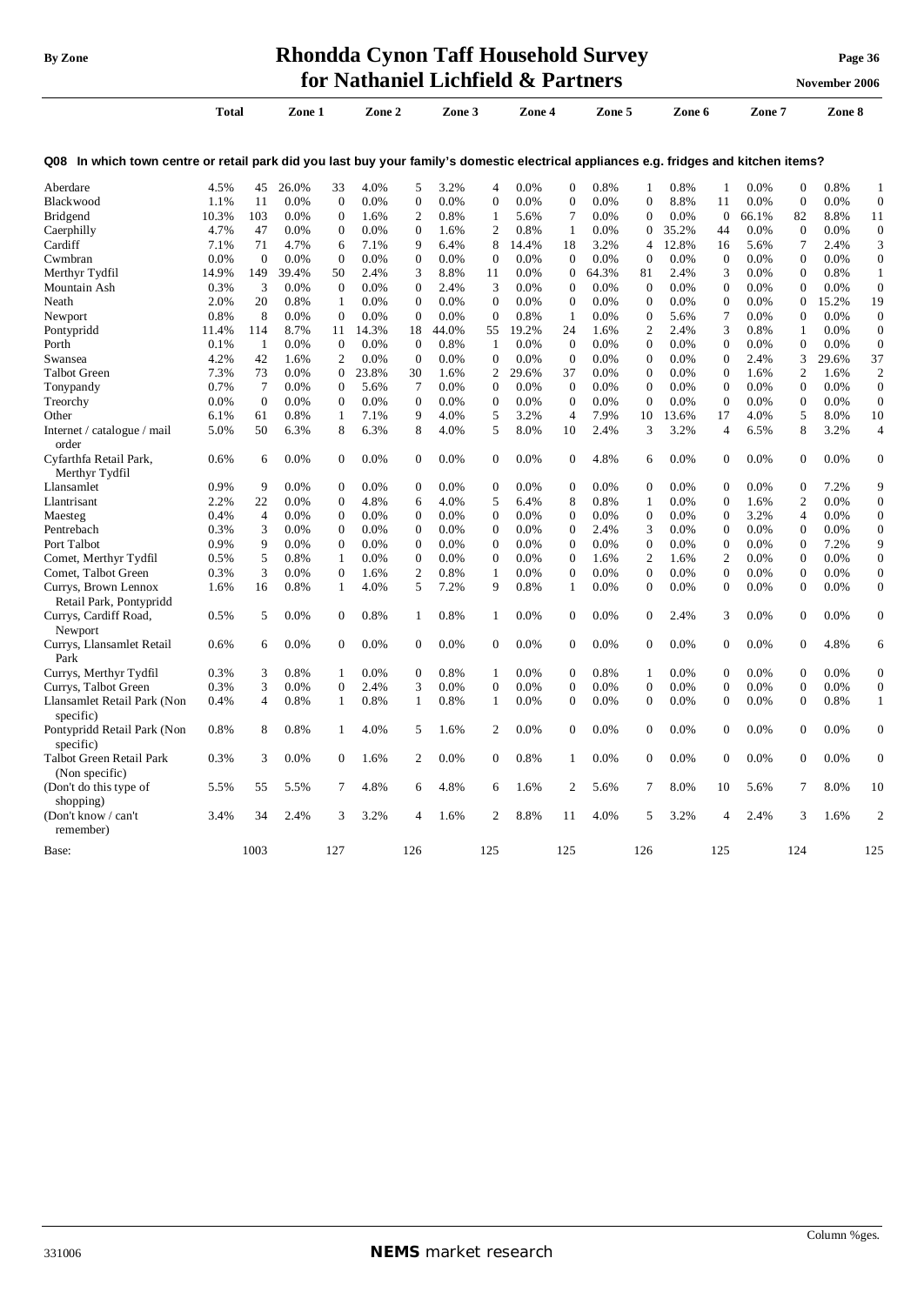## **By** Zone **Rhondda Cynon Taff Household Survey Page** 36 **for Nathaniel Lichfield & Partners November** 2006

|                                                                                                                                       | <b>Total</b> |                | Zone 1  |                  | Zone 2 |                | Zone 3  |                  | Zone 4 |                  | Zone 5  |                  | Zone 6 |                  | Zone 7  |                | Zone 8 |                  |
|---------------------------------------------------------------------------------------------------------------------------------------|--------------|----------------|---------|------------------|--------|----------------|---------|------------------|--------|------------------|---------|------------------|--------|------------------|---------|----------------|--------|------------------|
| Q08 In which town centre or retail park did you last buy your family's domestic electrical appliances e.g. fridges and kitchen items? |              |                |         |                  |        |                |         |                  |        |                  |         |                  |        |                  |         |                |        |                  |
| Aberdare                                                                                                                              | 4.5%         | 45             | 26.0%   | 33               | 4.0%   | 5              | 3.2%    | 4                | 0.0%   | $\Omega$         | 0.8%    | 1                | 0.8%   | $\mathbf{1}$     | 0.0%    | $\overline{0}$ | 0.8%   | $\mathbf{1}$     |
| Blackwood                                                                                                                             | 1.1%         | 11             | 0.0%    | $\mathbf{0}$     | 0.0%   | $\theta$       | 0.0%    | $\overline{0}$   | 0.0%   | $\overline{0}$   | 0.0%    | $\mathbf{0}$     | 8.8%   | 11               | 0.0%    | $\overline{0}$ | 0.0%   | $\mathbf{0}$     |
| Bridgend                                                                                                                              | 10.3%        | 103            | 0.0%    | $\mathbf{0}$     | 1.6%   | $\overline{c}$ | 0.8%    | $\mathbf{1}$     | 5.6%   | 7                | 0.0%    | $\mathbf{0}$     | 0.0%   | $\theta$         | 66.1%   | 82             | 8.8%   | 11               |
| Caerphilly                                                                                                                            | 4.7%         | 47             | 0.0%    | $\mathbf{0}$     | 0.0%   | $\theta$       | 1.6%    | $\overline{c}$   | 0.8%   | 1                | 0.0%    | $\boldsymbol{0}$ | 35.2%  | 44               | 0.0%    | $\overline{0}$ | 0.0%   | $\boldsymbol{0}$ |
| Cardiff                                                                                                                               | 7.1%         | 71             | 4.7%    | 6                | 7.1%   | 9              | 6.4%    | 8                | 14.4%  | 18               | 3.2%    | $\overline{4}$   | 12.8%  | 16               | 5.6%    | 7              | 2.4%   | 3                |
| Cwmbran                                                                                                                               | 0.0%         | $\theta$       | 0.0%    | $\mathbf{0}$     | 0.0%   | $\Omega$       | 0.0%    | $\theta$         | 0.0%   | $\Omega$         | 0.0%    | $\Omega$         | 0.0%   | $\theta$         | 0.0%    | $\overline{0}$ | 0.0%   | $\boldsymbol{0}$ |
| Merthyr Tydfil                                                                                                                        | 14.9%        | 149            | 39.4%   | 50               | 2.4%   | 3              | 8.8%    | 11               | 0.0%   | $\Omega$         | 64.3%   | 81               | 2.4%   | 3                | 0.0%    | $\theta$       | 0.8%   | $\mathbf{1}$     |
| Mountain Ash                                                                                                                          | 0.3%         | 3              | 0.0%    | $\boldsymbol{0}$ | 0.0%   | $\mathbf{0}$   | 2.4%    | 3                | 0.0%   | $\boldsymbol{0}$ | 0.0%    | $\boldsymbol{0}$ | 0.0%   | $\boldsymbol{0}$ | 0.0%    | $\theta$       | 0.0%   | $\boldsymbol{0}$ |
| Neath                                                                                                                                 | 2.0%         | 20             | 0.8%    | $\mathbf{1}$     | 0.0%   | $\mathbf{0}$   | 0.0%    | $\boldsymbol{0}$ | 0.0%   | $\mathbf{0}$     | 0.0%    | $\mathbf{0}$     | 0.0%   | $\boldsymbol{0}$ | 0.0%    | $\overline{0}$ | 15.2%  | 19               |
| Newport                                                                                                                               | 0.8%         | 8              | 0.0%    | $\mathbf{0}$     | 0.0%   | $\mathbf{0}$   | 0.0%    | $\overline{0}$   | 0.8%   | $\mathbf{1}$     | 0.0%    | $\boldsymbol{0}$ | 5.6%   | 7                | 0.0%    | $\overline{0}$ | 0.0%   | $\boldsymbol{0}$ |
| Pontypridd                                                                                                                            | 11.4%        | 114            | 8.7%    | 11               | 14.3%  | 18             | 44.0%   | 55               | 19.2%  | 24               | 1.6%    | $\overline{2}$   | 2.4%   | 3                | 0.8%    | 1              | 0.0%   | $\boldsymbol{0}$ |
| Porth                                                                                                                                 | 0.1%         | $\mathbf{1}$   | 0.0%    | $\mathbf{0}$     | 0.0%   | $\theta$       | 0.8%    | $\mathbf{1}$     | 0.0%   | $\theta$         | 0.0%    | $\mathbf{0}$     | 0.0%   | $\mathbf{0}$     | 0.0%    | $\overline{0}$ | 0.0%   | $\boldsymbol{0}$ |
| Swansea                                                                                                                               | 4.2%         | 42             | 1.6%    | $\mathfrak{2}$   | 0.0%   | $\mathbf{0}$   | 0.0%    | $\boldsymbol{0}$ | 0.0%   | $\boldsymbol{0}$ | 0.0%    | $\mathbf{0}$     | 0.0%   | $\boldsymbol{0}$ | 2.4%    | 3              | 29.6%  | 37               |
| Talbot Green                                                                                                                          | 7.3%         | 73             | 0.0%    | $\boldsymbol{0}$ | 23.8%  | 30             | 1.6%    | 2                | 29.6%  | 37               | 0.0%    | $\boldsymbol{0}$ | 0.0%   | $\boldsymbol{0}$ | 1.6%    | $\overline{2}$ | 1.6%   | $\overline{c}$   |
| Tonypandy                                                                                                                             | 0.7%         | 7              | 0.0%    | $\mathbf{0}$     | 5.6%   | $\overline{7}$ | 0.0%    | $\overline{0}$   | 0.0%   | $\mathbf{0}$     | $0.0\%$ | $\overline{0}$   | 0.0%   | $\overline{0}$   | 0.0%    | $\mathbf{0}$   | 0.0%   | $\boldsymbol{0}$ |
| Treorchy                                                                                                                              | $0.0\%$      | $\theta$       | 0.0%    | 0                | 0.0%   | $\theta$       | 0.0%    | $\overline{0}$   | 0.0%   | $\mathbf{0}$     | 0.0%    | $\overline{0}$   | 0.0%   | $\mathbf{0}$     | 0.0%    | $\mathbf{0}$   | 0.0%   | $\boldsymbol{0}$ |
| Other                                                                                                                                 | 6.1%         | 61             | 0.8%    | 1                | 7.1%   | 9              | 4.0%    | 5                | 3.2%   | $\overline{4}$   | 7.9%    | 10               | 13.6%  | 17               | 4.0%    | 5              | 8.0%   | 10               |
| Internet / catalogue / mail<br>order                                                                                                  | 5.0%         | 50             | 6.3%    | 8                | 6.3%   | 8              | 4.0%    | 5                | 8.0%   | 10               | 2.4%    | 3                | 3.2%   | $\overline{4}$   | 6.5%    | 8              | 3.2%   | $\overline{4}$   |
| Cyfarthfa Retail Park,<br>Merthyr Tydfil                                                                                              | 0.6%         | 6              | 0.0%    | $\mathbf{0}$     | 0.0%   | $\theta$       | $0.0\%$ | $\boldsymbol{0}$ | 0.0%   | $\mathbf{0}$     | 4.8%    | 6                | 0.0%   | $\mathbf{0}$     | 0.0%    | $\mathbf{0}$   | 0.0%   | $\boldsymbol{0}$ |
| Llansamlet                                                                                                                            | 0.9%         | 9              | 0.0%    | $\mathbf{0}$     | 0.0%   | $\theta$       | 0.0%    | $\overline{0}$   | 0.0%   | $\boldsymbol{0}$ | 0.0%    | $\overline{0}$   | 0.0%   | $\mathbf{0}$     | 0.0%    | $\overline{0}$ | 7.2%   | 9                |
| Llantrisant                                                                                                                           | 2.2%         | 22             | 0.0%    | $\mathbf{0}$     | 4.8%   | 6              | 4.0%    | 5                | 6.4%   | 8                | 0.8%    | 1                | 0.0%   | $\mathbf{0}$     | 1.6%    | $\overline{2}$ | 0.0%   | $\mathbf{0}$     |
| Maesteg                                                                                                                               | 0.4%         | $\overline{4}$ | 0.0%    | $\mathbf{0}$     | 0.0%   | $\theta$       | 0.0%    | $\overline{0}$   | 0.0%   | 0                | 0.0%    | $\mathbf{0}$     | 0.0%   | $\mathbf{0}$     | 3.2%    | 4              | 0.0%   | $\boldsymbol{0}$ |
| Pentrebach                                                                                                                            | 0.3%         | 3              | $0.0\%$ | $\mathbf{0}$     | 0.0%   | $\theta$       | $0.0\%$ | $\overline{0}$   | 0.0%   | 0                | 2.4%    | 3                | 0.0%   | $\overline{0}$   | 0.0%    | $\overline{0}$ | 0.0%   | $\boldsymbol{0}$ |
| Port Talbot                                                                                                                           | 0.9%         | 9              | 0.0%    | $\mathbf{0}$     | 0.0%   | $\theta$       | 0.0%    | $\overline{0}$   | 0.0%   | $\boldsymbol{0}$ | 0.0%    | $\mathbf{0}$     | 0.0%   | $\mathbf{0}$     | 0.0%    | $\theta$       | 7.2%   | 9                |
| Comet, Merthyr Tydfil                                                                                                                 | 0.5%         | 5              | 0.8%    | 1                | 0.0%   | $\Omega$       | 0.0%    | $\theta$         | 0.0%   | $\Omega$         | 1.6%    | $\overline{2}$   | 1.6%   | $\overline{c}$   | 0.0%    | $\theta$       | 0.0%   | $\boldsymbol{0}$ |
| Comet, Talbot Green                                                                                                                   | 0.3%         | 3              | 0.0%    | $\mathbf{0}$     | 1.6%   | $\overline{2}$ | 0.8%    | $\mathbf{1}$     | 0.0%   | $\boldsymbol{0}$ | 0.0%    | $\overline{0}$   | 0.0%   | $\mathbf{0}$     | 0.0%    | $\theta$       | 0.0%   | $\boldsymbol{0}$ |
| Currys, Brown Lennox                                                                                                                  | 1.6%         | 16             | 0.8%    | $\mathbf{1}$     | 4.0%   | 5              | 7.2%    | 9                | 0.8%   | $\mathbf{1}$     | 0.0%    | $\Omega$         | 0.0%   | $\boldsymbol{0}$ | 0.0%    | $\theta$       | 0.0%   | $\boldsymbol{0}$ |
| Retail Park, Pontypridd<br>Currys, Cardiff Road,                                                                                      | 0.5%         | 5              | 0.0%    | $\boldsymbol{0}$ | 0.8%   | 1              | 0.8%    | 1                | 0.0%   | $\boldsymbol{0}$ | 0.0%    | $\boldsymbol{0}$ | 2.4%   | 3                | 0.0%    | $\Omega$       | 0.0%   | $\boldsymbol{0}$ |
| Newport<br>Currys, Llansamlet Retail                                                                                                  | 0.6%         | 6              | 0.0%    | $\mathbf{0}$     | 0.0%   | $\theta$       | 0.0%    | $\boldsymbol{0}$ | 0.0%   | $\boldsymbol{0}$ | 0.0%    | $\overline{0}$   | 0.0%   | $\mathbf{0}$     | 0.0%    | $\overline{0}$ | 4.8%   | 6                |
| Park                                                                                                                                  |              |                |         |                  |        |                |         |                  |        |                  |         |                  |        |                  |         |                |        |                  |
| Currys, Merthyr Tydfil                                                                                                                | 0.3%         | 3              | 0.8%    | $\mathbf{1}$     | 0.0%   | $\mathbf{0}$   | 0.8%    | 1                | 0.0%   | $\mathbf{0}$     | 0.8%    | 1                | 0.0%   | $\boldsymbol{0}$ | 0.0%    | $\mathbf{0}$   | 0.0%   | $\boldsymbol{0}$ |
| Currys, Talbot Green                                                                                                                  | 0.3%         | 3              | 0.0%    | $\overline{0}$   | 2.4%   | 3              | 0.0%    | $\mathbf{0}$     | 0.0%   | 0                | 0.0%    | $\boldsymbol{0}$ | 0.0%   | $\mathbf{0}$     | 0.0%    | $\overline{0}$ | 0.0%   | $\boldsymbol{0}$ |
| Llansamlet Retail Park (Non<br>specific)                                                                                              | 0.4%         | 4              | 0.8%    | 1                | 0.8%   | 1              | 0.8%    | 1                | 0.0%   | $\mathbf{0}$     | 0.0%    | $\mathbf{0}$     | 0.0%   | $\mathbf{0}$     | $0.0\%$ | 0              | 0.8%   | 1                |
| Pontypridd Retail Park (Non<br>specific)                                                                                              | 0.8%         | 8              | 0.8%    | $\mathbf{1}$     | 4.0%   | 5              | 1.6%    | 2                | 0.0%   | 0                | 0.0%    | $\overline{0}$   | 0.0%   | $\mathbf{0}$     | 0.0%    | $\overline{0}$ | 0.0%   | $\boldsymbol{0}$ |
| Talbot Green Retail Park<br>(Non specific)                                                                                            | 0.3%         | 3              | 0.0%    | $\mathbf{0}$     | 1.6%   | 2              | $0.0\%$ | $\overline{0}$   | 0.8%   | 1                | 0.0%    | $\theta$         | 0.0%   | $\mathbf{0}$     | 0.0%    | $\Omega$       | 0.0%   | $\boldsymbol{0}$ |
| (Don't do this type of<br>shopping)                                                                                                   | 5.5%         | 55             | 5.5%    | 7                | 4.8%   | 6              | 4.8%    | 6                | 1.6%   | 2                | 5.6%    | 7                | 8.0%   | 10               | 5.6%    | 7              | 8.0%   | 10               |
| (Don't know / can't<br>remember)                                                                                                      | 3.4%         | 34             | 2.4%    | 3                | 3.2%   | $\overline{4}$ | 1.6%    | 2                | 8.8%   | 11               | 4.0%    | 5                | 3.2%   | $\overline{4}$   | 2.4%    | 3              | 1.6%   | $\overline{2}$   |
| Base:                                                                                                                                 |              | 1003           |         | 127              |        | 126            |         | 125              |        | 125              |         | 126              |        | 125              |         | 124            |        | 125              |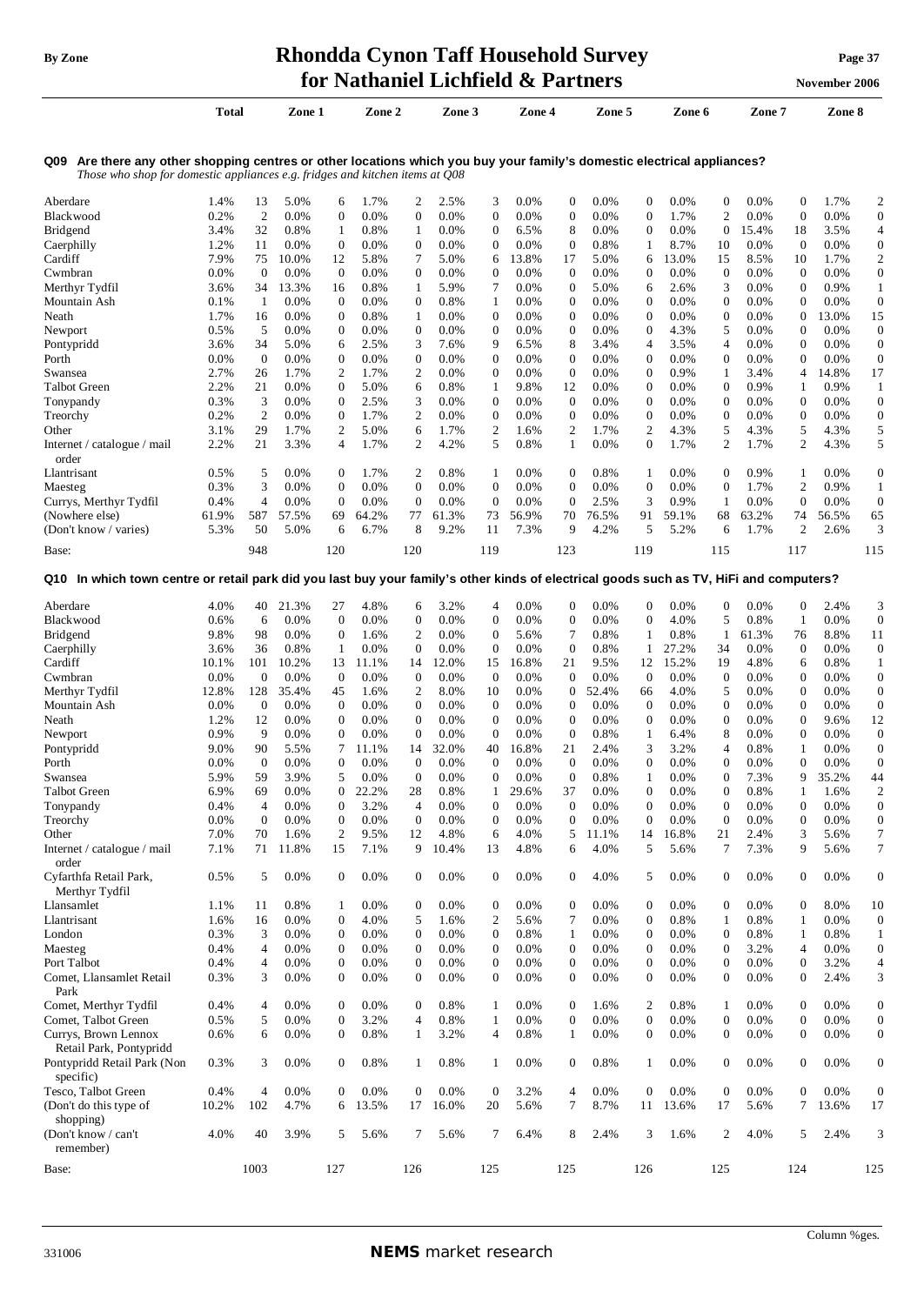# **By** Zone **Rhondda Cynon Taff Household Survey Page** 37

|                                                                                                                                                                                                           |              |                  |                 |                    | for Nathaniel Lichfield & Partners |                       |              |                                      |              |                              |              |                                  |               |                  |               |                   | November 2006 |                        |
|-----------------------------------------------------------------------------------------------------------------------------------------------------------------------------------------------------------|--------------|------------------|-----------------|--------------------|------------------------------------|-----------------------|--------------|--------------------------------------|--------------|------------------------------|--------------|----------------------------------|---------------|------------------|---------------|-------------------|---------------|------------------------|
|                                                                                                                                                                                                           | <b>Total</b> |                  | Zone 1          |                    | Zone 2                             |                       | Zone 3       |                                      | Zone 4       |                              | Zone 5       |                                  | Zone 6        |                  | Zone 7        |                   | Zone 8        |                        |
| Q09 Are there any other shopping centres or other locations which you buy your family's domestic electrical appliances?<br>Those who shop for domestic appliances e.g. fridges and kitchen items at $Q08$ |              |                  |                 |                    |                                    |                       |              |                                      |              |                              |              |                                  |               |                  |               |                   |               |                        |
| Aberdare                                                                                                                                                                                                  | 1.4%         | 13               | 5.0%            | 6                  | 1.7%                               | 2                     | 2.5%         | 3                                    | 0.0%         | $\boldsymbol{0}$             | 0.0%         | $\mathbf{0}$                     | $0.0\%$       | $\boldsymbol{0}$ | 0.0%          | $\mathbf{0}$      | 1.7%          | $\overline{c}$         |
| Blackwood                                                                                                                                                                                                 | 0.2%         | $\overline{c}$   | 0.0%            | $\boldsymbol{0}$   | 0.0%                               | $\boldsymbol{0}$      | 0.0%         | $\boldsymbol{0}$                     | 0.0%         | $\boldsymbol{0}$             | 0.0%         | $\boldsymbol{0}$                 | 1.7%          | $\mathfrak{2}$   | 0.0%          | $\mathbf{0}$      | 0.0%          | $\mathbf{0}$           |
| <b>Bridgend</b>                                                                                                                                                                                           | 3.4%         | 32               | 0.8%            | 1                  | 0.8%                               | 1                     | 0.0%         | $\mathbf{0}$                         | 6.5%         | 8                            | $0.0\%$      | $\mathbf 0$                      | 0.0%          | $\mathbf{0}$     | 15.4%         | 18                | 3.5%          | 4                      |
| Caerphilly                                                                                                                                                                                                | 1.2%         | 11               | 0.0%            | $\mathbf{0}$       | 0.0%                               | $\boldsymbol{0}$      | 0.0%         | $\boldsymbol{0}$                     | 0.0%         | $\boldsymbol{0}$             | 0.8%         | 1                                | 8.7%          | 10               | 0.0%          | $\theta$          | 0.0%          | $\boldsymbol{0}$       |
| Cardiff                                                                                                                                                                                                   | 7.9%         | 75               | 10.0%           | 12                 | 5.8%                               | 7                     | 5.0%         | 6                                    | 13.8%        | 17                           | 5.0%         | 6                                | 13.0%         | 15               | 8.5%          | 10                | 1.7%          | 2                      |
| Cwmbran                                                                                                                                                                                                   | 0.0%         | $\boldsymbol{0}$ | 0.0%            | $\theta$           | 0.0%                               | $\mathbf{0}$          | $0.0\%$      | $\boldsymbol{0}$                     | 0.0%         | $\boldsymbol{0}$             | 0.0%         | $\boldsymbol{0}$                 | 0.0%          | $\mathbf{0}$     | 0.0%          | $\bf{0}$          | 0.0%          | $\boldsymbol{0}$       |
| Merthyr Tydfil                                                                                                                                                                                            | 3.6%         | 34               | 13.3%           | 16                 | 0.8%                               | 1                     | 5.9%         | 7                                    | 0.0%         | $\boldsymbol{0}$             | 5.0%         | 6                                | 2.6%          | 3                | 0.0%          | $\theta$          | 0.9%          | $\mathbf{1}$           |
| Mountain Ash                                                                                                                                                                                              | 0.1%         | -1               | $0.0\%$         | $\mathbf{0}$       | 0.0%                               | $\boldsymbol{0}$      | 0.8%         | 1                                    | 0.0%         | $\boldsymbol{0}$             | $0.0\%$      | $\boldsymbol{0}$                 | 0.0%          | $\mathbf{0}$     | 0.0%          | $\mathbf 0$       | 0.0%          | $\boldsymbol{0}$       |
| Neath                                                                                                                                                                                                     | 1.7%         | 16               | $0.0\%$         | 0                  | 0.8%                               | $\mathbf{1}$          | 0.0%         | $\mathbf{0}$                         | 0.0%         | $\mathbf{0}$                 | 0.0%         | $\mathbf 0$                      | 0.0%          | $\boldsymbol{0}$ | 0.0%          | $\theta$          | 13.0%         | 15                     |
| Newport                                                                                                                                                                                                   | 0.5%         | 5                | $0.0\%$         | 0                  | 0.0%                               | $\boldsymbol{0}$      | 0.0%         | $\mathbf{0}$                         | 0.0%         | $\boldsymbol{0}$             | $0.0\%$      | $\mathbf 0$                      | 4.3%          | 5                | 0.0%          | $\theta$          | 0.0%          | $\boldsymbol{0}$       |
| Pontypridd                                                                                                                                                                                                | 3.6%         | 34               | 5.0%            | 6                  | 2.5%                               | 3                     | 7.6%         | 9                                    | 6.5%         | 8                            | 3.4%         | 4                                | 3.5%          | $\overline{4}$   | 0.0%          | 0                 | 0.0%          | $\boldsymbol{0}$       |
| Porth                                                                                                                                                                                                     | 0.0%         | $\mathbf{0}$     | 0.0%            | 0                  | 0.0%                               | $\overline{0}$        | 0.0%         | $\boldsymbol{0}$                     | 0.0%         | $\mathbf{0}$                 | 0.0%         | 0                                | 0.0%          | $\mathbf{0}$     | 0.0%          | $\mathbf{0}$      | 0.0%          | $\boldsymbol{0}$       |
| Swansea                                                                                                                                                                                                   | 2.7%         | 26               | 1.7%            | $\overline{c}$     | 1.7%                               | $\mathbf{2}$          | 0.0%         | $\boldsymbol{0}$                     | 0.0%         | $\boldsymbol{0}$             | 0.0%         | $\boldsymbol{0}$                 | 0.9%          | $\mathbf{1}$     | 3.4%          | 4                 | 14.8%         | 17                     |
| <b>Talbot Green</b>                                                                                                                                                                                       | 2.2%         | 21               | 0.0%            | $\mathbf{0}$       | 5.0%                               | 6                     | 0.8%         | 1                                    | 9.8%         | 12                           | $0.0\%$      | $\boldsymbol{0}$                 | 0.0%          | $\mathbf{0}$     | 0.9%          | 1                 | 0.9%          | 1                      |
| Tonypandy                                                                                                                                                                                                 | 0.3%         | 3                | 0.0%            | $\mathbf{0}$       | 2.5%                               | 3                     | 0.0%         | $\mathbf{0}$                         | 0.0%         | $\mathbf{0}$                 | 0.0%         | $\boldsymbol{0}$                 | 0.0%          | $\mathbf{0}$     | 0.0%          | 0                 | 0.0%          | $\boldsymbol{0}$       |
| Treorchy                                                                                                                                                                                                  | 0.2%         | $\mathfrak{2}$   | $0.0\%$         | $\boldsymbol{0}$   | 1.7%                               | 2                     | $0.0\%$      | $\boldsymbol{0}$                     | 0.0%         | $\boldsymbol{0}$             | $0.0\%$      | 0<br>$\mathfrak{2}$              | 0.0%          | $\mathbf{0}$     | 0.0%          | $\boldsymbol{0}$  | 0.0%          | $\boldsymbol{0}$       |
| Other                                                                                                                                                                                                     | 3.1%         | 29               | 1.7%            | 2                  | 5.0%                               | 6                     | 1.7%         | $\overline{c}$                       | 1.6%         | 2                            | 1.7%         |                                  | 4.3%          | 5                | 4.3%          | 5<br>2            | 4.3%          | 5                      |
| Internet / catalogue / mail                                                                                                                                                                               | 2.2%         | 21               | 3.3%            | 4                  | 1.7%                               | 2                     | 4.2%         | 5                                    | 0.8%         | 1                            | 0.0%         | $\boldsymbol{0}$                 | 1.7%          | 2                | 1.7%          |                   | 4.3%          | 5                      |
| order<br>Llantrisant                                                                                                                                                                                      | 0.5%         | 5                | 0.0%            | $\boldsymbol{0}$   | 1.7%                               | 2                     | 0.8%         | 1                                    | 0.0%         | $\mathbf{0}$                 | 0.8%         | 1                                | 0.0%          | $\mathbf{0}$     | 0.9%          | 1                 | 0.0%          | $\boldsymbol{0}$       |
| Maesteg                                                                                                                                                                                                   | 0.3%         | 3                | 0.0%            | $\boldsymbol{0}$   | 0.0%                               | $\boldsymbol{0}$      | 0.0%         | $\boldsymbol{0}$                     | 0.0%         | $\boldsymbol{0}$             | 0.0%         | $\boldsymbol{0}$                 | 0.0%          | $\boldsymbol{0}$ | 1.7%          | 2                 | 0.9%          | 1                      |
| Currys, Merthyr Tydfil                                                                                                                                                                                    | 0.4%         | 4                | $0.0\%$         | $\mathbf{0}$       | 0.0%                               | $\overline{0}$        | 0.0%         | $\boldsymbol{0}$                     | 0.0%         | $\mathbf{0}$                 | 2.5%         | 3                                | 0.9%          | 1                | 0.0%          | $\mathbf{0}$      | 0.0%          | $\boldsymbol{0}$       |
| (Nowhere else)                                                                                                                                                                                            | 61.9%        | 587              | 57.5%           | 69                 | 64.2%                              | 77                    | 61.3%        | 73                                   | 56.9%        | 70                           | 76.5%        | 91                               | 59.1%         | 68               | 63.2%         | 74                | 56.5%         | 65                     |
| (Don't know / varies)                                                                                                                                                                                     | 5.3%         | 50               | 5.0%            | 6                  | 6.7%                               | 8                     | 9.2%         | 11                                   | 7.3%         | 9                            | 4.2%         | 5                                | 5.2%          | 6                | 1.7%          | 2                 | 2.6%          | 3                      |
| Base:                                                                                                                                                                                                     |              | 948              |                 | 120                |                                    | 120                   |              | 119                                  |              | 123                          |              | 119                              |               | 115              |               | 117               |               | 115                    |
| Q10 In which town centre or retail park did you last buy your family's other kinds of electrical goods such as TV, HiFi and computers?                                                                    |              |                  |                 |                    |                                    |                       |              |                                      |              |                              |              |                                  |               |                  |               |                   |               |                        |
|                                                                                                                                                                                                           |              |                  |                 |                    |                                    |                       |              |                                      |              |                              |              |                                  |               |                  |               |                   |               |                        |
| Aberdare                                                                                                                                                                                                  | 4.0%         | 40               | 21.3%           | 27<br>$\mathbf{0}$ | 4.8%                               | 6<br>$\boldsymbol{0}$ | 3.2%         | 4                                    | 0.0%         | $\mathbf{0}$<br>$\mathbf{0}$ | 0.0%         | $\boldsymbol{0}$<br>$\mathbf{0}$ | 0.0%          | $\boldsymbol{0}$ | 0.0%          | $\mathbf 0$       | 2.4%          | 3                      |
| Blackwood                                                                                                                                                                                                 | 0.6%         | 6                | 0.0%            |                    | 0.0%                               |                       | 0.0%         | $\boldsymbol{0}$                     | 0.0%         | 7                            | 0.0%         |                                  | 4.0%          | 5                | 0.8%          | $\mathbf{1}$      | 0.0%          | $\boldsymbol{0}$       |
| <b>Bridgend</b><br>Caerphilly                                                                                                                                                                             | 9.8%<br>3.6% | 98<br>36         | $0.0\%$<br>0.8% | $\theta$<br>1      | 1.6%<br>0.0%                       | 2<br>0                | 0.0%<br>0.0% | $\boldsymbol{0}$<br>$\boldsymbol{0}$ | 5.6%<br>0.0% | $\boldsymbol{0}$             | 0.8%<br>0.8% | 1<br>1                           | 0.8%<br>27.2% | -1<br>34         | 61.3%<br>0.0% | 76<br>$\mathbf 0$ | 8.8%<br>0.0%  | 11<br>$\boldsymbol{0}$ |
| Cardiff                                                                                                                                                                                                   | 10.1%        | 101              | 10.2%           | 13                 | 11.1%                              | 14                    | 12.0%        | 15                                   | 16.8%        | 21                           | 9.5%         | 12                               | 15.2%         | 19               | 4.8%          | 6                 | 0.8%          | 1                      |
| Cwmbran                                                                                                                                                                                                   | 0.0%         | $\boldsymbol{0}$ | 0.0%            | $\mathbf{0}$       | 0.0%                               | 0                     | 0.0%         | $\theta$                             | 0.0%         | $\theta$                     | 0.0%         | $\mathbf 0$                      | 0.0%          | $\mathbf{0}$     | 0.0%          | 0                 | 0.0%          | $\boldsymbol{0}$       |
| Merthyr Tydfil                                                                                                                                                                                            | 12.8%        | 128              | 35.4%           | 45                 | 1.6%                               | 2                     | 8.0%         | 10                                   | 0.0%         | $\mathbf{0}$                 | 52.4%        | 66                               | 4.0%          | 5                | 0.0%          | $\mathbf 0$       | 0.0%          | $\boldsymbol{0}$       |
| Mountain Ash                                                                                                                                                                                              | 0.0%         | $\mathbf{0}$     | 0.0%            | $\mathbf{0}$       | 0.0%                               | $\boldsymbol{0}$      | 0.0%         | $\mathbf{0}$                         | 0.0%         | $\mathbf{0}$                 | 0.0%         | $\mathbf 0$                      | $0.0\%$       | 0                | 0.0%          | 0                 | 0.0%          | $\boldsymbol{0}$       |
| Neath                                                                                                                                                                                                     | 1.2%         | 12               | $0.0\%$         | $\mathbf{0}$       | 0.0%                               | $\mathbf{0}$          | 0.0%         | $\boldsymbol{0}$                     | 0.0%         | $\boldsymbol{0}$             | 0.0%         | $\mathbf{0}$                     | 0.0%          | $\mathbf{0}$     | 0.0%          | $\theta$          | 9.6%          | 12                     |
| Newport                                                                                                                                                                                                   | 0.9%         | 9                | $0.0\%$         | $\mathbf{0}$       | 0.0%                               | $\overline{0}$        | $0.0\%$      | $\mathbf{0}$                         | 0.0%         | $\mathbf{0}$                 | 0.8%         | 1                                | 6.4%          | 8                | 0.0%          | $\overline{0}$    | 0.0%          | $\boldsymbol{0}$       |
| Pontypridd                                                                                                                                                                                                | 9.0%         | 90               | 5.5%            | 7                  | 11.1%                              | 14                    | 32.0%        | 40                                   | 16.8%        | 21                           | 2.4%         | 3                                | 3.2%          | 4                | 0.8%          | 1                 | 0.0%          | $\boldsymbol{0}$       |
| Porth                                                                                                                                                                                                     | 0.0%         | $\mathbf{0}$     | 0.0%            | 0                  | 0.0%                               | $\boldsymbol{0}$      | 0.0%         | $\overline{0}$                       | 0.0%         | $\boldsymbol{0}$             | 0.0%         | $\boldsymbol{0}$                 | 0.0%          | $\overline{0}$   | 0.0%          | 0                 | 0.0%          | $\Omega$               |
| Swansea                                                                                                                                                                                                   | 5.9%         | 59               | 3.9%            | 5                  | 0.0%                               | $\boldsymbol{0}$      | 0.0%         | $\boldsymbol{0}$                     | 0.0%         | $\boldsymbol{0}$             | 0.8%         | 1                                | 0.0%          | $\mathbf{0}$     | 7.3%          | 9                 | 35.2%         | 44                     |
| Talbot Green                                                                                                                                                                                              | 6.9%         | 69               | 0.0%            | $\mathbf{0}$       | 22.2%                              | 28                    | 0.8%         | 1                                    | 29.6%        | 37                           | 0.0%         | $\boldsymbol{0}$                 | 0.0%          | $\mathbf{0}$     | 0.8%          | 1                 | 1.6%          | $\overline{2}$         |
| Tonypandy                                                                                                                                                                                                 | 0.4%         | 4                | 0.0%            | $\mathbf{0}$       | 3.2%                               | $\overline{4}$        | 0.0%         | $\boldsymbol{0}$                     | 0.0%         | $\mathbf{0}$                 | 0.0%         | $\boldsymbol{0}$                 | 0.0%          | $\mathbf{0}$     | 0.0%          | $\overline{0}$    | 0.0%          | $\boldsymbol{0}$       |
| Treorchy                                                                                                                                                                                                  | 0.0%         | $\boldsymbol{0}$ | 0.0%            | $\mathbf{0}$       | 0.0%                               | $\mathbf{0}$          | 0.0%         | $\boldsymbol{0}$                     | 0.0%         | $\mathbf{0}$                 | 0.0%         | $\mathbf{0}$                     | 0.0%          | $\mathbf{0}$     | 0.0%          | $\boldsymbol{0}$  | 0.0%          | $\boldsymbol{0}$       |
| Other                                                                                                                                                                                                     | 7.0%         | 70               | 1.6%            | $\overline{c}$     | 9.5%                               | 12                    | 4.8%         | 6                                    | 4.0%         | 5                            | 11.1%        | 14                               | 16.8%         | 21               | 2.4%          | 3                 | 5.6%          | 7                      |
| Internet / catalogue / mail<br>order                                                                                                                                                                      | 7.1%         | 71               | 11.8%           | 15                 | 7.1%                               | 9                     | 10.4%        | 13                                   | 4.8%         | 6                            | 4.0%         | 5                                | 5.6%          | $\overline{7}$   | 7.3%          | 9                 | 5.6%          | 7                      |
| Cyfarthfa Retail Park,                                                                                                                                                                                    | 0.5%         | 5                | 0.0%            | $\mathbf{0}$       | 0.0%                               | 0                     | 0.0%         | $\boldsymbol{0}$                     | 0.0%         | $\mathbf{0}$                 | 4.0%         | 5                                | 0.0%          | $\boldsymbol{0}$ | 0.0%          | $\theta$          | 0.0%          | $\boldsymbol{0}$       |
| Merthyr Tydfil                                                                                                                                                                                            |              |                  |                 |                    |                                    |                       |              |                                      |              |                              |              |                                  |               |                  |               |                   |               |                        |
| Llansamlet                                                                                                                                                                                                | 1.1%         | 11               | 0.8%            | 1                  | 0.0%                               | $\boldsymbol{0}$      | 0.0%         | $\boldsymbol{0}$                     | 0.0%         | $\boldsymbol{0}$             | 0.0%         | $\boldsymbol{0}$                 | 0.0%          | $\boldsymbol{0}$ | 0.0%          | $\mathbf{0}$      | 8.0%          | 10                     |
| Llantrisant                                                                                                                                                                                               | 1.6%         | 16               | 0.0%            | $\boldsymbol{0}$   | 4.0%                               | 5                     | 1.6%         | 2                                    | 5.6%         | 7                            | 0.0%         | $\boldsymbol{0}$                 | 0.8%          | $\mathbf{1}$     | 0.8%          | 1                 | 0.0%          | $\boldsymbol{0}$       |
| London                                                                                                                                                                                                    | 0.3%         | 3                | 0.0%            | $\boldsymbol{0}$   | 0.0%                               | $\boldsymbol{0}$      | 0.0%         | $\boldsymbol{0}$                     | 0.8%         | $\mathbf{1}$                 | 0.0%         | $\boldsymbol{0}$                 | 0.0%          | $\boldsymbol{0}$ | 0.8%          | 1                 | 0.8%          | 1                      |
| Maesteg                                                                                                                                                                                                   | 0.4%         | $\overline{4}$   | 0.0%            | $\mathbf{0}$       | 0.0%                               | $\boldsymbol{0}$      | 0.0%         | $\boldsymbol{0}$                     | 0.0%         | $\boldsymbol{0}$             | 0.0%         | $\boldsymbol{0}$                 | 0.0%          | $\mathbf{0}$     | 3.2%          | 4                 | 0.0%          | $\boldsymbol{0}$       |
| Port Talbot                                                                                                                                                                                               | 0.4%         | 4                | 0.0%            | $\mathbf{0}$       | 0.0%                               | $\boldsymbol{0}$      | 0.0%         | $\boldsymbol{0}$                     | 0.0%         | $\boldsymbol{0}$             | 0.0%         | $\boldsymbol{0}$                 | 0.0%          | $\boldsymbol{0}$ | 0.0%          | $\mathbf{0}$      | 3.2%          | 4                      |
| Comet, Llansamlet Retail<br>Park                                                                                                                                                                          | 0.3%         | 3                | 0.0%            | $\boldsymbol{0}$   | 0.0%                               | 0                     | 0.0%         | $\boldsymbol{0}$                     | 0.0%         | $\mathbf{0}$                 | 0.0%         | $\boldsymbol{0}$                 | 0.0%          | $\mathbf{0}$     | 0.0%          | $\theta$          | 2.4%          | 3                      |
| Comet, Merthyr Tydfil                                                                                                                                                                                     | 0.4%         | 4                | 0.0%            | $\boldsymbol{0}$   | 0.0%                               | $\mathbf{0}$          | 0.8%         | 1                                    | 0.0%         | $\mathbf{0}$                 | 1.6%         | 2                                | 0.8%          | 1                | 0.0%          | $\theta$          | 0.0%          | $\boldsymbol{0}$       |
| Comet, Talbot Green                                                                                                                                                                                       | 0.5%         | 5                | 0.0%            | $\mathbf{0}$       | 3.2%                               | 4                     | 0.8%         | $\mathbf{1}$                         | 0.0%         | $\overline{0}$               | 0.0%         | $\mathbf{0}$                     | 0.0%          | $\mathbf{0}$     | 0.0%          | $\overline{0}$    | 0.0%          | $\boldsymbol{0}$       |
| Currys, Brown Lennox                                                                                                                                                                                      | 0.6%         | 6                | 0.0%            | $\mathbf{0}$       | 0.8%                               | 1                     | 3.2%         | $\overline{4}$                       | 0.8%         | $\mathbf{1}$                 | 0.0%         | $\mathbf{0}$                     | 0.0%          | $\mathbf{0}$     | 0.0%          | $\theta$          | 0.0%          | $\boldsymbol{0}$       |
| Retail Park, Pontypridd                                                                                                                                                                                   |              |                  |                 |                    |                                    |                       |              |                                      |              |                              |              |                                  |               |                  |               |                   |               |                        |
| Pontypridd Retail Park (Non<br>specific)                                                                                                                                                                  | 0.3%         | 3                | 0.0%            | $\boldsymbol{0}$   | 0.8%                               | 1                     | 0.8%         | 1                                    | 0.0%         | $\mathbf{0}$                 | 0.8%         | 1                                | 0.0%          | $\boldsymbol{0}$ | 0.0%          | $\theta$          | 0.0%          | $\boldsymbol{0}$       |
| Tesco, Talbot Green                                                                                                                                                                                       | 0.4%         | 4                | 0.0%            | $\overline{0}$     | 0.0%                               | $\boldsymbol{0}$      | 0.0%         | $\mathbf{0}$                         | 3.2%         | $\overline{4}$               | 0.0%         | $\boldsymbol{0}$                 | 0.0%          | $\boldsymbol{0}$ | 0.0%          | $\mathbf{0}$      | 0.0%          | $\boldsymbol{0}$       |
| (Don't do this type of                                                                                                                                                                                    | 10.2%        | 102              | 4.7%            | 6                  | 13.5%                              | 17                    | 16.0%        | 20                                   | 5.6%         | 7                            | 8.7%         | 11                               | 13.6%         | 17               | 5.6%          | 7                 | 13.6%         | 17                     |
| shopping)                                                                                                                                                                                                 |              |                  |                 |                    |                                    |                       |              |                                      |              |                              |              |                                  |               |                  |               |                   |               |                        |
| (Don't know / can't<br>remember)                                                                                                                                                                          | 4.0%         | 40               | 3.9%            | 5                  | 5.6%                               | 7                     | 5.6%         | 7                                    | 6.4%         | 8                            | 2.4%         | 3                                | 1.6%          | 2                | 4.0%          | 5                 | 2.4%          | 3                      |

Base: 1003 127 126 125 126 126 126 126 127 128 129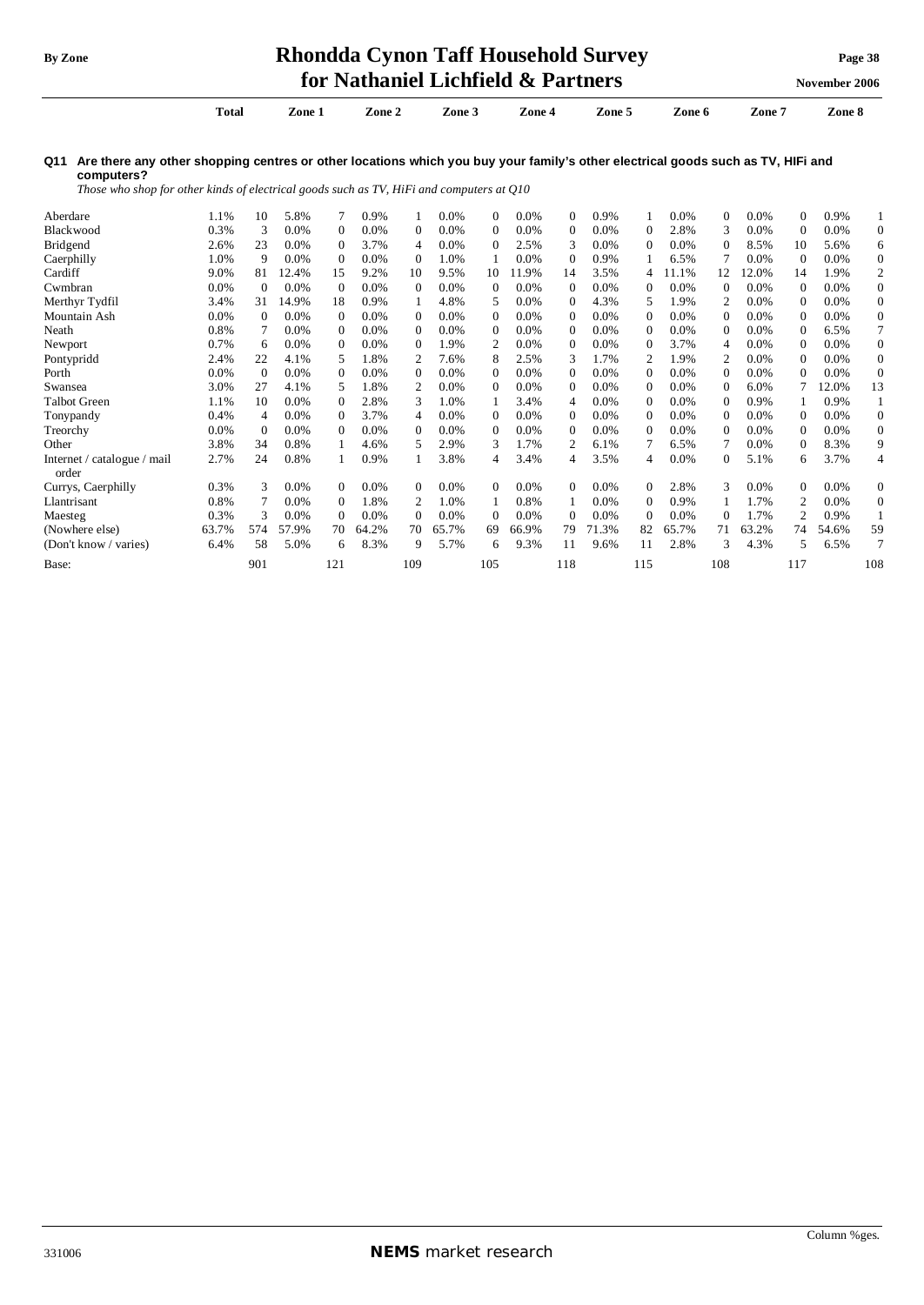#### **By Zone Rhondda Cynon Taff Household Survey Page <sup>38</sup> for Nathaniel Lichfield & Partners November** 2006

**Total Zone 1 Zone 2 Zone 3 Zone 4 Zone 5 Zone 6 Zone 7 Zone 8** 

Q11 Are there any other shopping centres or other locations which you buy your family's other electrical goods such as TV, HIFi and **computers?** 

*Those who shop for other kinds of electrical goods such as TV, HiFi and computers at Q10* 

| Aberdare                             | 1.1%  | 10           | 5.8%  |              | 0.9%  |                | 0.0%  | 0              | 0.0%  | 0        | 0.9%    |              | 0.0%  | $\mathbf{0}$   | 0.0%    | 0              | 0.9%    |                  |
|--------------------------------------|-------|--------------|-------|--------------|-------|----------------|-------|----------------|-------|----------|---------|--------------|-------|----------------|---------|----------------|---------|------------------|
| Blackwood                            | 0.3%  | 3            | 0.0%  | $\Omega$     | 0.0%  | 0              | 0.0%  | 0              | 0.0%  | 0        | 0.0%    | $\Omega$     | 2.8%  | 3              | 0.0%    | $\Omega$       | 0.0%    | $\mathbf{0}$     |
| <b>Bridgend</b>                      | 2.6%  | 23           | 0.0%  | $\Omega$     | 3.7%  | 4              | 0.0%  | $\mathbf{0}$   | 2.5%  | 3        | 0.0%    | $\Omega$     | 0.0%  | $\Omega$       | 8.5%    | 10             | 5.6%    | 6                |
| Caerphilly                           | 1.0%  | 9            | 0.0%  | $\theta$     | 0.0%  | $\Omega$       | 1.0%  |                | 0.0%  | 0        | 0.9%    |              | 6.5%  |                | 0.0%    | $\Omega$       | 0.0%    | $\mathbf{0}$     |
| Cardiff                              | 9.0%  | 81           | 12.4% | 15           | 9.2%  | 10             | 9.5%  | 10             | 11.9% | 14       | 3.5%    | 4            | 1.1%  | 12             | 12.0%   | 14             | 1.9%    | 2                |
| Cwmbran                              | 0.0%  | $\mathbf{0}$ | 0.0%  | $\theta$     | 0.0%  | $\Omega$       | 0.0%  | 0              | 0.0%  | $\Omega$ | 0.0%    | $\Omega$     | 0.0%  | $\Omega$       | 0.0%    | $\Omega$       | 0.0%    | $\boldsymbol{0}$ |
| Merthyr Tydfil                       | 3.4%  | 31           | 14.9% | 18           | 0.9%  |                | 4.8%  | 5              | 0.0%  | $\Omega$ | 4.3%    | 5            | 1.9%  | $\overline{c}$ | 0.0%    | $\Omega$       | 0.0%    | $\overline{0}$   |
| Mountain Ash                         | 0.0%  | $\Omega$     | 0.0%  | $\Omega$     | 0.0%  | $\Omega$       | 0.0%  | $\mathbf{0}$   | 0.0%  | $\Omega$ | 0.0%    | $\Omega$     | 0.0%  | $\Omega$       | 0.0%    | $\Omega$       | 0.0%    | $\mathbf{0}$     |
| Neath                                | 0.8%  |              | 0.0%  | $\Omega$     | 0.0%  | $\Omega$       | 0.0%  | 0              | 0.0%  | 0        | $0.0\%$ | $\Omega$     | 0.0%  | $\mathbf{0}$   | $0.0\%$ | 0              | 6.5%    | 7                |
| Newport                              | 0.7%  | 6            | 0.0%  | $\Omega$     | 0.0%  | $\Omega$       | 1.9%  | $\overline{2}$ | 0.0%  | $\Omega$ | 0.0%    | $\Omega$     | 3.7%  | 4              | 0.0%    | 0              | 0.0%    | $\boldsymbol{0}$ |
| Pontypridd                           | 2.4%  | 22           | 4.1%  | 5            | 1.8%  |                | 7.6%  | 8              | 2.5%  | 3        | 1.7%    | 2            | 1.9%  | 2              | 0.0%    | 0              | 0.0%    | $\overline{0}$   |
| Porth                                | 0.0%  | $\Omega$     | 0.0%  | $\Omega$     | 0.0%  | $\Omega$       | 0.0%  | $\mathbf{0}$   | 0.0%  | 0        | 0.0%    | $\Omega$     | 0.0%  | $\Omega$       | 0.0%    | $\Omega$       | 0.0%    | $\mathbf{0}$     |
| Swansea                              | 3.0%  | 27           | 4.1%  | 5            | 1.8%  | 2              | 0.0%  | $\mathbf{0}$   | 0.0%  | 0        | 0.0%    | $\Omega$     | 0.0%  | $\Omega$       | 6.0%    |                | 12.0%   | 13               |
| Talbot Green                         | 1.1%  | 10           | 0.0%  | $\Omega$     | 2.8%  | 3              | 1.0%  |                | 3.4%  | 4        | 0.0%    | $\Omega$     | 0.0%  | $\Omega$       | 0.9%    |                | 0.9%    |                  |
| Tonypandy                            | 0.4%  | 4            | 0.0%  | $\theta$     | 3.7%  | 4              | 0.0%  | 0              | 0.0%  | $\Omega$ | 0.0%    | $\Omega$     | 0.0%  | $\Omega$       | 0.0%    | $\theta$       | 0.0%    | $\mathbf{0}$     |
| Treorchy                             | 0.0%  | 0            | 0.0%  | $\Omega$     | 0.0%  | $\overline{0}$ | 0.0%  | 0              | 0.0%  | 0        | $0.0\%$ | 0            | 0.0%  | $\theta$       | 0.0%    | 0              | 0.0%    | $\mathbf{0}$     |
| Other                                | 3.8%  | 34           | 0.8%  |              | 4.6%  | 5              | 2.9%  | 3              | 1.7%  | 2        | 6.1%    |              | 6.5%  |                | 0.0%    | $\mathbf{0}$   | 8.3%    | 9                |
| Internet / catalogue / mail<br>order | 2.7%  | 24           | 0.8%  |              | 0.9%  |                | 3.8%  | 4              | 3.4%  | 4        | 3.5%    | 4            | 0.0%  | 0              | 5.1%    | 6              | 3.7%    | 4                |
| Currys, Caerphilly                   | 0.3%  | 3            | 0.0%  | $\mathbf{0}$ | 0.0%  | $\Omega$       | 0.0%  | $\mathbf{0}$   | 0.0%  | $\Omega$ | 0.0%    | $\mathbf{0}$ | 2.8%  | 3              | 0.0%    | 0              | $0.0\%$ | $\overline{0}$   |
| Llantrisant                          | 0.8%  |              | 0.0%  | $\Omega$     | 1.8%  | 2              | 1.0%  |                | 0.8%  |          | 0.0%    | $\mathbf{0}$ | 0.9%  |                | 1.7%    | 2              | 0.0%    | $\mathbf{0}$     |
| Maesteg                              | 0.3%  | 3            | 0.0%  | $\mathbf{0}$ | 0.0%  | $\Omega$       | 0.0%  | 0              | 0.0%  | $\Omega$ | 0.0%    | $\Omega$     | 0.0%  | $\Omega$       | 1.7%    | $\overline{2}$ | 0.9%    |                  |
| (Nowhere else)                       | 63.7% | 574          | 57.9% | 70           | 64.2% | 70             | 65.7% | 69             | 66.9% | 79       | 71.3%   | 82           | 65.7% | 71             | 63.2%   | 74             | 54.6%   | 59               |
| (Don't know / varies)                | 6.4%  | 58           | 5.0%  | 6            | 8.3%  | 9              | 5.7%  | 6              | 9.3%  | 11       | 9.6%    | 11           | 2.8%  | 3              | 4.3%    | 5              | 6.5%    | 7                |
| Base:                                |       | 901          |       | 121          |       | 109            |       | 105            |       | 118      |         | 115          |       | 108            |         | 117            |         | 108              |
|                                      |       |              |       |              |       |                |       |                |       |          |         |              |       |                |         |                |         |                  |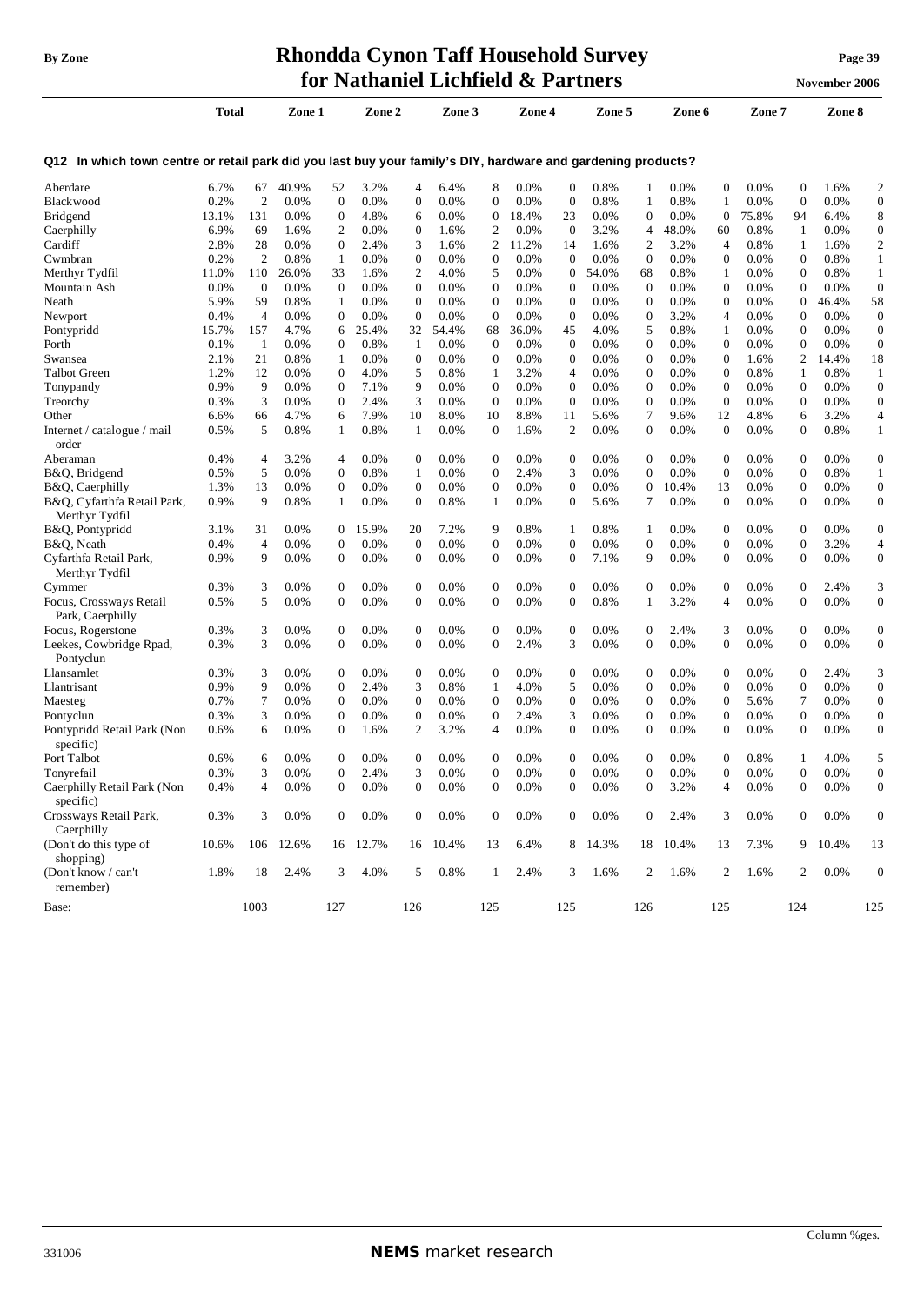## **By** Zone **Rhondda Cynon Taff Household Survey Page** 39 **for Nathaniel Lichfield & Partners November** 2006

|                                                                                                              | <b>Total</b> |                | Zone 1    |                  | Zone 2   |                  | Zone 3   |                  | Zone 4  |                  | Zone 5  |                  | Zone 6   |                  | Zone 7 |                  | Zone 8  |                  |
|--------------------------------------------------------------------------------------------------------------|--------------|----------------|-----------|------------------|----------|------------------|----------|------------------|---------|------------------|---------|------------------|----------|------------------|--------|------------------|---------|------------------|
| Q12 In which town centre or retail park did you last buy your family's DIY, hardware and gardening products? |              |                |           |                  |          |                  |          |                  |         |                  |         |                  |          |                  |        |                  |         |                  |
| Aberdare                                                                                                     | 6.7%         | 67             | 40.9%     | 52               | 3.2%     | 4                | 6.4%     | 8                | 0.0%    | 0                | 0.8%    | 1                | 0.0%     | $\mathbf 0$      | 0.0%   | $\mathbf{0}$     | 1.6%    | $\overline{c}$   |
| Blackwood                                                                                                    | 0.2%         | $\overline{2}$ | 0.0%      | $\mathbf{0}$     | 0.0%     | $\overline{0}$   | 0.0%     | $\overline{0}$   | 0.0%    | $\mathbf{0}$     | 0.8%    | 1                | 0.8%     | 1                | 0.0%   | $\overline{0}$   | 0.0%    | $\mathbf{0}$     |
| Bridgend                                                                                                     | 13.1%        | 131            | $0.0\%$   | $\mathbf{0}$     | 4.8%     | 6                | 0.0%     | $\theta$         | 18.4%   | 23               | 0.0%    | $\mathbf{0}$     | 0.0%     | $\boldsymbol{0}$ | 75.8%  | 94               | 6.4%    | 8                |
| Caerphilly                                                                                                   | 6.9%         | 69             | 1.6%      | 2                | 0.0%     | $\boldsymbol{0}$ | 1.6%     | $\overline{2}$   | 0.0%    | $\mathbf{0}$     | 3.2%    | 4                | 48.0%    | 60               | 0.8%   | 1                | 0.0%    | $\boldsymbol{0}$ |
| Cardiff                                                                                                      | 2.8%         | 28             | 0.0%      | 0                | 2.4%     | 3                | 1.6%     | 2                | 11.2%   | 14               | 1.6%    | 2                | 3.2%     | $\overline{4}$   | 0.8%   | 1                | 1.6%    | $\overline{c}$   |
| Cwmbran                                                                                                      | 0.2%         | $\overline{2}$ | 0.8%      | 1                | 0.0%     | $\boldsymbol{0}$ | 0.0%     | $\boldsymbol{0}$ | 0.0%    | 0                | 0.0%    | $\mathbf{0}$     | 0.0%     | $\mathbf{0}$     | 0.0%   | $\boldsymbol{0}$ | 0.8%    | 1                |
| Merthyr Tydfil                                                                                               | 11.0%        | 110            | 26.0%     | 33               | 1.6%     | 2                | 4.0%     | 5                | 0.0%    | $\mathbf{0}$     | 54.0%   | 68               | 0.8%     | 1                | 0.0%   | $\mathbf{0}$     | 0.8%    | $\mathbf{1}$     |
| Mountain Ash                                                                                                 | 0.0%         | $\mathbf{0}$   | 0.0%      | $\mathbf{0}$     | 0.0%     | $\boldsymbol{0}$ | 0.0%     | $\mathbf{0}$     | 0.0%    | 0                | 0.0%    | $\mathbf{0}$     | 0.0%     | $\boldsymbol{0}$ | 0.0%   | $\mathbf{0}$     | 0.0%    | $\boldsymbol{0}$ |
| Neath                                                                                                        | 5.9%         | 59             | 0.8%      | 1                | 0.0%     | $\mathbf{0}$     | 0.0%     | $\mathbf{0}$     | 0.0%    | $\mathbf{0}$     | 0.0%    | $\mathbf{0}$     | 0.0%     | $\boldsymbol{0}$ | 0.0%   | $\mathbf{0}$     | 46.4%   | 58               |
| Newport                                                                                                      | 0.4%         | $\overline{4}$ | 0.0%      | $\mathbf{0}$     | 0.0%     | $\boldsymbol{0}$ | 0.0%     | $\boldsymbol{0}$ | 0.0%    | $\mathbf{0}$     | $0.0\%$ | $\boldsymbol{0}$ | 3.2%     | 4                | 0.0%   | $\boldsymbol{0}$ | 0.0%    | $\boldsymbol{0}$ |
| Pontypridd                                                                                                   | 15.7%        | 157            | 4.7%      | 6                | 25.4%    | 32               | 54.4%    | 68               | 36.0%   | 45               | 4.0%    | 5                | 0.8%     | 1                | 0.0%   | $\mathbf{0}$     | 0.0%    | $\boldsymbol{0}$ |
| Porth                                                                                                        | 0.1%         | -1             | $0.0\%$   | 0                | 0.8%     | 1                | 0.0%     | $\mathbf{0}$     | 0.0%    | $\mathbf{0}$     | $0.0\%$ | $\boldsymbol{0}$ | 0.0%     | $\boldsymbol{0}$ | 0.0%   | $\boldsymbol{0}$ | 0.0%    | $\boldsymbol{0}$ |
|                                                                                                              |              |                |           |                  |          |                  |          |                  |         |                  |         |                  |          |                  |        |                  |         |                  |
| Swansea                                                                                                      | 2.1%         | 21             | 0.8%      | 1                | 0.0%     | $\boldsymbol{0}$ | 0.0%     | $\mathbf{0}$     | 0.0%    | 0                | $0.0\%$ | $\boldsymbol{0}$ | 0.0%     | $\mathbf{0}$     | 1.6%   | 2                | 14.4%   | 18               |
| <b>Talbot Green</b>                                                                                          | 1.2%         | 12             | 0.0%      | $\mathbf{0}$     | 4.0%     | 5                | 0.8%     | $\mathbf{1}$     | 3.2%    | 4                | 0.0%    | $\mathbf{0}$     | 0.0%     | $\boldsymbol{0}$ | 0.8%   | 1                | 0.8%    | $\mathbf{1}$     |
| Tonypandy                                                                                                    | 0.9%         | 9              | 0.0%      | $\mathbf{0}$     | 7.1%     | 9                | 0.0%     | $\theta$         | 0.0%    | 0                | 0.0%    | $\mathbf{0}$     | $0.0\%$  | $\mathbf{0}$     | 0.0%   | $\overline{0}$   | 0.0%    | $\boldsymbol{0}$ |
| Treorchy                                                                                                     | 0.3%         | 3              | 0.0%      | $\boldsymbol{0}$ | 2.4%     | 3                | 0.0%     | $\mathbf{0}$     | 0.0%    | 0                | 0.0%    | $\boldsymbol{0}$ | 0.0%     | $\boldsymbol{0}$ | 0.0%   | $\mathbf{0}$     | 0.0%    | $\boldsymbol{0}$ |
| Other                                                                                                        | 6.6%         | 66             | 4.7%      | 6                | 7.9%     | 10               | 8.0%     | 10               | 8.8%    | 11               | 5.6%    | 7                | 9.6%     | 12               | 4.8%   | 6                | 3.2%    | $\overline{4}$   |
| Internet / catalogue / mail<br>order                                                                         | 0.5%         | 5              | 0.8%      | 1                | 0.8%     | $\mathbf{1}$     | 0.0%     | $\mathbf{0}$     | 1.6%    | 2                | 0.0%    | $\mathbf{0}$     | 0.0%     | $\boldsymbol{0}$ | 0.0%   | $\overline{0}$   | 0.8%    | $\mathbf{1}$     |
| Aberaman                                                                                                     | 0.4%         | 4              | 3.2%      | 4                | 0.0%     | $\boldsymbol{0}$ | 0.0%     | $\mathbf{0}$     | 0.0%    | 0                | $0.0\%$ | $\mathbf{0}$     | $0.0\%$  | $\mathbf{0}$     | 0.0%   | $\boldsymbol{0}$ | 0.0%    | $\mathbf{0}$     |
| B&Q, Bridgend                                                                                                | 0.5%         | 5              | 0.0%      | $\mathbf{0}$     | 0.8%     | $\mathbf{1}$     | 0.0%     | $\mathbf{0}$     | 2.4%    | 3                | 0.0%    | $\mathbf{0}$     | 0.0%     | $\mathbf{0}$     | 0.0%   | $\boldsymbol{0}$ | 0.8%    | 1                |
| B&Q, Caerphilly                                                                                              | 1.3%         | 13             | 0.0%      | 0                | 0.0%     | $\boldsymbol{0}$ | 0.0%     | $\boldsymbol{0}$ | 0.0%    | 0                | 0.0%    | $\boldsymbol{0}$ | 10.4%    | 13               | 0.0%   | $\boldsymbol{0}$ | 0.0%    | $\boldsymbol{0}$ |
| B&Q, Cyfarthfa Retail Park,<br>Merthyr Tydfil                                                                | 0.9%         | 9              | 0.8%      | 1                | 0.0%     | $\boldsymbol{0}$ | 0.8%     | $\mathbf{1}$     | 0.0%    | $\boldsymbol{0}$ | 5.6%    | 7                | 0.0%     | $\mathbf{0}$     | 0.0%   | $\mathbf{0}$     | 0.0%    | $\boldsymbol{0}$ |
| B&Q, Pontypridd                                                                                              | 3.1%         | 31             | 0.0%      | $\overline{0}$   | 15.9%    | 20               | 7.2%     | 9                | 0.8%    | 1                | 0.8%    | 1                | 0.0%     | $\boldsymbol{0}$ | 0.0%   | $\mathbf{0}$     | 0.0%    | $\boldsymbol{0}$ |
| B&Q, Neath                                                                                                   | 0.4%         | $\overline{4}$ | 0.0%      | $\mathbf{0}$     | 0.0%     | $\boldsymbol{0}$ | 0.0%     | $\mathbf{0}$     | 0.0%    | $\mathbf{0}$     | $0.0\%$ | $\mathbf{0}$     | 0.0%     | $\boldsymbol{0}$ | 0.0%   | $\mathbf{0}$     | 3.2%    | $\overline{4}$   |
| Cyfarthfa Retail Park,<br>Merthyr Tydfil                                                                     | 0.9%         | 9              | $0.0\%$   | 0                | 0.0%     | $\boldsymbol{0}$ | 0.0%     | $\boldsymbol{0}$ | 0.0%    | 0                | 7.1%    | 9                | 0.0%     | $\mathbf{0}$     | 0.0%   | $\mathbf{0}$     | $0.0\%$ | $\mathbf{0}$     |
| Cymmer                                                                                                       | 0.3%         | 3              | 0.0%      | $\mathbf{0}$     | 0.0%     | $\mathbf{0}$     | 0.0%     | $\theta$         | 0.0%    | $\overline{0}$   | 0.0%    | $\mathbf{0}$     | 0.0%     | $\mathbf{0}$     | 0.0%   | $\mathbf{0}$     | 2.4%    | 3                |
| Focus, Crossways Retail<br>Park, Caerphilly                                                                  | 0.5%         | 5              | 0.0%      | $\mathbf{0}$     | 0.0%     | $\mathbf{0}$     | 0.0%     | $\theta$         | 0.0%    | 0                | 0.8%    | 1                | 3.2%     | $\overline{4}$   | 0.0%   | $\overline{0}$   | 0.0%    | $\boldsymbol{0}$ |
| Focus, Rogerstone                                                                                            | 0.3%         | 3              | 0.0%      | $\mathbf{0}$     | 0.0%     | $\boldsymbol{0}$ | 0.0%     | $\theta$         | 0.0%    | $\mathbf{0}$     | 0.0%    | $\overline{0}$   | 2.4%     | 3                | 0.0%   | $\mathbf{0}$     | 0.0%    | $\boldsymbol{0}$ |
| Leekes, Cowbridge Rpad,                                                                                      | 0.3%         | 3              | 0.0%      | $\mathbf{0}$     | 0.0%     | $\boldsymbol{0}$ | 0.0%     | $\boldsymbol{0}$ | 2.4%    | 3                | 0.0%    | $\mathbf{0}$     | 0.0%     | $\boldsymbol{0}$ | 0.0%   | $\mathbf{0}$     | 0.0%    | $\boldsymbol{0}$ |
| Pontyclun                                                                                                    |              |                |           |                  |          |                  |          |                  |         |                  |         |                  |          |                  |        |                  |         |                  |
| Llansamlet                                                                                                   | 0.3%         | 3              | 0.0%      | 0                | 0.0%     | $\boldsymbol{0}$ | 0.0%     | $\boldsymbol{0}$ | $0.0\%$ | $\mathbf{0}$     | $0.0\%$ | 0                | $0.0\%$  | $\mathbf 0$      | 0.0%   | $\boldsymbol{0}$ | 2.4%    | 3                |
| Llantrisant                                                                                                  | 0.9%         | 9              | 0.0%      | $\mathbf{0}$     | 2.4%     | 3                | 0.8%     | 1                | 4.0%    | 5                | $0.0\%$ | $\mathbf{0}$     | 0.0%     | $\mathbf{0}$     | 0.0%   | $\boldsymbol{0}$ | 0.0%    | $\boldsymbol{0}$ |
| Maesteg                                                                                                      | 0.7%         | 7              | $0.0\%$   | 0                | 0.0%     | $\boldsymbol{0}$ | 0.0%     | $\mathbf{0}$     | 0.0%    | 0                | $0.0\%$ | $\boldsymbol{0}$ | $0.0\%$  | $\boldsymbol{0}$ | 5.6%   | 7                | 0.0%    | $\boldsymbol{0}$ |
| Pontyclun                                                                                                    | 0.3%         | 3              | 0.0%      | $\mathbf{0}$     | 0.0%     | $\boldsymbol{0}$ | 0.0%     | $\boldsymbol{0}$ | 2.4%    | 3                | 0.0%    | $\boldsymbol{0}$ | 0.0%     | $\boldsymbol{0}$ | 0.0%   | $\mathbf{0}$     | 0.0%    | $\boldsymbol{0}$ |
| Pontypridd Retail Park (Non                                                                                  | 0.6%         | 6              | 0.0%      | $\mathbf{0}$     | 1.6%     | $\overline{2}$   | 3.2%     | $\overline{4}$   | 0.0%    | $\mathbf{0}$     | $0.0\%$ | $\boldsymbol{0}$ | 0.0%     | $\boldsymbol{0}$ | 0.0%   | $\mathbf{0}$     | $0.0\%$ | $\boldsymbol{0}$ |
| specific)                                                                                                    |              |                |           |                  |          |                  |          |                  |         |                  |         |                  |          |                  |        |                  |         |                  |
| Port Talbot                                                                                                  | 0.6%         | 6              | $0.0\%$   | $\mathbf{0}$     | 0.0%     | $\boldsymbol{0}$ | $0.0\%$  | $\boldsymbol{0}$ | 0.0%    | $\mathbf{0}$     | $0.0\%$ | 0                | $0.0\%$  | $\mathbf 0$      | 0.8%   | 1                | 4.0%    | 5                |
| Tonyrefail                                                                                                   | 0.3%         | 3              | $0.0\%$   | $\mathbf{0}$     | 2.4%     | 3                | $0.0\%$  | $\boldsymbol{0}$ | 0.0%    | 0                | 0.0%    | $\overline{0}$   | 0.0%     | $\boldsymbol{0}$ | 0.0%   | $\boldsymbol{0}$ | 0.0%    | $\mathbf{0}$     |
| Caerphilly Retail Park (Non<br>specific)                                                                     | 0.4%         | 4              | $0.0\%$   | 0                | $0.0\%$  | $\Omega$         | 0.0%     | $\theta$         | 0.0%    | $\Omega$         | $0.0\%$ | $\Omega$         | 3.2%     | 4                | 0.0%   | $\Omega$         | 0.0%    | $\overline{0}$   |
| Crossways Retail Park,<br>Caerphilly                                                                         | 0.3%         | 3              | $0.0\%$   | $\mathbf{0}$     | 0.0%     | $\mathbf{0}$     | 0.0%     | $\boldsymbol{0}$ | 0.0%    | 0                | 0.0%    | 0                | 2.4%     | 3                | 0.0%   | $\mathbf{0}$     | 0.0%    | $\mathbf{0}$     |
| (Don't do this type of<br>shopping)                                                                          | 10.6%        |                | 106 12.6% |                  | 16 12.7% |                  | 16 10.4% | 13               | 6.4%    |                  | 8 14.3% |                  | 18 10.4% | 13               | 7.3%   |                  | 9 10.4% | 13               |
| (Don't know / can't<br>remember)                                                                             | 1.8%         | 18             | 2.4%      | 3                | 4.0%     | 5                | $0.8\%$  | $\mathbf{1}$     | 2.4%    | 3                | 1.6%    | 2                | 1.6%     | 2                | 1.6%   | $\overline{c}$   | 0.0%    | $\mathbf{0}$     |
| Base:                                                                                                        |              | 1003           |           | 127              |          | 126              |          | 125              |         | 125              |         | 126              |          | 125              |        | 124              |         | 125              |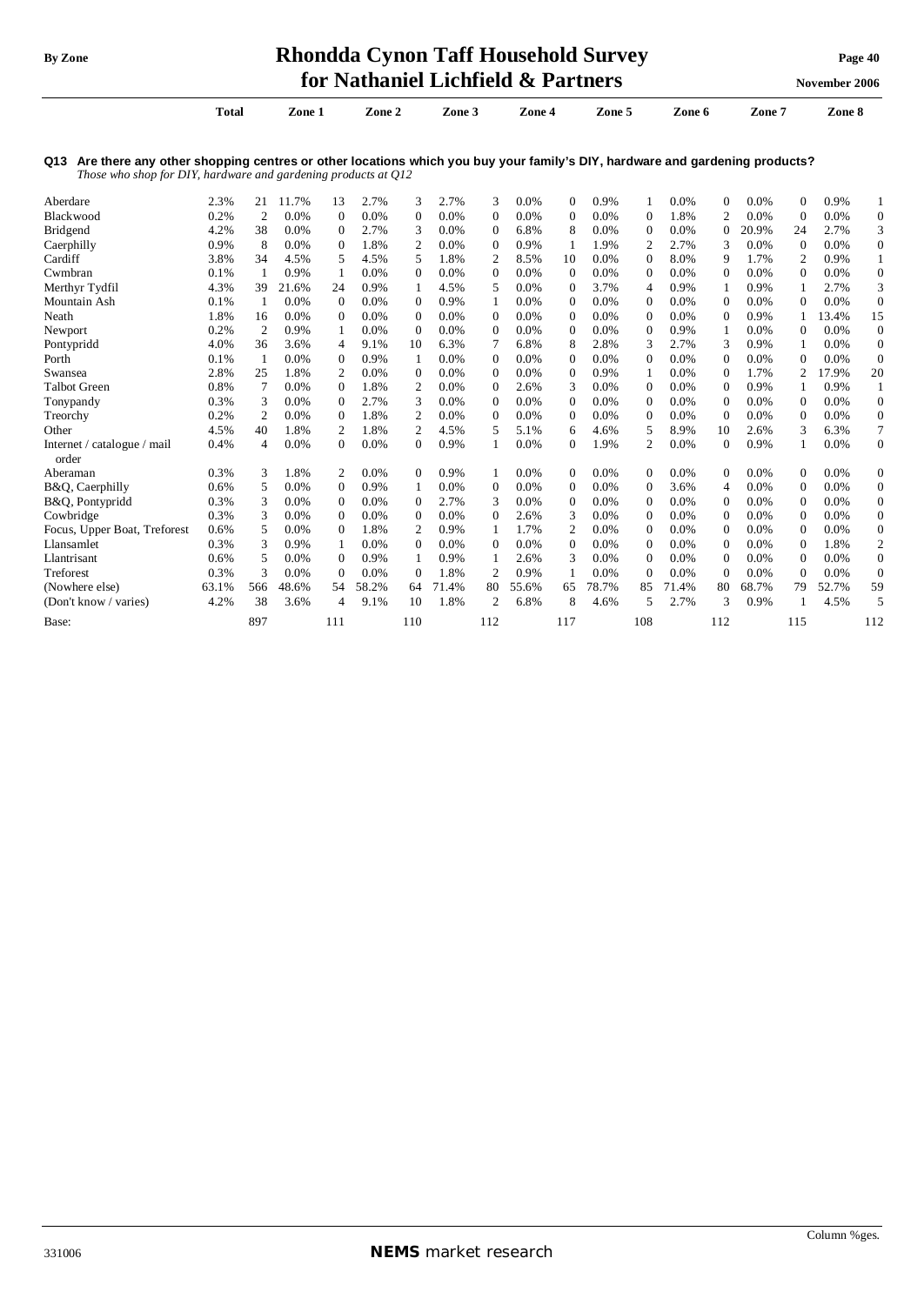Internet / catalogue / mail

order

## **By** Zone **Rhondda Cynon Taff Household Survey Page** 40 **for Nathaniel Lichfield & Partners November** 2006

|                                                                                                                                                                                                    | <b>Total</b> |    | Zone 1  |          | Zone 2  |          | Zone 3  |          | Zone 4  |          | Zone 5  |          | Zone 6 |          | Zone 7  |                | Zone 8  |   |
|----------------------------------------------------------------------------------------------------------------------------------------------------------------------------------------------------|--------------|----|---------|----------|---------|----------|---------|----------|---------|----------|---------|----------|--------|----------|---------|----------------|---------|---|
| Are there any other shopping centres or other locations which you buy your family's DIY, hardware and gardening products?<br>Q13<br>Those who shop for DIY, hardware and gardening products at O12 |              |    |         |          |         |          |         |          |         |          |         |          |        |          |         |                |         |   |
| Aberdare                                                                                                                                                                                           | 2.3%         | 21 | $.7\%$  | 13       | 2.7%    | 3        | 2.7%    | 3        | $0.0\%$ | $\Omega$ | 0.9%    |          | 0.0%   | $\Omega$ | $0.0\%$ | 0              | 0.9%    |   |
| Blackwood                                                                                                                                                                                          | 0.2%         | 2  | 0.0%    | 0        | 0.0%    | $\Omega$ | 0.0%    | $\Omega$ | $0.0\%$ | $\Omega$ | $0.0\%$ | 0        | 1.8%   | 2        | $0.0\%$ | $\Omega$       | $0.0\%$ |   |
| <b>Bridgend</b>                                                                                                                                                                                    | 4.2%         | 38 | $0.0\%$ | $\Omega$ | 2.7%    | 3        | $0.0\%$ | $\Omega$ | 6.8%    | 8        | $0.0\%$ | $\Omega$ | 0.0%   | 0        | 20.9%   | 24             | 2.7%    |   |
| Caerphilly                                                                                                                                                                                         | 0.9%         | 8  | $0.0\%$ | $\Omega$ | 1.8%    | 2        | $0.0\%$ | $\Omega$ | 0.9%    |          | 1.9%    |          | 2.7%   | 3        | $0.0\%$ | 0              | 0.0%    |   |
| Cardiff                                                                                                                                                                                            | 3.8%         | 34 | 4.5%    | 5.       | 4.5%    | 5        | 1.8%    |          | 8.5%    | 10       | $0.0\%$ | $\Omega$ | 8.0%   | 9        | 1.7%    | $\overline{2}$ | 0.9%    |   |
| Cwmbran                                                                                                                                                                                            | 0.1%         |    | 0.9%    |          | 0.0%    | $\Omega$ | $0.0\%$ | $\Omega$ | $0.0\%$ | $\Omega$ | $0.0\%$ | $\Omega$ | 0.0%   | $\Omega$ | 0.0%    | 0              | 0.0%    |   |
| Merthyr Tydfil                                                                                                                                                                                     | 4.3%         | 39 | 21.6%   | 24       | 0.9%    |          | 4.5%    | 5        | 0.0%    | $\Omega$ | 3.7%    | 4        | 0.9%   |          | 0.9%    |                | 2.7%    | 3 |
| Mountain Ash                                                                                                                                                                                       | 0.1%         |    | 0.0%    |          | $0.0\%$ | $\Omega$ | 0.9%    |          | 0.0%    | 0        | 0.0%    | 0        | 0.0%   | 0        | $0.0\%$ | 0              | $0.0\%$ |   |

Neath 1.8% 16 0.0% 0 0.0% 0 0.0% 0 0.0% 0 0.0% 0 0.0% 0 0.9% 1 13.4% 15 Newport 0.2% 2 0.9% 1 0.0% 0 0.0% 0 0.0% 0 0.0% 0 0.9% 1 0.0% 0 0.0% 0 Pontypridd 4.0% 36 3.6% 4 9.1% 10 6.3% 7 6.8% 8 2.8% 3 2.7% 3 0.9% 1 0.0% 0 Porth 0.1% 1 0.0% 0 0.9% 1 0.0% 0 0.0% 0 0.0% 0 0.0% 0 0.0% 0 0.0% 0 Swansea 2.8% 25 1.8% 2 0.0% 0 0.0% 0 0.0% 0 0.9% 1 0.0% 0 1.7% 2 17.9% 20 Talbot Green 0.8% 7 0.0% 0 1.8% 2 0.0% 0 2.6% 3 0.0% 0 0.0% 0 0.9% 1 0.9% 1 Tonypandy 0.3% 3 0.0% 0 2.7% 3 0.0% 0 0.0% 0 0.0% 0 0.0% 0 0.0% 0 0.0% 0 Treorchy 0.2% 2 0.0% 0 1.8% 2 0.0% 0 0.0% 0 0.0% 0 0.0% 0 0.0% 0 0.0% 0 Other 4.5% 40 1.8% 2 1.8% 2 4.5% 5 5.1% 6 4.6% 5 8.9% 10 2.6% 3 6.3% 7

Aberaman 0.3% 3 1.8% 2 0.0% 0 0.9% 1 0.0% 0 0.0% 0 0.0% 0 0.0% 0 0.0% 0 B&Q, Caerphilly 0.6% 5 0.0% 0 0.9% 1 0.0% 0 0.0% 0 0.0% 0 3.6% 4 0.0% 0 0.0% 0 B&Q, Pontypridd 0.3% 3 0.0% 0 0.0% 0 2.7% 3 0.0% 0 0.0% 0 0.0% 0 0.0% 0 0.0% 0 Cowbridge 0.3% 3 0.0% 0 0.0% 0 0.0% 0 2.6% 3 0.0% 0 0.0% 0 0.0% 0 0.0% 0 Focus, Upper Boat, Treforest 0.6% 5 0.0% 0 1.8% 2 0.9% 1 1.7% 2 0.0% 0 0.0% 0 0.0% 0 0.0% 0 Llansamlet 0.3% 3 0.9% 1 0.0% 0 0.0% 0 0.0% 0 0.0% 0 0.0% 0 0.0% 0 1.8% 2 Llantrisant 0.6% 5 0.0% 0 0.9% 1 0.9% 1 2.6% 3 0.0% 0 0.0% 0 0.0% 0 0.0% 0 Treforest 0.3% 3 0.0% 0 0.0% 0 1.8% 2 0.9% 1 0.0% 0 0.0% 0 0.0% 0 0.0% 0 (Nowhere else) 63.1% 566 48.6% 54 58.2% 64 71.4% 80 55.6% 65 78.7% 85 71.4% 80 68.7% 79 52.7% 59 (Don't know / varies) 4.2% 38 3.6% 4 9.1% 10 1.8% 2 6.8% 8 4.6% 5 2.7% 3 0.9% 1 4.5% 5 Base: 897 111 110 112 117 108 112 115 112

0.4% 4 0.0% 0 0.0% 0 0.9% 1 0.0% 0 1.9% 2 0.0% 0 0.9% 1 0.0% 0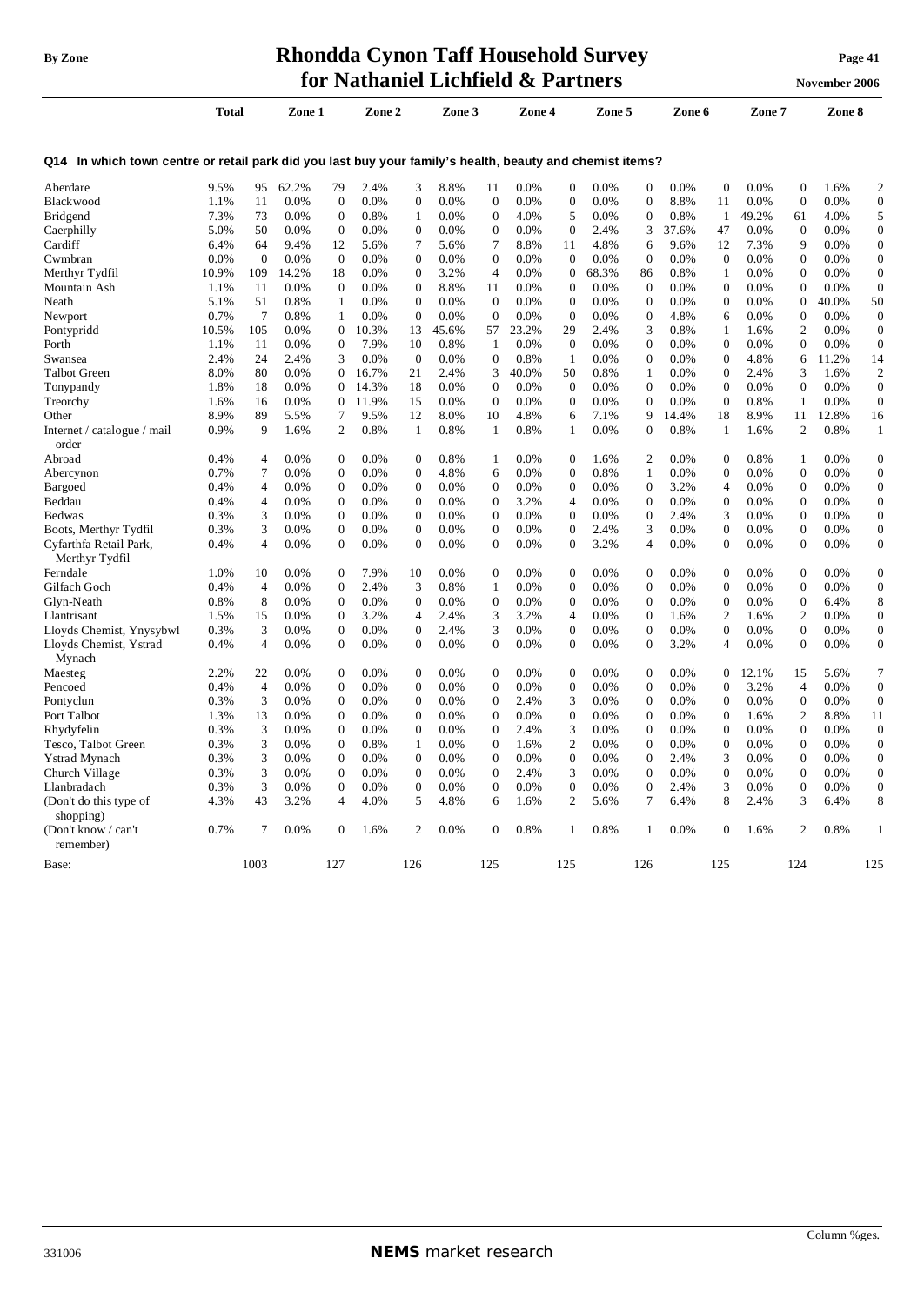## **By** Zone **Rhondda Cynon Taff Household Survey Page** 41 **for Nathaniel Lichfield & Partners November** 2006

|                                                                                                          |              |                |        |                  |        |                  |        |                  |         |                  |        |                         |        |                  |         |                  | толешет доло |                  |
|----------------------------------------------------------------------------------------------------------|--------------|----------------|--------|------------------|--------|------------------|--------|------------------|---------|------------------|--------|-------------------------|--------|------------------|---------|------------------|--------------|------------------|
|                                                                                                          | <b>Total</b> |                | Zone 1 |                  | Zone 2 |                  | Zone 3 |                  | Zone 4  |                  | Zone 5 |                         | Zone 6 |                  | Zone 7  |                  | Zone 8       |                  |
| Q14 In which town centre or retail park did you last buy your family's health, beauty and chemist items? |              |                |        |                  |        |                  |        |                  |         |                  |        |                         |        |                  |         |                  |              |                  |
| Aberdare                                                                                                 | 9.5%         | 95             | 62.2%  | 79               | 2.4%   | 3                | 8.8%   | 11               | $0.0\%$ | $\mathbf{0}$     | 0.0%   | 0                       | 0.0%   | $\boldsymbol{0}$ | 0.0%    | $\boldsymbol{0}$ | 1.6%         | $\overline{c}$   |
| Blackwood                                                                                                | 1.1%         | 11             | 0.0%   | $\mathbf{0}$     | 0.0%   | $\boldsymbol{0}$ | 0.0%   | $\boldsymbol{0}$ | 0.0%    | $\boldsymbol{0}$ | 0.0%   | $\boldsymbol{0}$        | 8.8%   | 11               | 0.0%    | $\boldsymbol{0}$ | 0.0%         | $\overline{0}$   |
| <b>Bridgend</b>                                                                                          | 7.3%         | 73             | 0.0%   | $\Omega$         | 0.8%   | 1                | 0.0%   | $\boldsymbol{0}$ | 4.0%    | 5                | 0.0%   | $\theta$                | 0.8%   | 1                | 49.2%   | 61               | 4.0%         | 5                |
| Caerphilly                                                                                               | 5.0%         | 50             | 0.0%   | $\theta$         | 0.0%   | $\mathbf{0}$     | 0.0%   | $\mathbf{0}$     | 0.0%    | $\mathbf{0}$     | 2.4%   | 3                       | 37.6%  | 47               | 0.0%    | $\theta$         | 0.0%         | $\overline{0}$   |
| Cardiff                                                                                                  | 6.4%         | 64             | 9.4%   | 12               | 5.6%   | 7                | 5.6%   | 7                | 8.8%    | 11               | 4.8%   | 6                       | 9.6%   | 12               | 7.3%    | 9                | 0.0%         | $\overline{0}$   |
| Cwmbran                                                                                                  | 0.0%         | $\mathbf{0}$   | 0.0%   | $\theta$         | 0.0%   | $\mathbf{0}$     | 0.0%   | $\boldsymbol{0}$ | 0.0%    | $\mathbf{0}$     | 0.0%   | $\mathbf{0}$            | 0.0%   | $\mathbf{0}$     | 0.0%    | $\boldsymbol{0}$ | 0.0%         | $\mathbf{0}$     |
| Merthyr Tydfil                                                                                           | 10.9%        | 109            | 14.2%  | 18               | 0.0%   | $\Omega$         | 3.2%   | $\overline{4}$   | 0.0%    | $\Omega$         | 68.3%  | 86                      | 0.8%   | $\mathbf{1}$     | 0.0%    | $\Omega$         | 0.0%         | $\Omega$         |
| Mountain Ash                                                                                             | 1.1%         | 11             | 0.0%   | $\theta$         | 0.0%   | $\theta$         | 8.8%   | 11               | 0.0%    | $\mathbf{0}$     | 0.0%   | $\mathbf{0}$            | 0.0%   | $\mathbf{0}$     | 0.0%    | $\boldsymbol{0}$ | 0.0%         | $\theta$         |
| Neath                                                                                                    | 5.1%         | 51             | 0.8%   | $\mathbf{1}$     | 0.0%   | $\overline{0}$   | 0.0%   | $\mathbf{0}$     | 0.0%    | $\overline{0}$   | 0.0%   | $\overline{0}$          | 0.0%   | $\mathbf{0}$     | 0.0%    | $\overline{0}$   | 40.0%        | 50               |
| Newport                                                                                                  | 0.7%         | $\tau$         | 0.8%   | $\mathbf{1}$     | 0.0%   | $\theta$         | 0.0%   | $\overline{0}$   | 0.0%    | $\mathbf{0}$     | 0.0%   | $\boldsymbol{0}$        | 4.8%   | 6                | 0.0%    | $\boldsymbol{0}$ | 0.0%         | $\overline{0}$   |
| Pontypridd                                                                                               | 10.5%        | 105            | 0.0%   | $\mathbf{0}$     | 10.3%  | 13               | 45.6%  | 57               | 23.2%   | 29               | 2.4%   | 3                       | 0.8%   | $\mathbf{1}$     | 1.6%    | $\mathfrak{2}$   | 0.0%         | $\boldsymbol{0}$ |
| Porth                                                                                                    | 1.1%         | 11             | 0.0%   | $\theta$         | 7.9%   | 10               | 0.8%   | 1                | 0.0%    | $\overline{0}$   | 0.0%   | $\mathbf{0}$            | 0.0%   | $\mathbf{0}$     | $0.0\%$ | $\overline{0}$   | $0.0\%$      | $\overline{0}$   |
| Swansea                                                                                                  | 2.4%         | 24             | 2.4%   | 3                | 0.0%   | $\theta$         | 0.0%   | $\overline{0}$   | 0.8%    | $\mathbf{1}$     | 0.0%   | $\boldsymbol{0}$        | 0.0%   | $\mathbf{0}$     | 4.8%    | 6                | 11.2%        | 14               |
| Talbot Green                                                                                             | 8.0%         | 80             | 0.0%   | $\overline{0}$   | 16.7%  | 21               | 2.4%   | 3                | 40.0%   | 50               | 0.8%   | $\mathbf{1}$            | 0.0%   | $\mathbf{0}$     | 2.4%    | 3                | 1.6%         | $\overline{c}$   |
| Tonypandy                                                                                                | 1.8%         | 18             | 0.0%   | $\overline{0}$   | 14.3%  | 18               | 0.0%   | $\boldsymbol{0}$ | 0.0%    | $\boldsymbol{0}$ | 0.0%   | $\boldsymbol{0}$        | 0.0%   | $\boldsymbol{0}$ | 0.0%    | $\boldsymbol{0}$ | 0.0%         | $\boldsymbol{0}$ |
| Treorchy                                                                                                 | 1.6%         | 16             | 0.0%   | $\mathbf{0}$     | 11.9%  | 15               | 0.0%   | $\overline{0}$   | 0.0%    | $\mathbf{0}$     | 0.0%   | $\mathbf{0}$            | 0.0%   | $\mathbf{0}$     | 0.8%    | $\mathbf{1}$     | 0.0%         | $\overline{0}$   |
| Other                                                                                                    | 8.9%         | 89             | 5.5%   | 7                | 9.5%   | 12               | 8.0%   | 10               | 4.8%    | 6                | 7.1%   | 9                       | 14.4%  | 18               | 8.9%    | 11               | 12.8%        | 16               |
| Internet / catalogue / mail                                                                              | 0.9%         | 9              | 1.6%   | $\overline{2}$   | 0.8%   | $\mathbf{1}$     | 0.8%   | $\mathbf{1}$     | 0.8%    | 1                | 0.0%   | 0                       | 0.8%   | $\mathbf{1}$     | 1.6%    | $\overline{c}$   | 0.8%         | $\mathbf{1}$     |
| order                                                                                                    |              |                |        |                  |        |                  |        |                  |         |                  |        |                         |        |                  |         |                  |              |                  |
| Abroad                                                                                                   | 0.4%         | $\overline{4}$ | 0.0%   | $\mathbf{0}$     | 0.0%   | $\mathbf{0}$     | 0.8%   | 1                | 0.0%    | $\overline{0}$   | 1.6%   | $\overline{c}$          | 0.0%   | $\mathbf{0}$     | 0.8%    | 1                | 0.0%         | $\overline{0}$   |
| Abercynon                                                                                                | 0.7%         | $\tau$         | 0.0%   | $\mathbf{0}$     | 0.0%   | $\theta$         | 4.8%   | 6                | 0.0%    | $\mathbf{0}$     | 0.8%   | 1                       | 0.0%   | $\boldsymbol{0}$ | 0.0%    | $\boldsymbol{0}$ | 0.0%         | $\overline{0}$   |
| Bargoed                                                                                                  | 0.4%         | $\overline{4}$ | 0.0%   | $\boldsymbol{0}$ | 0.0%   | $\boldsymbol{0}$ | 0.0%   | $\boldsymbol{0}$ | 0.0%    | $\boldsymbol{0}$ | 0.0%   | $\boldsymbol{0}$        | 3.2%   | $\overline{4}$   | 0.0%    | $\boldsymbol{0}$ | 0.0%         | $\mathbf{0}$     |
| Beddau                                                                                                   | 0.4%         | $\overline{4}$ | 0.0%   | $\mathbf{0}$     | 0.0%   | $\Omega$         | 0.0%   | $\mathbf{0}$     | 3.2%    | 4                | 0.0%   | $\theta$                | 0.0%   | $\mathbf{0}$     | 0.0%    | $\overline{0}$   | 0.0%         | $\overline{0}$   |
| <b>Bedwas</b>                                                                                            | 0.3%         | 3              | 0.0%   | $\mathbf{0}$     | 0.0%   | $\mathbf{0}$     | 0.0%   | $\mathbf{0}$     | 0.0%    | $\overline{0}$   | 0.0%   | $\mathbf{0}$            | 2.4%   | 3                | 0.0%    | $\overline{0}$   | 0.0%         | $\overline{0}$   |
| Boots, Merthyr Tydfil                                                                                    | 0.3%         | 3              | 0.0%   | $\mathbf{0}$     | 0.0%   | $\mathbf{0}$     | 0.0%   | $\mathbf{0}$     | 0.0%    | $\overline{0}$   | 2.4%   | 3                       | 0.0%   | $\mathbf{0}$     | 0.0%    | $\mathbf{0}$     | 0.0%         | $\overline{0}$   |
| Cyfarthfa Retail Park,                                                                                   | 0.4%         | $\overline{4}$ | 0.0%   | $\boldsymbol{0}$ | 0.0%   | $\mathbf{0}$     | 0.0%   | $\boldsymbol{0}$ | 0.0%    | $\boldsymbol{0}$ | 3.2%   | $\overline{\mathbf{4}}$ | 0.0%   | $\boldsymbol{0}$ | 0.0%    | $\boldsymbol{0}$ | 0.0%         | $\boldsymbol{0}$ |
| Merthyr Tydfil                                                                                           |              |                |        |                  |        |                  |        |                  |         |                  |        |                         |        |                  |         |                  |              |                  |
| Ferndale                                                                                                 | 1.0%         | 10             | 0.0%   | $\mathbf{0}$     | 7.9%   | 10               | 0.0%   | $\overline{0}$   | 0.0%    | $\overline{0}$   | 0.0%   | $\overline{0}$          | 0.0%   | $\mathbf{0}$     | 0.0%    | $\overline{0}$   | 0.0%         | $\boldsymbol{0}$ |
| Gilfach Goch                                                                                             | 0.4%         | $\overline{4}$ | 0.0%   | $\mathbf{0}$     | 2.4%   | 3                | 0.8%   | $\mathbf{1}$     | 0.0%    | $\mathbf{0}$     | 0.0%   | $\mathbf{0}$            | 0.0%   | $\mathbf{0}$     | 0.0%    | $\mathbf{0}$     | 0.0%         | $\overline{0}$   |
| Glyn-Neath                                                                                               | 0.8%         | 8              | 0.0%   | $\boldsymbol{0}$ | 0.0%   | $\mathbf{0}$     | 0.0%   | $\boldsymbol{0}$ | 0.0%    | $\boldsymbol{0}$ | 0.0%   | 0                       | 0.0%   | $\boldsymbol{0}$ | 0.0%    | $\boldsymbol{0}$ | 6.4%         | 8                |
| Llantrisant                                                                                              | 1.5%         | 15             | 0.0%   | $\mathbf{0}$     | 3.2%   | $\overline{4}$   | 2.4%   | 3                | 3.2%    | $\overline{4}$   | 0.0%   | $\mathbf{0}$            | 1.6%   | 2                | 1.6%    | 2                | 0.0%         | $\overline{0}$   |
| Lloyds Chemist, Ynysybwl                                                                                 | 0.3%         | 3              | 0.0%   | $\mathbf{0}$     | 0.0%   | $\mathbf{0}$     | 2.4%   | 3                | 0.0%    | $\mathbf{0}$     | 0.0%   | $\overline{0}$          | 0.0%   | $\mathbf{0}$     | 0.0%    | $\overline{0}$   | 0.0%         | $\overline{0}$   |
| Lloyds Chemist, Ystrad                                                                                   | 0.4%         | $\overline{4}$ | 0.0%   | $\mathbf{0}$     | 0.0%   | $\theta$         | 0.0%   | $\overline{0}$   | 0.0%    | $\overline{0}$   | 0.0%   | $\overline{0}$          | 3.2%   | $\overline{4}$   | 0.0%    | $\overline{0}$   | 0.0%         | $\boldsymbol{0}$ |
| Mynach                                                                                                   |              |                |        |                  |        |                  |        |                  |         |                  |        |                         |        |                  |         |                  |              |                  |
| Maesteg                                                                                                  | 2.2%         | 22             | 0.0%   | $\mathbf{0}$     | 0.0%   | $\mathbf{0}$     | 0.0%   | $\mathbf{0}$     | 0.0%    | $\mathbf{0}$     | 0.0%   | $\mathbf{0}$            | 0.0%   | $\overline{0}$   | 12.1%   | 15               | 5.6%         | $\overline{7}$   |
| Pencoed                                                                                                  | 0.4%         | $\overline{4}$ | 0.0%   | $\mathbf{0}$     | 0.0%   | $\mathbf{0}$     | 0.0%   | $\overline{0}$   | 0.0%    | $\overline{0}$   | 0.0%   | $\overline{0}$          | 0.0%   | $\mathbf{0}$     | 3.2%    | $\overline{4}$   | 0.0%         | $\theta$         |
| Pontyclun                                                                                                | 0.3%         | 3              | 0.0%   | $\boldsymbol{0}$ | 0.0%   | $\theta$         | 0.0%   | $\boldsymbol{0}$ | 2.4%    | 3                | 0.0%   | 0                       | 0.0%   | $\boldsymbol{0}$ | 0.0%    | $\boldsymbol{0}$ | 0.0%         | $\boldsymbol{0}$ |
| Port Talbot                                                                                              | 1.3%         | 13             | 0.0%   | $\boldsymbol{0}$ | 0.0%   | $\boldsymbol{0}$ | 0.0%   | $\boldsymbol{0}$ | 0.0%    | $\boldsymbol{0}$ | 0.0%   | $\boldsymbol{0}$        | 0.0%   | $\boldsymbol{0}$ | 1.6%    | $\mathfrak{2}$   | 8.8%         | 11               |
| Rhydyfelin                                                                                               | 0.3%         | 3              | 0.0%   | $\mathbf{0}$     | 0.0%   | $\theta$         | 0.0%   | $\mathbf{0}$     | 2.4%    | 3                | 0.0%   | $\Omega$                | 0.0%   | $\mathbf{0}$     | 0.0%    | $\theta$         | 0.0%         | $\theta$         |
| Tesco, Talbot Green                                                                                      | 0.3%         | 3              | 0.0%   | $\boldsymbol{0}$ | 0.8%   | $\mathbf{1}$     | 0.0%   | $\boldsymbol{0}$ | 1.6%    | $\mathfrak{2}$   | 0.0%   | $\mathbf{0}$            | 0.0%   | $\boldsymbol{0}$ | 0.0%    | $\mathbf{0}$     | 0.0%         | $\theta$         |
| <b>Ystrad Mynach</b>                                                                                     | 0.3%         | $\mathfrak{Z}$ | 0.0%   | $\boldsymbol{0}$ | 0.0%   | $\theta$         | 0.0%   | $\boldsymbol{0}$ | 0.0%    | $\mathbf{0}$     | 0.0%   | $\overline{0}$          | 2.4%   | 3                | 0.0%    | $\boldsymbol{0}$ | 0.0%         | $\boldsymbol{0}$ |
| Church Village                                                                                           | 0.3%         | 3              | 0.0%   | $\boldsymbol{0}$ | 0.0%   | $\boldsymbol{0}$ | 0.0%   | $\boldsymbol{0}$ | 2.4%    | 3                | 0.0%   | $\Omega$                | 0.0%   | $\boldsymbol{0}$ | 0.0%    | $\boldsymbol{0}$ | 0.0%         | $\mathbf{0}$     |
| Llanbradach                                                                                              | 0.3%         | 3              | 0.0%   | $\mathbf{0}$     | 0.0%   | $\mathbf{0}$     | 0.0%   | $\overline{0}$   | 0.0%    | $\mathbf{0}$     | 0.0%   | $\overline{0}$          | 2.4%   | 3                | 0.0%    | $\mathbf{0}$     | 0.0%         | $\overline{0}$   |
| (Don't do this type of                                                                                   | 4.3%         | 43             | 3.2%   | $\overline{4}$   | 4.0%   | 5                | 4.8%   | 6                | 1.6%    | $\overline{c}$   | 5.6%   | 7                       | 6.4%   | 8                | 2.4%    | 3                | 6.4%         | 8                |
| shopping)                                                                                                |              |                |        |                  |        |                  |        |                  |         |                  |        |                         |        |                  |         |                  |              |                  |
| (Don't know / can't                                                                                      | 0.7%         | $\overline{7}$ | 0.0%   | $\Omega$         | 1.6%   | $\overline{c}$   | 0.0%   | $\Omega$         | 0.8%    | 1                | 0.8%   | 1                       | 0.0%   | $\Omega$         | 1.6%    | 2                | 0.8%         | 1                |
| remember)                                                                                                |              |                |        |                  |        |                  |        |                  |         |                  |        |                         |        |                  |         |                  |              |                  |
|                                                                                                          |              |                |        |                  |        |                  |        |                  |         |                  |        |                         |        |                  |         |                  |              |                  |
| Base:                                                                                                    |              | 1003           |        | 127              |        | 126              |        | 125              |         | 125              |        | 126                     |        | 125              |         | 124              |              | 125              |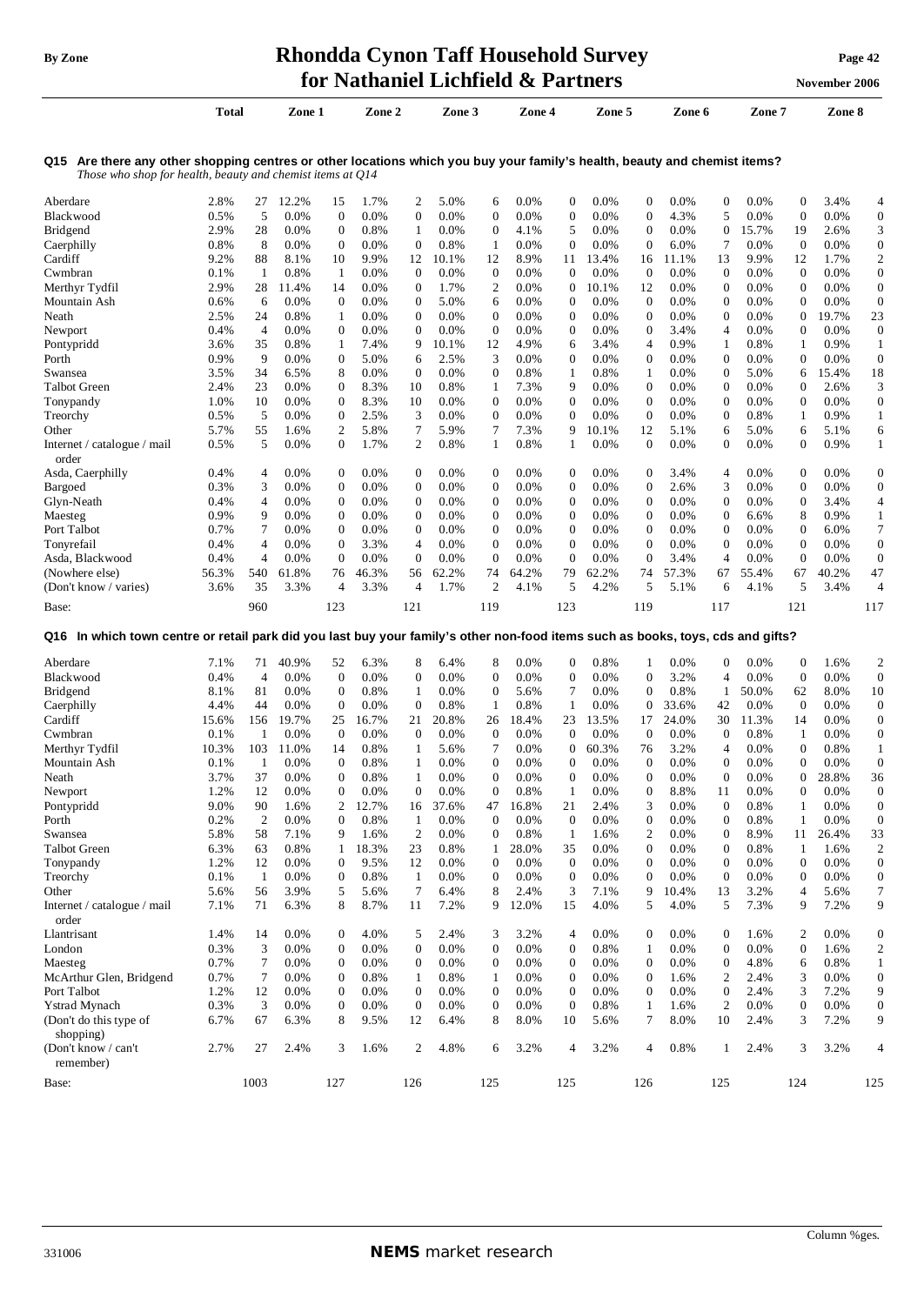## **By** Zone **Rhondda Cynon Taff Household Survey Page** 42 **for Nathaniel Lichfield** & Partners **November** 2006

|                                                                                                                                                                                            | <b>Total</b> |                | Zone 1 |                  | Zone 2 |                | Zone 3 |              | Zone 4 |              | Zone 5  |                | Zone 6 |                | Zone 7 |                  | Zone 8 |                  |
|--------------------------------------------------------------------------------------------------------------------------------------------------------------------------------------------|--------------|----------------|--------|------------------|--------|----------------|--------|--------------|--------|--------------|---------|----------------|--------|----------------|--------|------------------|--------|------------------|
| Are there any other shopping centres or other locations which you buy your family's health, beauty and chemist items?<br>Q15<br>Those who shop for health, beauty and chemist items at Q14 |              |                |        |                  |        |                |        |              |        |              |         |                |        |                |        |                  |        |                  |
| Aberdare                                                                                                                                                                                   | 2.8%         | 27             | 12.2%  | 15               | 1.7%   | 2              | 5.0%   | 6            | 0.0%   | $\mathbf{0}$ | 0.0%    | $\mathbf{0}$   | 0.0%   | $\overline{0}$ | 0.0%   | $\boldsymbol{0}$ | 3.4%   | 4                |
| Blackwood                                                                                                                                                                                  | 0.5%         | 5              | 0.0%   | $\mathbf{0}$     | 0.0%   | $\Omega$       | 0.0%   | $\mathbf{0}$ | 0.0%   | $\mathbf{0}$ | 0.0%    | $\overline{0}$ | 4.3%   | 5              | 0.0%   | $\theta$         | 0.0%   | $\boldsymbol{0}$ |
| Bridgend                                                                                                                                                                                   | 2.9%         | 28             | 0.0%   | $\theta$         | 0.8%   | -1             | 0.0%   | 0            | 4.1%   | 5            | 0.0%    | $\overline{0}$ | 0.0%   | $\bf{0}$       | 15.7%  | 19               | 2.6%   | 3                |
| Caerphilly                                                                                                                                                                                 | 0.8%         | 8              | 0.0%   | $\mathbf{0}$     | 0.0%   | $\Omega$       | 0.8%   | 1            | 0.0%   | $\Omega$     | 0.0%    | $\mathbf{0}$   | 6.0%   | 7              | 0.0%   | $\theta$         | 0.0%   | $\boldsymbol{0}$ |
| Cardiff                                                                                                                                                                                    | 9.2%         | 88             | 8.1%   | 10               | 9.9%   | 12             | 10.1%  | 12           | 8.9%   | 11           | 13.4%   | 16             | 11.1%  | 13             | 9.9%   | 12               | 1.7%   | $\overline{2}$   |
| Cwmbran                                                                                                                                                                                    | 0.1%         | $\mathbf{1}$   | 0.8%   | -1               | 0.0%   | $\theta$       | 0.0%   | $\mathbf{0}$ | 0.0%   | $\mathbf{0}$ | 0.0%    | $\theta$       | 0.0%   | $\mathbf{0}$   | 0.0%   | $\mathbf{0}$     | 0.0%   | $\mathbf{0}$     |
| Merthyr Tydfil                                                                                                                                                                             | 2.9%         | 28             | 11.4%  | 14               | 0.0%   | $\overline{0}$ | 1.7%   | 2            | 0.0%   | $\mathbf{0}$ | 10.1%   | 12             | 0.0%   | $\mathbf{0}$   | 0.0%   | $\mathbf{0}$     | 0.0%   | $\mathbf{0}$     |
| Mountain Ash                                                                                                                                                                               | 0.6%         | 6              | 0.0%   | $\mathbf{0}$     | 0.0%   | $\Omega$       | 5.0%   | 6            | 0.0%   | $\mathbf{0}$ | 0.0%    | $\theta$       | 0.0%   | $\mathbf{0}$   | 0.0%   | $\mathbf{0}$     | 0.0%   | $\overline{0}$   |
| Neath                                                                                                                                                                                      | 2.5%         | 24             | 0.8%   | $\mathbf{1}$     | 0.0%   | $\Omega$       | 0.0%   | $\mathbf{0}$ | 0.0%   | $\Omega$     | 0.0%    | $\Omega$       | 0.0%   | $\Omega$       | 0.0%   | $\Omega$         | 19.7%  | 23               |
| Newport                                                                                                                                                                                    | 0.4%         | $\overline{4}$ | 0.0%   | $\mathbf{0}$     | 0.0%   | $\Omega$       | 0.0%   | $\mathbf{0}$ | 0.0%   | $\mathbf{0}$ | 0.0%    | $\mathbf{0}$   | 3.4%   | 4              | 0.0%   | $\overline{0}$   | 0.0%   | $\mathbf 0$      |
| Pontypridd                                                                                                                                                                                 | 3.6%         | 35             | 0.8%   | 1                | 7.4%   | 9              | 10.1%  | 12           | 4.9%   | 6            | 3.4%    | 4              | 0.9%   |                | 0.8%   | 1                | 0.9%   | 1                |
| Porth                                                                                                                                                                                      | 0.9%         | 9              | 0.0%   | $\mathbf{0}$     | 5.0%   | 6              | 2.5%   | 3            | 0.0%   | $\mathbf{0}$ | $0.0\%$ | $\mathbf{0}$   | 0.0%   | $\mathbf{0}$   | 0.0%   | $\overline{0}$   | 0.0%   | $\boldsymbol{0}$ |
| Swansea                                                                                                                                                                                    | 3.5%         | 34             | 6.5%   | 8                | 0.0%   | $\Omega$       | 0.0%   | $\Omega$     | 0.8%   | 1            | 0.8%    | 1              | 0.0%   | $\Omega$       | 5.0%   | 6                | 15.4%  | 18               |
| <b>Talbot Green</b>                                                                                                                                                                        | 2.4%         | 23             | 0.0%   | $\Omega$         | 8.3%   | 10             | 0.8%   | 1            | 7.3%   | 9            | 0.0%    | $\Omega$       | 0.0%   | $\Omega$       | 0.0%   | $\Omega$         | 2.6%   | 3                |
| Tonypandy                                                                                                                                                                                  | 1.0%         | 10             | 0.0%   | $\mathbf{0}$     | 8.3%   | 10             | 0.0%   | 0            | 0.0%   | $\Omega$     | 0.0%    | $\overline{0}$ | 0.0%   | $\Omega$       | 0.0%   | $\Omega$         | 0.0%   | $\mathbf{0}$     |
| Treorchy                                                                                                                                                                                   | 0.5%         | 5              | 0.0%   | $\boldsymbol{0}$ | 2.5%   | 3              | 0.0%   | 0            | 0.0%   | $\mathbf{0}$ | 0.0%    | $\theta$       | 0.0%   | $\mathbf{0}$   | 0.8%   | 1                | 0.9%   | $\mathbf{1}$     |
| Other                                                                                                                                                                                      | 5.7%         | 55             | 1.6%   | 2                | 5.8%   | 7              | 5.9%   | 7            | 7.3%   | 9            | 10.1%   | 12             | 5.1%   | 6              | 5.0%   | 6                | 5.1%   | 6                |
| Internet / catalogue / mail<br>order                                                                                                                                                       | 0.5%         | 5              | 0.0%   | $\mathbf{0}$     | 1.7%   | $\overline{2}$ | 0.8%   | 1            | 0.8%   | 1            | 0.0%    | $\mathbf{0}$   | 0.0%   | $\mathbf{0}$   | 0.0%   | $\overline{0}$   | 0.9%   | $\mathbf{1}$     |
| Asda, Caerphilly                                                                                                                                                                           | 0.4%         | 4              | 0.0%   | $\mathbf{0}$     | 0.0%   | $\Omega$       | 0.0%   | $\mathbf{0}$ | 0.0%   | $\mathbf{0}$ | 0.0%    | $\mathbf{0}$   | 3.4%   | 4              | 0.0%   | $\mathbf{0}$     | 0.0%   | $\mathbf{0}$     |
| Bargoed                                                                                                                                                                                    | 0.3%         | 3              | 0.0%   | $\mathbf{0}$     | 0.0%   | $\Omega$       | 0.0%   | $\mathbf{0}$ | 0.0%   | $\Omega$     | 0.0%    | $\mathbf{0}$   | 2.6%   | 3              | 0.0%   | $\mathbf{0}$     | 0.0%   | $\boldsymbol{0}$ |
| Glyn-Neath                                                                                                                                                                                 | 0.4%         | 4              | 0.0%   | $\mathbf{0}$     | 0.0%   | $\Omega$       | 0.0%   | $\mathbf{0}$ | 0.0%   | $\mathbf{0}$ | 0.0%    | $\mathbf{0}$   | 0.0%   | $\mathbf{0}$   | 0.0%   | $\boldsymbol{0}$ | 3.4%   | $\overline{4}$   |
| Maesteg                                                                                                                                                                                    | 0.9%         | 9              | 0.0%   | $\mathbf{0}$     | 0.0%   | $\overline{0}$ | 0.0%   | $\mathbf{0}$ | 0.0%   | $\mathbf{0}$ | 0.0%    | $\mathbf{0}$   | 0.0%   | $\mathbf{0}$   | 6.6%   | 8                | 0.9%   | $\mathbf{1}$     |
| Port Talbot                                                                                                                                                                                | 0.7%         | 7              | 0.0%   | $\overline{0}$   | 0.0%   | $\Omega$       | 0.0%   | $\Omega$     | 0.0%   | $\Omega$     | 0.0%    | $\Omega$       | 0.0%   | $\theta$       | 0.0%   | $\overline{0}$   | 6.0%   | 7                |
| Tonyrefail                                                                                                                                                                                 | 0.4%         | 4              | 0.0%   | $\overline{0}$   | 3.3%   | 4              | 0.0%   | $\mathbf{0}$ | 0.0%   | $\Omega$     | 0.0%    | $\Omega$       | 0.0%   | $\Omega$       | 0.0%   | $\overline{0}$   | 0.0%   | $\mathbf{0}$     |
| Asda, Blackwood                                                                                                                                                                            | 0.4%         | 4              | 0.0%   | $\Omega$         | 0.0%   | $\Omega$       | 0.0%   | $\Omega$     | 0.0%   | $\Omega$     | 0.0%    | $\Omega$       | 3.4%   | 4              | 0.0%   | $\Omega$         | 0.0%   | $\overline{0}$   |
| (Nowhere else)                                                                                                                                                                             | 56.3%        | 540            | 61.8%  | 76               | 46.3%  | 56             | 62.2%  | 74           | 64.2%  | 79           | 62.2%   | 74             | 57.3%  | 67             | 55.4%  | 67               | 40.2%  | 47               |
| (Don't know / varies)                                                                                                                                                                      | 3.6%         | 35             | 3.3%   | $\overline{4}$   | 3.3%   | 4              | 1.7%   | 2            | 4.1%   | 5            | 4.2%    | 5              | 5.1%   | 6              | 4.1%   | 5                | 3.4%   | $\overline{4}$   |
| Base:                                                                                                                                                                                      |              | 960            |        | 123              |        | 121            |        | 119          |        | 123          |         | 119            |        | 117            |        | 121              |        | 117              |

Aberdare 7.1% 71 40.9% 52 6.3% 8 6.4% 8 0.0% 0 0.8% 1 0.0% 0 0.0% 0 1.6% 2 Blackwood 0.4% 4 0.0% 0 0.0% 0 0.0% 0 0.0% 0 0.0% 0 3.2% 4 0.0% 0 0.0% 0 Bridgend 8.1% 81 0.0% 0 0.8% 1 0.0% 0 5.6% 7 0.0% 0 0.8% 1 50.0% 62 8.0% 10 Caerphilly 4.4% 44 0.0% 0 0.0% 0 0.8% 1 0.8% 1 0.0% 0 33.6% 42 0.0% 0 0.0% 0 Cardiff 15.6% 156 19.7% 25 16.7% 21 20.8% 26 18.4% 23 13.5% 17 24.0% 30 11.3% 14 0.0% 0 Cwmbran 0.1% 1 0.0% 0 0.0% 0 0.0% 0 0.0% 0 0.0% 0 0.0% 0 0.8% 1 0.0% 0 Merthyr Tydfil 10.3% 103 11.0% 14 0.8% 1 5.6% 7 0.0% 0 60.3% 76 3.2% 4 0.0% 0 0.8% 1 Mountain Ash 0.1% 1 0.0% 0 0.8% 1 0.0% 0 0.0% 0 0.0% 0 0.0% 0 0.0% 0 0.0% 0 Neath 3.7% 37 0.0% 0 0.8% 1 0.0% 0 0.0% 0 0.0% 0 0.0% 0 0.0% 0 28.8% 36 Newport 1.2% 12 0.0% 0 0.0% 0 0.0% 0 0.8% 1 0.0% 0 8.8% 11 0.0% 0 0.0% 0 Pontypridd 9.0% 90 1.6% 2 12.7% 16 37.6% 47 16.8% 21 2.4% 3 0.0% 0 0.8% 1 0.0% 0 Porth 0.2% 2 0.0% 0 0.8% 1 0.0% 0 0.0% 0 0.0% 0 0.0% 0 0.8% 1 0.0% 0 Swansea 5.8% 58 7.1% 9 1.6% 2 0.0% 0 0.8% 1 1.6% 2 0.0% 0 8.9% 11 26.4% 33 Talbot Green 6.3% 63 0.8% 1 18.3% 23 0.8% 1 28.0% 35 0.0% 0 0.0% 0 0.8% 1 1.6% 2 Tonypandy 1.2% 12 0.0% 0 9.5% 12 0.0% 0 0.0% 0 0.0% 0 0.0% 0 0.0% 0 0.0% 0 Treorchy 0.1% 1 0.0% 0 0.8% 1 0.0% 0 0.0% 0 0.0% 0 0.0% 0 0.0% 0 0.0% 0 Other 5.6% 56 3.9% 5 5.6% 7 6.4% 8 2.4% 3 7.1% 9 10.4% 13 3.2% 4 5.6% 7 Internet / catalogue / mail order 7.1% 71 6.3% 8 8.7% 11 7.2% 9 12.0% 15 4.0% 5 4.0% 5 7.3% 9 7.2% 9 Llantrisant 1.4% 14 0.0% 0 4.0% 5 2.4% 3 3.2% 4 0.0% 0 0.0% 0 1.6% 2 0.0% 0 London 0.3% 3 0.0% 0 0.0% 0 0.0% 0 0.0% 0 0.8% 1 0.0% 0 0.0% 0 1.6% 2 Maesteg 0.7% 7 0.0% 0 0.0% 0 0.0% 0 0.0% 0 0.0% 0 0.0% 0 4.8% 6 0.8% 1 McArthur Glen, Bridgend 0.7% 7 0.0% 0 0.8% 1 0.8% 1 0.0% 0 0.0% 0 1.6% 2 2.4% 3 0.0% 0 Port Talbot 1.2% 12 0.0% 0 0.0% 0 0.0% 0 0.0% 0 0.0% 0 0.0% 0 2.4% 3 7.2% 9 Ystrad Mynach 0.3% 3 0.0% 0 0.0% 0 0.0% 0 0.0% 0 0.8% 1 1.6% 2 0.0% 0 0.0% 0 (Don't do this type of shopping) 6.7% 67 6.3% 8 9.5% 12 6.4% 8 8.0% 10 5.6% 7 8.0% 10 2.4% 3 7.2% 9 (Don't know / can't remember) 2.7% 27 2.4% 3 1.6% 2 4.8% 6 3.2% 4 3.2% 4 0.8% 1 2.4% 3 3.2% 4 Base: 1003 127 126 125 126 126 126 126 127 128 129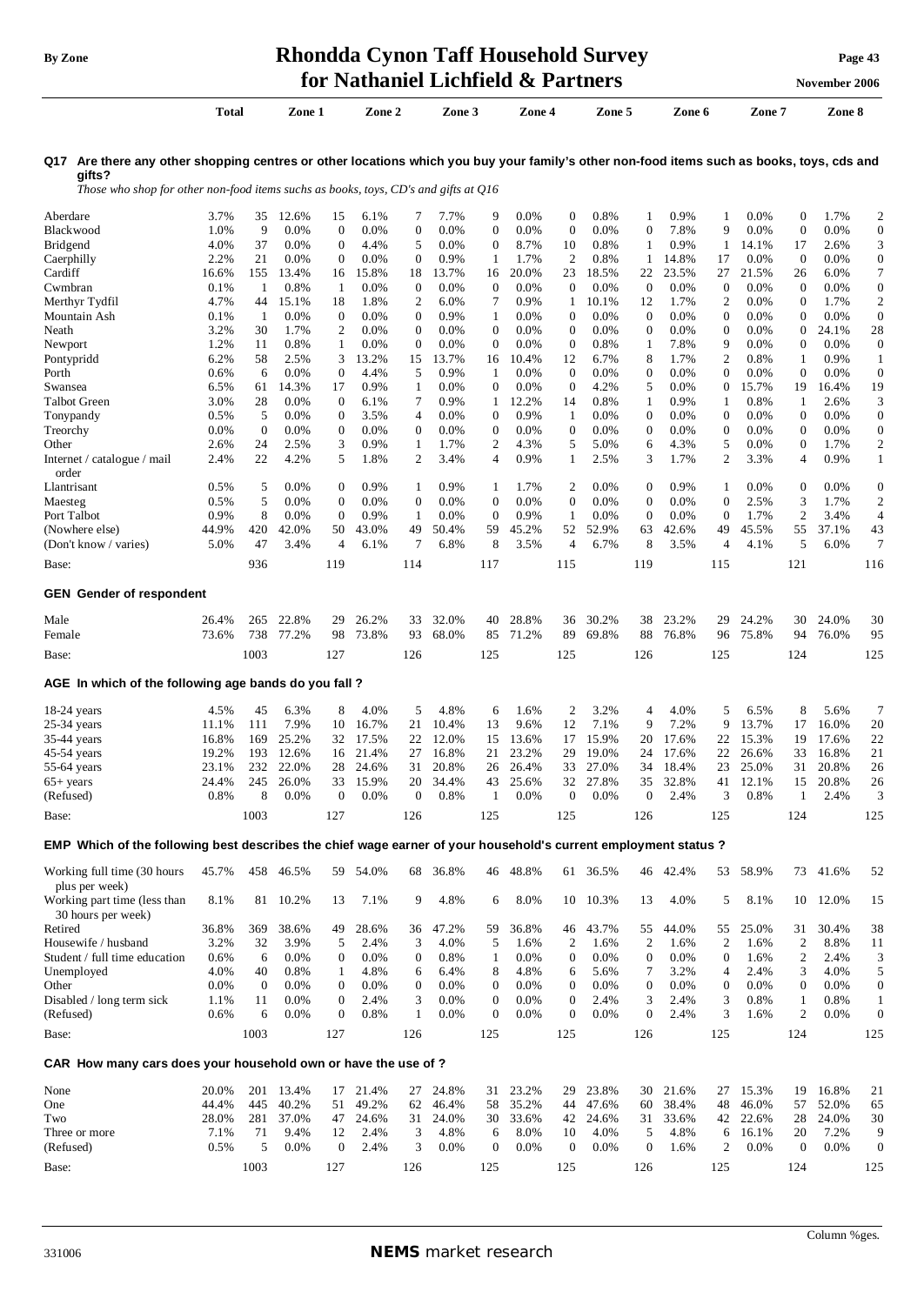|                                                                                                                                                     | for Nathaniel Lichfield & Partners |                  |                    |                                      |                 |                       |                |                       |                |                      |                 |                       |                |                       | November 2006  |                     |                |                                    |
|-----------------------------------------------------------------------------------------------------------------------------------------------------|------------------------------------|------------------|--------------------|--------------------------------------|-----------------|-----------------------|----------------|-----------------------|----------------|----------------------|-----------------|-----------------------|----------------|-----------------------|----------------|---------------------|----------------|------------------------------------|
|                                                                                                                                                     | Total                              |                  | Zone 1             |                                      | Zone 2          |                       | Zone 3         |                       | Zone 4         |                      | Zone 5          |                       | Zone 6         |                       | Zone 7         |                     | Zone 8         |                                    |
| Q17 Are there any other shopping centres or other locations which you buy your family's other non-food items such as books, toys, cds and<br>gifts? |                                    |                  |                    |                                      |                 |                       |                |                       |                |                      |                 |                       |                |                       |                |                     |                |                                    |
| Those who shop for other non-food items suchs as books, toys, CD's and gifts at $Q16$                                                               |                                    |                  |                    |                                      |                 |                       |                |                       |                |                      |                 |                       |                |                       |                |                     |                |                                    |
| Aberdare                                                                                                                                            | 3.7%                               |                  | 35 12.6%           | 15                                   | 6.1%            | 7                     | 7.7%           | 9                     | 0.0%           | $\mathbf{0}$         | 0.8%            | 1                     | 0.9%           | 1                     | 0.0%           | $\boldsymbol{0}$    | 1.7%           | $\overline{\mathbf{c}}$            |
| Blackwood                                                                                                                                           | 1.0%                               | 9                | 0.0%               | $\boldsymbol{0}$                     | 0.0%            | $\boldsymbol{0}$      | 0.0%           | $\boldsymbol{0}$      | 0.0%           | $\boldsymbol{0}$     | 0.0%            | $\boldsymbol{0}$      | 7.8%           | 9                     | 0.0%           | $\boldsymbol{0}$    | 0.0%           | $\boldsymbol{0}$                   |
| Bridgend                                                                                                                                            | 4.0%                               | 37<br>21         | $0.0\%$<br>$0.0\%$ | $\boldsymbol{0}$<br>$\boldsymbol{0}$ | 4.4%<br>$0.0\%$ | 5<br>$\boldsymbol{0}$ | 0.0%<br>0.9%   | $\boldsymbol{0}$<br>1 | 8.7%<br>1.7%   | 10<br>$\overline{c}$ | 0.8%            | $\mathbf{1}$<br>1     | 0.9%           | 1<br>17               | 14.1%<br>0.0%  | 17<br>$\mathbf{0}$  | 2.6%           | 3                                  |
| Caerphilly<br>Cardiff                                                                                                                               | 2.2%<br>16.6%                      | 155              | 13.4%              | 16                                   | 15.8%           | 18                    | 13.7%          | 16                    | 20.0%          | 23                   | 0.8%<br>18.5%   | 22                    | 14.8%<br>23.5% | 27                    | 21.5%          | 26                  | 0.0%<br>6.0%   | $\boldsymbol{0}$<br>$\overline{7}$ |
| Cwmbran                                                                                                                                             | 0.1%                               | -1               | 0.8%               | -1                                   | 0.0%            | $\mathbf 0$           | 0.0%           | $\mathbf{0}$          | 0.0%           | $\mathbf{0}$         | $0.0\%$         | $\mathbf{0}$          | 0.0%           | $\mathbf{0}$          | 0.0%           | $\mathbf 0$         | 0.0%           | $\boldsymbol{0}$                   |
| Merthyr Tydfil                                                                                                                                      | 4.7%                               | 44               | 15.1%              | 18                                   | 1.8%            | $\overline{2}$        | 6.0%           | 7                     | 0.9%           | 1                    | 10.1%           | 12                    | 1.7%           | 2                     | 0.0%           | $\boldsymbol{0}$    | 1.7%           | $\overline{c}$                     |
| Mountain Ash                                                                                                                                        | 0.1%                               | $\mathbf{1}$     | 0.0%               | $\boldsymbol{0}$                     | 0.0%            | $\overline{0}$        | 0.9%           | 1                     | 0.0%           | $\mathbf{0}$         | 0.0%            | $\mathbf{0}$          | 0.0%           | 0                     | 0.0%           | $\mathbf{0}$        | 0.0%           | $\mathbf{0}$                       |
| Neath                                                                                                                                               | 3.2%                               | 30               | 1.7%               | 2                                    | 0.0%            | $\mathbf{0}$          | 0.0%           | $\boldsymbol{0}$      | 0.0%           | $\theta$             | 0.0%            | $\mathbf{0}$          | 0.0%           | 0                     | 0.0%           | $\boldsymbol{0}$    | 24.1%          | 28                                 |
| Newport                                                                                                                                             | 1.2%                               | 11               | 0.8%               | 1                                    | 0.0%            | $\overline{0}$        | 0.0%           | $\boldsymbol{0}$      | 0.0%           | $\mathbf{0}$         | 0.8%            | 1                     | 7.8%           | 9                     | 0.0%           | $\boldsymbol{0}$    | 0.0%           | $\boldsymbol{0}$                   |
| Pontypridd<br>Porth                                                                                                                                 | 6.2%<br>0.6%                       | 58<br>6          | 2.5%<br>0.0%       | 3<br>$\mathbf{0}$                    | 13.2%<br>4.4%   | 15<br>5               | 13.7%<br>0.9%  | 16<br>1               | 10.4%<br>0.0%  | 12<br>$\mathbf{0}$   | 6.7%<br>$0.0\%$ | 8<br>$\boldsymbol{0}$ | 1.7%<br>0.0%   | 2<br>$\mathbf{0}$     | 0.8%<br>0.0%   | 1<br>$\overline{0}$ | 0.9%<br>0.0%   | $\mathbf{1}$<br>$\boldsymbol{0}$   |
| Swansea                                                                                                                                             | 6.5%                               | 61               | 14.3%              | 17                                   | 0.9%            | 1                     | $0.0\%$        | 0                     | $0.0\%$        | $\mathbf{0}$         | 4.2%            | 5                     | 0.0%           | 0                     | 15.7%          | 19                  | 16.4%          | 19                                 |
| Talbot Green                                                                                                                                        | 3.0%                               | 28               | 0.0%               | $\mathbf{0}$                         | 6.1%            | 7                     | 0.9%           | 1                     | 12.2%          | 14                   | 0.8%            | 1                     | 0.9%           | 1                     | 0.8%           | 1                   | 2.6%           | 3                                  |
| Tonypandy                                                                                                                                           | 0.5%                               | 5                | 0.0%               | $\mathbf{0}$                         | 3.5%            | 4                     | $0.0\%$        | 0                     | 0.9%           | 1                    | $0.0\%$         | $\boldsymbol{0}$      | 0.0%           | 0                     | 0.0%           | $\boldsymbol{0}$    | 0.0%           | $\boldsymbol{0}$                   |
| Treorchy                                                                                                                                            | 0.0%                               | $\boldsymbol{0}$ | 0.0%               | $\mathbf{0}$                         | $0.0\%$         | $\boldsymbol{0}$      | $0.0\%$        | 0                     | 0.0%           | $\mathbf{0}$         | $0.0\%$         | $\boldsymbol{0}$      | 0.0%           | 0                     | 0.0%           | $\boldsymbol{0}$    | 0.0%           | $\boldsymbol{0}$                   |
| Other                                                                                                                                               | 2.6%                               | 24               | 2.5%               | 3                                    | 0.9%            | 1                     | 1.7%           | 2                     | 4.3%           | 5                    | 5.0%            | 6                     | 4.3%           | 5                     | 0.0%           | $\boldsymbol{0}$    | 1.7%           | $\overline{\mathbf{c}}$            |
| Internet / catalogue / mail                                                                                                                         | 2.4%                               | 22               | 4.2%               | 5                                    | 1.8%            | 2                     | 3.4%           | 4                     | 0.9%           | 1                    | 2.5%            | 3                     | 1.7%           | 2                     | 3.3%           | $\overline{4}$      | 0.9%           | $\mathbf{1}$                       |
| order<br>Llantrisant                                                                                                                                | 0.5%                               | 5                | 0.0%               | $\boldsymbol{0}$                     | 0.9%            | 1                     | 0.9%           | 1                     | 1.7%           | 2                    | 0.0%            | $\boldsymbol{0}$      | 0.9%           |                       | 0.0%           | $\boldsymbol{0}$    | 0.0%           | $\boldsymbol{0}$                   |
| Maesteg                                                                                                                                             | 0.5%                               | 5                | 0.0%               | $\boldsymbol{0}$                     | 0.0%            | $\boldsymbol{0}$      | 0.0%           | $\boldsymbol{0}$      | 0.0%           | $\boldsymbol{0}$     | $0.0\%$         | $\boldsymbol{0}$      | 0.0%           | 1<br>$\boldsymbol{0}$ | 2.5%           | 3                   | 1.7%           | $\overline{c}$                     |
| Port Talbot                                                                                                                                         | 0.9%                               | 8                | 0.0%               | $\mathbf{0}$                         | 0.9%            | 1                     | 0.0%           | $\mathbf{0}$          | 0.9%           | 1                    | $0.0\%$         | $\boldsymbol{0}$      | 0.0%           | $\mathbf{0}$          | 1.7%           | $\overline{c}$      | 3.4%           | $\overline{4}$                     |
| (Nowhere else)                                                                                                                                      | 44.9%                              | 420              | 42.0%              | 50                                   | 43.0%           | 49                    | 50.4%          | 59                    | 45.2%          | 52                   | 52.9%           | 63                    | 42.6%          | 49                    | 45.5%          | 55                  | 37.1%          | 43                                 |
| (Don't know / varies)                                                                                                                               | 5.0%                               | 47               | 3.4%               | $\overline{4}$                       | 6.1%            | 7                     | 6.8%           | 8                     | 3.5%           | $\overline{4}$       | 6.7%            | 8                     | 3.5%           | 4                     | 4.1%           | 5                   | 6.0%           | 7                                  |
| Base:                                                                                                                                               |                                    | 936              |                    | 119                                  |                 | 114                   |                | 117                   |                | 115                  |                 | 119                   |                | 115                   |                | 121                 |                | 116                                |
| <b>GEN</b> Gender of respondent                                                                                                                     |                                    |                  |                    |                                      |                 |                       |                |                       |                |                      |                 |                       |                |                       |                |                     |                |                                    |
| Male                                                                                                                                                | 26.4%                              | 265              | 22.8%              | 29                                   | 26.2%           | 33                    | 32.0%          | 40                    | 28.8%          | 36                   | 30.2%           | 38                    | 23.2%          | 29                    | 24.2%          | 30                  | 24.0%          | 30                                 |
| Female                                                                                                                                              | 73.6%                              | 738              | 77.2%              | 98                                   | 73.8%           | 93                    | 68.0%          | 85                    | 71.2%          | 89                   | 69.8%           | 88                    | 76.8%          | 96                    | 75.8%          | 94                  | 76.0%          | 95                                 |
| Base:                                                                                                                                               |                                    | 1003             |                    | 127                                  |                 | 126                   |                | 125                   |                | 125                  |                 | 126                   |                | 125                   |                | 124                 |                | 125                                |
|                                                                                                                                                     |                                    |                  |                    |                                      |                 |                       |                |                       |                |                      |                 |                       |                |                       |                |                     |                |                                    |
| AGE In which of the following age bands do you fall?                                                                                                |                                    |                  |                    |                                      |                 |                       |                |                       |                |                      |                 |                       |                |                       |                |                     |                |                                    |
| $18-24$ years                                                                                                                                       | 4.5%                               | 45               | 6.3%               | 8                                    | 4.0%            | 5                     | 4.8%           | 6                     | 1.6%           | 2                    | 3.2%            | 4                     | 4.0%           | 5                     | 6.5%           | 8                   | 5.6%           | 7                                  |
| $25-34$ years                                                                                                                                       | 11.1%                              | 111              | 7.9%               | 10                                   | 16.7%           | 21                    | 10.4%          | 13                    | 9.6%           | 12                   | 7.1%            | 9                     | 7.2%           | 9                     | 13.7%          | 17                  | 16.0%          | 20                                 |
| 35-44 years                                                                                                                                         | 16.8%                              | 169              | 25.2%              | 32                                   | 17.5%           | 22                    | 12.0%          | 15                    | 13.6%          | 17                   | 15.9%           | 20                    | 17.6%          | 22                    | 15.3%          | 19                  | 17.6%          | 22                                 |
| 45-54 years                                                                                                                                         | 19.2%<br>23.1%                     | 193<br>232       | 12.6%<br>22.0%     | 16<br>28                             | 21.4%<br>24.6%  | 27                    | 16.8%<br>20.8% | 21<br>26              | 23.2%<br>26.4% | 29<br>33             | 19.0%           | 24<br>34              | 17.6%          | 22<br>23              | 26.6%<br>25.0% | 33                  | 16.8%<br>20.8% | 21<br>26                           |
| 55-64 years<br>$65+$ years                                                                                                                          | 24.4%                              | 245              | 26.0%              |                                      | 33 15.9%        | 31<br>20              | 34.4%          | 43                    | 25.6%          | 32                   | 27.0%<br>27.8%  | 35                    | 18.4%<br>32.8% | 41                    | 12.1%          | 31<br>15            | 20.8%          | 26                                 |
| (Refused)                                                                                                                                           | 0.8%                               | 8                | 0.0%               | $\mathbf{0}$                         | $0.0\%$         | $\mathbf{0}$          | 0.8%           | 1                     | 0.0%           | $\boldsymbol{0}$     | 0.0%            | $\mathbf{0}$          | 2.4%           | 3                     | 0.8%           | 1                   | 2.4%           | 3                                  |
| Base:                                                                                                                                               |                                    | 1003             |                    | 127                                  |                 | 126                   |                | 125                   |                | 125                  |                 | 126                   |                | 125                   |                | 124                 |                | 125                                |
|                                                                                                                                                     |                                    |                  |                    |                                      |                 |                       |                |                       |                |                      |                 |                       |                |                       |                |                     |                |                                    |
| EMP Which of the following best describes the chief wage earner of your household's current employment status?                                      |                                    |                  |                    |                                      |                 |                       |                |                       |                |                      |                 |                       |                |                       |                |                     |                |                                    |
| Working full time (30 hours<br>plus per week)                                                                                                       | 45.7%                              |                  | 458 46.5%          | 59                                   | 54.0%           |                       | 68 36.8%       |                       | 46 48.8%       |                      | 61 36.5%        |                       | 46 42.4%       | 53                    | 58.9%          | 73                  | 41.6%          | 52                                 |
| Working part time (less than<br>30 hours per week)                                                                                                  | 8.1%                               | 81               | 10.2%              | 13                                   | 7.1%            | 9                     | 4.8%           | 6                     | 8.0%           | 10                   | 10.3%           | 13                    | 4.0%           | 5                     | 8.1%           | 10                  | 12.0%          | 15                                 |
| Retired                                                                                                                                             | 36.8%                              | 369              | 38.6%              | 49                                   | 28.6%           | 36                    | 47.2%          | 59                    | 36.8%          | 46                   | 43.7%           | 55                    | 44.0%          | 55                    | 25.0%          | 31                  | 30.4%          | 38                                 |
| Housewife / husband<br>Student / full time education                                                                                                | 3.2%                               | 32<br>6          | 3.9%<br>0.0%       | 5<br>$\mathbf 0$                     | 2.4%            | 3<br>$\boldsymbol{0}$ | 4.0%           | 5<br>1                | 1.6%           | 2<br>$\mathbf 0$     | 1.6%            | 2<br>0                | 1.6%           | 2<br>0                | 1.6%           | 2<br>2              | 8.8%           | 11                                 |
| Unemployed                                                                                                                                          | 0.6%<br>4.0%                       | 40               | 0.8%               | 1                                    | 0.0%<br>4.8%    | 6                     | 0.8%<br>6.4%   | 8                     | 0.0%<br>4.8%   | 6                    | 0.0%<br>5.6%    | 7                     | 0.0%<br>3.2%   | 4                     | 1.6%<br>2.4%   | 3                   | 2.4%<br>4.0%   | 3<br>5                             |
| Other                                                                                                                                               | 0.0%                               | $\mathbf{0}$     | 0.0%               | $\mathbf 0$                          | 0.0%            | $\boldsymbol{0}$      | $0.0\%$        | 0                     | 0.0%           | $\mathbf 0$          | 0.0%            | 0                     | 0.0%           | 0                     | 0.0%           | $\boldsymbol{0}$    | 0.0%           | $\boldsymbol{0}$                   |
| Disabled / long term sick                                                                                                                           | 1.1%                               | 11               | 0.0%               | $\mathbf 0$                          | 2.4%            | 3                     | 0.0%           | 0                     | 0.0%           | $\boldsymbol{0}$     | 2.4%            | 3                     | 2.4%           | 3                     | 0.8%           | 1                   | 0.8%           | 1                                  |
| (Refused)                                                                                                                                           | 0.6%                               | 6                | $0.0\%$            | $\mathbf{0}$                         | 0.8%            | 1                     | 0.0%           | $\boldsymbol{0}$      | 0.0%           | $\boldsymbol{0}$     | 0.0%            | $\mathbf{0}$          | 2.4%           | 3                     | 1.6%           | $\overline{c}$      | 0.0%           | $\boldsymbol{0}$                   |
| Base:                                                                                                                                               |                                    | 1003             |                    | 127                                  |                 | 126                   |                | 125                   |                | 125                  |                 | 126                   |                | 125                   |                | 124                 |                | 125                                |
| CAR How many cars does your household own or have the use of?                                                                                       |                                    |                  |                    |                                      |                 |                       |                |                       |                |                      |                 |                       |                |                       |                |                     |                |                                    |
| None                                                                                                                                                | 20.0%                              | 201              | 13.4%              |                                      | 17 21.4%        | 27                    | 24.8%          | 31                    | 23.2%          | 29                   | 23.8%           | 30                    | 21.6%          | 27                    | 15.3%          | 19                  | 16.8%          | 21                                 |
| One                                                                                                                                                 | 44.4%                              | 445              | 40.2%              | 51                                   | 49.2%           | 62                    | 46.4%          | 58                    | 35.2%          | 44                   | 47.6%           | 60                    | 38.4%          | 48                    | 46.0%          | 57                  | 52.0%          | 65                                 |
| Two                                                                                                                                                 | 28.0%                              | 281              | 37.0%              | 47                                   | 24.6%           | 31                    | 24.0%          | 30                    | 33.6%          | 42                   | 24.6%           | 31                    | 33.6%          |                       | 42 22.6%       | 28                  | 24.0%          | 30                                 |
| Three or more                                                                                                                                       | 7.1%                               | 71               | 9.4%               | 12                                   | 2.4%            | 3                     | 4.8%           | 6                     | 8.0%           | 10                   | 4.0%            | 5                     | 4.8%           | 6                     | 16.1%          | 20                  | 7.2%           | 9                                  |
| (Refused)                                                                                                                                           | 0.5%                               | 5                | 0.0%               | $\boldsymbol{0}$                     | 2.4%            | 3                     | 0.0%           | 0                     | 0.0%           | $\mathbf 0$          | 0.0%            | 0                     | 1.6%           | 2                     | 0.0%           | $\mathbf{0}$        | 0.0%           | $\boldsymbol{0}$                   |
| Base:                                                                                                                                               |                                    | 1003             |                    | 127                                  |                 | 126                   |                | 125                   |                | 125                  |                 | 126                   |                | 125                   |                | 124                 |                | 125                                |

**By Zone Rhondda Cynon Taff Household Survey Page <sup>43</sup>**